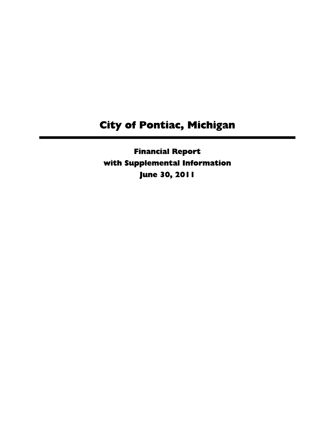Financial Report with Supplemental Information June 30, 2011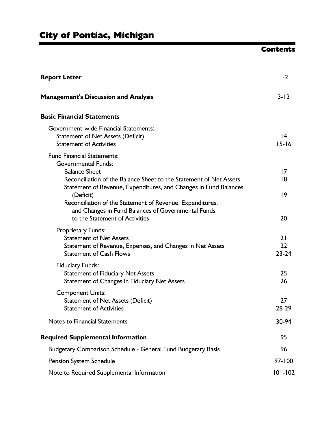# **Contents**

| <b>Report Letter</b>                                                                                                                                                                                                                                                   | $1-2$                        |
|------------------------------------------------------------------------------------------------------------------------------------------------------------------------------------------------------------------------------------------------------------------------|------------------------------|
| <b>Management's Discussion and Analysis</b>                                                                                                                                                                                                                            | $3 - 13$                     |
| <b>Basic Financial Statements</b>                                                                                                                                                                                                                                      |                              |
| Government-wide Financial Statements:<br><b>Statement of Net Assets (Deficit)</b><br><b>Statement of Activities</b>                                                                                                                                                    | $\overline{14}$<br>$15 - 16$ |
| <b>Fund Financial Statements:</b><br><b>Governmental Funds:</b><br><b>Balance Sheet</b>                                                                                                                                                                                | 17                           |
| Reconciliation of the Balance Sheet to the Statement of Net Assets<br>Statement of Revenue, Expenditures, and Changes in Fund Balances<br>(Deficit)<br>Reconciliation of the Statement of Revenue, Expenditures,<br>and Changes in Fund Balances of Governmental Funds | 8<br> 9                      |
| to the Statement of Activities<br><b>Proprietary Funds:</b>                                                                                                                                                                                                            | 20                           |
| <b>Statement of Net Assets</b><br>Statement of Revenue, Expenses, and Changes in Net Assets<br><b>Statement of Cash Flows</b>                                                                                                                                          | 21<br>22<br>$23 - 24$        |
| <b>Fiduciary Funds:</b><br><b>Statement of Fiduciary Net Assets</b><br>Statement of Changes in Fiduciary Net Assets                                                                                                                                                    | 25<br>26                     |
| <b>Component Units:</b><br><b>Statement of Net Assets (Deficit)</b><br><b>Statement of Activities</b>                                                                                                                                                                  | 27<br>28-29                  |
| <b>Notes to Financial Statements</b>                                                                                                                                                                                                                                   | 30-94                        |
| <b>Required Supplemental Information</b>                                                                                                                                                                                                                               | 95                           |
| Budgetary Comparison Schedule - General Fund Budgetary Basis                                                                                                                                                                                                           | 96                           |
| Pension System Schedule                                                                                                                                                                                                                                                | $97 - 100$                   |
| Note to Required Supplemental Information                                                                                                                                                                                                                              | $101 - 102$                  |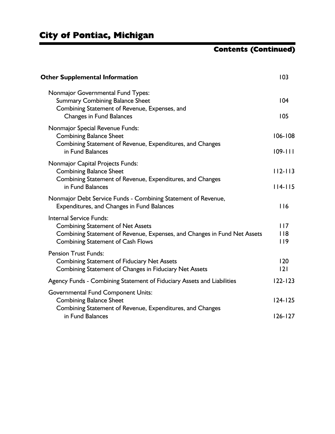# Contents (Continued)

| <b>Other Supplemental Information</b>                                                                                                                                                              | 103                        |
|----------------------------------------------------------------------------------------------------------------------------------------------------------------------------------------------------|----------------------------|
| Nonmajor Governmental Fund Types:<br><b>Summary Combining Balance Sheet</b><br>Combining Statement of Revenue, Expenses, and<br><b>Changes in Fund Balances</b>                                    | 104<br>105                 |
| Nonmajor Special Revenue Funds:<br><b>Combining Balance Sheet</b><br>Combining Statement of Revenue, Expenditures, and Changes<br>in Fund Balances                                                 | $106 - 108$<br>$109 - 111$ |
| Nonmajor Capital Projects Funds:<br><b>Combining Balance Sheet</b><br>Combining Statement of Revenue, Expenditures, and Changes<br>in Fund Balances                                                | $112 - 113$<br>$114 - 115$ |
| Nonmajor Debt Service Funds - Combining Statement of Revenue,<br>Expenditures, and Changes in Fund Balances                                                                                        | 116                        |
| <b>Internal Service Funds:</b><br><b>Combining Statement of Net Assets</b><br>Combining Statement of Revenue, Expenses, and Changes in Fund Net Assets<br><b>Combining Statement of Cash Flows</b> | 117<br>$ $  8<br>119       |
| <b>Pension Trust Funds:</b><br><b>Combining Statement of Fiduciary Net Assets</b><br>Combining Statement of Changes in Fiduciary Net Assets                                                        | 120<br> 2                  |
| Agency Funds - Combining Statement of Fiduciary Assets and Liabilities                                                                                                                             | $122 - 123$                |
| <b>Governmental Fund Component Units:</b><br><b>Combining Balance Sheet</b><br>Combining Statement of Revenue, Expenditures, and Changes                                                           | $124 - 125$                |
| in Fund Balances                                                                                                                                                                                   | $126 - 127$                |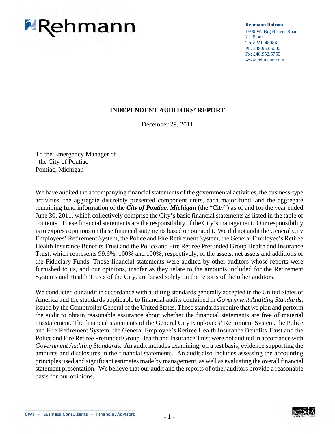# **PRehmann**

**Rehmann Robson**

1500 W. Big Beaver Road 2<sup>nd</sup> Floor Troy MI 48084 Ph: 248.952.5000 Fx: 248.952.5750 www.rehmann.com

#### **INDEPENDENT AUDITORS' REPORT**

December 29, 2011

To the Emergency Manager of the City of Pontiac Pontiac, Michigan

We have audited the accompanying financial statements of the governmental activities, the business-type activities, the aggregate discretely presented component units, each major fund, and the aggregate remaining fund information of the *City of Pontiac, Michigan* (the "City") as of and for the year ended June 30, 2011, which collectively comprise the City's basic financial statements as listed in the table of contents. These financial statements are the responsibility of the City's management. Our responsibility is to express opinions on these financial statements based on our audit. We did not audit the General City Employees' Retirement System, the Police and Fire Retirement System, the General Employee's Retiree Health Insurance Benefits Trust and the Police and Fire Retiree Prefunded Group Health and Insurance Trust, which represents 99.6%, 100% and 100%, respectively, of the assets, net assets and additions of the Fiduciary Funds. Those financial statements were audited by other auditors whose reports were furnished to us, and our opinions, insofar as they relate to the amounts included for the Retirement Systems and Health Trusts of the City, are based solely on the reports of the other auditors.

We conducted our audit in accordance with auditing standards generally accepted in the United States of America and the standards applicable to financial audits contained in *Government Auditing Standards,*  issued by the Comptroller General of the United States. Those standards require that we plan and perform the audit to obtain reasonable assurance about whether the financial statements are free of material misstatement. The financial statements of the General City Employees' Retirement System, the Police and Fire Retirement System, the General Employee's Retiree Health Insurance Benefits Trust and the Police and Fire Retiree Prefunded Group Health and Insurance Trust were not audited in accordance with *Government Auditing Standards*. An audit includes examining, on a test basis, evidence supporting the amounts and disclosures in the financial statements. An audit also includes assessing the accounting principles used and significant estimates made by management, as well as evaluating the overall financial statement presentation. We believe that our audit and the reports of other auditors provide a reasonable basis for our opinions.

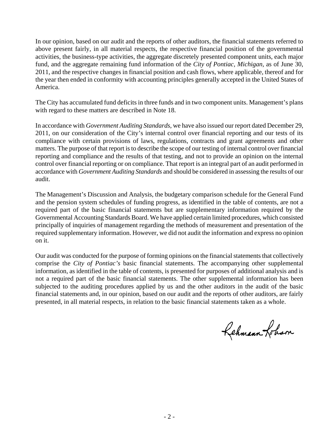In our opinion, based on our audit and the reports of other auditors, the financial statements referred to above present fairly, in all material respects, the respective financial position of the governmental activities, the business-type activities, the aggregate discretely presented component units, each major fund, and the aggregate remaining fund information of the *City of Pontiac, Michigan*, as of June 30, 2011, and the respective changes in financial position and cash flows, where applicable, thereof and for the year then ended in conformity with accounting principles generally accepted in the United States of America.

The City has accumulated fund deficits in three funds and in two component units. Management's plans with regard to these matters are described in Note 18.

In accordance with *Government Auditing Standards*, we have also issued our report dated December 29, 2011, on our consideration of the City's internal control over financial reporting and our tests of its compliance with certain provisions of laws, regulations, contracts and grant agreements and other matters. The purpose of that report is to describe the scope of our testing of internal control over financial reporting and compliance and the results of that testing, and not to provide an opinion on the internal control over financial reporting or on compliance. That report is an integral part of an audit performed in accordance with *Government Auditing Standards* and should be considered in assessing the results of our audit.

The Management's Discussion and Analysis, the budgetary comparison schedule for the General Fund and the pension system schedules of funding progress, as identified in the table of contents, are not a required part of the basic financial statements but are supplementary information required by the Governmental Accounting Standards Board. We have applied certain limited procedures, which consisted principally of inquiries of management regarding the methods of measurement and presentation of the required supplementary information. However, we did not audit the information and express no opinion on it.

Our audit was conducted for the purpose of forming opinions on the financial statements that collectively comprise the *City of Pontiac's* basic financial statements. The accompanying other supplemental information, as identified in the table of contents, is presented for purposes of additional analysis and is not a required part of the basic financial statements. The other supplemental information has been subjected to the auditing procedures applied by us and the other auditors in the audit of the basic financial statements and, in our opinion, based on our audit and the reports of other auditors, are fairly presented, in all material respects, in relation to the basic financial statements taken as a whole.

Rehmann-Johan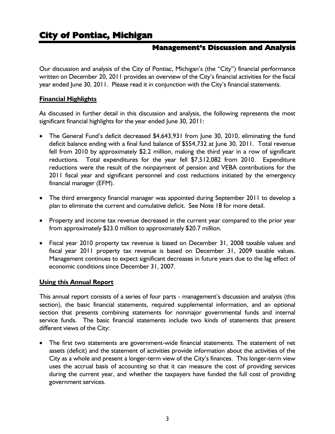#### **Management's Discussion and Analysis**

Our discussion and analysis of the City of Pontiac, Michigan's (the "City") financial performance written on December 20, 2011 provides an overview of the City's financial activities for the fiscal year ended June 30, 2011. Please read it in conjunction with the City's financial statements.

#### **Financial Highlights**

As discussed in further detail in this discussion and analysis, the following represents the most significant financial highlights for the year ended June 30, 2011:

- The General Fund's deficit decreased \$4,643,931 from June 30, 2010, eliminating the fund deficit balance ending with a final fund balance of \$554,732 at June 30, 2011. Total revenue fell from 2010 by approximately \$2.2 million, making the third year in a row of significant reductions. Total expenditures for the year fell \$7,512,082 from 2010. Expenditure reductions were the result of the nonpayment of pension and VEBA contributions for the 2011 fiscal year and significant personnel and cost reductions initiated by the emergency financial manager (EFM).
- The third emergency financial manager was appointed during September 2011 to develop a plan to eliminate the current and cumulative deficit. See Note 18 for more detail.
- Property and income tax revenue decreased in the current year compared to the prior year from approximately \$23.0 million to approximately \$20.7 million.
- Fiscal year 2010 property tax revenue is based on December 31, 2008 taxable values and fiscal year 2011 property tax revenue is based on December 31, 2009 taxable values. Management continues to expect significant decreases in future years due to the lag effect of economic conditions since December 31, 2007.

#### **Using this Annual Report**

This annual report consists of a series of four parts - management's discussion and analysis (this section), the basic financial statements, required supplemental information, and an optional section that presents combining statements for nonmajor governmental funds and internal service funds. The basic financial statements include two kinds of statements that present different views of the City:

• The first two statements are government-wide financial statements. The statement of net assets (deficit) and the statement of activities provide information about the activities of the City as a whole and present a longer-term view of the City's finances. This longer-term view uses the accrual basis of accounting so that it can measure the cost of providing services during the current year, and whether the taxpayers have funded the full cost of providing government services.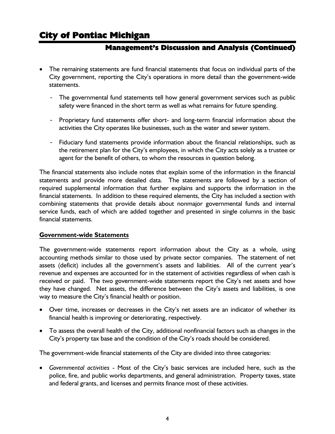### **Management's Discussion and Analysis (Continued)**

- The remaining statements are fund financial statements that focus on individual parts of the City government, reporting the City's operations in more detail than the government-wide statements.
	- The governmental fund statements tell how general government services such as public safety were financed in the short term as well as what remains for future spending.
	- Proprietary fund statements offer short- and long-term financial information about the activities the City operates like businesses, such as the water and sewer system.
	- Fiduciary fund statements provide information about the financial relationships, such as the retirement plan for the City's employees, in which the City acts solely as a trustee or agent for the benefit of others, to whom the resources in question belong.

The financial statements also include notes that explain some of the information in the financial statements and provide more detailed data. The statements are followed by a section of required supplemental information that further explains and supports the information in the financial statements. In addition to these required elements, the City has included a section with combining statements that provide details about nonmajor governmental funds and internal service funds, each of which are added together and presented in single columns in the basic financial statements.

#### **Government-wide Statements**

The government-wide statements report information about the City as a whole, using accounting methods similar to those used by private sector companies. The statement of net assets (deficit) includes all the government's assets and liabilities. All of the current year's revenue and expenses are accounted for in the statement of activities regardless of when cash is received or paid. The two government-wide statements report the City's net assets and how they have changed. Net assets, the difference between the City's assets and liabilities, is one way to measure the City's financial health or position.

- Over time, increases or decreases in the City's net assets are an indicator of whether its financial health is improving or deteriorating, respectively.
- To assess the overall health of the City, additional nonfinancial factors such as changes in the City's property tax base and the condition of the City's roads should be considered.

The government-wide financial statements of the City are divided into three categories:

• *Governmental activities* - Most of the City's basic services are included here, such as the police, fire, and public works departments, and general administration. Property taxes, state and federal grants, and licenses and permits finance most of these activities.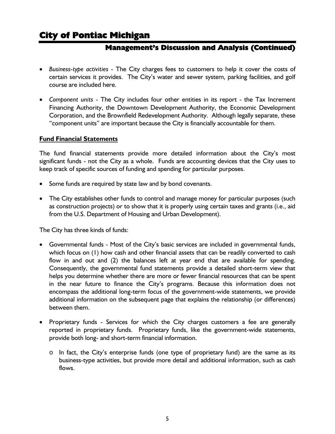### **Management's Discussion and Analysis (Continued)**

- *Business-type activities* The City charges fees to customers to help it cover the costs of certain services it provides. The City's water and sewer system, parking facilities, and golf course are included here.
- *Component units* The City includes four other entities in its report the Tax Increment Financing Authority, the Downtown Development Authority, the Economic Development Corporation, and the Brownfield Redevelopment Authority. Although legally separate, these "component units" are important because the City is financially accountable for them.

#### **Fund Financial Statements**

The fund financial statements provide more detailed information about the City's most significant funds - not the City as a whole. Funds are accounting devices that the City uses to keep track of specific sources of funding and spending for particular purposes.

- Some funds are required by state law and by bond covenants.
- The City establishes other funds to control and manage money for particular purposes (such as construction projects) or to show that it is properly using certain taxes and grants (i.e., aid from the U.S. Department of Housing and Urban Development).

The City has three kinds of funds:

- Governmental funds Most of the City's basic services are included in governmental funds, which focus on (1) how cash and other financial assets that can be readily converted to cash flow in and out and (2) the balances left at year end that are available for spending. Consequently, the governmental fund statements provide a detailed short-term view that helps you determine whether there are more or fewer financial resources that can be spent in the near future to finance the City's programs. Because this information does not encompass the additional long-term focus of the government-wide statements, we provide additional information on the subsequent page that explains the relationship (or differences) between them.
- Proprietary funds Services for which the City charges customers a fee are generally reported in proprietary funds. Proprietary funds, like the government-wide statements, provide both long- and short-term financial information.
	- o In fact, the City's enterprise funds (one type of proprietary fund) are the same as its business-type activities, but provide more detail and additional information, such as cash flows.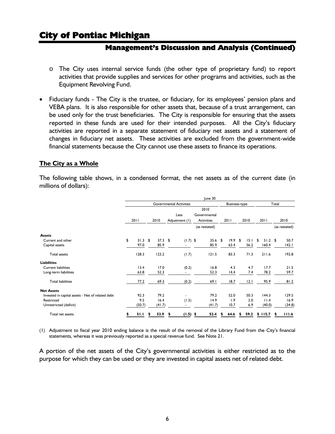#### **Management's Discussion and Analysis (Continued)**

- o The City uses internal service funds (the other type of proprietary fund) to report activities that provide supplies and services for other programs and activities, such as the Equipment Revolving Fund.
- Fiduciary funds The City is the trustee, or fiduciary, for its employees' pension plans and VEBA plans. It is also responsible for other assets that, because of a trust arrangement, can be used only for the trust beneficiaries. The City is responsible for ensuring that the assets reported in these funds are used for their intended purposes. All the City's fiduciary activities are reported in a separate statement of fiduciary net assets and a statement of changes in fiduciary net assets. These activities are excluded from the government-wide financial statements because the City cannot use these assets to finance its operations.

#### **The City as a Whole**

The following table shows, in a condensed format, the net assets as of the current date (in millions of dollars):

|                                                  |                 |   |           |   |                                | June 30           |               |      |      |      |           |   |               |
|--------------------------------------------------|-----------------|---|-----------|---|--------------------------------|-------------------|---------------|------|------|------|-----------|---|---------------|
|                                                  |                 |   |           |   | <b>Governmental Activities</b> |                   | Business-type |      |      |      | Total     |   |               |
|                                                  |                 |   |           |   |                                | 2010              |               |      |      |      |           |   |               |
|                                                  |                 |   |           |   | Less                           | Governmental      |               |      |      |      |           |   |               |
|                                                  | 2011            |   | 2010      |   | Adjustment (1)                 | <b>Activities</b> | 2011          |      | 2010 |      | 2011      |   | 2010          |
|                                                  |                 |   |           |   |                                | (as restated)     |               |      |      |      |           |   | (as restated) |
| <b>Assets</b>                                    |                 |   |           |   |                                |                   |               |      |      |      |           |   |               |
| Current and other                                | \$<br>$31.3$ \$ |   | $37.3$ \$ |   | $(1.7)$ \$                     | 35.6              | \$<br>19.9    | - \$ | 15.1 | - \$ | $51.2$ \$ |   | 50.7          |
| Capital assets                                   | 97.0            |   | 85.9      |   |                                | 85.9              | 63.4          |      | 56.2 |      | 160.4     |   | 142.1         |
| <b>Total assets</b>                              | 128.3           |   | 123.2     |   | (1.7)                          | 121.5             | 83.3          |      | 71.3 |      | 211.6     |   | 192.8         |
| <b>Liabilities</b>                               |                 |   |           |   |                                |                   |               |      |      |      |           |   |               |
| <b>Current liabilities</b>                       | 13.4            |   | 17.0      |   | (0.2)                          | 16.8              | 4.3           |      | 4.7  |      | 17.7      |   | 21.5          |
| Long-term liabilities                            | 63.8            |   | 52.3      |   |                                | 52.3              | 14.4          |      | 7.4  |      | 78.2      |   | 59.7          |
| <b>Total liabilities</b>                         | 77.2            |   | 69.3      |   | (0.2)                          | 69.I              | 18.7          |      | 12.1 |      | 95.9      |   | 81.2          |
| <b>Net Assets</b>                                |                 |   |           |   |                                |                   |               |      |      |      |           |   |               |
| Invested in capital assets - Net of related debt | 92.3            |   | 79.2      |   | $\overline{\phantom{0}}$       | 79.2              | 52.0          |      | 50.3 |      | 144.3     |   | 129.5         |
| Restricted                                       | 9.5             |   | 16.4      |   | (1.5)                          | 14.9              | 1.9           |      | 2.0  |      | 11.4      |   | 16.9          |
| Unrestricted (deficit)                           | (50.7)          |   | (41.7)    |   |                                | (41.7)            | 10.7          |      | 6.9  |      | (40.0)    |   | (34.8)        |
| Total net assets                                 | 51.I            | S | 53.9      | 5 | $(1.5)$ \$                     | 52.4              | 64.6          | S    | 59.2 |      | \$115.7   | S | 111.6         |

(1) Adjustment to fiscal year 2010 ending balance is the result of the removal of the Library Fund from the City's financial statements, whereas it was previously reported as a special revenue fund. See Note 21.

A portion of the net assets of the City's governmental activities is either restricted as to the purpose for which they can be used or they are invested in capital assets net of related debt.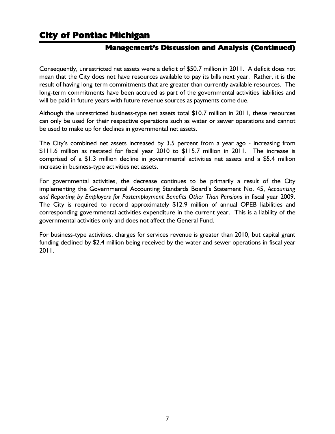### **Management's Discussion and Analysis (Continued)**

Consequently, unrestricted net assets were a deficit of \$50.7 million in 2011. A deficit does not mean that the City does not have resources available to pay its bills next year. Rather, it is the result of having long-term commitments that are greater than currently available resources. The long-term commitments have been accrued as part of the governmental activities liabilities and will be paid in future years with future revenue sources as payments come due.

Although the unrestricted business-type net assets total \$10.7 million in 2011, these resources can only be used for their respective operations such as water or sewer operations and cannot be used to make up for declines in governmental net assets.

The City's combined net assets increased by 3.5 percent from a year ago - increasing from \$111.6 million as restated for fiscal year 2010 to \$115.7 million in 2011. The increase is comprised of a \$1.3 million decline in governmental activities net assets and a \$5.4 million increase in business-type activities net assets.

For governmental activities, the decrease continues to be primarily a result of the City implementing the Governmental Accounting Standards Board's Statement No. 45, *Accounting*  and Reporting by Employers for Postemployment Benefits Other Than Pensions in fiscal year 2009. The City is required to record approximately \$12.9 million of annual OPEB liabilities and corresponding governmental activities expenditure in the current year. This is a liability of the governmental activities only and does not affect the General Fund.

For business-type activities, charges for services revenue is greater than 2010, but capital grant funding declined by \$2.4 million being received by the water and sewer operations in fiscal year 2011.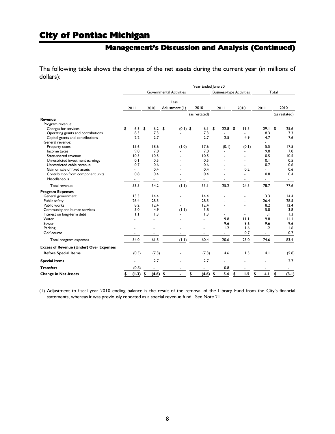### **Management's Discussion and Analysis (Continued)**

The following table shows the changes of the net assets during the current year (in millions of dollars):

|                                                |                          |                          |                                | Year Ended June 30       |                                 |                          |      |                          |    |                          |
|------------------------------------------------|--------------------------|--------------------------|--------------------------------|--------------------------|---------------------------------|--------------------------|------|--------------------------|----|--------------------------|
|                                                |                          |                          | <b>Governmental Activities</b> |                          | <b>Business-type Activities</b> |                          |      | Total                    |    |                          |
|                                                |                          |                          | Less                           |                          |                                 |                          |      |                          |    |                          |
|                                                | 2011                     | 2010                     | Adjustment (1)                 | 2010                     | 2011                            | 2010                     | 2011 |                          |    | 2010                     |
|                                                |                          |                          |                                | (as restated)            |                                 |                          |      |                          |    | (as restated)            |
| Revenue                                        |                          |                          |                                |                          |                                 |                          |      |                          |    |                          |
| Program revenue:                               |                          |                          |                                |                          |                                 |                          |      |                          |    |                          |
| Charges for services                           | \$<br>6.3                | \$<br>6.2                | \$<br>$(0.1)$ \$               | 6.1                      | \$<br>22.8                      | \$<br>19.5               |      | 29.1                     | \$ | 25.6                     |
| Operating grants and contributions             | 8.3                      | 7.3                      |                                | 7.3                      |                                 |                          |      | 8.3                      |    | 7.3                      |
| Capital grants and contributions               | 2.2                      | 2.7                      |                                | 2.7                      | 2.5                             | 4.9                      |      | 4.7                      |    | 7.6                      |
| General revenue:                               |                          |                          |                                |                          |                                 |                          |      | $\overline{a}$           |    |                          |
| Property taxes                                 | 15.6                     | 18.6                     | (1.0)                          | 17.6                     | (0.1)                           | (0.1)                    |      | 15.5                     |    | 17.5                     |
| Income taxes                                   | 9.0                      | 7.0                      |                                | 7.0                      |                                 |                          |      | 9.0                      |    | 7.0                      |
| State-shared revenue                           | 10.5                     | 10.5                     |                                | 10.5                     |                                 | ٠                        |      | 10.5                     |    | 10.5                     |
| Unrestricted investment earnings               | 0.1                      | 0.5                      |                                | 0.5                      |                                 | ۰                        |      | 0.1                      |    | 0.5                      |
| Unrestricted cable revenue                     | 0.7                      | 0.6                      |                                | 0.6                      |                                 |                          |      | 0.7                      |    | 0.6                      |
| Gain on sale of fixed assets                   |                          | 0.4                      |                                | 0.4                      |                                 | 0.2                      |      |                          |    | 0.6                      |
| Contribution from component units              | 0.8                      | 0.4                      |                                | 0.4                      |                                 | $\overline{a}$           |      | 0.8                      |    | 0.4                      |
| Miscellaneous                                  | $\overline{\phantom{0}}$ | $\overline{\phantom{a}}$ |                                | $\overline{\phantom{a}}$ | $\overline{\phantom{a}}$        | $\overline{\phantom{a}}$ |      | $\overline{\phantom{a}}$ |    | $\sim$                   |
| Total revenue                                  | 53.5                     | 54.2                     | (1.1)                          | 53.1                     | 25.2                            | 24.5                     |      | 78.7                     |    | 77.6                     |
| <b>Program Expenses</b>                        |                          |                          |                                |                          |                                 |                          |      |                          |    |                          |
| General government                             | 13.3                     | 14.4                     |                                | 14.4                     |                                 |                          |      | 13.3                     |    | 14.4                     |
| Public safety                                  | 26.4                     | 28.5                     |                                | 28.5                     |                                 |                          |      | 26.4                     |    | 28.5                     |
| Public works                                   | 8.2                      | 12.4                     |                                | 12.4                     |                                 |                          |      | 8.2                      |    | 12.4                     |
| Community and human services                   | 5.0                      | 4.9                      | (1.1)                          | 3.8                      |                                 | ٠                        |      | 5.0                      |    | 3.8                      |
| Interest on long-term debt                     | $\mathbf{L}$             | 1.3                      | ٠                              | 1.3                      |                                 |                          |      | 1.1                      |    | 1.3                      |
| Water                                          |                          |                          |                                |                          | 9.8                             | 11.1                     |      | 9.8                      |    | 11.1                     |
| Sewer                                          |                          |                          |                                |                          | 9.6                             | 9.6                      |      | 9.6                      |    | 9.6                      |
| Parking                                        |                          |                          |                                |                          | 1.2                             | 1.6                      |      | 1.2                      |    | 1.6                      |
| Golf course                                    |                          |                          |                                |                          | $\overline{\phantom{a}}$        | 0.7                      |      | $\overline{\phantom{a}}$ |    | 0.7                      |
| Total program expenses                         | 54.0                     | 61.5                     | (1.1)                          | 60.4                     | 20.6                            | 23.0                     |      | 74.6                     |    | 83.4                     |
| <b>Excess of Revenue (Under) Over Expenses</b> |                          |                          |                                |                          |                                 |                          |      |                          |    |                          |
| <b>Before Special Items</b>                    | (0.5)                    | (7.3)                    |                                | (7.3)                    | 4.6                             | 1.5                      |      | 4.1                      |    | (5.8)                    |
| <b>Special Items</b>                           |                          | 2.7                      |                                | 2.7                      | $\overline{a}$                  |                          |      |                          |    | 2.7                      |
| <b>Transfers</b>                               | (0.8)                    |                          |                                |                          | 0.8                             |                          |      |                          |    | $\overline{\phantom{0}}$ |
| <b>Change in Net Assets</b>                    | \$<br>(1.3)              | \$<br>(4.6)              | \$                             | \$<br>(4.6)              | \$<br>5.4                       | \$<br>1.5                | \$   | 4.1                      | \$ | (3.1)                    |

(1) Adjustment to fiscal year 2010 ending balance is the result of the removal of the Library Fund from the City's financial statements, whereas it was previously reported as a special revenue fund. See Note 21.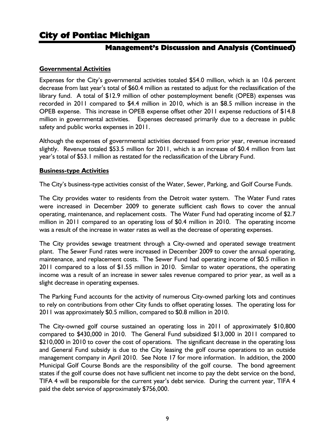### **Management's Discussion and Analysis (Continued)**

#### **Governmental Activities**

Expenses for the City's governmental activities totaled \$54.0 million, which is an 10.6 percent decrease from last year's total of \$60.4 million as restated to adjust for the reclassification of the library fund. A total of \$12.9 million of other postemployment benefit (OPEB) expenses was recorded in 2011 compared to \$4.4 million in 2010, which is an \$8.5 million increase in the OPEB expense. This increase in OPEB expense offset other 2011 expense reductions of \$14.8 million in governmental activities. Expenses decreased primarily due to a decrease in public safety and public works expenses in 2011.

Although the expenses of governmental activities decreased from prior year, revenue increased slightly. Revenue totaled \$53.5 million for 2011, which is an increase of \$0.4 million from last year's total of \$53.1 million as restated for the reclassification of the Library Fund.

#### **Business-type Activities**

The City's business-type activities consist of the Water, Sewer, Parking, and Golf Course Funds.

The City provides water to residents from the Detroit water system. The Water Fund rates were increased in December 2009 to generate sufficient cash flows to cover the annual operating, maintenance, and replacement costs. The Water Fund had operating income of \$2.7 million in 2011 compared to an operating loss of \$0.4 million in 2010. The operating income was a result of the increase in water rates as well as the decrease of operating expenses.

The City provides sewage treatment through a City-owned and operated sewage treatment plant. The Sewer Fund rates were increased in December 2009 to cover the annual operating, maintenance, and replacement costs. The Sewer Fund had operating income of \$0.5 million in 2011 compared to a loss of \$1.55 million in 2010. Similar to water operations, the operating income was a result of an increase in sewer sales revenue compared to prior year, as well as a slight decrease in operating expenses.

The Parking Fund accounts for the activity of numerous City-owned parking lots and continues to rely on contributions from other City funds to offset operating losses. The operating loss for 2011 was approximately \$0.5 million, compared to \$0.8 million in 2010.

The City-owned golf course sustained an operating loss in 2011 of approximately \$10,800 compared to \$430,000 in 2010. The General Fund subsidized \$13,000 in 2011 compared to \$210,000 in 2010 to cover the cost of operations. The significant decrease in the operating loss and General Fund subsidy is due to the City leasing the golf course operations to an outside management company in April 2010. See Note 17 for more information. In addition, the 2000 Municipal Golf Course Bonds are the responsibility of the golf course. The bond agreement states if the golf course does not have sufficient net income to pay the debt service on the bond, TIFA 4 will be responsible for the current year's debt service. During the current year, TIFA 4 paid the debt service of approximately \$756,000.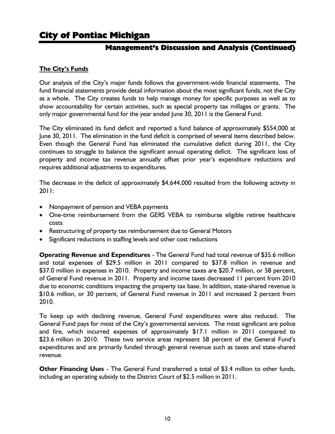### **Management's Discussion and Analysis (Continued)**

#### **The City's Funds**

Our analysis of the City's major funds follows the government-wide financial statements. The fund financial statements provide detail information about the most significant funds, not the City as a whole. The City creates funds to help manage money for specific purposes as well as to show accountability for certain activities, such as special property tax millages or grants. The only major governmental fund for the year ended June 30, 2011 is the General Fund.

The City eliminated its fund deficit and reported a fund balance of approximately \$554,000 at June 30, 2011. The elimination in the fund deficit is comprised of several items described below. Even though the General Fund has eliminated the cumulative deficit during 2011, the City continues to struggle to balance the significant annual operating deficit. The significant loss of property and income tax revenue annually offset prior year's expenditure reductions and requires additional adjustments to expenditures.

The decrease in the deficit of approximately \$4,644,000 resulted from the following activity in 2011:

- Nonpayment of pension and VEBA payments
- One-time reimbursement from the GERS VEBA to reimburse eligible retiree healthcare costs
- Restructuring of property tax reimbursement due to General Motors
- Significant reductions in staffing levels and other cost reductions

**Operating Revenue and Expenditures** - The General Fund had total revenue of \$35.6 million and total expenses of \$29.5 million in 2011 compared to \$37.8 million in revenue and \$37.0 million in expenses in 2010. Property and income taxes are \$20.7 million, or 58 percent, of General Fund revenue in 2011. Property and income taxes decreased 11 percent from 2010 due to economic conditions impacting the property tax base. In addition, state-shared revenue is \$10.6 million, or 30 percent, of General Fund revenue in 2011 and increased 2 percent from 2010.

To keep up with declining revenue, General Fund expenditures were also reduced. The General Fund pays for most of the City's governmental services. The most significant are police and fire, which incurred expenses of approximately \$17.1 million in 2011 compared to \$23.6 million in 2010. These two service areas represent 58 percent of the General Fund's expenditures and are primarily funded through general revenue such as taxes and state-shared revenue.

**Other Financing Uses** - The General Fund transferred a total of \$3.4 million to other funds, including an operating subsidy to the District Court of \$2.5 million in 2011.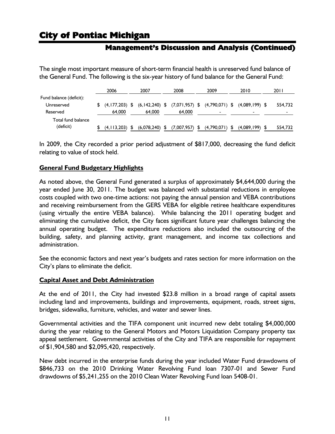### **Management's Discussion and Analysis (Continued)**

The single most important measure of short-term financial health is unreserved fund balance of the General Fund. The following is the six-year history of fund balance for the General Fund:

|                         | 2006               | 2007             | 2008                                                                                | 2009        | 2010                     | 2011                     |
|-------------------------|--------------------|------------------|-------------------------------------------------------------------------------------|-------------|--------------------------|--------------------------|
| Fund balance (deficit): |                    |                  |                                                                                     |             |                          |                          |
| Unreserved              |                    |                  | $$$ (4,177,203) $$$ (6,142,240) $$$ (7,071,957) $$$ (4,790,071) $$$ (4,089,199) $$$ |             |                          | 554.732                  |
| Reserved                | 64,000             | 64,000           | 64,000                                                                              |             | $\overline{\phantom{a}}$ | $\overline{\phantom{0}}$ |
| Total fund balance      |                    |                  |                                                                                     |             |                          |                          |
| (deficit)               | $(4, 113, 203)$ \$ | $(6,078,240)$ \$ | $(7,007,957)$ \$                                                                    | (4,790,071) | (4,089,199)              | 554,732                  |

In 2009, the City recorded a prior period adjustment of \$817,000, decreasing the fund deficit relating to value of stock held.

#### **General Fund Budgetary Highlights**

As noted above, the General Fund generated a surplus of approximately \$4,644,000 during the year ended June 30, 2011. The budget was balanced with substantial reductions in employee costs coupled with two one-time actions: not paying the annual pension and VEBA contributions and receiving reimbursement from the GERS VEBA for eligible retiree healthcare expenditures (using virtually the entire VEBA balance). While balancing the 2011 operating budget and eliminating the cumulative deficit, the City faces significant future year challenges balancing the annual operating budget. The expenditure reductions also included the outsourcing of the building, safety, and planning activity, grant management, and income tax collections and administration.

See the economic factors and next year's budgets and rates section for more information on the City's plans to eliminate the deficit.

#### **Capital Asset and Debt Administration**

At the end of 2011, the City had invested \$23.8 million in a broad range of capital assets including land and improvements, buildings and improvements, equipment, roads, street signs, bridges, sidewalks, furniture, vehicles, and water and sewer lines.

Governmental activities and the TIFA component unit incurred new debt totaling \$4,000,000 during the year relating to the General Motors and Motors Liquidation Company property tax appeal settlement. Governmental activities of the City and TIFA are responsible for repayment of \$1,904,580 and \$2,095,420, respectively.

New debt incurred in the enterprise funds during the year included Water Fund drawdowns of \$846,733 on the 2010 Drinking Water Revolving Fund loan 7307-01 and Sewer Fund drawdowns of \$5,241,255 on the 2010 Clean Water Revolving Fund loan 5408-01.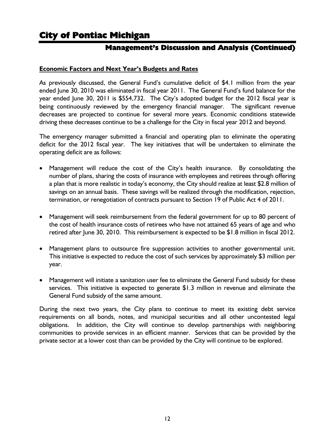### **Management's Discussion and Analysis (Continued)**

#### **Economic Factors and Next Year's Budgets and Rates**

As previously discussed, the General Fund's cumulative deficit of \$4.1 million from the year ended June 30, 2010 was eliminated in fiscal year 2011. The General Fund's fund balance for the year ended June 30, 2011 is \$554,732. The City's adopted budget for the 2012 fiscal year is being continuously reviewed by the emergency financial manager. The significant revenue decreases are projected to continue for several more years. Economic conditions statewide driving these decreases continue to be a challenge for the City in fiscal year 2012 and beyond.

The emergency manager submitted a financial and operating plan to eliminate the operating deficit for the 2012 fiscal year. The key initiatives that will be undertaken to eliminate the operating deficit are as follows:

- Management will reduce the cost of the City's health insurance. By consolidating the number of plans, sharing the costs of insurance with employees and retirees through offering a plan that is more realistic in today's economy, the City should realize at least \$2.8 million of savings on an annual basis. These savings will be realized through the modification, rejection, termination, or renegotiation of contracts pursuant to Section 19 of Public Act 4 of 2011.
- Management will seek reimbursement from the federal government for up to 80 percent of the cost of health insurance costs of retirees who have not attained 65 years of age and who retired after June 30, 2010. This reimbursement is expected to be \$1.8 million in fiscal 2012.
- Management plans to outsource fire suppression activities to another governmental unit. This initiative is expected to reduce the cost of such services by approximately \$3 million per year.
- Management will initiate a sanitation user fee to eliminate the General Fund subsidy for these services. This initiative is expected to generate \$1.3 million in revenue and eliminate the General Fund subsidy of the same amount.

During the next two years, the City plans to continue to meet its existing debt service requirements on all bonds, notes, and municipal securities and all other uncontested legal obligations. In addition, the City will continue to develop partnerships with neighboring communities to provide services in an efficient manner. Services that can be provided by the private sector at a lower cost than can be provided by the City will continue to be explored.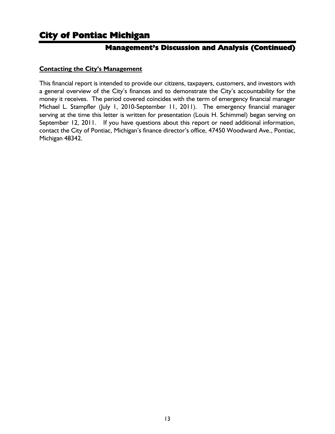### **Management's Discussion and Analysis (Continued)**

#### **Contacting the City's Management**

This financial report is intended to provide our citizens, taxpayers, customers, and investors with a general overview of the City's finances and to demonstrate the City's accountability for the money it receives. The period covered coincides with the term of emergency financial manager Michael L. Stampfler (July 1, 2010-September 11, 2011). The emergency financial manager serving at the time this letter is written for presentation (Louis H. Schimmel) began serving on September 12, 2011. If you have questions about this report or need additional information, contact the City of Pontiac, Michigan's finance director's office, 47450 Woodward Ave., Pontiac, Michigan 48342.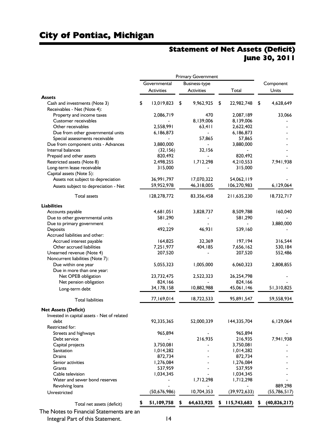# Statement of Net Assets (Deficit) June 30, 2011

|                                                     |                   | <b>Primary Government</b> |                  |                 |
|-----------------------------------------------------|-------------------|---------------------------|------------------|-----------------|
|                                                     | Governmental      | Business-type             |                  | Component       |
|                                                     | <b>Activities</b> | Activities                | Total            | Units           |
| <b>Assets</b>                                       |                   |                           |                  |                 |
| Cash and investments (Note 3)                       | \$<br>13,019,823  | \$<br>9,962,925           | \$<br>22,982,748 | \$<br>4,628,649 |
| Receivables - Net (Note 4):                         |                   |                           |                  |                 |
| Property and income taxes                           | 2,086,719         | 470                       | 2,087,189        | 33,066          |
| Customer receivables                                |                   | 8,139,006                 | 8,139,006        |                 |
| Other receivables                                   | 2,558,991         | 63,411                    | 2,622,402        |                 |
| Due from other governmental units                   | 6,186,873         |                           | 6,186,873        |                 |
| Special assessments receivable                      |                   | 57,865                    | 57,865           |                 |
| Due from component units - Advances                 | 3,880,000         |                           | 3,880,000        |                 |
| Internal balances                                   | (32, 156)         | 32,156                    |                  |                 |
| Prepaid and other assets                            | 820,492           |                           | 820,492          |                 |
| Restricted assets (Note 8)                          | 2,498,255         | 1,712,298                 | 4,210,553        | 7,941,938       |
| Long-term lease receivable                          | 315,000           |                           | 315,000          |                 |
| Capital assets (Note 5):                            |                   |                           |                  |                 |
| Assets not subject to depreciation                  | 36,991,797        | 17,070,322                | 54,062,119       |                 |
| Assets subject to depreciation - Net                | 59,952,978        | 46,318,005                | 106,270,983      | 6,129,064       |
| <b>Total assets</b>                                 | 128,278,772       | 83,356,458                | 211,635,230      | 18,732,717      |
| <b>Liabilities</b>                                  |                   |                           |                  |                 |
|                                                     | 1,681,051         | 3,828,737                 | 8,509,788        | 160,040         |
| Accounts payable<br>Due to other governmental units | 581,290           |                           | 581,290          |                 |
| Due to primary government                           |                   |                           |                  | 3,880,000       |
| Deposits                                            | 492,229           | 46,931                    | 539,160          |                 |
| Accrued liabilities and other:                      |                   |                           |                  |                 |
| Accrued interest payable                            | 164,825           | 32,369                    | 197,194          | 316,544         |
| Other accrued liabilities                           | 7,251,977         | 404, 185                  | 7,656,162        | 530,184         |
| Unearned revenue (Note 4)                           | 207,520           |                           | 207,520          | 552,486         |
| Noncurrent liabilities (Note 7):                    |                   |                           |                  |                 |
| Due within one year                                 | 5,055,323         | 1,005,000                 | 6,060,323        | 2,808,855       |
| Due in more than one year:                          |                   |                           |                  |                 |
| Net OPEB obligation                                 | 23,732,475        | 2,522,323                 | 26,254,798       |                 |
| Net pension obligation                              | 824,166           |                           | 824,166          |                 |
| Long-term debt                                      | 34, 178, 158      | 10,882,988                | 45,061,146       | 51,310,825      |
| <b>Total liabilities</b>                            | 77,169,014        | 18,722,533                | 95,891,547       | 59,558,934      |
| <b>Net Assets (Deficit)</b>                         |                   |                           |                  |                 |
| Invested in capital assets - Net of related         |                   |                           |                  |                 |
| debt                                                | 92,335,365        | 52,000,339                | 144,335,704      | 6,129,064       |
| Restricted for:                                     |                   |                           |                  |                 |
| Streets and highways                                | 965,894           |                           | 965,894          |                 |
| Debt service                                        |                   | 216,935                   | 216,935          | 7,941,938       |
| Capital projects                                    | 3,750,081         |                           | 3,750,081        |                 |
| Sanitation                                          | 1,014,282         |                           | 1,014,282        |                 |
| Drains                                              | 872,734           |                           | 872,734          |                 |
| Senior activities                                   | 1,276,084         |                           | 1,276,084        |                 |
| Grants                                              | 537,959           |                           | 537,959          |                 |
| Cable television                                    | 1,034,345         |                           | 1,034,345        |                 |
| Water and sewer bond reserves                       |                   | 1,712,298                 | 1,712,298        |                 |
| Revolving loans                                     |                   |                           |                  | 889,298         |
| Unrestricted                                        | (50, 676, 986)    | 10,704,353                | (39, 972, 633)   | (55, 786, 517)  |
| Total net assets (deficit)                          | 51,109,758        | 64,633,925                | 115,743,683      | (40,826,217)    |

The Notes to Financial Statements are an

Integral Part of this Statement. 14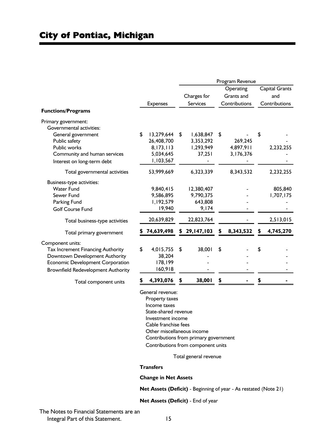|                                           |                  |                 | Program Revenue |                |
|-------------------------------------------|------------------|-----------------|-----------------|----------------|
|                                           |                  |                 | Operating       | Capital Grants |
|                                           |                  | Charges for     | Grants and      | and            |
|                                           | <b>Expenses</b>  | Services        | Contributions   | Contributions  |
| <b>Functions/Programs</b>                 |                  |                 |                 |                |
| Primary government:                       |                  |                 |                 |                |
| Governmental activities:                  |                  |                 |                 |                |
| General government                        | \$<br>13,279,644 | \$<br>1,638,847 | \$              | \$             |
| Public safety                             | 26,408,700       | 3,353,292       | 269,245         |                |
| Public works                              | 8,173,113        | 1,293,949       | 4,897,911       | 2,232,255      |
| Community and human services              | 5,034,645        | 37,251          | 3,176,376       |                |
| Interest on long-term debt                | 1,103,567        |                 |                 |                |
| Total governmental activities             | 53,999,669       | 6,323,339       | 8,343,532       | 2,232,255      |
| Business-type activities:                 |                  |                 |                 |                |
| <b>Water Fund</b>                         | 9,840,415        | 12,380,407      |                 | 805,840        |
| Sewer Fund                                | 9,586,895        | 9,790,375       |                 | 1,707,175      |
| Parking Fund                              | 1,192,579        | 643,808         |                 |                |
| <b>Golf Course Fund</b>                   | 19,940           | 9,174           |                 |                |
| Total business-type activities            | 20,639,829       | 22,823,764      |                 | 2,513,015      |
| Total primary government                  | 74,639,498       | 29,147,103      | 8,343,532       | 4,745,270      |
| Component units:                          |                  |                 |                 |                |
| Tax Increment Financing Authority         | \$<br>4,015,755  | \$<br>38,001    | \$              | \$             |
| Downtown Development Authority            | 38,204           |                 |                 |                |
| <b>Economic Development Corporation</b>   | 178,199          |                 |                 |                |
| <b>Brownfield Redevelopment Authority</b> | 160,918          |                 |                 |                |
|                                           | 4,393,076        | \$<br>38,001    | \$              |                |

Property taxes Income taxes State-shared revenue Investment income Cable franchise fees Other miscellaneous income Contributions from primary government Contributions from component units

Total general revenue

#### **Transfers**

#### **Change in Net Assets**

**Net Assets (Deficit)** - Beginning of year - As restated (Note 21)

**Net Assets (Deficit)** - End of year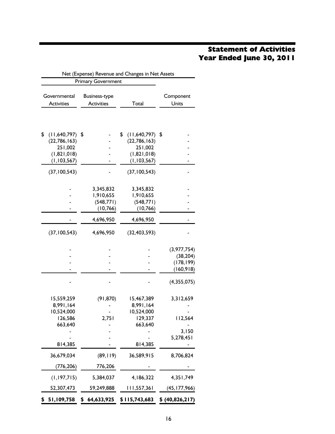# Statement of Activities Year Ended June 30, 2011

|                                   | Net (Expense) Revenue and Changes in Net Assets<br><b>Primary Government</b> |                                      |                    |
|-----------------------------------|------------------------------------------------------------------------------|--------------------------------------|--------------------|
| Governmental<br><b>Activities</b> | <b>Business-type</b><br><b>Activities</b>                                    | Total                                | Component<br>Units |
| \$                                |                                                                              |                                      |                    |
| (11,640,797)<br>(22, 786, 163)    | \$                                                                           | \$<br>(11,640,797)<br>(22, 786, 163) | \$                 |
| 251,002                           |                                                                              | 251,002                              |                    |
| (1,821,018)                       |                                                                              | (1,821,018)                          |                    |
| (1, 103, 567)                     |                                                                              | (1, 103, 567)                        |                    |
| (37, 100, 543)                    |                                                                              | (37, 100, 543)                       |                    |
|                                   | 3,345,832                                                                    | 3,345,832                            |                    |
|                                   | 1,910,655                                                                    | 1,910,655                            |                    |
|                                   | (548, 771)                                                                   | (548, 771)                           |                    |
|                                   | (10, 766)                                                                    | (10, 766)                            |                    |
|                                   | 4,696,950                                                                    | 4,696,950                            |                    |
| (37, 100, 543)                    | 4,696,950                                                                    | (32, 403, 593)                       |                    |
|                                   |                                                                              |                                      | (3, 977, 754)      |
|                                   |                                                                              |                                      | (38, 204)          |
|                                   |                                                                              |                                      | (178, 199)         |
|                                   |                                                                              |                                      | (160, 918)         |
|                                   |                                                                              |                                      | (4,355,075)        |
| 15,559,259                        | (91, 870)                                                                    | 15,467,389                           | 3,312,659          |
| 8,991,164                         |                                                                              | 8,991,164                            |                    |
| 10,524,000                        |                                                                              | 10,524,000                           |                    |
| 126,586<br>663,640                | 2,751                                                                        | 129,337<br>663,640                   | 112,564            |
|                                   |                                                                              |                                      | 3,150              |
|                                   |                                                                              |                                      | 5,278,451          |
| 814,385                           |                                                                              | 814,385                              |                    |
| 36,679,034                        | (89, 119)                                                                    | 36,589,915                           | 8,706,824          |
| (776, 206)                        | 776,206                                                                      |                                      |                    |
| (1, 197, 715)                     | 5,384,037                                                                    | 4,186,322                            | 4,351,749          |
| 52,307,473                        | 59,249,888                                                                   | 111,557,361                          | (45, 177, 966)     |
| \$<br>51,109,758                  | \$<br>64,633,925                                                             | \$115,743,683                        | \$(40,826,217)     |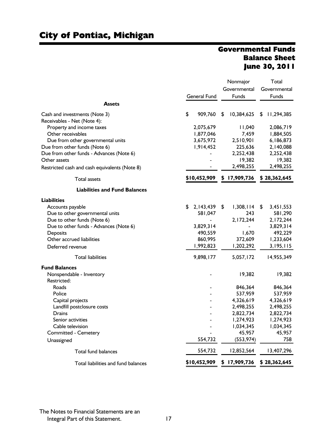### Governmental Funds Balance Sheet June 30, 2011

|                                               |                     | Nonmajor         |   | Total        |  |  |
|-----------------------------------------------|---------------------|------------------|---|--------------|--|--|
|                                               |                     | Governmental     |   | Governmental |  |  |
|                                               | <b>General Fund</b> | Funds            |   | Funds        |  |  |
| <b>Assets</b>                                 |                     |                  |   |              |  |  |
| Cash and investments (Note 3)                 | \$<br>909,760       | \$<br>10,384,625 | S | 11,294,385   |  |  |
| Receivables - Net (Note 4):                   |                     |                  |   |              |  |  |
| Property and income taxes                     | 2,075,679           | 11,040           |   | 2,086,719    |  |  |
| Other receivables                             | 1,877,046           | 7,459            |   | 1,884,505    |  |  |
| Due from other governmental units             | 3,675,972           | 2,510,901        |   | 6,186,873    |  |  |
| Due from other funds (Note 6)                 | 1,914,452           | 225,636          |   | 2,140,088    |  |  |
| Due from other funds - Advances (Note 6)      |                     | 2,252,438        |   | 2,252,438    |  |  |
| Other assets                                  |                     | 19,382           |   | 19,382       |  |  |
| Restricted cash and cash equivalents (Note 8) |                     | 2,498,255        |   | 2,498,255    |  |  |
| <b>Total assets</b>                           | \$10,452,909        | \$17,909,736     |   | \$28,362,645 |  |  |
| <b>Liabilities and Fund Balances</b>          |                     |                  |   |              |  |  |
| <b>Liabilities</b>                            |                     |                  |   |              |  |  |
| Accounts payable                              | \$<br>2,143,439     | \$<br>1,308,114  | S | 3,451,553    |  |  |
| Due to other governmental units               | 581,047             | 243              |   | 581,290      |  |  |
| Due to other funds (Note 6)                   |                     | 2,172,244        |   | 2,172,244    |  |  |
| Due to other funds - Advances (Note 6)        | 3,829,314           |                  |   | 3,829,314    |  |  |
| Deposits                                      | 490,559             | 1,670            |   | 492,229      |  |  |
| Other accrued liabilities                     | 860,995             | 372,609          |   | 1,233,604    |  |  |
| Deferred revenue                              | 1,992,823           | 1,202,292        |   | 3,195,115    |  |  |
| <b>Total liabilities</b>                      | 9,898,177           | 5,057,172        |   | 14,955,349   |  |  |
| <b>Fund Balances</b>                          |                     |                  |   |              |  |  |
| Nonspendable - Inventory                      |                     | 19,382           |   | 19,382       |  |  |
| Restricted:                                   |                     |                  |   |              |  |  |
| Roads                                         |                     | 846,364          |   | 846,364      |  |  |
| Police                                        |                     | 537,959          |   | 537,959      |  |  |
| Capital projects                              |                     | 4,326,619        |   | 4,326,619    |  |  |
| Landfill postclosure costs                    |                     | 2,498,255        |   | 2,498,255    |  |  |
| Drains                                        |                     | 2,822,734        |   | 2,822,734    |  |  |
| Senior activities                             |                     | 1,274,923        |   | 1,274,923    |  |  |
| Cable television                              |                     | 1,034,345        |   | 1,034,345    |  |  |
| <b>Committed - Cemetery</b>                   |                     | 45,957           |   | 45,957       |  |  |
| Unassigned                                    | 554,732             | (553, 974)       |   | 758          |  |  |
| <b>Total fund balances</b>                    | 554,732             | 12,852,564       |   | 13,407,296   |  |  |
| Total liabilities and fund balances           | \$10,452,909        | \$17,909,736     |   | \$28,362,645 |  |  |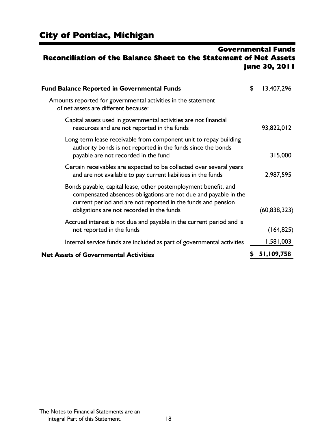### Governmental Funds Reconciliation of the Balance Sheet to the Statement of Net Assets June 30, 2011

| <b>Fund Balance Reported in Governmental Funds</b>                                                                                                                                                                                              | \$<br>13,407,296 |
|-------------------------------------------------------------------------------------------------------------------------------------------------------------------------------------------------------------------------------------------------|------------------|
| Amounts reported for governmental activities in the statement<br>of net assets are different because:                                                                                                                                           |                  |
| Capital assets used in governmental activities are not financial<br>resources and are not reported in the funds                                                                                                                                 | 93,822,012       |
| Long-term lease receivable from component unit to repay building<br>authority bonds is not reported in the funds since the bonds<br>payable are not recorded in the fund                                                                        | 315,000          |
| Certain receivables are expected to be collected over several years<br>and are not available to pay current liabilities in the funds                                                                                                            | 2,987,595        |
| Bonds payable, capital lease, other postemployment benefit, and<br>compensated absences obligations are not due and payable in the<br>current period and are not reported in the funds and pension<br>obligations are not recorded in the funds | (60, 838, 323)   |
| Accrued interest is not due and payable in the current period and is<br>not reported in the funds                                                                                                                                               | (164, 825)       |
| Internal service funds are included as part of governmental activities                                                                                                                                                                          | 1,581,003        |
| <b>Net Assets of Governmental Activities</b>                                                                                                                                                                                                    | 51,109,758       |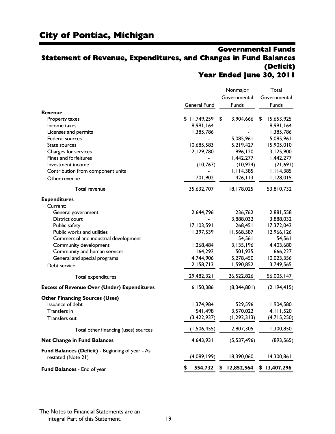### Governmental Funds Statement of Revenue, Expenditures, and Changes in Fund Balances (Deficit) Year Ended June 30, 2011

|                                                                        |                     | Nonmajor<br>Governmental | Total<br>Governmental |
|------------------------------------------------------------------------|---------------------|--------------------------|-----------------------|
|                                                                        | <b>General Fund</b> | Funds                    | Funds                 |
| <b>Revenue</b>                                                         |                     |                          |                       |
| <b>Property taxes</b>                                                  | \$11,749,259        | \$<br>3,904,666          | 15,653,925<br>S       |
| Income taxes                                                           | 8,991,164           |                          | 8,991,164             |
| Licenses and permits                                                   | 1,385,786           |                          | 1,385,786             |
| Federal sources                                                        |                     | 5,085,961                | 5,085,961             |
| State sources                                                          | 10,685,583          | 5,219,427                | 15,905,010            |
| Charges for services                                                   | 2,129,780           | 996,120                  | 3,125,900             |
| Fines and forfeitures                                                  |                     | I,442,277                | I,442,277             |
| Investment income                                                      | (10, 767)           | (10, 924)                | (21,691)              |
| Contribution from component units                                      |                     | I, I 14,385              | I, I 14,385           |
| Other revenue                                                          | 701,902             | 426, 113                 | 1,128,015             |
| Total revenue                                                          | 35,632,707          | 18,178,025               | 53,810,732            |
| <b>Expenditures</b>                                                    |                     |                          |                       |
| Current:                                                               |                     |                          |                       |
| General government                                                     | 2,644,796           | 236,762                  | 2,881,558             |
| District court                                                         |                     | 3,888,032                | 3,888,032             |
| Public safety                                                          | 17,103,591          | 268,451                  | 17,372,042            |
| <b>Public works and utilities</b>                                      | 1,397,539           | 11,568,587               | 12,966,126            |
| Commercial and industrial development                                  |                     | 54,561                   | 54,561                |
| Community development                                                  | 1,268,484           | 3,135,196                | 4,403,680             |
| Community and human services                                           | 164,292             | 501,935                  | 666,227               |
| General and special programs                                           | 4,744,906           | 5,278,450                | 10,023,356            |
| Debt service                                                           | 2,158,713           | 1,590,852                | 3,749,565             |
| Total expenditures                                                     | 29,482,321          | 26,522,826               | 56,005,147            |
| <b>Excess of Revenue Over (Under) Expenditures</b>                     | 6,150,386           | (8,344,801)              | (2,194,415)           |
| <b>Other Financing Sources (Uses)</b>                                  |                     |                          |                       |
| Issuance of debt                                                       | 1,374,984           | 529,596                  | 1,904,580             |
| Transfers in                                                           | 541,498             | 3,570,022                | 4, 11, 520            |
| Transfers out                                                          | (3, 422, 937)       | (1, 292, 313)            | (4,715,250)           |
| Total other financing (uses) sources                                   | (1, 506, 455)       | 2,807,305                | 1,300,850             |
| <b>Net Change in Fund Balances</b>                                     | 4,643,931           | (5,537,496)              | (893, 565)            |
| Fund Balances (Deficit) - Beginning of year - As<br>restated (Note 21) | (4,089,199)         | 18,390,060               | 14,300,861            |
| Fund Balances - End of year                                            | \$<br>554,732       | 12,852,564<br>\$         | \$13,407,296          |

The Notes to Financial Statements are an Integral Part of this Statement. 19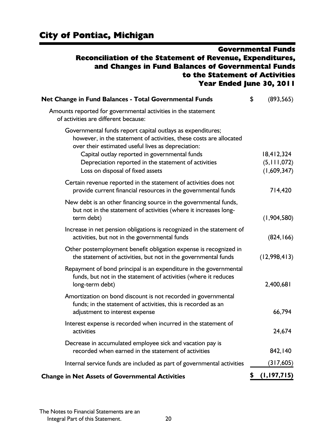### Governmental Funds Reconciliation of the Statement of Revenue, Expenditures, and Changes in Fund Balances of Governmental Funds to the Statement of Activities Year Ended June 30, 2011

| Net Change in Fund Balances - Total Governmental Funds                                                                                                                                 | \$<br>(893, 565)  |
|----------------------------------------------------------------------------------------------------------------------------------------------------------------------------------------|-------------------|
| Amounts reported for governmental activities in the statement<br>of activities are different because:                                                                                  |                   |
| Governmental funds report capital outlays as expenditures;<br>however, in the statement of activities, these costs are allocated<br>over their estimated useful lives as depreciation: |                   |
| Capital outlay reported in governmental funds                                                                                                                                          | 18,412,324        |
| Depreciation reported in the statement of activities                                                                                                                                   | (5, 111, 072)     |
| Loss on disposal of fixed assets                                                                                                                                                       | (1,609,347)       |
| Certain revenue reported in the statement of activities does not<br>provide current financial resources in the governmental funds                                                      | 714,420           |
| New debt is an other financing source in the governmental funds,<br>but not in the statement of activities (where it increases long-<br>term debt)                                     | (1,904,580)       |
| Increase in net pension obligations is recognized in the statement of<br>activities, but not in the governmental funds                                                                 | (824, 166)        |
| Other postemployment benefit obligation expense is recognized in<br>the statement of activities, but not in the governmental funds                                                     | (12,998,413)      |
| Repayment of bond principal is an expenditure in the governmental<br>funds, but not in the statement of activities (where it reduces<br>long-term debt)                                | 2,400,681         |
| Amortization on bond discount is not recorded in governmental<br>funds; in the statement of activities, this is recorded as an<br>adjustment to interest expense                       | 66,794            |
| Interest expense is recorded when incurred in the statement of<br>activities                                                                                                           | 24,674            |
| Decrease in accumulated employee sick and vacation pay is<br>recorded when earned in the statement of activities                                                                       | 842,140           |
| Internal service funds are included as part of governmental activities                                                                                                                 | (317, 605)        |
| <b>Change in Net Assets of Governmental Activities</b>                                                                                                                                 | \$<br>(1,197,715) |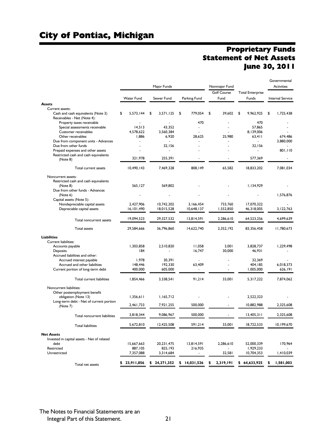### Proprietary Funds Statement of Net Assets June 30, 2011

|                                                                   |                   | Major Funds       |                | Nonmajor Fund              |                         | Governmental<br><b>Activities</b> |
|-------------------------------------------------------------------|-------------------|-------------------|----------------|----------------------------|-------------------------|-----------------------------------|
|                                                                   |                   |                   |                | <b>Golf Course</b><br>Fund | <b>Total Enterprise</b> | <b>Internal Service</b>           |
| Assets                                                            | <b>Water Fund</b> | Sewer Fund        | Parking Fund   |                            | Funds                   |                                   |
| Current assets:                                                   |                   |                   |                |                            |                         |                                   |
| Cash and cash equivalents (Note 3)<br>Receivables - Net (Note 4): | \$<br>5,573,144   | \$<br>3,571,125   | \$<br>779.054  | \$<br>39,602               | \$<br>9.962.925         | \$<br>1,725,438                   |
| Property taxes receivable                                         |                   |                   | 470            | $\overline{a}$             | 470                     |                                   |
| Special assessments receivable                                    | 14,513            | 43.352            |                |                            | 57.865                  |                                   |
| Customer receivables                                              | 4,578,622         | 3,560,384         |                |                            | 8.139.006               |                                   |
| Other receivables<br>Due from component units - Advances          | 1,886             | 6,920             | 28,625         | 25,980                     | 63,411                  | 674.486<br>3,880,000              |
| Due from other funds                                              |                   | 32,156            | $\overline{a}$ | $\overline{a}$             | 32,156                  |                                   |
| Prepaid expenses and other assets                                 |                   |                   |                |                            | ÷.                      | 801,110                           |
| Restricted cash and cash equivalents                              |                   |                   |                |                            |                         |                                   |
| (Note 8)                                                          | 321,978           | 255,391           |                |                            | 577,369                 |                                   |
| Total current assets                                              | 10,490,143        | 7,469,328         | 808,149        | 65,582                     | 18,833,202              | 7,081,034                         |
| Noncurrent assets:                                                |                   |                   |                |                            |                         |                                   |
| Restricted cash and cash equivalents                              |                   |                   |                |                            |                         |                                   |
| (Note 8)                                                          | 565,127           | 569.802           |                |                            | 1,134,929               |                                   |
| Due from other funds - Advances<br>(Note 6)                       |                   |                   |                |                            |                         | 1.576.876                         |
| Capital assets (Note 5):                                          |                   |                   |                |                            |                         |                                   |
| Nondepreciable capital assets                                     | 2,427,906         | 10,742,202        | 3,166,454      | 733,760                    | 17,070,322              |                                   |
| Depreciable capital assets                                        | 16,101,490        | 18,015,528        | 10,648,137     | 1,552,850                  | 46,318,005              | 3, 122, 763                       |
| Total noncurrent assets                                           | 19,094,523        | 29,327,532        | 13,814,591     | 2,286,610                  | 64,523,256              | 4,699,639                         |
| <b>Total assets</b>                                               | 29,584,666        | 36,796,860        | 14.622.740     | 2.352.192                  | 83,356,458              | 11,780,673                        |
| Liabilities                                                       |                   |                   |                |                            |                         |                                   |
| Current liabilities:                                              |                   |                   |                |                            |                         |                                   |
| Accounts payable                                                  | 1,303,858         | 2,510,820         | 11,058         | 3,001                      | 3,828,737               | 1,229,498                         |
| Deposits                                                          | 184               |                   | 16,747         | 30,000                     | 46,931                  |                                   |
| Accrued liabilities and other:                                    |                   |                   |                |                            |                         |                                   |
| Accrued interest payable<br>Accrued and other liabilities         | 1,978<br>148,446  | 30,391<br>192,330 | 63,409         |                            | 32,369<br>404, 185      | 6,018,373                         |
| Current portion of long-term debt                                 | 400,000           | 605,000           |                |                            | 1,005,000               | 626,191                           |
|                                                                   |                   |                   |                |                            |                         |                                   |
| Total current liabilities                                         | 1,854,466         | 3,338,541         | 91,214         | 33,001                     | 5,317,222               | 7,874,062                         |
| Noncurrent liabilities:                                           |                   |                   |                |                            |                         |                                   |
| Other postemployment benefit                                      |                   |                   |                |                            |                         |                                   |
| obligation (Note 13)<br>Long-term debt - Net of current portion   | 1,356,611         | 1,165,712         |                |                            | 2,522,323               |                                   |
| (Note 7)                                                          | 2,461,733         | 7,921,255         | 500,000        |                            | 10.882.988              | 2.325.608                         |
| Total noncurrent liabilities                                      | 3,818,344         | 9.086.967         | 500,000        |                            | 13.405.311              | 2.325.608                         |
| <b>Total liabilities</b>                                          | 5,672,810         | 12,425,508        | 591,214        | 33,001                     | 18,722,533              | 10,199,670                        |
|                                                                   |                   |                   |                |                            |                         |                                   |
| <b>Net Assets</b>                                                 |                   |                   |                |                            |                         |                                   |
| Invested in capital assets - Net of related<br>debt               | 15,667,663        | 20, 23   , 475    | 13,814,591     | 2,286,610                  | 52,000,339              | 170,964                           |
| Restricted                                                        | 887,105           | 825,193           | 216,935        |                            | 1,929,233               |                                   |
| Unrestricted                                                      | 7,357,088         | 3,314,684         | ۰.             | 32,581                     | 10,704,353              | 1,410,039                         |
| Total net assets                                                  | \$23,911,856      | \$24,371,352      | \$14,031,526   | 2,319,191                  | \$64,633,925            | \$<br>1,581,003                   |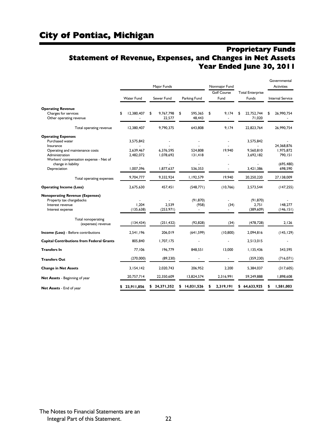### Proprietary Funds Statement of Revenue, Expenses, and Changes in Net Assets Year Ended June 30, 2011

|                                                                                                                |                                     | Major Funds               |                         | Nonmajor Fund      |                                     | Governmental<br><b>Activities</b>  |  |  |
|----------------------------------------------------------------------------------------------------------------|-------------------------------------|---------------------------|-------------------------|--------------------|-------------------------------------|------------------------------------|--|--|
|                                                                                                                |                                     |                           |                         | <b>Golf Course</b> | <b>Total Enterprise</b>             |                                    |  |  |
|                                                                                                                | <b>Water Fund</b>                   | Sewer Fund                | Parking Fund            | Fund               | Funds                               | <b>Internal Service</b>            |  |  |
| <b>Operating Revenue</b>                                                                                       |                                     |                           |                         |                    |                                     |                                    |  |  |
| Charges for services<br>Other operating revenue                                                                | 12,380,407<br>\$                    | 9,767,798<br>\$<br>22,577 | \$<br>595,365<br>48,443 | 9,174<br>\$        | 22,752,744<br>\$<br>71,020          | 26,990,754<br>\$                   |  |  |
| Total operating revenue                                                                                        | 12,380,407                          | 9,790,375                 | 643,808                 | 9.174              | 22,823,764                          | 26,990,754                         |  |  |
| <b>Operating Expenses</b><br>Purchased water<br>Insurance<br>Operating and maintenance costs<br>Administration | 3,575,842<br>2,639,467<br>2,482,072 | 6.376.595<br>1,078,692    | 524.808<br>131,418      | 19.940             | 3,575,842<br>9.560.810<br>3,692,182 | 24.368.876<br>1,975,872<br>790,151 |  |  |
| Workers' compensation expense - Net of<br>change in liability<br>Depreciation                                  | 1,007,396                           | 1,877,637                 | 536,353                 |                    | 3,421,386                           | (695, 480)<br>698,590              |  |  |
| Total operating expenses                                                                                       | 9,704,777                           | 9,332,924                 | 1,192,579               | 19,940             | 20,250,220                          | 27,138,009                         |  |  |
| <b>Operating Income (Loss)</b>                                                                                 | 2,675,630                           | 457,451                   | (548, 771)              | (10, 766)          | 2,573,544                           | (147, 255)                         |  |  |
| <b>Nonoperating Revenue (Expenses)</b><br>Property tax chargebacks<br>Interest revenue<br>Interest expense     | 1.204<br>(135, 638)                 | 2,539<br>(253, 971)       | (91, 870)<br>(958)      | (34)               | (91, 870)<br>2,751<br>(389, 609)    | 148.277<br>(146, 151)              |  |  |
| Total nonoperating<br>(expenses) revenue                                                                       | (134, 434)                          | (251, 432)                | (92, 828)               | (34)               | (478, 728)                          | 2.126                              |  |  |
| <b>Income (Loss)</b> - Before contributions                                                                    | 2,541,196                           | 206,019                   | (641, 599)              | (10, 800)          | 2,094,816                           | (145, 129)                         |  |  |
| <b>Capital Contributions from Federal Grants</b>                                                               | 805,840                             | 1,707,175                 |                         |                    | 2,513,015                           |                                    |  |  |
| Transfers In                                                                                                   | 77,106                              | 196,779                   | 848,551                 | 13,000             | 1,135,436                           | 543,595                            |  |  |
| <b>Transfers Out</b>                                                                                           | (270,000)                           | (89, 230)                 |                         | L,                 | (359, 230)                          | (716, 071)                         |  |  |
| <b>Change in Net Assets</b>                                                                                    | 3,154,142                           | 2.020.743                 | 206.952                 | 2.200              | 5,384,037                           | (317,605)                          |  |  |
| Net Assets - Beginning of year                                                                                 | 20,757,714                          | 22.350.609                | 13,824,574              | 2.316.991          | 59,249,888                          | 1.898.608                          |  |  |
| Net Assets - End of year                                                                                       | 23,911,856                          | \$24,371,352              | 14,031,526<br>\$        | 2,319,191          | \$64,633,925                        | 1,581,003                          |  |  |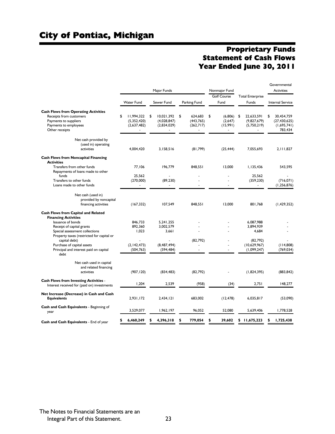### Proprietary Funds Statement of Cash Flows Year Ended June 30, 2011

Governmental

|                                                                             |                          |                  |                          |                      |                          | overnmental             |
|-----------------------------------------------------------------------------|--------------------------|------------------|--------------------------|----------------------|--------------------------|-------------------------|
|                                                                             |                          | Major Funds      |                          | Nonmajor Fund        |                          | Activities              |
|                                                                             |                          |                  |                          | <b>Golf Course</b>   | <b>Total Enterprise</b>  |                         |
|                                                                             | <b>Water Fund</b>        | Sewer Fund       | Parking Fund             | Fund                 | Funds                    | <b>Internal Service</b> |
| <b>Cash Flows from Operating Activities</b>                                 |                          |                  |                          |                      |                          |                         |
| Receipts from customers                                                     | 11,994,322<br>\$         | \$<br>10.021.392 | \$<br>624.683            | \$<br>(6,806)        | 22.633.591<br>\$         | 30.454.759<br>\$        |
| Payments to suppliers                                                       | (5,352,420)              | (4,028,847)      | (443, 765)               | (2,647)              | (9,827,679)              | (27, 430, 625)          |
| Payments to employees                                                       | (2,637,482)              | (2,834,029)      | (262,717)                | (15,991)             | (5,750,219)              | (1,695,741)             |
| Other receipts                                                              |                          | ä,               | ÷.                       | $\sim$               | $\overline{\phantom{a}}$ | 783,434                 |
| Net cash provided by                                                        |                          |                  |                          |                      |                          |                         |
| (used in) operating                                                         |                          |                  |                          |                      |                          |                         |
| activities                                                                  | 4,004,420                | 3,158,516        | (81,799)                 | (25, 444)            | 7,055,693                | 2,111,827               |
| <b>Cash Flows from Noncapital Financing</b><br><b>Activities</b>            |                          |                  |                          |                      |                          |                         |
| Transfers from other funds                                                  | 77.106                   | 196.779          | 848.551                  | 13.000               | 1.135.436                | 543,595                 |
| Repayments of loans made to other<br>funds                                  | 25.562                   | $\overline{a}$   |                          |                      | 25.562                   |                         |
| Transfers to other funds                                                    | (270,000)                | (89, 230)        |                          |                      | (359, 230)               | (716, 071)              |
| Loans made to other funds                                                   | $\overline{\phantom{a}}$ |                  | $\overline{\phantom{a}}$ | $\sim$               | $\sim$                   | (1, 256, 876)           |
| Net cash (used in)                                                          |                          |                  |                          |                      |                          |                         |
| provided by noncapital                                                      |                          |                  |                          |                      |                          |                         |
| financing activities                                                        | (167, 332)               | 107,549          | 848,551                  | 13,000               | 801,768                  | (1, 429, 352)           |
| Cash Flows from Capital and Related                                         |                          |                  |                          |                      |                          |                         |
| <b>Financing Activities</b>                                                 |                          |                  |                          |                      |                          |                         |
| Issuance of bonds                                                           | 846.733                  | 5,241,255        |                          |                      | 6,087,988                |                         |
| Receipt of capital grants                                                   | 892,360                  | 3,002,579        |                          |                      | 3,894,939                |                         |
| Special assessment collections<br>Property taxes (restricted for capital or | 1,023                    | 3,661            |                          |                      | 4,684                    |                         |
| capital debt)                                                               |                          |                  | (82, 792)                |                      | (82, 792)                |                         |
| Purchase of capital assets                                                  | (2, 142, 473)            | (8,487,494)      |                          |                      | (10,629,967)             | (114,808)               |
| Principal and interest paid on capital                                      | (504, 763)               | (594, 484)       |                          | $\ddot{\phantom{1}}$ | (1,099,247)              | (769, 034)              |
| debt                                                                        |                          |                  |                          |                      |                          |                         |
| Net cash used in capital                                                    |                          |                  |                          |                      |                          |                         |
| and related financing                                                       |                          |                  |                          |                      |                          |                         |
| activities                                                                  | (907, 120)               | (834, 483)       | (82, 792)                |                      | (1,824,395)              | (883, 842)              |
| <b>Cash Flows from Investing Activities -</b>                               |                          |                  |                          |                      |                          |                         |
| Interest received for (paid on) investments                                 | 1,204                    | 2.539            | (958)                    | (34)                 | 2,751                    | 148,277                 |
| Net Increase (Decrease) in Cash and Cash                                    |                          |                  |                          |                      |                          |                         |
| <b>Equivalents</b>                                                          | 2,931,172                | 2.434.121        | 683.002                  | (12, 478)            | 6,035,817                | (53,090)                |
| Cash and Cash Equivalents - Beginning of<br>year                            | 3,529,077                | 1,962,197        | 96,052                   | 52,080               | 5,639,406                | 1,778,528               |
|                                                                             |                          |                  |                          | 39,602               |                          |                         |
| Cash and Cash Equivalents - End of year                                     | 6,460,249                | 4,396,318        | 779,054<br>\$            | S                    | 11,675,223<br>\$         | 1,725,438               |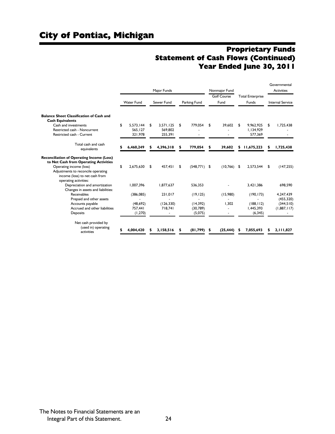### Proprietary Funds Statement of Cash Flows (Continued) Year Ended June 30, 2011

|                                                                                               |             |                   |    |            |    |                 |    |                    |            |                         |    | Governmental            |
|-----------------------------------------------------------------------------------------------|-------------|-------------------|----|------------|----|-----------------|----|--------------------|------------|-------------------------|----|-------------------------|
|                                                                                               | Major Funds |                   |    |            |    | Nonmajor Fund   |    |                    | Activities |                         |    |                         |
|                                                                                               |             |                   |    |            |    |                 |    | <b>Golf Course</b> |            | <b>Total Enterprise</b> |    |                         |
|                                                                                               |             | <b>Water Fund</b> |    | Sewer Fund |    | Parking Fund    |    | Fund               |            | Funds                   |    | <b>Internal Service</b> |
|                                                                                               |             |                   |    |            |    |                 |    |                    |            |                         |    |                         |
| <b>Balance Sheet Classification of Cash and</b><br><b>Cash Equivalents</b>                    |             |                   |    |            |    |                 |    |                    |            |                         |    |                         |
| Cash and investments                                                                          | \$          | 5.573.144         | \$ | 3.571.125  | \$ | 779.054         | \$ | 39,602             | \$         | 9.962.925               | \$ | 1.725.438               |
| Restricted cash - Noncurrent                                                                  |             | 565.127           |    | 569.802    |    |                 |    |                    |            | 1.134.929               |    |                         |
| Restricted cash - Current                                                                     |             | 321,978           |    | 255,391    |    |                 |    |                    |            | 577,369                 |    |                         |
| Total cash and cash<br>equivalents                                                            |             | 6,460,249         | S  | 4,396,318  | \$ | 779,054         | \$ | 39,602             |            | \$11,675,223            | S  | 1,725,438               |
|                                                                                               |             |                   |    |            |    |                 |    |                    |            |                         |    |                         |
| <b>Reconciliation of Operating Income (Loss)</b>                                              |             |                   |    |            |    |                 |    |                    |            |                         |    |                         |
| to Net Cash from Operating Activities                                                         |             |                   |    |            |    |                 |    |                    |            |                         |    |                         |
| Operating income (loss)                                                                       | \$          | 2.675.630         | \$ | 457.451    | \$ | $(548, 771)$ \$ |    | $(10,766)$ \$      |            | 2.573.544               | \$ | (147, 255)              |
| Adjustments to reconcile operating<br>income (loss) to net cash from<br>operating activities: |             |                   |    |            |    |                 |    |                    |            |                         |    |                         |
| Depreciation and amortization<br>Changes in assets and liabilities:                           |             | 1,007,396         |    | 1.877.637  |    | 536,353         |    |                    |            | 3,421,386               |    | 698,590                 |
| Receivables                                                                                   |             | (386, 085)        |    | 231,017    |    | (19, 125)       |    | (15,980)           |            | (190, 173)              |    | 4,247,439               |
| Prepaid and other assets                                                                      |             |                   |    |            |    |                 |    |                    |            |                         |    | (455, 320)              |
| Accounts payable                                                                              |             | (48, 692)         |    | (126, 330) |    | (14, 392)       |    | 1.302              |            | (188, 112)              |    | (344, 510)              |
| Accrued and other liabilities                                                                 |             | 757.441           |    | 718,741    |    | (30, 789)       |    |                    |            | 1.445.393               |    | (1,887,117)             |
| Deposits                                                                                      |             | (1, 270)          |    |            |    | (5,075)         |    |                    |            | (6, 345)                |    |                         |
| Net cash provided by<br>(used in) operating<br>activities                                     |             | 4.004.420         |    | 3.158.516  |    | (81, 799)       | s  | (25, 444)          |            | 7.055.693               |    | 2,111,827               |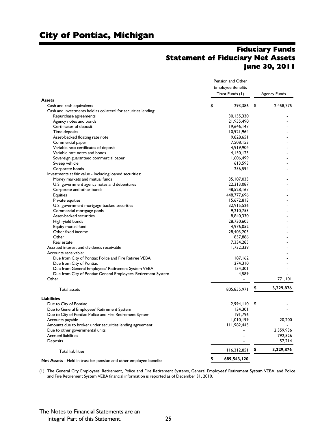### Fiduciary Funds Statement of Fiduciary Net Assets June 30, 2011

|                                                                           | Pension and Other<br><b>Employee Benefits</b> |                 |    |                     |
|---------------------------------------------------------------------------|-----------------------------------------------|-----------------|----|---------------------|
|                                                                           |                                               |                 |    |                     |
|                                                                           |                                               | Trust Funds (1) |    | <b>Agency Funds</b> |
| <b>Assets</b>                                                             |                                               |                 |    |                     |
| Cash and cash equivalents                                                 | \$                                            | 293.386         | \$ | 2,458,775           |
| Cash and investments held as collateral for securities lending:           |                                               |                 |    |                     |
| Repurchase agreements                                                     |                                               | 30, 155, 330    |    |                     |
| Agency notes and bonds                                                    |                                               | 21,955,490      |    |                     |
| Certificates of deposit                                                   |                                               | 19,646,147      |    |                     |
| Time deposits                                                             |                                               | 10,921,964      |    |                     |
| Asset-backed floating rate note                                           |                                               | 9,828,651       |    |                     |
| Commercial paper                                                          |                                               | 7,508,153       |    |                     |
| Variable rate certificates of deposit                                     |                                               | 4,919,904       |    |                     |
| Variable rate notes and bonds                                             |                                               |                 |    |                     |
|                                                                           |                                               | 4,150,123       |    |                     |
| Sovereign guaranteed commercial paper                                     |                                               | 1,606,499       |    |                     |
| Sweep vehicle                                                             |                                               | 613,593         |    |                     |
| Corporate bonds                                                           |                                               | 256,594         |    |                     |
| Investments at fair value - Including loaned securities:                  |                                               |                 |    |                     |
| Money markets and mutual funds                                            |                                               | 35, 107, 033    |    |                     |
| U.S. government agency notes and debentures                               |                                               | 22,313,087      |    |                     |
| Corporate and other bonds                                                 |                                               | 48,528,167      |    |                     |
| <b>Equities</b>                                                           |                                               | 448,777,696     |    |                     |
| Private equities                                                          |                                               | 15,672,813      |    |                     |
| U.S. government mortgage-backed securities                                |                                               | 32,915,526      |    |                     |
| Commercial mortgage pools                                                 |                                               | 9,210,753       |    |                     |
| Asset-backed securities                                                   |                                               | 8,840,330       |    |                     |
| High-yield bonds                                                          |                                               | 28,730,605      |    |                     |
| Equity mutual fund                                                        |                                               | 4,976,052       |    |                     |
| Other fixed income                                                        |                                               | 28,403,203      |    |                     |
| Other                                                                     |                                               | 857,886         |    |                     |
| Real estate                                                               |                                               | 7,334,285       |    |                     |
| Accrued interest and dividends receivable                                 |                                               | 1,732,339       |    |                     |
| Accounts receivable:                                                      |                                               |                 |    |                     |
| Due from City of Pontiac Police and Fire Retiree VEBA                     |                                               |                 |    |                     |
|                                                                           |                                               | 187,162         |    |                     |
| Due from City of Pontiac                                                  |                                               | 274,310         |    |                     |
| Due from General Employees' Retirement System VEBA                        |                                               | 134,301         |    |                     |
| Due from City of Pontiac General Employees' Retirement System             |                                               | 4,589           |    |                     |
| Other                                                                     |                                               |                 |    | 771.101             |
| <b>Total assets</b>                                                       |                                               | 805,855,971     | \$ | 3,229,876           |
| <b>Liabilities</b>                                                        |                                               |                 |    |                     |
| Due to City of Pontiac                                                    |                                               | 2,994,110       | \$ |                     |
| Due to General Employees' Retirement System                               |                                               | 134,301         |    |                     |
| Due to City of Pontiac Police and Fire Retirement System                  |                                               | 191,796         |    |                     |
| Accounts payable                                                          |                                               | 1,010,199       |    | 20,200              |
| Amounts due to broker under securities lending agreement                  |                                               | 111,982,445     |    |                     |
| Due to other governmental units                                           |                                               |                 |    | 2,359,936           |
| <b>Accrued liabilities</b>                                                |                                               |                 |    | 792,526             |
| Deposits                                                                  |                                               |                 |    | 57,214              |
|                                                                           |                                               |                 |    |                     |
| <b>Total liabilities</b>                                                  |                                               | 116,312,851     | \$ | 3,229,876           |
| <b>Net Assets</b> - Held in trust for pension and other employee benefits | \$                                            | 689,543,120     |    |                     |

(1) The General City Employees' Retirement, Police and Fire Retirement Systems, General Employees' Retirement System VEBA, and Police and Fire Retirement System VEBA financial information is reported as of December 31, 2010.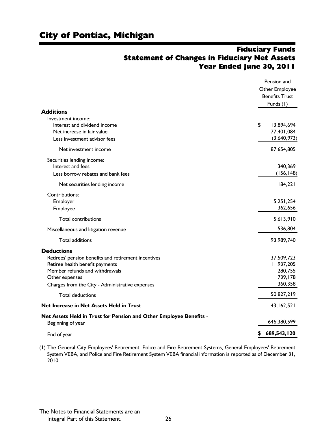### Fiduciary Funds Statement of Changes in Fiduciary Net Assets Year Ended June 30, 2011

|                                                                    | Pension and           |
|--------------------------------------------------------------------|-----------------------|
|                                                                    | Other Employee        |
|                                                                    | <b>Benefits Trust</b> |
|                                                                    | Funds (1)             |
| <b>Additions</b>                                                   |                       |
| Investment income:                                                 |                       |
| Interest and dividend income                                       | \$<br>13,894,694      |
| Net increase in fair value                                         | 77,401,084            |
| Less investment advisor fees                                       | (3,640,973)           |
| Net investment income                                              | 87,654,805            |
| Securities lending income:                                         |                       |
| Interest and fees                                                  | 340,369               |
| Less borrow rebates and bank fees                                  | (156, 148)            |
| Net securities lending income                                      | 184,221               |
| Contributions:                                                     |                       |
| Employer                                                           | 5,251,254             |
| Employee                                                           | 362,656               |
| <b>Total contributions</b>                                         | 5,613,910             |
| Miscellaneous and litigation revenue                               | 536,804               |
| Total additions                                                    | 93,989,740            |
| <b>Deductions</b>                                                  |                       |
| Retirees' pension benefits and retirement incentives               | 37,509,723            |
| Retiree health benefit payments                                    | 11,937,205            |
| Member refunds and withdrawals                                     | 280,755               |
| Other expenses                                                     | 739,178               |
| Charges from the City - Administrative expenses                    | 360,358               |
| <b>Total deductions</b>                                            | 50,827,219            |
| Net Increase in Net Assets Held in Trust                           | 43,162,521            |
| Net Assets Held in Trust for Pension and Other Employee Benefits - |                       |
| Beginning of year                                                  | 646,380,599           |
| End of year                                                        | 689,543,120           |

(1) The General City Employees' Retirement, Police and Fire Retirement Systems, General Employees' Retirement System VEBA, and Police and Fire Retirement System VEBA financial information is reported as of December 31, 2010.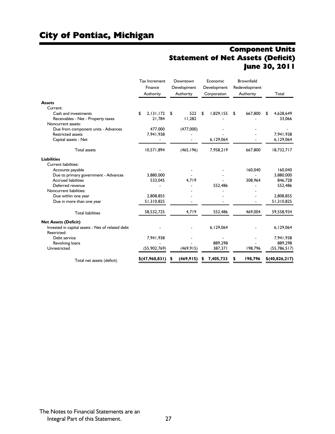### Component Units Statement of Net Assets (Deficit) June 30, 2011

|                                                  | <b>Tax Increment</b><br>Finance<br>Authority |                |    | Downtown<br>Development<br>Authority | Economic<br>Development<br>Corporation | <b>Brownfield</b><br>Redevelopment<br>Authority | Total           |
|--------------------------------------------------|----------------------------------------------|----------------|----|--------------------------------------|----------------------------------------|-------------------------------------------------|-----------------|
| <b>Assets</b>                                    |                                              |                |    |                                      |                                        |                                                 |                 |
| Current:                                         |                                              |                |    |                                      |                                        |                                                 |                 |
| Cash and investments                             | \$                                           | 2,131,172      | \$ | 522                                  | \$<br>1,829,155                        | \$<br>667,800                                   | \$<br>4.628.649 |
| Receivables - Net - Property taxes               |                                              | 21,784         |    | 11,282                               |                                        |                                                 | 33,066          |
| Noncurrent assets:                               |                                              |                |    |                                      |                                        |                                                 |                 |
| Due from component units - Advances              |                                              | 477,000        |    | (477,000)                            |                                        |                                                 |                 |
| <b>Restricted assets</b>                         |                                              | 7,941,938      |    |                                      |                                        |                                                 | 7,941,938       |
| Capital assets - Net                             |                                              |                |    |                                      | 6,129,064                              |                                                 | 6,129,064       |
| <b>Total assets</b>                              |                                              | 10,571,894     |    | (465, 196)                           | 7,958,219                              | 667,800                                         | 18,732,717      |
| <b>Liabilities</b>                               |                                              |                |    |                                      |                                        |                                                 |                 |
| <b>Current liabilities:</b>                      |                                              |                |    |                                      |                                        |                                                 |                 |
| Accounts payable                                 |                                              |                |    |                                      |                                        | 160,040                                         | 160.040         |
| Due to primary government - Advances             |                                              | 3.880.000      |    |                                      |                                        |                                                 | 3,880,000       |
| <b>Accrued liabilities</b>                       |                                              | 533,045        |    | 4,719                                |                                        | 308,964                                         | 846,728         |
| Deferred revenue                                 |                                              |                |    |                                      | 552.486                                |                                                 | 552,486         |
| Noncurrent liabilities:                          |                                              |                |    |                                      |                                        |                                                 |                 |
| Due within one year                              |                                              | 2,808,855      |    |                                      |                                        |                                                 | 2,808,855       |
| Due in more than one year                        |                                              | 51,310,825     |    |                                      |                                        |                                                 | 51,310,825      |
| <b>Total liabilities</b>                         |                                              | 58,532,725     |    | 4,719                                | 552,486                                | 469,004                                         | 59,558,934      |
| <b>Net Assets (Deficit)</b>                      |                                              |                |    |                                      |                                        |                                                 |                 |
| Invested in capital assets - Net of related debt |                                              |                |    |                                      | 6,129,064                              |                                                 | 6,129,064       |
| Restricted:                                      |                                              |                |    |                                      |                                        |                                                 |                 |
| Debt service                                     |                                              | 7,941,938      |    |                                      |                                        |                                                 | 7,941,938       |
| Revolving loans                                  |                                              |                |    |                                      | 889,298                                |                                                 | 889,298         |
| Unrestricted                                     |                                              | (55,902,769)   |    | (469, 915)                           | 387,371                                | 198,796                                         | (55, 786, 517)  |
| Total net assets (deficit)                       |                                              | \$(47,960,831) |    | (469, 915)                           | 7,405,733                              | 198,796                                         | \$(40,826,217)  |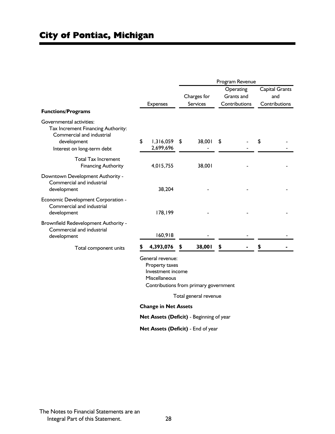|                                                                                                                                          |                                                                                                                                                  | Program Revenue |                       |    |               |    |                |  |  |
|------------------------------------------------------------------------------------------------------------------------------------------|--------------------------------------------------------------------------------------------------------------------------------------------------|-----------------|-----------------------|----|---------------|----|----------------|--|--|
|                                                                                                                                          |                                                                                                                                                  |                 |                       |    | Operating     |    | Capital Grants |  |  |
|                                                                                                                                          |                                                                                                                                                  |                 | Charges for           |    | Grants and    |    | and            |  |  |
|                                                                                                                                          | <b>Expenses</b>                                                                                                                                  |                 | Services              |    | Contributions |    | Contributions  |  |  |
| <b>Functions/Programs</b>                                                                                                                |                                                                                                                                                  |                 |                       |    |               |    |                |  |  |
| Governmental activities:<br>Tax Increment Financing Authority:<br>Commercial and industrial<br>development<br>Interest on long-term debt | \$<br>1,316,059<br>2,699,696                                                                                                                     | \$              | 38,001                | \$ |               | \$ |                |  |  |
| <b>Total Tax Increment</b><br><b>Financing Authority</b>                                                                                 | 4,015,755                                                                                                                                        |                 | 38,001                |    |               |    |                |  |  |
| Downtown Development Authority -<br>Commercial and industrial<br>development                                                             | 38,204                                                                                                                                           |                 |                       |    |               |    |                |  |  |
| Economic Development Corporation -<br>Commercial and industrial<br>development                                                           | 178,199                                                                                                                                          |                 |                       |    |               |    |                |  |  |
| Brownfield Redevelopment Authority -<br>Commercial and industrial<br>development                                                         | 160,918                                                                                                                                          |                 |                       |    |               |    |                |  |  |
| Total component units                                                                                                                    | 4,393,076                                                                                                                                        |                 | 38,001                | \$ |               |    |                |  |  |
|                                                                                                                                          | General revenue:<br>Property taxes<br>Investment income<br>Miscellaneous<br>Contributions from primary government<br><b>Change in Net Assets</b> |                 | Total general revenue |    |               |    |                |  |  |
|                                                                                                                                          | Net Assets (Deficit) - Beginning of year                                                                                                         |                 |                       |    |               |    |                |  |  |
|                                                                                                                                          |                                                                                                                                                  |                 |                       |    |               |    |                |  |  |

**Net Assets (Deficit)** - End of year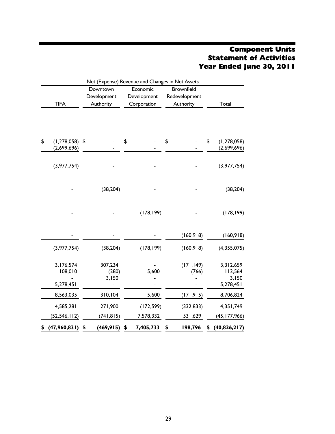### Component Units Statement of Activities Year Ended June 30, 2011

|    | Net (Expense) Revenue and Changes in Net Assets |             |                           |    |             |    |                     |    |                                            |  |  |
|----|-------------------------------------------------|-------------|---------------------------|----|-------------|----|---------------------|----|--------------------------------------------|--|--|
|    |                                                 |             | Downtown                  |    | Economic    |    | <b>Brownfield</b>   |    |                                            |  |  |
|    |                                                 | Development |                           |    | Development |    | Redevelopment       |    |                                            |  |  |
|    | <b>TIFA</b>                                     |             | Authority                 |    | Corporation |    | Authority           |    | Total                                      |  |  |
|    |                                                 |             |                           |    |             |    |                     |    |                                            |  |  |
| \$ | $(1,278,058)$ \$<br>(2,699,696)                 |             |                           | \$ |             | \$ |                     | \$ | (1, 278, 058)<br>(2,699,696)               |  |  |
|    |                                                 |             |                           |    |             |    |                     |    |                                            |  |  |
|    | (3,977,754)                                     |             |                           |    |             |    |                     |    | (3,977,754)                                |  |  |
|    |                                                 |             | (38, 204)                 |    |             |    |                     |    | (38, 204)                                  |  |  |
|    |                                                 |             |                           |    | (178, 199)  |    |                     |    | (178, 199)                                 |  |  |
|    |                                                 |             |                           |    |             |    | (160, 918)          |    | (160, 918)                                 |  |  |
|    | (3,977,754)                                     |             | (38, 204)                 |    | (178, 199)  |    | (160, 918)          |    | (4,355,075)                                |  |  |
|    | 3,176,574<br>108,010<br>5,278,451               |             | 307,234<br>(280)<br>3,150 |    | 5,600       |    | (171, 149)<br>(766) |    | 3,312,659<br>112,564<br>3,150<br>5,278,451 |  |  |
|    |                                                 |             |                           |    |             |    |                     |    |                                            |  |  |
|    | 8,563,035                                       |             | 310,104                   |    | 5,600       |    | (171, 915)          |    | 8,706,824                                  |  |  |
|    | 4,585,281                                       |             | 271,900                   |    | (172, 599)  |    | (332, 833)          |    | 4,351,749                                  |  |  |
|    | (52, 546, 112)                                  |             | (741, 815)                |    | 7,578,332   |    | 531,629             |    | (45, 177, 966)                             |  |  |
| \$ | (47,960,831)                                    | \$          | (469, 915)                | \$ | 7,405,733   | \$ | 198,796             | \$ | (40,826,217)                               |  |  |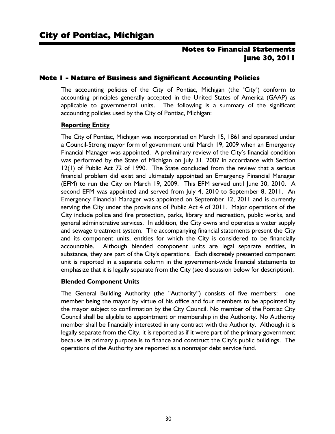#### Note 1 - Nature of Business and Significant Accounting Policies

The accounting policies of the City of Pontiac, Michigan (the "City") conform to accounting principles generally accepted in the United States of America (GAAP) as applicable to governmental units. The following is a summary of the significant accounting policies used by the City of Pontiac, Michigan:

#### **Reporting Entity**

The City of Pontiac, Michigan was incorporated on March 15, 1861 and operated under a Council-Strong mayor form of government until March 19, 2009 when an Emergency Financial Manager was appointed. A preliminary review of the City's financial condition was performed by the State of Michigan on July 31, 2007 in accordance with Section 12(1) of Public Act 72 of 1990. The State concluded from the review that a serious financial problem did exist and ultimately appointed an Emergency Financial Manager (EFM) to run the City on March 19, 2009. This EFM served until June 30, 2010. A second EFM was appointed and served from July 4, 2010 to September 8, 2011. An Emergency Financial Manager was appointed on September 12, 2011 and is currently serving the City under the provisions of Public Act 4 of 2011. Major operations of the City include police and fire protection, parks, library and recreation, public works, and general administrative services. In addition, the City owns and operates a water supply and sewage treatment system. The accompanying financial statements present the City and its component units, entities for which the City is considered to be financially accountable. Although blended component units are legal separate entities, in substance, they are part of the City's operations. Each discretely presented component unit is reported in a separate column in the government-wide financial statements to emphasize that it is legally separate from the City (see discussion below for description).

#### **Blended Component Units**

The General Building Authority (the "Authority") consists of five members: one member being the mayor by virtue of his office and four members to be appointed by the mayor subject to confirmation by the City Council. No member of the Pontiac City Council shall be eligible to appointment or membership in the Authority. No Authority member shall be financially interested in any contract with the Authority. Although it is legally separate from the City, it is reported as if it were part of the primary government because its primary purpose is to finance and construct the City's public buildings. The operations of the Authority are reported as a nonmajor debt service fund.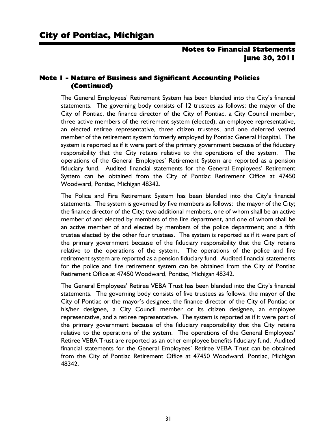#### Note 1 - Nature of Business and Significant Accounting Policies (Continued)

The General Employees' Retirement System has been blended into the City's financial statements. The governing body consists of 12 trustees as follows: the mayor of the City of Pontiac, the finance director of the City of Pontiac, a City Council member, three active members of the retirement system (elected), an employee representative, an elected retiree representative, three citizen trustees, and one deferred vested member of the retirement system formerly employed by Pontiac General Hospital. The system is reported as if it were part of the primary government because of the fiduciary responsibility that the City retains relative to the operations of the system. The operations of the General Employees' Retirement System are reported as a pension fiduciary fund. Audited financial statements for the General Employees' Retirement System can be obtained from the City of Pontiac Retirement Office at 47450 Woodward, Pontiac, Michigan 48342.

The Police and Fire Retirement System has been blended into the City's financial statements. The system is governed by five members as follows: the mayor of the City; the finance director of the City; two additional members, one of whom shall be an active member of and elected by members of the fire department, and one of whom shall be an active member of and elected by members of the police department; and a fifth trustee elected by the other four trustees. The system is reported as if it were part of the primary government because of the fiduciary responsibility that the City retains relative to the operations of the system. The operations of the police and fire retirement system are reported as a pension fiduciary fund. Audited financial statements for the police and fire retirement system can be obtained from the City of Pontiac Retirement Office at 47450 Woodward, Pontiac, Michigan 48342.

The General Employees' Retiree VEBA Trust has been blended into the City's financial statements. The governing body consists of five trustees as follows: the mayor of the City of Pontiac or the mayor's designee, the finance director of the City of Pontiac or his/her designee, a City Council member or its citizen designee, an employee representative, and a retiree representative. The system is reported as if it were part of the primary government because of the fiduciary responsibility that the City retains relative to the operations of the system. The operations of the General Employees' Retiree VEBA Trust are reported as an other employee benefits fiduciary fund. Audited financial statements for the General Employees' Retiree VEBA Trust can be obtained from the City of Pontiac Retirement Office at 47450 Woodward, Pontiac, Michigan 48342.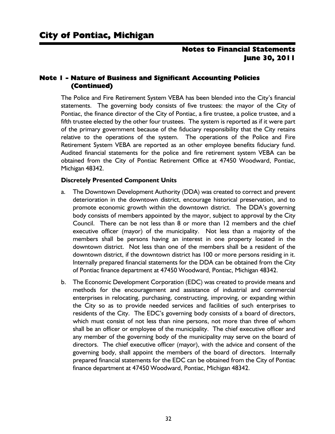#### Note 1 - Nature of Business and Significant Accounting Policies (Continued)

The Police and Fire Retirement System VEBA has been blended into the City's financial statements. The governing body consists of five trustees: the mayor of the City of Pontiac, the finance director of the City of Pontiac, a fire trustee, a police trustee, and a fifth trustee elected by the other four trustees. The system is reported as if it were part of the primary government because of the fiduciary responsibility that the City retains relative to the operations of the system. The operations of the Police and Fire Retirement System VEBA are reported as an other employee benefits fiduciary fund. Audited financial statements for the police and fire retirement system VEBA can be obtained from the City of Pontiac Retirement Office at 47450 Woodward, Pontiac, Michigan 48342.

#### **Discretely Presented Component Units**

- a. The Downtown Development Authority (DDA) was created to correct and prevent deterioration in the downtown district, encourage historical preservation, and to promote economic growth within the downtown district. The DDA's governing body consists of members appointed by the mayor, subject to approval by the City Council. There can be not less than 8 or more than 12 members and the chief executive officer (mayor) of the municipality. Not less than a majority of the members shall be persons having an interest in one property located in the downtown district. Not less than one of the members shall be a resident of the downtown district, if the downtown district has 100 or more persons residing in it. Internally prepared financial statements for the DDA can be obtained from the City of Pontiac finance department at 47450 Woodward, Pontiac, Michigan 48342.
- b. The Economic Development Corporation (EDC) was created to provide means and methods for the encouragement and assistance of industrial and commercial enterprises in relocating, purchasing, constructing, improving, or expanding within the City so as to provide needed services and facilities of such enterprises to residents of the City. The EDC's governing body consists of a board of directors, which must consist of not less than nine persons, not more than three of whom shall be an officer or employee of the municipality. The chief executive officer and any member of the governing body of the municipality may serve on the board of directors. The chief executive officer (mayor), with the advice and consent of the governing body, shall appoint the members of the board of directors. Internally prepared financial statements for the EDC can be obtained from the City of Pontiac finance department at 47450 Woodward, Pontiac, Michigan 48342.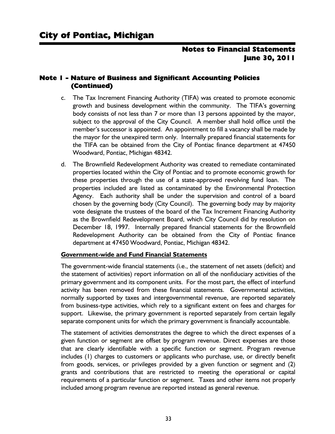#### Note 1 - Nature of Business and Significant Accounting Policies (Continued)

- c. The Tax Increment Financing Authority (TIFA) was created to promote economic growth and business development within the community. The TIFA's governing body consists of not less than 7 or more than 13 persons appointed by the mayor, subject to the approval of the City Council. A member shall hold office until the member's successor is appointed. An appointment to fill a vacancy shall be made by the mayor for the unexpired term only. Internally prepared financial statements for the TIFA can be obtained from the City of Pontiac finance department at 47450 Woodward, Pontiac, Michigan 48342.
- d. The Brownfield Redevelopment Authority was created to remediate contaminated properties located within the City of Pontiac and to promote economic growth for these properties through the use of a state-approved revolving fund loan. The properties included are listed as contaminated by the Environmental Protection Agency. Each authority shall be under the supervision and control of a board chosen by the governing body (City Council). The governing body may by majority vote designate the trustees of the board of the Tax Increment Financing Authority as the Brownfield Redevelopment Board, which City Council did by resolution on December 18, 1997. Internally prepared financial statements for the Brownfield Redevelopment Authority can be obtained from the City of Pontiac finance department at 47450 Woodward, Pontiac, Michigan 48342.

#### **Government-wide and Fund Financial Statements**

The government-wide financial statements (i.e., the statement of net assets (deficit) and the statement of activities) report information on all of the nonfiduciary activities of the primary government and its component units. For the most part, the effect of interfund activity has been removed from these financial statements. Governmental activities, normally supported by taxes and intergovernmental revenue, are reported separately from business-type activities, which rely to a significant extent on fees and charges for support. Likewise, the primary government is reported separately from certain legally separate component units for which the primary government is financially accountable.

The statement of activities demonstrates the degree to which the direct expenses of a given function or segment are offset by program revenue. Direct expenses are those that are clearly identifiable with a specific function or segment. Program revenue includes (1) charges to customers or applicants who purchase, use, or directly benefit from goods, services, or privileges provided by a given function or segment and (2) grants and contributions that are restricted to meeting the operational or capital requirements of a particular function or segment. Taxes and other items not properly included among program revenue are reported instead as general revenue.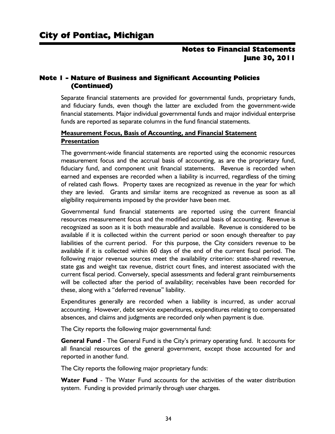## Note 1 - Nature of Business and Significant Accounting Policies (Continued)

Separate financial statements are provided for governmental funds, proprietary funds, and fiduciary funds, even though the latter are excluded from the government-wide financial statements. Major individual governmental funds and major individual enterprise funds are reported as separate columns in the fund financial statements.

#### **Measurement Focus, Basis of Accounting, and Financial Statement Presentation**

The government-wide financial statements are reported using the economic resources measurement focus and the accrual basis of accounting, as are the proprietary fund, fiduciary fund, and component unit financial statements. Revenue is recorded when earned and expenses are recorded when a liability is incurred, regardless of the timing of related cash flows. Property taxes are recognized as revenue in the year for which they are levied. Grants and similar items are recognized as revenue as soon as all eligibility requirements imposed by the provider have been met.

Governmental fund financial statements are reported using the current financial resources measurement focus and the modified accrual basis of accounting. Revenue is recognized as soon as it is both measurable and available. Revenue is considered to be available if it is collected within the current period or soon enough thereafter to pay liabilities of the current period. For this purpose, the City considers revenue to be available if it is collected within 60 days of the end of the current fiscal period. The following major revenue sources meet the availability criterion: state-shared revenue, state gas and weight tax revenue, district court fines, and interest associated with the current fiscal period. Conversely, special assessments and federal grant reimbursements will be collected after the period of availability; receivables have been recorded for these, along with a "deferred revenue" liability.

Expenditures generally are recorded when a liability is incurred, as under accrual accounting. However, debt service expenditures, expenditures relating to compensated absences, and claims and judgments are recorded only when payment is due.

The City reports the following major governmental fund:

**General Fund** - The General Fund is the City's primary operating fund. It accounts for all financial resources of the general government, except those accounted for and reported in another fund.

The City reports the following major proprietary funds:

**Water Fund** - The Water Fund accounts for the activities of the water distribution system. Funding is provided primarily through user charges.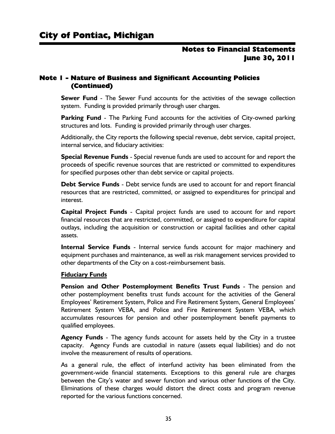## Note 1 - Nature of Business and Significant Accounting Policies (Continued)

**Sewer Fund** - The Sewer Fund accounts for the activities of the sewage collection system. Funding is provided primarily through user charges.

**Parking Fund** - The Parking Fund accounts for the activities of City-owned parking structures and lots. Funding is provided primarily through user charges.

Additionally, the City reports the following special revenue, debt service, capital project, internal service, and fiduciary activities:

**Special Revenue Funds** - Special revenue funds are used to account for and report the proceeds of specific revenue sources that are restricted or committed to expenditures for specified purposes other than debt service or capital projects.

**Debt Service Funds** - Debt service funds are used to account for and report financial resources that are restricted, committed, or assigned to expenditures for principal and interest.

**Capital Project Funds** - Capital project funds are used to account for and report financial resources that are restricted, committed, or assigned to expenditure for capital outlays, including the acquisition or construction or capital facilities and other capital assets.

**Internal Service Funds** - Internal service funds account for major machinery and equipment purchases and maintenance, as well as risk management services provided to other departments of the City on a cost-reimbursement basis.

#### **Fiduciary Funds**

**Pension and Other Postemployment Benefits Trust Funds** - The pension and other postemployment benefits trust funds account for the activities of the General Employees' Retirement System, Police and Fire Retirement System, General Employees' Retirement System VEBA, and Police and Fire Retirement System VEBA, which accumulates resources for pension and other postemployment benefit payments to qualified employees.

**Agency Funds** - The agency funds account for assets held by the City in a trustee capacity. Agency Funds are custodial in nature (assets equal liabilities) and do not involve the measurement of results of operations.

As a general rule, the effect of interfund activity has been eliminated from the government-wide financial statements. Exceptions to this general rule are charges between the City's water and sewer function and various other functions of the City. Eliminations of these charges would distort the direct costs and program revenue reported for the various functions concerned.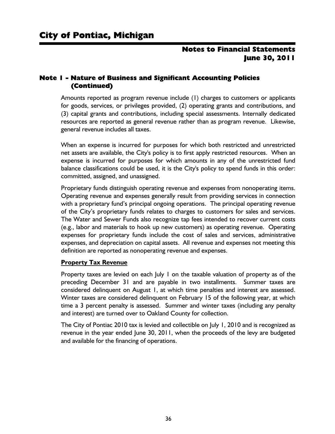## Note 1 - Nature of Business and Significant Accounting Policies (Continued)

Amounts reported as program revenue include (1) charges to customers or applicants for goods, services, or privileges provided, (2) operating grants and contributions, and (3) capital grants and contributions, including special assessments. Internally dedicated resources are reported as general revenue rather than as program revenue. Likewise, general revenue includes all taxes.

When an expense is incurred for purposes for which both restricted and unrestricted net assets are available, the City's policy is to first apply restricted resources. When an expense is incurred for purposes for which amounts in any of the unrestricted fund balance classifications could be used, it is the City's policy to spend funds in this order: committed, assigned, and unassigned.

Proprietary funds distinguish operating revenue and expenses from nonoperating items. Operating revenue and expenses generally result from providing services in connection with a proprietary fund's principal ongoing operations. The principal operating revenue of the City's proprietary funds relates to charges to customers for sales and services. The Water and Sewer Funds also recognize tap fees intended to recover current costs (e.g., labor and materials to hook up new customers) as operating revenue. Operating expenses for proprietary funds include the cost of sales and services, administrative expenses, and depreciation on capital assets. All revenue and expenses not meeting this definition are reported as nonoperating revenue and expenses.

#### **Property Tax Revenue**

Property taxes are levied on each July 1 on the taxable valuation of property as of the preceding December 31 and are payable in two installments. Summer taxes are considered delinquent on August 1, at which time penalties and interest are assessed. Winter taxes are considered delinquent on February 15 of the following year, at which time a 3 percent penalty is assessed. Summer and winter taxes (including any penalty and interest) are turned over to Oakland County for collection.

The City of Pontiac 2010 tax is levied and collectible on July 1, 2010 and is recognized as revenue in the year ended June 30, 2011, when the proceeds of the levy are budgeted and available for the financing of operations.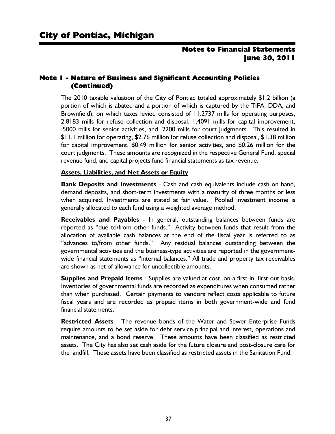## Note 1 - Nature of Business and Significant Accounting Policies (Continued)

The 2010 taxable valuation of the City of Pontiac totaled approximately \$1.2 billion (a portion of which is abated and a portion of which is captured by the TIFA, DDA, and Brownfield), on which taxes levied consisted of 11.2737 mills for operating purposes, 2.8183 mills for refuse collection and disposal, 1.4091 mills for capital improvement, .5000 mills for senior activities, and .2200 mills for court judgments. This resulted in \$11.1 million for operating, \$2.76 million for refuse collection and disposal, \$1.38 million for capital improvement, \$0.49 million for senior activities, and \$0.26 million for the court judgments. These amounts are recognized in the respective General Fund, special revenue fund, and capital projects fund financial statements as tax revenue.

#### **Assets, Liabilities, and Net Assets or Equity**

**Bank Deposits and Investments** - Cash and cash equivalents include cash on hand, demand deposits, and short-term investments with a maturity of three months or less when acquired. Investments are stated at fair value. Pooled investment income is generally allocated to each fund using a weighted average method.

**Receivables and Payables** - In general, outstanding balances between funds are reported as "due to/from other funds." Activity between funds that result from the allocation of available cash balances at the end of the fiscal year is referred to as "advances to/from other funds." Any residual balances outstanding between the governmental activities and the business-type activities are reported in the governmentwide financial statements as "internal balances." All trade and property tax receivables are shown as net of allowance for uncollectible amounts.

**Supplies and Prepaid Items** - Supplies are valued at cost, on a first-in, first-out basis. Inventories of governmental funds are recorded as expenditures when consumed rather than when purchased. Certain payments to vendors reflect costs applicable to future fiscal years and are recorded as prepaid items in both government-wide and fund financial statements.

**Restricted Assets** - The revenue bonds of the Water and Sewer Enterprise Funds require amounts to be set aside for debt service principal and interest, operations and maintenance, and a bond reserve. These amounts have been classified as restricted assets. The City has also set cash aside for the future closure and post-closure care for the landfill. These assets have been classified as restricted assets in the Sanitation Fund.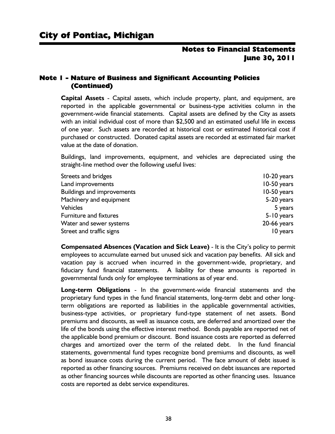## Note 1 - Nature of Business and Significant Accounting Policies (Continued)

**Capital Assets** - Capital assets, which include property, plant, and equipment, are reported in the applicable governmental or business-type activities column in the government-wide financial statements. Capital assets are defined by the City as assets with an initial individual cost of more than \$2,500 and an estimated useful life in excess of one year. Such assets are recorded at historical cost or estimated historical cost if purchased or constructed. Donated capital assets are recorded at estimated fair market value at the date of donation.

Buildings, land improvements, equipment, and vehicles are depreciated using the straight-line method over the following useful lives:

| Streets and bridges               | 10-20 years   |
|-----------------------------------|---------------|
| Land improvements                 | 10-50 years   |
| <b>Buildings and improvements</b> | 10-50 years   |
| Machinery and equipment           | 5-20 years    |
| <b>Vehicles</b>                   | 5 years       |
| <b>Furniture and fixtures</b>     | 5-10 years    |
| Water and sewer systems           | $20-66$ years |
| Street and traffic signs          | 10 years      |

**Compensated Absences (Vacation and Sick Leave)** - It is the City's policy to permit employees to accumulate earned but unused sick and vacation pay benefits. All sick and vacation pay is accrued when incurred in the government-wide, proprietary, and fiduciary fund financial statements. A liability for these amounts is reported in governmental funds only for employee terminations as of year end.

**Long-term Obligations** - In the government-wide financial statements and the proprietary fund types in the fund financial statements, long-term debt and other longterm obligations are reported as liabilities in the applicable governmental activities, business-type activities, or proprietary fund-type statement of net assets. Bond premiums and discounts, as well as issuance costs, are deferred and amortized over the life of the bonds using the effective interest method. Bonds payable are reported net of the applicable bond premium or discount. Bond issuance costs are reported as deferred charges and amortized over the term of the related debt. In the fund financial statements, governmental fund types recognize bond premiums and discounts, as well as bond issuance costs during the current period. The face amount of debt issued is reported as other financing sources. Premiums received on debt issuances are reported as other financing sources while discounts are reported as other financing uses. Issuance costs are reported as debt service expenditures.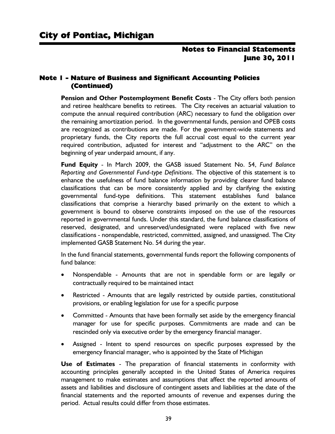## Note 1 - Nature of Business and Significant Accounting Policies (Continued)

**Pension and Other Postemployment Benefit Costs** - The City offers both pension and retiree healthcare benefits to retirees. The City receives an actuarial valuation to compute the annual required contribution (ARC) necessary to fund the obligation over the remaining amortization period. In the governmental funds, pension and OPEB costs are recognized as contributions are made. For the government-wide statements and proprietary funds, the City reports the full accrual cost equal to the current year required contribution, adjusted for interest and "adjustment to the ARC" on the beginning of year underpaid amount, if any.

**Fund Equity** - In March 2009, the GASB issued Statement No. 54, *Fund Balance Reporting and Governmental Fund-type Definitions*. The objective of this statement is to enhance the usefulness of fund balance information by providing clearer fund balance classifications that can be more consistently applied and by clarifying the existing governmental fund-type definitions. This statement establishes fund balance classifications that comprise a hierarchy based primarily on the extent to which a government is bound to observe constraints imposed on the use of the resources reported in governmental funds. Under this standard, the fund balance classifications of reserved, designated, and unreserved/undesignated were replaced with five new classifications - nonspendable, restricted, committed, assigned, and unassigned. The City implemented GASB Statement No. 54 during the year.

In the fund financial statements, governmental funds report the following components of fund balance:

- Nonspendable Amounts that are not in spendable form or are legally or contractually required to be maintained intact
- Restricted Amounts that are legally restricted by outside parties, constitutional provisions, or enabling legislation for use for a specific purpose
- Committed Amounts that have been formally set aside by the emergency financial manager for use for specific purposes. Commitments are made and can be rescinded only via executive order by the emergency financial manager.
- Assigned Intent to spend resources on specific purposes expressed by the emergency financial manager, who is appointed by the State of Michigan

**Use of Estimates** - The preparation of financial statements in conformity with accounting principles generally accepted in the United States of America requires management to make estimates and assumptions that affect the reported amounts of assets and liabilities and disclosure of contingent assets and liabilities at the date of the financial statements and the reported amounts of revenue and expenses during the period. Actual results could differ from those estimates.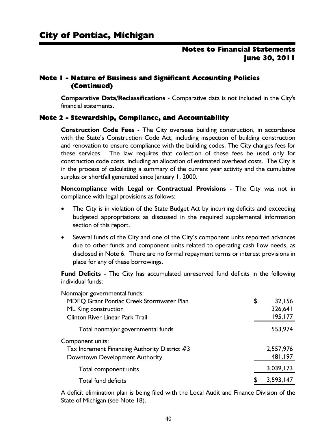## Note 1 - Nature of Business and Significant Accounting Policies (Continued)

**Comparative Data/Reclassifications** - Comparative data is not included in the City's financial statements.

#### Note 2 - Stewardship, Compliance, and Accountability

**Construction Code Fees** - The City oversees building construction, in accordance with the State's Construction Code Act, including inspection of building construction and renovation to ensure compliance with the building codes. The City charges fees for these services. The law requires that collection of these fees be used only for construction code costs, including an allocation of estimated overhead costs. The City is in the process of calculating a summary of the current year activity and the cumulative surplus or shortfall generated since January 1, 2000.

**Noncompliance with Legal or Contractual Provisions** - The City was not in compliance with legal provisions as follows:

- The City is in violation of the State Budget Act by incurring deficits and exceeding budgeted appropriations as discussed in the required supplemental information section of this report.
- Several funds of the City and one of the City's component units reported advances due to other funds and component units related to operating cash flow needs, as disclosed in Note 6. There are no formal repayment terms or interest provisions in place for any of these borrowings.

**Fund Deficits** - The City has accumulated unreserved fund deficits in the following individual funds:

| Nonmajor governmental funds:                  |              |
|-----------------------------------------------|--------------|
| MDEQ Grant Pontiac Creek Stormwater Plan      | \$<br>32,156 |
| ML King construction                          | 326,641      |
| <b>Clinton River Linear Park Trail</b>        | 195,177      |
| Total nonmajor governmental funds             | 553,974      |
| Component units:                              |              |
| Tax Increment Financing Authority District #3 | 2,557,976    |
| Downtown Development Authority                | 481,197      |
| Total component units                         | 3,039,173    |
| Total fund deficits                           | 3,593,147    |

A deficit elimination plan is being filed with the Local Audit and Finance Division of the State of Michigan (see Note 18).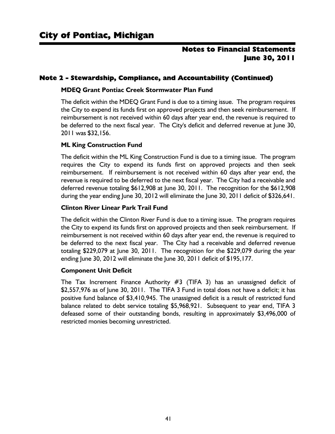## Note 2 - Stewardship, Compliance, and Accountability (Continued)

#### **MDEQ Grant Pontiac Creek Stormwater Plan Fund**

The deficit within the MDEQ Grant Fund is due to a timing issue. The program requires the City to expend its funds first on approved projects and then seek reimbursement. If reimbursement is not received within 60 days after year end, the revenue is required to be deferred to the next fiscal year. The City's deficit and deferred revenue at June 30, 2011 was \$32,156.

#### **ML King Construction Fund**

The deficit within the ML King Construction Fund is due to a timing issue. The program requires the City to expend its funds first on approved projects and then seek reimbursement. If reimbursement is not received within 60 days after year end, the revenue is required to be deferred to the next fiscal year. The City had a receivable and deferred revenue totaling \$612,908 at June 30, 2011. The recognition for the \$612,908 during the year ending June 30, 2012 will eliminate the June 30, 2011 deficit of \$326,641.

#### **Clinton River Linear Park Trail Fund**

The deficit within the Clinton River Fund is due to a timing issue. The program requires the City to expend its funds first on approved projects and then seek reimbursement. If reimbursement is not received within 60 days after year end, the revenue is required to be deferred to the next fiscal year. The City had a receivable and deferred revenue totaling \$229,079 at June 30, 2011. The recognition for the \$229,079 during the year ending June 30, 2012 will eliminate the June 30, 2011 deficit of \$195,177.

#### **Component Unit Deficit**

The Tax Increment Finance Authority #3 (TIFA 3) has an unassigned deficit of \$2,557,976 as of June 30, 2011. The TIFA 3 Fund in total does not have a deficit; it has positive fund balance of \$3,410,945. The unassigned deficit is a result of restricted fund balance related to debt service totaling \$5,968,921. Subsequent to year end, TIFA 3 defeased some of their outstanding bonds, resulting in approximately \$3,496,000 of restricted monies becoming unrestricted.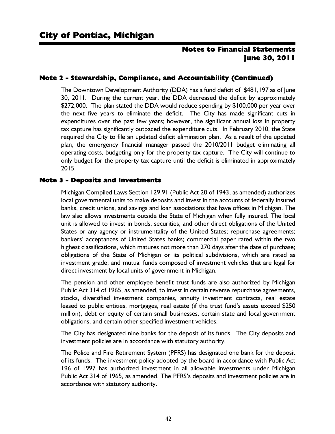## Note 2 - Stewardship, Compliance, and Accountability (Continued)

The Downtown Development Authority (DDA) has a fund deficit of \$481,197 as of June 30, 2011. During the current year, the DDA decreased the deficit by approximately \$272,000. The plan stated the DDA would reduce spending by \$100,000 per year over the next five years to eliminate the deficit. The City has made significant cuts in expenditures over the past few years; however, the significant annual loss in property tax capture has significantly outpaced the expenditure cuts. In February 2010, the State required the City to file an updated deficit elimination plan. As a result of the updated plan, the emergency financial manager passed the 2010/2011 budget eliminating all operating costs, budgeting only for the property tax capture. The City will continue to only budget for the property tax capture until the deficit is eliminated in approximately 2015.

#### Note 3 - Deposits and Investments

Michigan Compiled Laws Section 129.91 (Public Act 20 of 1943, as amended) authorizes local governmental units to make deposits and invest in the accounts of federally insured banks, credit unions, and savings and loan associations that have offices in Michigan. The law also allows investments outside the State of Michigan when fully insured. The local unit is allowed to invest in bonds, securities, and other direct obligations of the United States or any agency or instrumentality of the United States; repurchase agreements; bankers' acceptances of United States banks; commercial paper rated within the two highest classifications, which matures not more than 270 days after the date of purchase; obligations of the State of Michigan or its political subdivisions, which are rated as investment grade; and mutual funds composed of investment vehicles that are legal for direct investment by local units of government in Michigan.

The pension and other employee benefit trust funds are also authorized by Michigan Public Act 314 of 1965, as amended, to invest in certain reverse repurchase agreements, stocks, diversified investment companies, annuity investment contracts, real estate leased to public entities, mortgages, real estate (if the trust fund's assets exceed \$250 million), debt or equity of certain small businesses, certain state and local government obligations, and certain other specified investment vehicles.

The City has designated nine banks for the deposit of its funds. The City deposits and investment policies are in accordance with statutory authority.

The Police and Fire Retirement System (PFRS) has designated one bank for the deposit of its funds. The investment policy adopted by the board in accordance with Public Act 196 of 1997 has authorized investment in all allowable investments under Michigan Public Act 314 of 1965, as amended. The PFRS's deposits and investment policies are in accordance with statutory authority.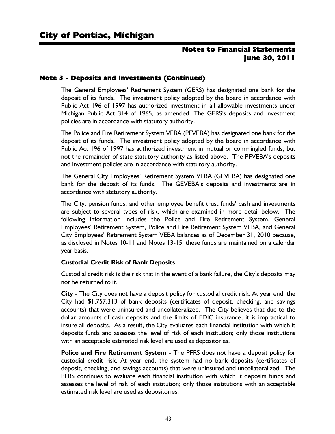## Note 3 - Deposits and Investments (Continued)

The General Employees' Retirement System (GERS) has designated one bank for the deposit of its funds. The investment policy adopted by the board in accordance with Public Act 196 of 1997 has authorized investment in all allowable investments under Michigan Public Act 314 of 1965, as amended. The GERS's deposits and investment policies are in accordance with statutory authority.

The Police and Fire Retirement System VEBA (PFVEBA) has designated one bank for the deposit of its funds. The investment policy adopted by the board in accordance with Public Act 196 of 1997 has authorized investment in mutual or commingled funds, but not the remainder of state statutory authority as listed above. The PFVEBA's deposits and investment policies are in accordance with statutory authority.

The General City Employees' Retirement System VEBA (GEVEBA) has designated one bank for the deposit of its funds. The GEVEBA's deposits and investments are in accordance with statutory authority.

The City, pension funds, and other employee benefit trust funds' cash and investments are subject to several types of risk, which are examined in more detail below. The following information includes the Police and Fire Retirement System, General Employees' Retirement System, Police and Fire Retirement System VEBA, and General City Employees' Retirement System VEBA balances as of December 31, 2010 because, as disclosed in Notes 10-11 and Notes 13-15, these funds are maintained on a calendar year basis.

#### **Custodial Credit Risk of Bank Deposits**

Custodial credit risk is the risk that in the event of a bank failure, the City's deposits may not be returned to it.

**City** - The City does not have a deposit policy for custodial credit risk. At year end, the City had \$1,757,313 of bank deposits (certificates of deposit, checking, and savings accounts) that were uninsured and uncollateralized. The City believes that due to the dollar amounts of cash deposits and the limits of FDIC insurance, it is impractical to insure all deposits. As a result, the City evaluates each financial institution with which it deposits funds and assesses the level of risk of each institution; only those institutions with an acceptable estimated risk level are used as depositories.

**Police and Fire Retirement System** - The PFRS does not have a deposit policy for custodial credit risk. At year end, the system had no bank deposits (certificates of deposit, checking, and savings accounts) that were uninsured and uncollateralized. The PFRS continues to evaluate each financial institution with which it deposits funds and assesses the level of risk of each institution; only those institutions with an acceptable estimated risk level are used as depositories.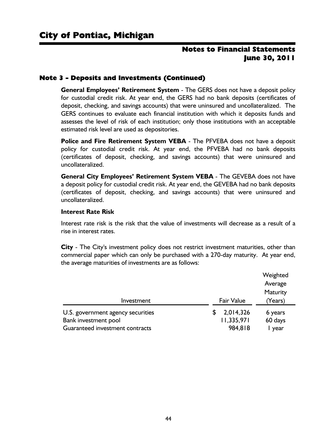#### Note 3 - Deposits and Investments (Continued)

**General Employees' Retirement System** - The GERS does not have a deposit policy for custodial credit risk. At year end, the GERS had no bank deposits (certificates of deposit, checking, and savings accounts) that were uninsured and uncollateralized. The GERS continues to evaluate each financial institution with which it deposits funds and assesses the level of risk of each institution; only those institutions with an acceptable estimated risk level are used as depositories.

**Police and Fire Retirement System VEBA** - The PFVEBA does not have a deposit policy for custodial credit risk. At year end, the PFVEBA had no bank deposits (certificates of deposit, checking, and savings accounts) that were uninsured and uncollateralized.

**General City Employees' Retirement System VEBA** - The GEVEBA does not have a deposit policy for custodial credit risk. At year end, the GEVEBA had no bank deposits (certificates of deposit, checking, and savings accounts) that were uninsured and uncollateralized.

#### **Interest Rate Risk**

Interest rate risk is the risk that the value of investments will decrease as a result of a rise in interest rates.

**City** - The City's investment policy does not restrict investment maturities, other than commercial paper which can only be purchased with a 270-day maturity. At year end, the average maturities of investments are as follows:

|                                                         |                       | Weighted        |
|---------------------------------------------------------|-----------------------|-----------------|
|                                                         |                       | Average         |
|                                                         |                       | Maturity        |
| Investment                                              | <b>Fair Value</b>     | (Years)         |
| U.S. government agency securities                       | 2,014,326             | 6 years         |
| Bank investment pool<br>Guaranteed investment contracts | 11,335,971<br>984,818 | 60 days<br>year |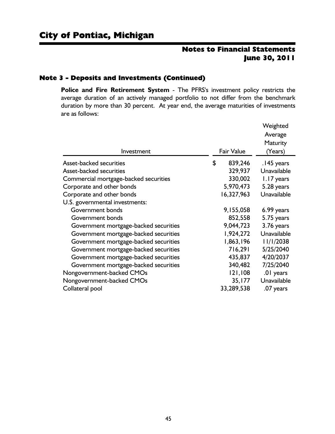#### Note 3 - Deposits and Investments (Continued)

**Police and Fire Retirement System** - The PFRS's investment policy restricts the average duration of an actively managed portfolio to not differ from the benchmark duration by more than 30 percent. At year end, the average maturities of investments are as follows:

|                                       |                   | Weighted    |
|---------------------------------------|-------------------|-------------|
|                                       |                   | Average     |
|                                       |                   | Maturity    |
| Investment                            | <b>Fair Value</b> | (Years)     |
| Asset-backed securities               | \$<br>839,246     | .145 years  |
| <b>Asset-backed securities</b>        | 329,937           | Unavailable |
| Commercial mortgage-backed securities | 330,002           | 1.17 years  |
| Corporate and other bonds             | 5,970,473         | 5.28 years  |
| Corporate and other bonds             | 16,327,963        | Unavailable |
| U.S. governmental investments:        |                   |             |
| Government bonds                      | 9,155,058         | 6.99 years  |
| Government bonds                      | 852,558           | 5.75 years  |
| Government mortgage-backed securities | 9,044,723         | 3.76 years  |
| Government mortgage-backed securities | 1,924,272         | Unavailable |
| Government mortgage-backed securities | 1,863,196         | 11/1/2038   |
| Government mortgage-backed securities | 716,291           | 5/25/2040   |
| Government mortgage-backed securities | 435,837           | 4/20/2037   |
| Government mortgage-backed securities | 340,482           | 7/25/2040   |
| Nongovernment-backed CMOs             | 21,108            | .01 years   |
| Nongovernment-backed CMOs             | 35,177            | Unavailable |
| Collateral pool                       | 33,289,538        | .07 years   |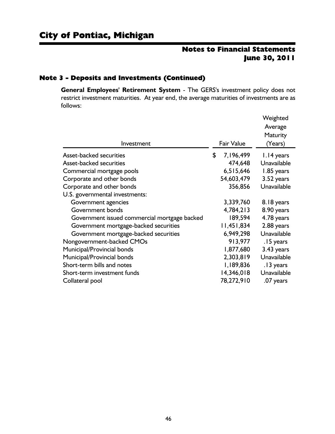#### Note 3 - Deposits and Investments (Continued)

**General Employees' Retirement System** - The GERS's investment policy does not restrict investment maturities. At year end, the average maturities of investments are as follows:

|                                              |                   | Weighted        |
|----------------------------------------------|-------------------|-----------------|
|                                              |                   | Average         |
|                                              |                   | <b>Maturity</b> |
| Investment                                   | <b>Fair Value</b> | (Years)         |
| <b>Asset-backed securities</b>               | \$<br>7,196,499   | 1.14 years      |
| Asset-backed securities                      | 474,648           | Unavailable     |
| Commercial mortgage pools                    | 6,515,646         | 1.85 years      |
| Corporate and other bonds                    | 54,603,479        | 3.52 years      |
| Corporate and other bonds                    | 356,856           | Unavailable     |
| U.S. governmental investments:               |                   |                 |
| Government agencies                          | 3,339,760         | 8.18 years      |
| Government bonds                             | 4,784,213         | 8.90 years      |
| Government issued commercial mortgage backed | 189,594           | 4.78 years      |
| Government mortgage-backed securities        | 11,451,834        | 2.88 years      |
| Government mortgage-backed securities        | 6,949,298         | Unavailable     |
| Nongovernment-backed CMOs                    | 913,977           | .15 years       |
| Municipal/Provincial bonds                   | 1,877,680         | 3.43 years      |
| Municipal/Provincial bonds                   | 2,303,819         | Unavailable     |
| Short-term bills and notes                   | I, 189, 836       | .13 years       |
| Short-term investment funds                  | 14,346,018        | Unavailable     |
| Collateral pool                              | 78,272,910        | .07 years       |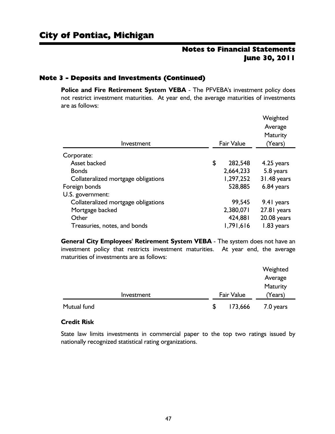#### Note 3 - Deposits and Investments (Continued)

**Police and Fire Retirement System VEBA** - The PFVEBA's investment policy does not restrict investment maturities. At year end, the average maturities of investments are as follows:

| Investment                          | <b>Fair Value</b> | Weighted<br>Average<br>Maturity<br>(Years) |
|-------------------------------------|-------------------|--------------------------------------------|
|                                     |                   |                                            |
| Corporate:                          |                   |                                            |
| Asset backed                        | \$<br>282,548     | 4.25 years                                 |
| <b>Bonds</b>                        | 2,664,233         | 5.8 years                                  |
| Collateralized mortgage obligations | 1,297,252         | 31.48 years                                |
| Foreign bonds                       | 528,885           | 6.84 years                                 |
| U.S. government:                    |                   |                                            |
| Collateralized mortgage obligations | 99,545            | 9.41 years                                 |
| Mortgage backed                     | 2,380,071         | 27.81 years                                |
| Other                               | 424,881           | 20.08 years                                |
| Treasuries, notes, and bonds        | 1,791,616         | 1.83 years                                 |

**General City Employees' Retirement System VEBA** - The system does not have an investment policy that restricts investment maturities. At year end, the average maturities of investments are as follows:

|             |                   | Weighted  |
|-------------|-------------------|-----------|
|             |                   | Average   |
|             |                   | Maturity  |
| Investment  | <b>Fair Value</b> | (Years)   |
| Mutual fund | \$<br>173,666     | 7.0 years |

#### **Credit Risk**

State law limits investments in commercial paper to the top two ratings issued by nationally recognized statistical rating organizations.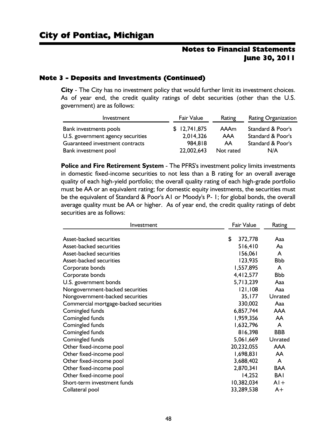#### Note 3 - Deposits and Investments (Continued)

**City** - The City has no investment policy that would further limit its investment choices. As of year end, the credit quality ratings of debt securities (other than the U.S. government) are as follows:

| Investment                        | <b>Fair Value</b> | Rating    | <b>Rating Organization</b> |
|-----------------------------------|-------------------|-----------|----------------------------|
| Bank investments pools            | \$12,741,875      | AAAm      | Standard & Poor's          |
| U.S. government agency securities | 2,014,326         | AAA       | Standard & Poor's          |
| Guaranteed investment contracts   | 984.818           | AA        | Standard & Poor's          |
| Bank investment pool              | 22,002,643        | Not rated | N/A                        |

**Police and Fire Retirement System** - The PFRS's investment policy limits investments in domestic fixed-income securities to not less than a B rating for an overall average quality of each high-yield portfolio; the overall quality rating of each high-grade portfolio must be AA or an equivalent rating; for domestic equity investments, the securities must be the equivalent of Standard & Poor's A1 or Moody's P- 1; for global bonds, the overall average quality must be AA or higher. As of year end, the credit quality ratings of debt securities are as follows:

| <b>Fair Value</b><br>Investment       |               | Rating     |
|---------------------------------------|---------------|------------|
| Asset-backed securities               | \$<br>372,778 | Aaa        |
|                                       |               |            |
| Asset-backed securities               | 516,410       | Aa         |
| Asset-backed securities               | 156,061       | A          |
| Asset-backed securities               | 123,935       | <b>Bbb</b> |
| Corporate bonds                       | 1,557,895     | A          |
| Corporate bonds                       | 4,412,577     | <b>Bbb</b> |
| U.S. government bonds                 | 5,713,239     | Aaa        |
| Nongovernment-backed securities       | 121,108       | Aaa        |
| Nongovernment-backed securities       | 35,177        | Unrated    |
| Commercial mortgage-backed securities | 330,002       | Aaa        |
| Comingled funds                       | 6,857,744     | <b>AAA</b> |
| Comingled funds                       | 1,959,356     | AA         |
| Comingled funds                       | 1,632,796     | A          |
| Comingled funds                       | 816,398       | <b>BBB</b> |
| Comingled funds                       | 5,061,669     | Unrated    |
| Other fixed-income pool               | 20,232,055    | <b>AAA</b> |
| Other fixed-income pool               | 1,698,831     | AA.        |
| Other fixed-income pool               | 3,688,402     | A          |
| Other fixed-income pool               | 2,870,341     | <b>BAA</b> |
| Other fixed-income pool               | 14,252        | <b>BAI</b> |
| Short-term investment funds           | 10,382,034    | $AI +$     |
| Collateral pool                       | 33,289,538    | A+         |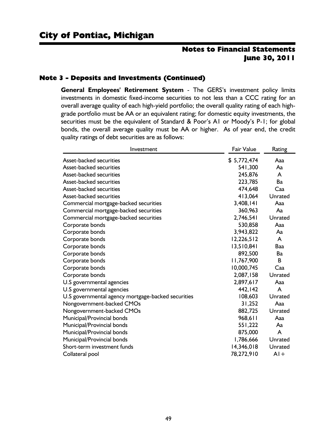#### Note 3 - Deposits and Investments (Continued)

**General Employees' Retirement System** - The GERS's investment policy limits investments in domestic fixed-income securities to not less than a CCC rating for an overall average quality of each high-yield portfolio; the overall quality rating of each highgrade portfolio must be AA or an equivalent rating; for domestic equity investments, the securities must be the equivalent of Standard & Poor's A1 or Moody's P-1; for global bonds, the overall average quality must be AA or higher. As of year end, the credit quality ratings of debt securities are as follows:

| Investment                                         | <b>Fair Value</b> | Rating  |
|----------------------------------------------------|-------------------|---------|
| <b>Asset-backed securities</b>                     | \$5,772,474       | Aaa     |
| <b>Asset-backed securities</b>                     | 541,300           | Aa      |
| Asset-backed securities                            | 245,876           | A       |
| Asset-backed securities                            | 223,785           | Ba      |
| <b>Asset-backed securities</b>                     | 474,648           | Caa     |
| Asset-backed securities                            | 413,064           | Unrated |
| Commercial mortgage-backed securities              | 3,408,141         | Aaa     |
| Commercial mortgage-backed securities              | 360,963           | Aa      |
| Commercial mortgage-backed securities              | 2,746,541         | Unrated |
| Corporate bonds                                    | 530,858           | Aaa     |
| Corporate bonds                                    | 3,943,822         | Aa      |
| Corporate bonds                                    | 12,226,512        | A       |
| Corporate bonds                                    | 13,510,841        | Baa     |
| Corporate bonds                                    | 892,500           | Ba      |
| Corporate bonds                                    | 11,767,900        | B       |
| Corporate bonds                                    | 10,000,745        | Caa     |
| Corporate bonds                                    | 2,087,158         | Unrated |
| U.S governmental agencies                          | 2,897,617         | Aaa     |
| U.S governmental agencies                          | 442,142           | A       |
| U.S governmental agency mortgage-backed securities | 108,603           | Unrated |
| Nongovernment-backed CMOs                          | 31,252            | Aaa     |
| Nongovernment-backed CMOs                          | 882,725           | Unrated |
| Municipal/Provincial bonds                         | 968,611           | Aaa     |
| Municipal/Provincial bonds                         | 551,222           | Aa      |
| Municipal/Provincial bonds                         | 875,000           | A       |
| Municipal/Provincial bonds                         | 1,786,666         | Unrated |
| Short-term investment funds                        | 14,346,018        | Unrated |
| Collateral pool                                    | 78,272,910        | $AI +$  |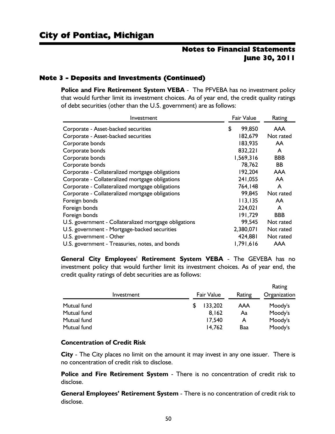#### Note 3 - Deposits and Investments (Continued)

**Police and Fire Retirement System VEBA** - The PFVEBA has no investment policy that would further limit its investment choices. As of year end, the credit quality ratings of debt securities (other than the U.S. government) are as follows:

| Investment                                            |    | <b>Fair Value</b> | Rating     |  |
|-------------------------------------------------------|----|-------------------|------------|--|
| Corporate - Asset-backed securities                   | \$ | 99,850            | <b>AAA</b> |  |
| Corporate - Asset-backed securities                   |    | 182,679           | Not rated  |  |
| Corporate bonds                                       |    | 183,935           | <b>AA</b>  |  |
| Corporate bonds                                       |    | 832,221           | A          |  |
| Corporate bonds                                       |    | 1,569,316         | <b>BBB</b> |  |
| Corporate bonds                                       |    | 78,762            | <b>BB</b>  |  |
| Corporate - Collateralized mortgage obligations       |    | 192,204           | <b>AAA</b> |  |
| Corporate - Collateralized mortgage obligations       |    | 241,055           | AA         |  |
| Corporate - Collateralized mortgage obligations       |    | 764,148           | A          |  |
| Corporate - Collateralized mortgage obligations       |    | 99,845            | Not rated  |  |
| Foreign bonds                                         |    | 113,135           | <b>AA</b>  |  |
| Foreign bonds                                         |    | 224,021           | A          |  |
| Foreign bonds                                         |    | 191,729           | <b>BBB</b> |  |
| U.S. government - Collateralized mortgage obligations |    | 99,545            | Not rated  |  |
| U.S. government - Mortgage-backed securities          |    | 2,380,071         | Not rated  |  |
| U.S. government - Other                               |    | 424,881           | Not rated  |  |
| U.S. government - Treasuries, notes, and bonds        |    | 1,791,616         | <b>AAA</b> |  |

**General City Employees' Retirement System VEBA** - The GEVEBA has no investment policy that would further limit its investment choices. As of year end, the credit quality ratings of debt securities are as follows:

| Investment  |   | <b>Fair Value</b> | Rating | Rating<br>Organization |
|-------------|---|-------------------|--------|------------------------|
| Mutual fund | S | 133,202           | AAA    | Moody's                |
| Mutual fund |   | 8,162             | Aa     | Moody's                |
| Mutual fund |   | 17,540            | A      | Moody's                |
| Mutual fund |   | 14,762            | Baa    | Moody's                |

#### **Concentration of Credit Risk**

**City** - The City places no limit on the amount it may invest in any one issuer. There is no concentration of credit risk to disclose.

**Police and Fire Retirement System** - There is no concentration of credit risk to disclose.

**General Employees' Retirement System** - There is no concentration of credit risk to disclose.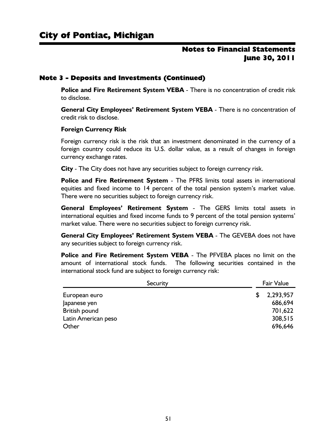#### Note 3 - Deposits and Investments (Continued)

**Police and Fire Retirement System VEBA** - There is no concentration of credit risk to disclose.

**General City Employees' Retirement System VEBA** - There is no concentration of credit risk to disclose.

#### **Foreign Currency Risk**

Foreign currency risk is the risk that an investment denominated in the currency of a foreign country could reduce its U.S. dollar value, as a result of changes in foreign currency exchange rates.

**City** - The City does not have any securities subject to foreign currency risk.

**Police and Fire Retirement System** - The PFRS limits total assets in international equities and fixed income to 14 percent of the total pension system's market value. There were no securities subject to foreign currency risk.

**General Employees' Retirement System** - The GERS limits total assets in international equities and fixed income funds to 9 percent of the total pension systems' market value. There were no securities subject to foreign currency risk.

**General City Employees' Retirement System VEBA** - The GEVEBA does not have any securities subject to foreign currency risk.

**Police and Fire Retirement System VEBA** - The PFVEBA places no limit on the amount of international stock funds. The following securities contained in the international stock fund are subject to foreign currency risk:

| Security             | <b>Fair Value</b> |           |  |  |
|----------------------|-------------------|-----------|--|--|
| European euro        |                   | 2,293,957 |  |  |
| Japanese yen         |                   | 686,694   |  |  |
| <b>British pound</b> |                   | 701,622   |  |  |
| Latin American peso  |                   | 308,515   |  |  |
| Other                |                   | 696,646   |  |  |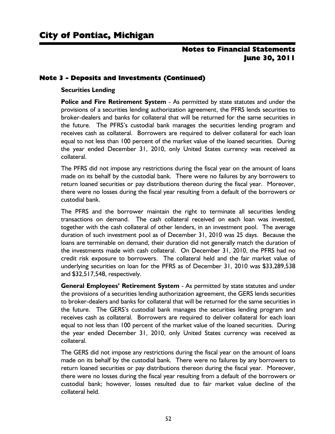## Note 3 - Deposits and Investments (Continued)

#### **Securities Lending**

**Police and Fire Retirement System** - As permitted by state statutes and under the provisions of a securities lending authorization agreement, the PFRS lends securities to broker-dealers and banks for collateral that will be returned for the same securities in the future. The PFRS's custodial bank manages the securities lending program and receives cash as collateral. Borrowers are required to deliver collateral for each loan equal to not less than 100 percent of the market value of the loaned securities. During the year ended December 31, 2010, only United States currency was received as collateral.

The PFRS did not impose any restrictions during the fiscal year on the amount of loans made on its behalf by the custodial bank. There were no failures by any borrowers to return loaned securities or pay distributions thereon during the fiscal year. Moreover, there were no losses during the fiscal year resulting from a default of the borrowers or custodial bank.

The PFRS and the borrower maintain the right to terminate all securities lending transactions on demand. The cash collateral received on each loan was invested, together with the cash collateral of other lenders, in an investment pool. The average duration of such investment pool as of December 31, 2010 was 25 days. Because the loans are terminable on demand, their duration did not generally match the duration of the investments made with cash collateral. On December 31, 2010, the PFRS had no credit risk exposure to borrowers. The collateral held and the fair market value of underlying securities on loan for the PFRS as of December 31, 2010 was \$33,289,538 and \$32,517,548, respectively.

**General Employees' Retirement System** - As permitted by state statutes and under the provisions of a securities lending authorization agreement, the GERS lends securities to broker-dealers and banks for collateral that will be returned for the same securities in the future. The GERS's custodial bank manages the securities lending program and receives cash as collateral. Borrowers are required to deliver collateral for each loan equal to not less than 100 percent of the market value of the loaned securities. During the year ended December 31, 2010, only United States currency was received as collateral.

The GERS did not impose any restrictions during the fiscal year on the amount of loans made on its behalf by the custodial bank. There were no failures by any borrowers to return loaned securities or pay distributions thereon during the fiscal year. Moreover, there were no losses during the fiscal year resulting from a default of the borrowers or custodial bank; however, losses resulted due to fair market value decline of the collateral held.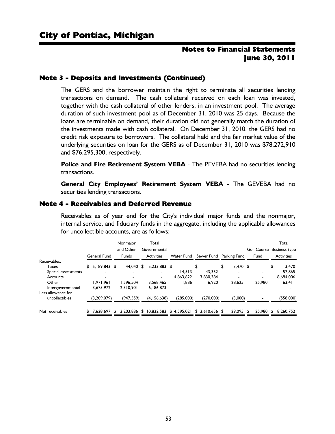#### Note 3 - Deposits and Investments (Continued)

The GERS and the borrower maintain the right to terminate all securities lending transactions on demand. The cash collateral received on each loan was invested, together with the cash collateral of other lenders, in an investment pool. The average duration of such investment pool as of December 31, 2010 was 25 days. Because the loans are terminable on demand, their duration did not generally match the duration of the investments made with cash collateral. On December 31, 2010, the GERS had no credit risk exposure to borrowers. The collateral held and the fair market value of the underlying securities on loan for the GERS as of December 31, 2010 was \$78,272,910 and \$76,295,300, respectively.

**Police and Fire Retirement System VEBA** - The PFVEBA had no securities lending transactions.

**General City Employees' Retirement System VEBA** - The GEVEBA had no securities lending transactions.

#### Note 4 - Receivables and Deferred Revenue

Receivables as of year end for the City's individual major funds and the nonmajor, internal service, and fiduciary funds in the aggregate, including the applicable allowances for uncollectible accounts, are as follows:

|                                      | General Fund             |   | Nonmajor<br>and Other<br><b>Funds</b> |     | Total<br>Governmental<br><b>Activities</b> | <b>Water Fund</b>            | Sewer Fund                     | Parking Fund | Fund      | Total<br>Golf Course Business-type<br><b>Activities</b> |
|--------------------------------------|--------------------------|---|---------------------------------------|-----|--------------------------------------------|------------------------------|--------------------------------|--------------|-----------|---------------------------------------------------------|
| Receivables:                         |                          |   |                                       |     |                                            |                              |                                |              |           |                                                         |
| Taxes                                | \$<br>$5.189.843$ \$     |   | 44.040                                | -\$ | 5.233.883 \$                               | $\qquad \qquad \blacksquare$ | \$<br>$\overline{\phantom{0}}$ | $3.470$ \$   | ۰.        | \$<br>3.470                                             |
| Special assessments                  | $\overline{\phantom{a}}$ |   | ۰                                     |     | ۰                                          | 14.513                       | 43.352                         | ۰            |           | 57,865                                                  |
| Accounts                             |                          |   |                                       |     | $\overline{\phantom{a}}$                   | 4.863.622                    | 3.830.384                      |              |           | 8,694,006                                               |
| Other                                | 1.971.961                |   | 1.596.504                             |     | 3.568.465                                  | 1.886                        | 6.920                          | 28,625       | 25,980    | 63.411                                                  |
| Intergovernmental                    | 3.675.972                |   | 2.510.901                             |     | 6.186.873                                  |                              |                                |              |           |                                                         |
| Less allowance for<br>uncollectibles | (3,209,079)              |   | (947, 559)                            |     | (4, 156, 638)                              | (285,000)                    | (270,000)                      | (3,000)      |           | (558,000)                                               |
| Net receivables                      | 7.628.697                | S | 3.203.886                             | \$  | 10.832.583                                 | \$4.595.021                  | $$3.610.656$ \$                | 29.095 \$    | 25.980 \$ | 8.260.752                                               |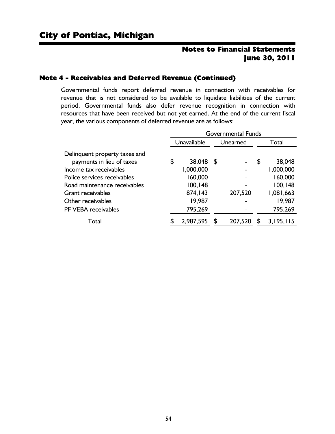#### Note 4 - Receivables and Deferred Revenue (Continued)

Governmental funds report deferred revenue in connection with receivables for revenue that is not considered to be available to liquidate liabilities of the current period. Governmental funds also defer revenue recognition in connection with resources that have been received but not yet earned. At the end of the current fiscal year, the various components of deferred revenue are as follows:

|                                                     | <b>Governmental Funds</b> |                        |  |          |       |                     |  |  |  |
|-----------------------------------------------------|---------------------------|------------------------|--|----------|-------|---------------------|--|--|--|
|                                                     | Unavailable               |                        |  | Unearned | Total |                     |  |  |  |
| Delinquent property taxes and                       |                           |                        |  |          |       |                     |  |  |  |
| payments in lieu of taxes<br>Income tax receivables | \$                        | 38,048 \$<br>1,000,000 |  |          | \$    | 38,048<br>1,000,000 |  |  |  |
| Police services receivables                         |                           | 160,000                |  |          |       | 160,000             |  |  |  |
| Road maintenance receivables                        |                           | 100, 148               |  |          |       | 100,148             |  |  |  |
| Grant receivables                                   |                           | 874,143                |  | 207,520  |       | 1,081,663           |  |  |  |
| Other receivables                                   |                           | 19,987                 |  |          |       | 19,987              |  |  |  |
| PF VEBA receivables                                 |                           | 795,269                |  |          |       | 795,269             |  |  |  |
| Total                                               | S                         | 2,987,595              |  | 207,520  |       | 3,195,115           |  |  |  |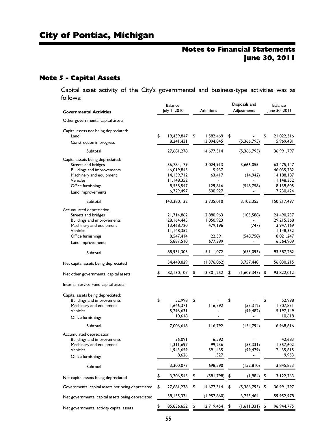## Note 5 - Capital Assets

Capital asset activity of the City's governmental and business-type activities was as follows:

|                                                                                               | <b>Balance</b>           |                               | Disposals and          | <b>Balance</b>                 |
|-----------------------------------------------------------------------------------------------|--------------------------|-------------------------------|------------------------|--------------------------------|
| <b>Governmental Activities</b>                                                                | July 1, 2010             | <b>Additions</b>              | Adjustments            | June 30, 2011                  |
| Other governmental capital assets:                                                            |                          |                               |                        |                                |
| Capital assets not being depreciated:                                                         |                          |                               |                        |                                |
| Land                                                                                          | \$<br>19,439,847         | \$<br>1,582,469<br>13,094,845 | \$                     | \$<br>21,022,316<br>15,969,481 |
| Construction in progress                                                                      | 8,241,431                |                               | (5,366,795)            |                                |
| Subtotal                                                                                      | 27,681,278               | 14,677,314                    | (5,366,795)            | 36,991,797                     |
| Capital assets being depreciated:<br>Streets and bridges<br><b>Buildings and improvements</b> | 56,784,179<br>46,019,845 | 3,024,913<br>15,937           | 3,666,055              | 63,475,147<br>46,035,782       |
| Machinery and equipment                                                                       | 14,139,712               | 63,417                        | (14, 942)              | 14,188,187                     |
| Vehicles                                                                                      | 11,148,352               |                               |                        | 11,148,352                     |
| Office furnishings                                                                            | 8,558,547<br>6,729,497   | 129,816<br>500,927            | (548, 758)             | 8,139,605<br>7,230,424         |
| Land improvements                                                                             |                          |                               |                        |                                |
| Subtotal                                                                                      | 143,380,132              | 3,735,010                     | 3,102,355              | 150,217,497                    |
| Accumulated depreciation:<br>Streets and bridges                                              | 21,714,862               | 2,880,963                     | (105, 588)             | 24,490,237                     |
| <b>Buildings and improvements</b>                                                             | 28,164,445               | 1,050,923                     |                        | 29,215,368                     |
| Machinery and equipment                                                                       | 13,468,720               | 479,196                       | (747)                  | 13,947,169                     |
| <b>Vehicles</b>                                                                               | 11,148,352               |                               |                        | II, 148, 352                   |
| Office furnishings                                                                            | 8,547,414<br>5,887,510   | 22,591<br>677,399             | (548, 758)             | 8,021,247<br>6,564,909         |
| Land improvements                                                                             |                          |                               |                        |                                |
| Subtotal                                                                                      | 88,931,303               | 5, 11, 072                    | (655,093)              | 93,387,282                     |
| Net capital assets being depreciated                                                          | 54,448,829               | (1,376,062)                   | 3,757,448              | 56,830,215                     |
| Net other governmental capital assets                                                         | 82,130,107               | \$<br>13,301,252              | \$<br>(1,609,347)      | \$<br>93,822,012               |
| Internal Service Fund capital assets:                                                         |                          |                               |                        |                                |
| Capital assets being depreciated:                                                             |                          |                               |                        |                                |
| <b>Buildings and improvements</b>                                                             | \$<br>52,998             | \$                            | \$                     | \$<br>52,998                   |
| Machinery and equipment                                                                       | 1,646,371                | 116,792                       | (55, 312)              | 1,707,851                      |
| Vehicles                                                                                      | 5,296,631<br>10,618      |                               | (99, 482)              | 5,197,149<br>10,618            |
| Office furnishings                                                                            |                          |                               |                        |                                |
| Subtotal                                                                                      | 7,006,618                | 116,792                       | (154, 794)             | 6,968,616                      |
| Accumulated depreciation:<br>Buildings and improvements                                       | 36,091                   | 6,592                         |                        | 42,683                         |
| Machinery and equipment                                                                       | 1,311,697                | 99,236                        | (53, 331)              | 1,357,602                      |
| Vehicles                                                                                      | 1,943,659                | 591,435                       | (99, 479)              | 2,435,615                      |
| Office furnishings                                                                            | 8,626                    | 1,327                         |                        | 9,953                          |
| Subtotal                                                                                      | 3,300,073                | 698,590                       | (152, 810)             | 3,845,853                      |
| Net capital assets being depreciated                                                          | \$<br>3,706,545          | \$<br>(581, 798)              | \$<br>(1, 984)         | \$<br>3,122,763                |
| Governmental capital assets not being depreciated                                             | \$<br>27,681,278         | \$<br>14,677,314              | \$<br>$(5,366,795)$ \$ | 36,991,797                     |
| Net governmental capital assets being depreciated                                             | 58,155,374               | (1, 957, 860)                 | 3,755,464              | 59,952,978                     |
| Net governmental activity capital assets                                                      | \$<br>85,836,652         | \$<br>12,719,454              | \$<br>(1,611,331)      | \$<br>96,944,775               |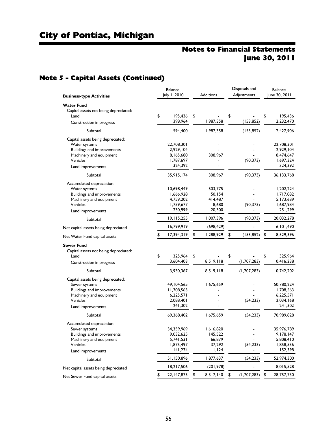# Note 5 - Capital Assets (Continued)

|                                                                                                                                                            | Balance                                                         |                                                  | Disposals and     | Balance                                                       |
|------------------------------------------------------------------------------------------------------------------------------------------------------------|-----------------------------------------------------------------|--------------------------------------------------|-------------------|---------------------------------------------------------------|
| <b>Business-type Activities</b>                                                                                                                            | July 1, 2010                                                    | <b>Additions</b>                                 | Adjustments       | June 30, 2011                                                 |
| <b>Water Fund</b><br>Capital assets not being depreciated:<br>Land<br>Construction in progress                                                             | \$<br>195,436<br>398,964                                        | \$<br>1,987,358                                  | \$<br>(153, 852)  | \$<br>195,436<br>2,232,470                                    |
|                                                                                                                                                            |                                                                 |                                                  |                   |                                                               |
| Subtotal                                                                                                                                                   | 594,400                                                         | 1,987,358                                        | (153, 852)        | 2,427,906                                                     |
| Capital assets being depreciated:<br>Water systems<br><b>Buildings and improvements</b><br>Machinery and equipment<br>Vehicles<br>Land improvements        | 22,708,301<br>2,929,104<br>8,165,680<br>1,787,697<br>324,392    | 308,967                                          | (90, 373)         | 22,708,301<br>2,929,104<br>8,474,647<br>1,697,324<br>324,392  |
| Subtotal                                                                                                                                                   | 35,915,174                                                      | 308,967                                          | (90, 373)         | 36, 133, 768                                                  |
| Accumulated depreciation:<br>Water systems<br><b>Buildings and improvements</b><br>Machinery and equipment<br><b>Vehicles</b>                              | 10,698,449<br>1,666,928<br>4,759,202<br>1,759,677<br>230,999    | 503,775<br>50,154<br>414,487<br>18,680<br>20,300 | (90, 373)         | 11,202,224<br>1,717,082<br>5,173,689<br>1,687,984<br>251,299  |
| Land improvements                                                                                                                                          |                                                                 |                                                  |                   |                                                               |
| Subtotal                                                                                                                                                   | 19,115,255                                                      | 1,007,396                                        | (90, 373)         | 20,032,278                                                    |
| Net capital assets being depreciated                                                                                                                       | 16,799,919                                                      | (698,429)                                        |                   | 16,101,490                                                    |
| Net Water Fund capital assets                                                                                                                              | \$<br>17,394,319                                                | \$<br>1,288,929                                  | \$<br>(153, 852)  | \$<br>18,529,396                                              |
| <b>Sewer Fund</b><br>Capital assets not being depreciated:<br>Land<br>Construction in progress                                                             | \$<br>325,964<br>3,604,403                                      | \$<br>8,519,118                                  | \$<br>(1,707,283) | \$<br>325,964<br>10,416,238                                   |
| Subtotal                                                                                                                                                   | 3,930,367                                                       | 8,519,118                                        | (1,707,283)       | 10,742,202                                                    |
| Capital assets being depreciated:<br>Sewer systems<br><b>Buildings and improvements</b><br>Machinery and equipment<br><b>Vehicles</b><br>Land improvements | 49, 104, 565<br>11,708,563<br>6,225,571<br>2,088,401<br>241,302 | 1,675,659                                        | (54, 233)         | 50,780,224<br>11,708,563<br>6,225,571<br>2,034,168<br>241,302 |
| Subtotal                                                                                                                                                   | 69,368,402                                                      | 1,675,659                                        | (54, 233)         | 70,989,828                                                    |
| Accumulated depreciation:<br>Sewer systems<br>Buildings and improvements<br>Machinery and equipment<br>Vehicles                                            | 34,359,969<br>9,032,625<br>5,741,531<br>1,875,497<br>141,274    | 1,616,820<br>145,522<br>66,879<br>37,292         | (54, 233)         | 35,976,789<br>9,178,147<br>5,808,410<br>1,858,556<br>152,398  |
| Land improvements                                                                                                                                          |                                                                 | 1,124                                            |                   |                                                               |
| Subtotal                                                                                                                                                   | 51,150,896                                                      | 1,877,637                                        | (54, 233)         | 52,974,300                                                    |
| Net capital assets being depreciated                                                                                                                       | 18,217,506                                                      | (201, 978)                                       |                   | 18,015,528                                                    |
| Net Sewer Fund capital assets                                                                                                                              | \$<br>22, 147, 873                                              | \$<br>8,317,140                                  | \$<br>(1,707,283) | \$<br>28,757,730                                              |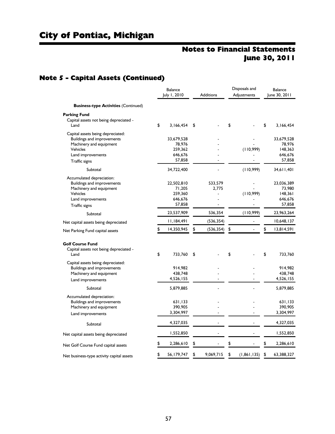# Note 5 - Capital Assets (Continued)

|                                             | <b>Balance</b><br>July 1, 2010 |            | <b>Additions</b> | Disposals and<br>Adjustments | <b>Balance</b><br>June 30, 2011 |            |  |
|---------------------------------------------|--------------------------------|------------|------------------|------------------------------|---------------------------------|------------|--|
| <b>Business-type Activities (Continued)</b> |                                |            |                  |                              |                                 |            |  |
| <b>Parking Fund</b>                         |                                |            |                  |                              |                                 |            |  |
| Capital assets not being depreciated -      |                                |            |                  |                              |                                 |            |  |
| Land                                        | \$                             | 3,166,454  | \$               | \$                           | \$                              | 3,166,454  |  |
| Capital assets being depreciated:           |                                |            |                  |                              |                                 |            |  |
| Buildings and improvements                  |                                | 33,679,528 |                  |                              |                                 | 33,679,528 |  |
| Machinery and equipment                     |                                | 78,976     |                  |                              |                                 | 78,976     |  |
| Vehicles                                    |                                | 259,362    |                  | (110,999)                    |                                 | 148,363    |  |
| Land improvements                           |                                | 646,676    |                  |                              |                                 | 646,676    |  |
| Traffic signs                               |                                | 57,858     |                  |                              |                                 | 57,858     |  |
| Subtotal                                    |                                | 34,722,400 |                  | (110,999)                    |                                 | 34,611,401 |  |
| Accumulated depreciation:                   |                                |            |                  |                              |                                 |            |  |
| <b>Buildings and improvements</b>           |                                | 22,502,810 | 533,579          |                              |                                 | 23,036,389 |  |
| Machinery and equipment                     |                                | 71,205     | 2,775            |                              |                                 | 73,980     |  |
| Vehicles                                    |                                | 259,360    |                  | (110,999)                    |                                 | 148,361    |  |
| Land improvements                           |                                | 646,676    |                  |                              |                                 | 646,676    |  |
| Traffic signs                               |                                | 57,858     | $\blacksquare$   | $\blacksquare$               |                                 | 57,858     |  |
| Subtotal                                    |                                | 23,537,909 | 536,354          | (110,999)                    |                                 | 23,963,264 |  |
| Net capital assets being depreciated        |                                | 11,184,491 | (536, 354)       |                              |                                 | 10,648,137 |  |
| Net Parking Fund capital assets             | \$                             | 14,350,945 | \$<br>(536, 354) | \$                           | \$                              | 13,814,591 |  |
|                                             |                                |            |                  |                              |                                 |            |  |
| <b>Golf Course Fund</b>                     |                                |            |                  |                              |                                 |            |  |
| Capital assets not being depreciated -      |                                |            |                  |                              |                                 |            |  |
| Land                                        | \$                             | 733,760    | \$               | \$                           | \$                              | 733,760    |  |
| Capital assets being depreciated:           |                                |            |                  |                              |                                 |            |  |
| <b>Buildings and improvements</b>           |                                | 914,982    |                  |                              |                                 | 914,982    |  |
| Machinery and equipment                     |                                | 438,748    |                  |                              |                                 | 438,748    |  |
| Land improvements                           |                                | 4,526,155  |                  |                              |                                 | 4,526,155  |  |
| Subtotal                                    |                                | 5,879,885  |                  |                              |                                 | 5,879,885  |  |
| Accumulated depreciation:                   |                                |            |                  |                              |                                 |            |  |
| Buildings and improvements                  |                                | 631,133    |                  |                              |                                 | 631,133    |  |
| Machinery and equipment                     |                                | 390,905    |                  |                              |                                 | 390,905    |  |
|                                             |                                | 3,304,997  |                  |                              |                                 | 3,304,997  |  |
| Land improvements                           |                                |            |                  |                              |                                 |            |  |
| Subtotal                                    |                                | 4,327,035  |                  |                              |                                 | 4,327,035  |  |
| Net capital assets being depreciated        |                                | 1,552,850  |                  |                              |                                 | 1,552,850  |  |
| Net Golf Course Fund capital assets         |                                | 2,286,610  | \$               | \$                           | \$                              | 2,286,610  |  |
| Net business-type activity capital assets   | \$                             | 56,179,747 | \$<br>9,069,715  | \$<br>(1, 861, 135)          | \$                              | 63,388,327 |  |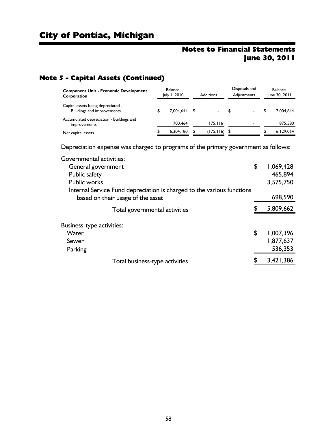# Note 5 - Capital Assets (Continued)

| <b>Component Unit - Economic Development</b><br>Corporation             | <b>Balance</b><br>July 1, 2010 | <b>Additions</b> |           | Disposals and<br>Adiustments |                          | Balance<br>June 30, 2011 |
|-------------------------------------------------------------------------|--------------------------------|------------------|-----------|------------------------------|--------------------------|--------------------------|
| Capital assets being depreciated -<br><b>Buildings and improvements</b> | 7.004.644 \$                   |                  |           | S                            | $\overline{\phantom{a}}$ | 7.004.644                |
| Accumulated depreciation - Buildings and<br>improvements                | 700.464                        |                  | 175.116   |                              |                          | 875,580                  |
| Net capital assets                                                      | 6.304.180                      | \$               | (175,116) |                              | -                        | 6.129.064                |

Depreciation expense was charged to programs of the primary government as follows:

| Governmental activities:                                               |                 |
|------------------------------------------------------------------------|-----------------|
| General government                                                     | \$<br>1,069,428 |
| Public safety                                                          | 465,894         |
| <b>Public works</b>                                                    | 3,575,750       |
| Internal Service Fund depreciation is charged to the various functions |                 |
| based on their usage of the asset                                      | 698,590         |
| Total governmental activities                                          | 5,809,662       |
|                                                                        |                 |
| Business-type activities:                                              |                 |
| Water                                                                  | \$<br>1,007,396 |
| Sewer                                                                  | 1,877,637       |
| Parking                                                                | 536,353         |
| Total business-type activities                                         | \$<br>3,421,386 |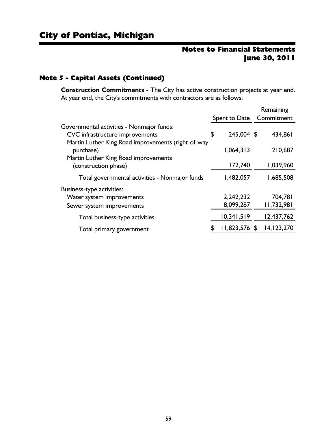## Note 5 - Capital Assets (Continued)

**Construction Commitments** - The City has active construction projects at year end. At year end, the City's commitments with contractors are as follows:

|                                                                                                                                    |                          | Remaining             |
|------------------------------------------------------------------------------------------------------------------------------------|--------------------------|-----------------------|
|                                                                                                                                    | Spent to Date Commitment |                       |
| Governmental activities - Nonmajor funds:<br>CVC infrastructure improvements<br>Martin Luther King Road improvements (right-of-way | \$<br>245,004 \$         | 434,861               |
| purchase)                                                                                                                          | 1,064,313                | 210,687               |
| Martin Luther King Road improvements<br>(construction phase)                                                                       | 172,740                  | 1,039,960             |
| Total governmental activities - Nonmajor funds                                                                                     | 1,482,057                | 1,685,508             |
| Business-type activities:<br>Water system improvements<br>Sewer system improvements                                                | 2,242,232<br>8,099,287   | 704,781<br>11,732,981 |
| Total business-type activities                                                                                                     | 10,341,519               | 12,437,762            |
| Total primary government                                                                                                           | \$<br>$11,823,576$ \$    | 14,123,270            |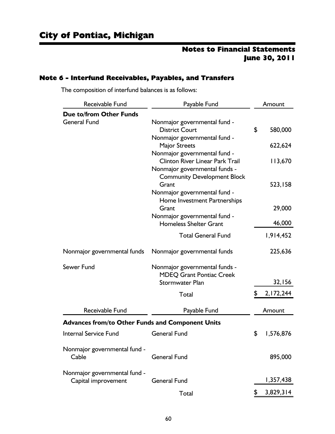#### Note 6 - Interfund Receivables, Payables, and Transfers

The composition of interfund balances is as follows:

| Receivable Fund                                         | Payable Fund                                                                                            | Amount          |
|---------------------------------------------------------|---------------------------------------------------------------------------------------------------------|-----------------|
| <b>Due to/from Other Funds</b>                          |                                                                                                         |                 |
| <b>General Fund</b>                                     | Nonmajor governmental fund -<br><b>District Court</b>                                                   | \$<br>580,000   |
|                                                         | Nonmajor governmental fund -<br>Major Streets                                                           | 622,624         |
|                                                         | Nonmajor governmental fund -<br><b>Clinton River Linear Park Trail</b><br>Nonmajor governmental funds - | 113,670         |
|                                                         | <b>Community Development Block</b><br>Grant<br>Nonmajor governmental fund -                             | 523,158         |
|                                                         | Home Investment Partnerships<br>Grant                                                                   | 29,000          |
|                                                         | Nonmajor governmental fund -<br><b>Homeless Shelter Grant</b>                                           | 46,000          |
|                                                         | <b>Total General Fund</b>                                                                               | 1,914,452       |
| Nonmajor governmental funds                             | Nonmajor governmental funds                                                                             | 225,636         |
| Sewer Fund                                              | Nonmajor governmental funds -<br><b>MDEQ Grant Pontiac Creek</b>                                        |                 |
|                                                         | <b>Stormwater Plan</b>                                                                                  | 32,156          |
|                                                         | Total                                                                                                   | \$<br>2,172,244 |
| Receivable Fund                                         | Payable Fund                                                                                            | Amount          |
| <b>Advances from/to Other Funds and Component Units</b> |                                                                                                         |                 |
| <b>Internal Service Fund</b>                            | <b>General Fund</b>                                                                                     | \$<br>1,576,876 |
| Nonmajor governmental fund -<br>Cable                   | <b>General Fund</b>                                                                                     | 895,000         |
| Nonmajor governmental fund -<br>Capital improvement     | <b>General Fund</b>                                                                                     | 1,357,438       |
|                                                         | Total                                                                                                   | \$<br>3,829,314 |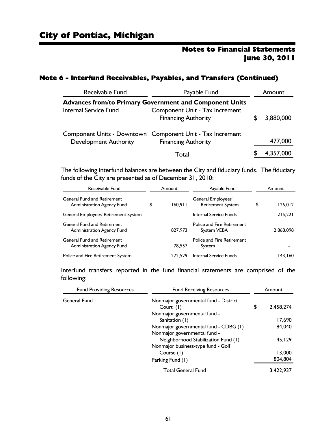#### Note 6 - Interfund Receivables, Payables, and Transfers (Continued)

| Receivable Fund<br>Payable Fund                                |                                                                                         |  | Amount    |  |  |  |
|----------------------------------------------------------------|-----------------------------------------------------------------------------------------|--|-----------|--|--|--|
| <b>Advances from/to Primary Government and Component Units</b> |                                                                                         |  |           |  |  |  |
| <b>Internal Service Fund</b>                                   | Component Unit - Tax Increment<br><b>Financing Authority</b>                            |  | 3,880,000 |  |  |  |
| <b>Development Authority</b>                                   | Component Units - Downtown Component Unit - Tax Increment<br><b>Financing Authority</b> |  | 477,000   |  |  |  |
|                                                                | Total                                                                                   |  | 4,357,000 |  |  |  |

The following interfund balances are between the City and fiduciary funds. The fiduciary funds of the City are presented as of December 31, 2010:

| Receivable Fund                                                         | Amount                   | Payable Fund                                     |    |           |  | Amount |
|-------------------------------------------------------------------------|--------------------------|--------------------------------------------------|----|-----------|--|--------|
| <b>General Fund and Retirement</b><br>Administration Agency Fund        | \$<br>160.911            | General Employees'<br><b>Retirement System</b>   | \$ | 126,012   |  |        |
| General Employees' Retirement System                                    | $\overline{\phantom{0}}$ | Internal Service Funds                           |    | 215,221   |  |        |
| <b>General Fund and Retirement</b><br>Administration Agency Fund        | 827.973                  | <b>Police and Fire Retirement</b><br>System VEBA |    | 2,868,098 |  |        |
| <b>General Fund and Retirement</b><br><b>Administration Agency Fund</b> | 78.557                   | <b>Police and Fire Retirement</b><br>System      |    |           |  |        |
| Police and Fire Retirement System                                       | 272.529                  | <b>Internal Service Funds</b>                    |    | 143.160   |  |        |

Interfund transfers reported in the fund financial statements are comprised of the following:

| <b>Fund Providing Resources</b> | <b>Fund Receiving Resources</b>       | Amount          |
|---------------------------------|---------------------------------------|-----------------|
| General Fund                    | Nonmajor governmental fund - District |                 |
|                                 | Court $(1)$                           | \$<br>2.458.274 |
|                                 | Nonmajor governmental fund -          |                 |
|                                 | Sanitation (1)                        | 17,690          |
|                                 | Nonmajor governmental fund - CDBG (1) | 84,040          |
|                                 | Nonmajor governmental fund -          |                 |
|                                 | Neighborhood Stabilization Fund (1)   | 45.129          |
|                                 | Nonmajor business-type fund - Golf    |                 |
|                                 | Course (1)                            | 13,000          |
|                                 | Parking Fund (1)                      | 804.804         |
|                                 | <b>Total General Fund</b>             | 3.422.937       |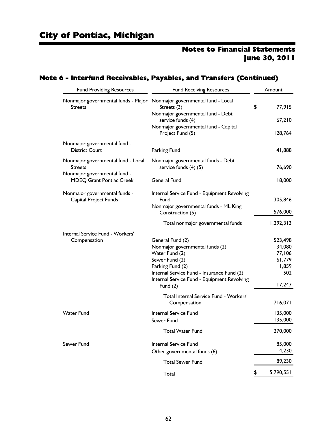## Note 6 - Interfund Receivables, Payables, and Transfers (Continued)

| <b>Fund Providing Resources</b>                                 | <b>Fund Receiving Resources</b>                                 | Amount           |
|-----------------------------------------------------------------|-----------------------------------------------------------------|------------------|
| Nonmajor governmental funds - Major<br><b>Streets</b>           | Nonmajor governmental fund - Local<br>Streets (3)               | \$<br>77,915     |
|                                                                 | Nonmajor governmental fund - Debt<br>service funds (4)          | 67,210           |
|                                                                 | Nonmajor governmental fund - Capital<br>Project Fund (5)        | 128,764          |
| Nonmajor governmental fund -                                    |                                                                 |                  |
| <b>District Court</b>                                           | Parking Fund                                                    | 41,888           |
| Nonmajor governmental fund - Local<br><b>Streets</b>            | Nonmajor governmental funds - Debt<br>service funds $(4)$ $(5)$ | 76,690           |
| Nonmajor governmental fund -<br><b>MDEQ Grant Pontiac Creek</b> | <b>General Fund</b>                                             | 18,000           |
| Nonmajor governmental funds -                                   | Internal Service Fund - Equipment Revolving                     |                  |
| Capital Project Funds                                           | Fund                                                            | 305,846          |
|                                                                 | Nonmajor governmental funds - ML King<br>Construction (5)       | 576,000          |
|                                                                 | Total nonmajor governmental funds                               | 1,292,313        |
| Internal Service Fund - Workers'                                |                                                                 |                  |
| Compensation                                                    | General Fund (2)                                                | 523,498          |
|                                                                 | Nonmajor governmental funds (2)                                 | 34,080           |
|                                                                 | Water Fund (2)<br>Sewer Fund (2)                                | 77,106<br>61,779 |
|                                                                 | Parking Fund (2)                                                | 1,859            |
|                                                                 | Internal Service Fund - Insurance Fund (2)                      | 502              |
|                                                                 | Internal Service Fund - Equipment Revolving                     |                  |
|                                                                 | Fund $(2)$                                                      | 17,247           |
|                                                                 | Total Internal Service Fund - Workers'                          |                  |
|                                                                 | Compensation                                                    | 716,071          |
| <b>Water Fund</b>                                               | Internal Service Fund                                           | 135,000          |
|                                                                 | Sewer Fund                                                      | 135,000          |
|                                                                 | <b>Total Water Fund</b>                                         | 270,000          |
| Sewer Fund                                                      | Internal Service Fund                                           | 85,000           |
|                                                                 | Other governmental funds (6)                                    | 4,230            |
|                                                                 | <b>Total Sewer Fund</b>                                         | 89,230           |
|                                                                 | Total                                                           | \$<br>5,790,551  |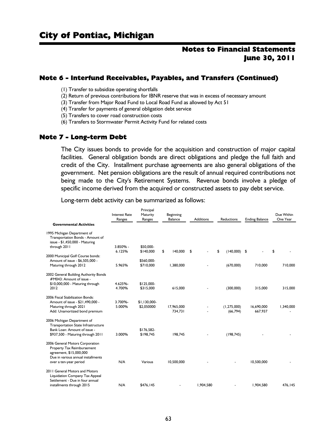#### Note 6 - Interfund Receivables, Payables, and Transfers (Continued)

(1) Transfer to subsidize operating shortfalls

(2) Return of previous contributions for IBNR reserve that was in excess of necessary amount

(3) Transfer from Major Road Fund to Local Road Fund as allowed by Act 51

(4) Transfer for payments of general obligation debt service

(5) Transfers to cover road construction costs

(6) Transfers to Stormwater Permit Activity Fund for related costs

#### Note 7 - Long-term Debt

The City issues bonds to provide for the acquisition and construction of major capital facilities. General obligation bonds are direct obligations and pledge the full faith and credit of the City. Installment purchase agreements are also general obligations of the government. Net pension obligations are the result of annual required contributions not being made to the City's Retirement Systems. Revenue bonds involve a pledge of specific income derived from the acquired or constructed assets to pay debt service.

|                                                                                                                                |                      | гінісіраі              |               |                  |                      |                       |                        |  |
|--------------------------------------------------------------------------------------------------------------------------------|----------------------|------------------------|---------------|------------------|----------------------|-----------------------|------------------------|--|
|                                                                                                                                | <b>Interest Rate</b> | Maturity               | Beginning     |                  |                      |                       | Due Within<br>One Year |  |
|                                                                                                                                | Ranges               | Ranges                 | Balance       | <b>Additions</b> | <b>Reductions</b>    | <b>Ending Balance</b> |                        |  |
| <b>Governmental Activities</b>                                                                                                 |                      |                        |               |                  |                      |                       |                        |  |
| 1995 Michigan Department of<br>Transportation Bonds - Amount of<br>issue - \$1,450,000 - Maturing                              |                      |                        |               |                  |                      |                       |                        |  |
| through 2011                                                                                                                   | 3.850% -<br>6.125%   | \$50,000-<br>\$140,000 | \$<br>140,000 | \$               | \$<br>$(140,000)$ \$ |                       | \$                     |  |
| 2000 Municipal Golf Course bonds:<br>Amount of issue - \$6.505.000 -                                                           |                      | \$560,000-             |               |                  |                      |                       |                        |  |
| Maturing through 2012                                                                                                          | 5.965%               | \$710,000              | 1.380.000     |                  | (670,000)            | 710,000               | 710,000                |  |
| 2002 General Building Authority Bonds<br>#M043: Amount of issue -                                                              |                      |                        |               |                  |                      |                       |                        |  |
| \$10,000,000 - Maturing through                                                                                                | 4.625%-              | \$125,000-             |               |                  |                      |                       |                        |  |
| 2012                                                                                                                           | 4.700%               | \$315,000              | 615,000       |                  | (300,000)            | 315,000               | 315,000                |  |
| 2006 Fiscal Stabilization Bonds:<br>Amount of issue - \$21,490,000 -                                                           | 3.700%-              | $$1.130.000-$          |               |                  |                      |                       |                        |  |
| Maturing through 2021                                                                                                          | 5.000%               | \$2.050000             | 17.965.000    |                  | (1,275,000)          | 16.690.000            | 1,340,000              |  |
| Add: Unamortized bond premium                                                                                                  |                      |                        | 734,731       |                  | (66, 794)            | 667,937               |                        |  |
| 2006 Michigan Department of<br><b>Transportation State Infrastructure</b><br>Bank Loan: Amount of issue -                      |                      | \$176.582-             |               |                  |                      |                       |                        |  |
| \$937,500 - Maturing through 2011                                                                                              | 3.000%               | \$198,745              | 198.745       |                  | (198, 745)           |                       |                        |  |
| 2006 General Motors Corporation<br>Property Tax Reimbursement<br>agreement, \$15,000,000<br>Due in various annual installments |                      |                        |               |                  |                      |                       |                        |  |
| over a ten-year period                                                                                                         | N/A                  | Various                | 10,500,000    |                  |                      | 10,500,000            |                        |  |
| 2011 General Motors and Motors<br>Liquidation Company Tax Appeal<br>Settlement - Due in four annual                            |                      |                        |               |                  |                      |                       |                        |  |
| installments through 2015                                                                                                      | N/A                  | \$476.145              |               | 1.904.580        |                      | 1.904.580             | 476.145                |  |
|                                                                                                                                |                      |                        |               |                  |                      |                       |                        |  |

Long-term debt activity can be summarized as follows:

Principal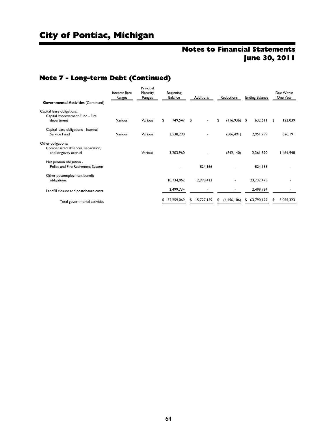# City of Pontiac, Michigan

# Notes to Financial Statements June 30, 2011

# Note 7 - Long-term Debt (Continued)

| <b>Governmental Activities (Continued)</b>                    | <b>Interest Rate</b><br>Ranges | Principal<br>Maturity<br>Ranges | Beginning<br>Balance |    | <b>Additions</b> |    | <b>Reductions</b> |    | <b>Ending Balance</b> |     | Due Within<br>One Year |
|---------------------------------------------------------------|--------------------------------|---------------------------------|----------------------|----|------------------|----|-------------------|----|-----------------------|-----|------------------------|
| Capital lease obligations:<br>Capital Improvement Fund - Fire |                                |                                 |                      |    |                  |    |                   |    |                       |     |                        |
| department                                                    | Various                        | Various                         | \$<br>749,547        | \$ |                  | \$ | $(116,936)$ \$    |    | 632,611               | \$. | 123,039                |
| Capital lease obligations - Internal<br>Service Fund          | Various                        | Various                         | 3,538,290            |    |                  |    | (586, 491)        |    | 2,951,799             |     | 626,191                |
| Other obligations:                                            |                                |                                 |                      |    |                  |    |                   |    |                       |     |                        |
| Compensated absences, separation,<br>and longevity accrual    |                                | Various                         | 3,203,960            |    |                  |    | (842, 140)        |    | 2,361,820             |     | 1,464,948              |
| Net pension obligation -<br>Police and Fire Retirement System |                                |                                 |                      |    | 824,166          |    |                   |    | 824,166               |     |                        |
| Other postemployment benefit<br>obligations                   |                                |                                 | 10,734,062           |    | 12,998,413       |    |                   |    | 23,732,475            |     |                        |
| Landfill closure and postclosure costs                        |                                |                                 | 2,499,734            |    |                  |    |                   |    | 2,499,734             |     |                        |
| Total governmental activities                                 |                                |                                 | 52,259,069           | S  | 15,727,159       | \$ | (4, 196, 106)     | \$ | 63,790,122            |     | 5,055,323              |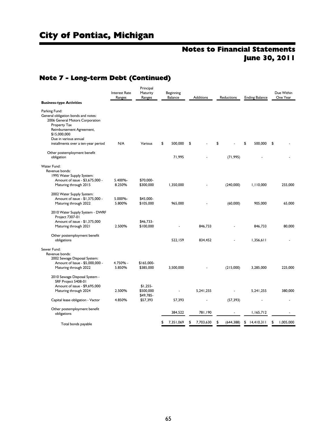# City of Pontiac, Michigan

# Notes to Financial Statements June 30, 2011

## Note 7 - Long-term Debt (Continued)

|                                                      | <b>Interest Rate</b> | Principal<br>Maturity    | Beginning |           |                  |    |            |                       | Due Within      |  |
|------------------------------------------------------|----------------------|--------------------------|-----------|-----------|------------------|----|------------|-----------------------|-----------------|--|
| <b>Business-type Activities</b>                      | Ranges               | Ranges                   |           | Balance   | <b>Additions</b> |    | Reductions | <b>Ending Balance</b> | One Year        |  |
|                                                      |                      |                          |           |           |                  |    |            |                       |                 |  |
| Parking Fund:<br>General obligation bonds and notes: |                      |                          |           |           |                  |    |            |                       |                 |  |
| 2006 General Motors Corporation<br>Property Tax      |                      |                          |           |           |                  |    |            |                       |                 |  |
| Reimbursement Agreement,                             |                      |                          |           |           |                  |    |            |                       |                 |  |
| \$15,000,000                                         |                      |                          |           |           |                  |    |            |                       |                 |  |
| Due in various annual                                |                      |                          |           |           |                  |    |            |                       |                 |  |
| installments over a ten-year period                  | N/A                  | Various                  | \$        | 500,000   | \$               | \$ |            | \$<br>500,000         | \$              |  |
| Other postemployment benefit                         |                      |                          |           |           |                  |    |            |                       |                 |  |
| obligation                                           |                      |                          |           | 71,995    |                  |    | (71, 995)  |                       |                 |  |
| <b>Water Fund:</b>                                   |                      |                          |           |           |                  |    |            |                       |                 |  |
| Revenue bonds:                                       |                      |                          |           |           |                  |    |            |                       |                 |  |
| 1995 Water Supply System:                            |                      |                          |           |           |                  |    |            |                       |                 |  |
| Amount of issue - \$3,675,000 -                      | 5.400%-              | \$70,000-                |           |           |                  |    |            |                       |                 |  |
| Maturing through 2015                                | 8.250%               | \$300,000                |           | 1,350,000 |                  |    | (240,000)  | 1,110,000             | 255,000         |  |
| 2002 Water Supply System:                            |                      |                          |           |           |                  |    |            |                       |                 |  |
| Amount of issue - \$1,375,000 -                      | 5.000%-              | \$45,000-                |           |           |                  |    |            |                       |                 |  |
| Maturing through 2022                                | 5.800%               | \$105,000                |           | 965,000   |                  |    | (60,000)   | 905,000               | 65,000          |  |
| 2010 Water Supply System - DWRF                      |                      |                          |           |           |                  |    |            |                       |                 |  |
| Project 7307-01                                      |                      |                          |           |           |                  |    |            |                       |                 |  |
| Amount of issue - \$1,375,000                        |                      | \$46.733-                |           |           |                  |    |            |                       |                 |  |
| Maturing through 2021                                | 2.500%               | \$100,000                |           |           | 846.733          |    |            | 846.733               | 80,000          |  |
| Other postemployment benefit                         |                      |                          |           |           |                  |    |            |                       |                 |  |
| obligations                                          |                      |                          |           | 522.159   | 834,452          |    |            | 1.356.611             |                 |  |
| Sewer Fund:                                          |                      |                          |           |           |                  |    |            |                       |                 |  |
| Revenue bonds:                                       |                      |                          |           |           |                  |    |            |                       |                 |  |
| 2002 Sewage Disposal System:                         |                      |                          |           |           |                  |    |            |                       |                 |  |
| Amount of Issue - \$5,000,000 -                      | 4.750% -<br>5.850%   | $$165,000-$<br>\$385,000 |           | 3,500,000 |                  |    | (215,000)  | 3,285,000             | 225,000         |  |
| Maturing through 2022                                |                      |                          |           |           |                  |    |            |                       |                 |  |
| 2010 Sewage Disposal System -<br>SRF Project 5408-01 |                      |                          |           |           |                  |    |            |                       |                 |  |
| Amount of issue - \$9,695,000                        |                      | $$1,255-$                |           |           |                  |    |            |                       |                 |  |
| Maturing through 2024                                | 2.500%               | \$500,000                |           |           | 5.241.255        |    |            | 5.241.255             | 380,000         |  |
|                                                      |                      | \$49,785-                |           |           |                  |    |            |                       |                 |  |
| Capital lease obligation - Vactor                    | 4.850%               | \$57,393                 |           | 57,393    |                  |    | (57, 393)  |                       |                 |  |
| Other postemployment benefit                         |                      |                          |           |           |                  |    |            |                       |                 |  |
| obligations                                          |                      |                          |           | 384,522   | 781.190          |    |            | 1,165,712             |                 |  |
| Total bonds payable                                  |                      |                          | \$        | 7,351,069 | \$<br>7,703,630  | \$ | (644, 388) | \$<br>14,410,311      | \$<br>1,005,000 |  |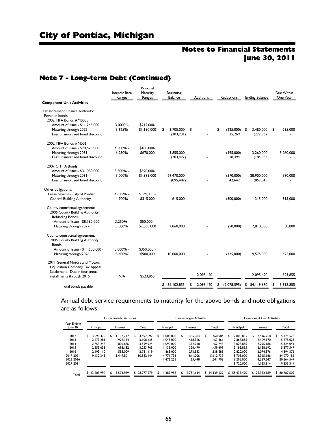# City of Pontiac, Michigan

# Notes to Financial Statements June 30, 2011

## Note 7 - Long-term Debt (Continued)

| <b>Component Unit Activities</b>                                                           | <b>Interest Rate</b><br>Ranges | Principal<br>Maturity<br>Ranges | Beginning<br>Balance          |    | <b>Additions</b> |    | <b>Reductions</b>        |    | <b>Ending Balance</b>    |    | Due Within<br>One Year |  |
|--------------------------------------------------------------------------------------------|--------------------------------|---------------------------------|-------------------------------|----|------------------|----|--------------------------|----|--------------------------|----|------------------------|--|
| Tax Increment Finance Authority:<br>Revenue bonds:<br>2002 TIFA Bonds #M0005:              |                                |                                 |                               |    |                  |    |                          |    |                          |    |                        |  |
| Amount of issue - \$11,245,000<br>Maturing through 2022<br>Less unamortized bond discount  | 3.000%-<br>5.625%              | \$215,000-<br>\$1.180,000       | \$<br>3.705.000<br>(303, 231) | \$ |                  | \$ | $(225,000)$ \$<br>25.269 |    | 3.480.000<br>(277,962)   | \$ | 235,000                |  |
| 2002 TIFA Bonds #M006:                                                                     |                                |                                 |                               |    |                  |    |                          |    |                          |    |                        |  |
| Amount of issue - \$28,675,000<br>Maturing through 2031                                    | 4.500% -<br>6.250%             | \$180,000-<br>\$670,000         | 3.855.000                     |    |                  |    | (595,000)                |    | 3.260.000                |    | 3,260,000              |  |
| Less unamortized bond discount                                                             |                                |                                 | (203, 427)                    |    |                  |    | 18,494                   |    | (184, 933)               |    |                        |  |
| 2007 C TIFA Bonds:                                                                         |                                |                                 |                               |    |                  |    |                          |    |                          |    |                        |  |
| Amount of issue - \$31,080,000                                                             | $3.500\%$ -                    | \$590,000-                      |                               |    |                  |    |                          |    |                          |    |                        |  |
| Maturing through 2031<br>Less unamortized bond discount                                    | 5.000%                         | \$1,985,000                     | 29.470.000<br>(895, 487)      |    |                  |    | (570,000)<br>42.642      |    | 28.900.000<br>(852, 845) |    | 590,000                |  |
| Other obligations:                                                                         |                                |                                 |                               |    |                  |    |                          |    |                          |    |                        |  |
| Lease payable - City of Pontiac                                                            | $4.625% -$                     | $$125.000 -$                    |                               |    |                  |    |                          |    |                          |    |                        |  |
| <b>General Building Authority</b>                                                          | 4.700%                         | \$315,000                       | 615,000                       |    |                  |    | (300,000)                |    | 315,000                  |    | 315,000                |  |
| County contractual agreement:<br>2006 County Building Authority<br><b>Refunding Bonds:</b> |                                |                                 |                               |    |                  |    |                          |    |                          |    |                        |  |
| Amount of issue - \$8,160,000 -<br>Maturing through 2027                                   | 3.250%-<br>5.000%              | $$50.000 -$<br>\$2,850,000      | 7,860,000                     |    |                  |    | (50,000)                 |    | 7.810.000                |    | 50,000                 |  |
| County contractual agreement:<br>2006 County Building Authority<br>Bonds:                  |                                |                                 |                               |    |                  |    |                          |    |                          |    |                        |  |
| Amount of issue - \$11,500,000 -<br>Maturing through 2026                                  | $5.000\%$ -<br>5.400%          | \$350,000 -<br>\$900,000        | 10.000.000                    |    |                  |    | (425,000)                |    | 9.575.000                |    | 425,000                |  |
| 2011 General Motors and Motors<br>Liquidation Company Tax Appeal                           |                                |                                 |                               |    |                  |    |                          |    |                          |    |                        |  |
| Settlement - Due in four annual<br>installments through 2015                               | N/A                            | \$523.855                       |                               |    | 2,095,420        |    |                          |    | 2,095,420                |    | 523.855                |  |
|                                                                                            |                                |                                 |                               |    |                  |    |                          |    |                          |    |                        |  |
| Total bonds payable                                                                        |                                |                                 | \$54.102.855                  | \$ | 2.095.420        | \$ | (2,078,595)              | \$ | 54, I 19, 680            | \$ | 5.398.855              |  |

Annual debt service requirements to maturity for the above bonds and note obligations are as follows:

|                        |              | <b>Governmental Activities</b> |                          |                | <b>Business-type Activities</b> |                | <b>Component Unit Activities</b> |                 |                |  |  |
|------------------------|--------------|--------------------------------|--------------------------|----------------|---------------------------------|----------------|----------------------------------|-----------------|----------------|--|--|
| Year Ending<br>June 30 | Principal    | Interest                       | Total                    | Principal      | Interest                        | Total          | Principal                        | Interest        | Total          |  |  |
| 2012                   | 3.590.375    | .102.217<br>\$                 | 4.692.592<br>S           | .005.000<br>\$ | \$<br>455,984                   | .460.984<br>\$ | 2.808.855<br>\$                  | 2.516.718<br>S. | 5.325.573<br>S |  |  |
| 2013                   | 2.679.281    | 929.154                        | 3.608.435                | 1.045.000      | 418,366                         | .463.366       | 2.868.855                        | 2.409.170       | 5.278.025      |  |  |
| 2014                   | 2.753.248    | 806.676                        | 3.559.924                | 1.090.000      | 372.748                         | 1.462.748      | 3.028.855                        | 2.295.186       | 5.324.041      |  |  |
| 2015                   | 2.555.633    | 698.132                        | 3.253.765                | 1.135.000      | 324.499                         | .459.499       | 3.188.855                        | 2.188.692       | 5.377.547      |  |  |
| 2016                   | 2.193.110    | 588,009                        | 2.781.119                | 865,000        | 273.583                         | 1.138.583      | 2.820.000                        | 2.074.376       | 4.894.376      |  |  |
| 2017-2021              | 9.432.343    | 1.449.801                      | 10.882.144               | 4.771.733      | 841,006                         | 5.612.739      | 15.705.000                       | 8.365.186       | 24.070.186     |  |  |
| 2022-2026              |              |                                | $\overline{\phantom{0}}$ | 1.476.255      | 65,448                          | 1.541.703      | 16.295.000                       | 4.369.547       | 20.664.547     |  |  |
| 2027-2031              |              |                                |                          |                | $\overline{\phantom{a}}$        |                | 8.720.000                        | 1.133.314       | 9.853.314      |  |  |
| Total                  | \$23,203,990 | 5.573.989<br>\$                | \$28,777,979             | \$ 11,387,988  | \$<br>2.751.634                 | \$14.139.622   | \$55,435,420                     | \$25.352.189    | \$80,787,609   |  |  |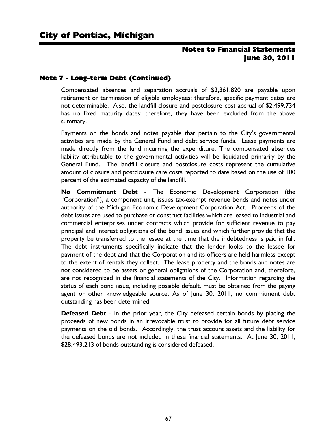## Note 7 - Long-term Debt (Continued)

Compensated absences and separation accruals of \$2,361,820 are payable upon retirement or termination of eligible employees; therefore, specific payment dates are not determinable. Also, the landfill closure and postclosure cost accrual of \$2,499,734 has no fixed maturity dates; therefore, they have been excluded from the above summary.

Payments on the bonds and notes payable that pertain to the City's governmental activities are made by the General Fund and debt service funds. Lease payments are made directly from the fund incurring the expenditure. The compensated absences liability attributable to the governmental activities will be liquidated primarily by the General Fund. The landfill closure and postclosure costs represent the cumulative amount of closure and postclosure care costs reported to date based on the use of 100 percent of the estimated capacity of the landfill.

**No Commitment Debt** - The Economic Development Corporation (the "Corporation"), a component unit, issues tax-exempt revenue bonds and notes under authority of the Michigan Economic Development Corporation Act. Proceeds of the debt issues are used to purchase or construct facilities which are leased to industrial and commercial enterprises under contracts which provide for sufficient revenue to pay principal and interest obligations of the bond issues and which further provide that the property be transferred to the lessee at the time that the indebtedness is paid in full. The debt instruments specifically indicate that the lender looks to the lessee for payment of the debt and that the Corporation and its officers are held harmless except to the extent of rentals they collect. The lease property and the bonds and notes are not considered to be assets or general obligations of the Corporation and, therefore, are not recognized in the financial statements of the City. Information regarding the status of each bond issue, including possible default, must be obtained from the paying agent or other knowledgeable source. As of June 30, 2011, no commitment debt outstanding has been determined.

**Defeased Debt** - In the prior year, the City defeased certain bonds by placing the proceeds of new bonds in an irrevocable trust to provide for all future debt service payments on the old bonds. Accordingly, the trust account assets and the liability for the defeased bonds are not included in these financial statements. At June 30, 2011, \$28,493,213 of bonds outstanding is considered defeased.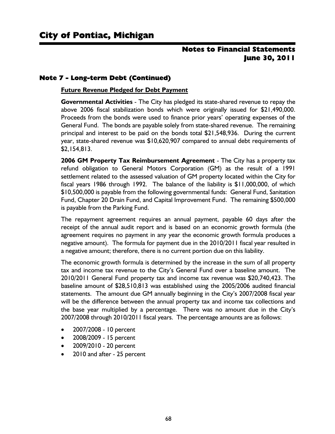## Note 7 - Long-term Debt (Continued)

#### **Future Revenue Pledged for Debt Payment**

**Governmental Activities** - The City has pledged its state-shared revenue to repay the above 2006 fiscal stabilization bonds which were originally issued for \$21,490,000. Proceeds from the bonds were used to finance prior years' operating expenses of the General Fund. The bonds are payable solely from state-shared revenue. The remaining principal and interest to be paid on the bonds total \$21,548,936. During the current year, state-shared revenue was \$10,620,907 compared to annual debt requirements of \$2,154,813.

**2006 GM Property Tax Reimbursement Agreement** - The City has a property tax refund obligation to General Motors Corporation (GM) as the result of a 1991 settlement related to the assessed valuation of GM property located within the City for fiscal years 1986 through 1992. The balance of the liability is \$11,000,000, of which \$10,500,000 is payable from the following governmental funds: General Fund, Sanitation Fund, Chapter 20 Drain Fund, and Capital Improvement Fund. The remaining \$500,000 is payable from the Parking Fund.

The repayment agreement requires an annual payment, payable 60 days after the receipt of the annual audit report and is based on an economic growth formula (the agreement requires no payment in any year the economic growth formula produces a negative amount). The formula for payment due in the 2010/2011 fiscal year resulted in a negative amount; therefore, there is no current portion due on this liability.

The economic growth formula is determined by the increase in the sum of all property tax and income tax revenue to the City's General Fund over a baseline amount. The 2010/2011 General Fund property tax and income tax revenue was \$20,740,423. The baseline amount of \$28,510,813 was established using the 2005/2006 audited financial statements. The amount due GM annually beginning in the City's 2007/2008 fiscal year will be the difference between the annual property tax and income tax collections and the base year multiplied by a percentage. There was no amount due in the City's 2007/2008 through 2010/2011 fiscal years. The percentage amounts are as follows:

- 2007/2008 10 percent
- 2008/2009 15 percent
- 2009/2010 20 percent
- 2010 and after 25 percent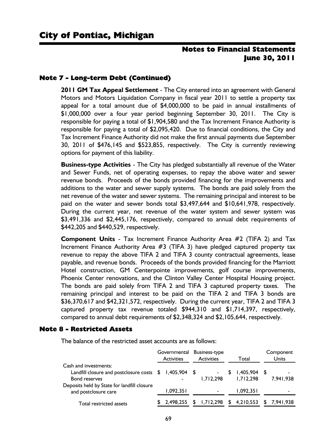#### Note 7 - Long-term Debt (Continued)

**2011 GM Tax Appeal Settlement** - The City entered into an agreement with General Motors and Motors Liquidation Company in fiscal year 2011 to settle a property tax appeal for a total amount due of \$4,000,000 to be paid in annual installments of \$1,000,000 over a four year period beginning September 30, 2011. The City is responsible for paying a total of \$1,904,580 and the Tax Increment Finance Authority is responsible for paying a total of \$2,095,420. Due to financial conditions, the City and Tax Increment Finance Authority did not make the first annual payments due September 30, 2011 of \$476,145 and \$523,855, respectively. The City is currently reviewing options for payment of this liability.

**Business-type Activities** - The City has pledged substantially all revenue of the Water and Sewer Funds, net of operating expenses, to repay the above water and sewer revenue bonds. Proceeds of the bonds provided financing for the improvements and additions to the water and sewer supply systems. The bonds are paid solely from the net revenue of the water and sewer systems. The remaining principal and interest to be paid on the water and sewer bonds total \$3,497,644 and \$10,641,978, respectively. During the current year, net revenue of the water system and sewer system was \$3,491,336 and \$2,445,176, respectively, compared to annual debt requirements of \$442,205 and \$440,529, respectively.

**Component Units** - Tax Increment Finance Authority Area #2 (TIFA 2) and Tax Increment Finance Authority Area #3 (TIFA 3) have pledged captured property tax revenue to repay the above TIFA 2 and TIFA 3 county contractual agreements, lease payable, and revenue bonds. Proceeds of the bonds provided financing for the Marriott Hotel construction, GM Centerpointe improvements, golf course improvements, Phoenix Center renovations, and the Clinton Valley Center Hospital Housing project. The bonds are paid solely from TIFA 2 and TIFA 3 captured property taxes. The remaining principal and interest to be paid on the TIFA 2 and TIFA 3 bonds are \$36,370,617 and \$42,321,572, respectively. During the current year, TIFA 2 and TIFA 3 captured property tax revenue totaled \$944,310 and \$1,714,397, respectively, compared to annual debt requirements of \$2,348,324 and \$2,105,644, respectively.

#### Note 8 - Restricted Assets

The balance of the restricted asset accounts are as follows:

|                                                                                                         | Governmental Business-type<br><b>Activities</b> |  | <b>Activities</b> |    | Total                       | Component<br>Units |
|---------------------------------------------------------------------------------------------------------|-------------------------------------------------|--|-------------------|----|-----------------------------|--------------------|
| Cash and investments:<br>Landfill closure and postclosure costs \$ 1,405,904 \$<br><b>Bond reserves</b> |                                                 |  | 1.712.298         | S. | $1,405,904$ \$<br>1.712.298 | 7.941.938          |
| Deposits held by State for landfill closure<br>and postclosure care                                     | 1,092,351                                       |  |                   |    | 1.092.351                   | -                  |
| Total restricted assets                                                                                 | \$2.498.255                                     |  |                   |    | $$1,712,298$ $$4,210,553$   | \$ 7,941,938       |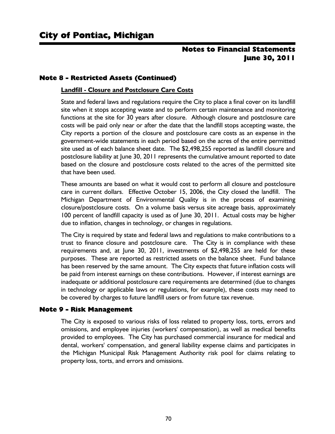#### Note 8 - Restricted Assets (Continued)

#### **Landfill - Closure and Postclosure Care Costs**

State and federal laws and regulations require the City to place a final cover on its landfill site when it stops accepting waste and to perform certain maintenance and monitoring functions at the site for 30 years after closure. Although closure and postclosure care costs will be paid only near or after the date that the landfill stops accepting waste, the City reports a portion of the closure and postclosure care costs as an expense in the government-wide statements in each period based on the acres of the entire permitted site used as of each balance sheet date. The \$2,498,255 reported as landfill closure and postclosure liability at June 30, 2011 represents the cumulative amount reported to date based on the closure and postclosure costs related to the acres of the permitted site that have been used.

These amounts are based on what it would cost to perform all closure and postclosure care in current dollars. Effective October 15, 2006, the City closed the landfill. The Michigan Department of Environmental Quality is in the process of examining closure/postclosure costs. On a volume basis versus site acreage basis, approximately 100 percent of landfill capacity is used as of June 30, 2011. Actual costs may be higher due to inflation, changes in technology, or changes in regulations.

The City is required by state and federal laws and regulations to make contributions to a trust to finance closure and postclosure care. The City is in compliance with these requirements and, at June 30, 2011, investments of \$2,498,255 are held for these purposes. These are reported as restricted assets on the balance sheet. Fund balance has been reserved by the same amount. The City expects that future inflation costs will be paid from interest earnings on these contributions. However, if interest earnings are inadequate or additional postclosure care requirements are determined (due to changes in technology or applicable laws or regulations, for example), these costs may need to be covered by charges to future landfill users or from future tax revenue.

#### Note 9 - Risk Management

The City is exposed to various risks of loss related to property loss, torts, errors and omissions, and employee injuries (workers' compensation), as well as medical benefits provided to employees. The City has purchased commercial insurance for medical and dental, workers' compensation, and general liability expense claims and participates in the Michigan Municipal Risk Management Authority risk pool for claims relating to property loss, torts, and errors and omissions.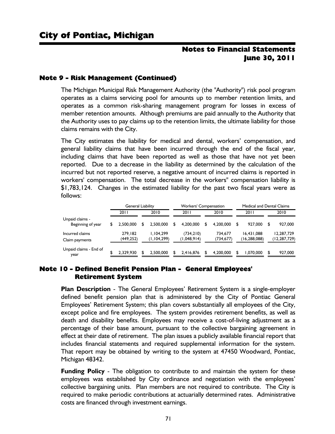#### Note 9 - Risk Management (Continued)

The Michigan Municipal Risk Management Authority (the "Authority") risk pool program operates as a claims servicing pool for amounts up to member retention limits, and operates as a common risk-sharing management program for losses in excess of member retention amounts. Although premiums are paid annually to the Authority that the Authority uses to pay claims up to the retention limits, the ultimate liability for those claims remains with the City.

The City estimates the liability for medical and dental, workers' compensation, and general liability claims that have been incurred through the end of the fiscal year, including claims that have been reported as well as those that have not yet been reported. Due to a decrease in the liability as determined by the calculation of the incurred but not reported reserve, a negative amount of incurred claims is reported in workers' compensation. The total decrease in the workers'' compensation liability is \$1,783,124. Changes in the estimated liability for the past two fiscal years were as follows:

|                                      | <b>General Liability</b> |   |                          | <b>Workers' Compensation</b> |                           |     |                       | <b>Medical and Dental Claims</b> |                            |    |                            |  |
|--------------------------------------|--------------------------|---|--------------------------|------------------------------|---------------------------|-----|-----------------------|----------------------------------|----------------------------|----|----------------------------|--|
|                                      | 2011                     |   | 2010                     |                              | 2011                      |     | 2010                  |                                  | 2011                       |    | 2010                       |  |
| Unpaid claims -<br>Beginning of year | 2.500.000                |   | 2.500.000                | S                            | 4.200.000                 | S   | 4.200.000             | S                                | 927.000                    | S  | 927,000                    |  |
| Incurred claims<br>Claim payments    | 279.182<br>(449,252)     |   | 1.104.299<br>(1,104,299) |                              | (734, 210)<br>(1,048,914) |     | 734.677<br>(734, 677) |                                  | 16.431.088<br>(16,288,088) |    | 12,287,729<br>(12,287,729) |  |
| Unpaid claims - End of<br>year       | 2.329.930                | S | 2.500.000                | S                            | 2,416,876                 | \$. | 4.200.000             | \$                               | 1.070.000                  | \$ | 927,000                    |  |

#### Note 10 - Defined Benefit Pension Plan - General Employees' Retirement System

**Plan Description** - The General Employees' Retirement System is a single-employer defined benefit pension plan that is administered by the City of Pontiac General Employees' Retirement System; this plan covers substantially all employees of the City, except police and fire employees. The system provides retirement benefits, as well as death and disability benefits. Employees may receive a cost-of-living adjustment as a percentage of their base amount, pursuant to the collective bargaining agreement in effect at their date of retirement. The plan issues a publicly available financial report that includes financial statements and required supplemental information for the system. That report may be obtained by writing to the system at 47450 Woodward, Pontiac, Michigan 48342.

**Funding Policy** - The obligation to contribute to and maintain the system for these employees was established by City ordinance and negotiation with the employees' collective bargaining units. Plan members are not required to contribute. The City is required to make periodic contributions at actuarially determined rates. Administrative costs are financed through investment earnings.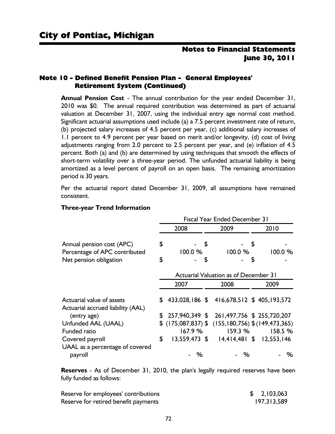#### Note 10 - Defined Benefit Pension Plan - General Employees' Retirement System (Continued)

**Annual Pension Cost** - The annual contribution for the year ended December 31, 2010 was \$0. The annual required contribution was determined as part of actuarial valuation at December 31, 2007, using the individual entry age normal cost method. Significant actuarial assumptions used include (a) a 7.5 percent investment rate of return, (b) projected salary increases of 4.5 percent per year, (c) additional salary increases of 1.1 percent to 4.9 percent per year based on merit and/or longevity, (d) cost of living adjustments ranging from 2.0 percent to 2.5 percent per year, and (e) inflation of 4.5 percent. Both (a) and (b) are determined by using techniques that smooth the effects of short-term volatility over a three-year period. The unfunded actuarial liability is being amortized as a level percent of payroll on an open basis. The remaining amortization period is 30 years.

Per the actuarial report dated December 31, 2009, all assumptions have remained consistent.

|                                                                | <b>Fiscal Year Ended December 31</b> |                                              |    |                                                       |   |        |  |  |  |  |  |
|----------------------------------------------------------------|--------------------------------------|----------------------------------------------|----|-------------------------------------------------------|---|--------|--|--|--|--|--|
|                                                                |                                      | 2008                                         |    | 2009                                                  |   | 2010   |  |  |  |  |  |
| Annual pension cost (APC)<br>Percentage of APC contributed     | \$                                   | $100.0 \%$                                   | \$ | 100.0%                                                | S | 100.0% |  |  |  |  |  |
| Net pension obligation                                         | \$                                   |                                              | S  |                                                       | S |        |  |  |  |  |  |
|                                                                |                                      | <b>Actuarial Valuation as of December 31</b> |    |                                                       |   |        |  |  |  |  |  |
|                                                                |                                      | 2007                                         |    | 2008                                                  |   | 2009   |  |  |  |  |  |
| Actuarial value of assets<br>Actuarial accrued liability (AAL) |                                      |                                              |    | $$433,028,186$ $$416,678,512$ $$405,193,572$          |   |        |  |  |  |  |  |
| (entry age)                                                    | S.                                   |                                              |    | 257,940,349 \$ 261,497,756 \$ 255,720,207             |   |        |  |  |  |  |  |
| Unfunded AAL (UAAL)                                            |                                      |                                              |    | $$$ (175,087,837) $$$ (155,180,756) $$$ (149,473,365) |   |        |  |  |  |  |  |
| Funded ratio                                                   |                                      | <b>167.9 %</b>                               |    | <b>159.3 %</b>                                        |   | 158.5% |  |  |  |  |  |
| Covered payroll                                                | \$                                   |                                              |    | 13,559,473 \$ 14,414,481 \$ 12,553,146                |   |        |  |  |  |  |  |
| UAAL as a percentage of covered<br>payroll                     |                                      | %                                            |    | %                                                     |   | %      |  |  |  |  |  |

#### **Three-year Trend Information**

**Reserves** - As of December 31, 2010, the plan's legally required reserves have been fully funded as follows:

| Reserve for employees' contributions | \$2,103,063 |
|--------------------------------------|-------------|
| Reserve for retired benefit payments | 197,313,589 |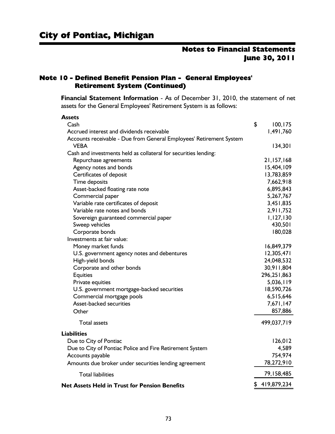**Assets**

## Notes to Financial Statements June 30, 2011

#### Note 10 - Defined Benefit Pension Plan - General Employees' Retirement System (Continued)

**Financial Statement Information** - As of December 31, 2010, the statement of net assets for the General Employees' Retirement System is as follows:

| дээсгэ                                                              |                |
|---------------------------------------------------------------------|----------------|
| Cash                                                                | \$<br>100, 175 |
| Accrued interest and dividends receivable                           | 1,491,760      |
| Accounts receivable - Due from General Employees' Retirement System |                |
| <b>VEBA</b>                                                         | 134,301        |
| Cash and investments held as collateral for securities lending:     |                |
| Repurchase agreements                                               | 21,157,168     |
| Agency notes and bonds                                              | 15,404,109     |
| Certificates of deposit                                             | 13,783,859     |
| Time deposits                                                       | 7,662,918      |
| Asset-backed floating rate note                                     | 6,895,843      |
| Commercial paper                                                    | 5,267,767      |
| Variable rate certificates of deposit                               | 3,451,835      |
| Variable rate notes and bonds                                       | 2,911,752      |
| Sovereign guaranteed commercial paper                               | 1,127,130      |
| Sweep vehicles                                                      | 430,501        |
| Corporate bonds                                                     | 180,028        |
| Investments at fair value:                                          |                |
| Money market funds                                                  | 16,849,379     |
| U.S. government agency notes and debentures                         | 12,305,471     |
| High-yield bonds                                                    | 24,048,532     |
| Corporate and other bonds                                           | 30,911,804     |
| <b>Equities</b>                                                     | 296, 251, 863  |
| Private equities                                                    | 5,036,119      |
| U.S. government mortgage-backed securities                          | 18,590,726     |
| Commercial mortgage pools                                           | 6,515,646      |
| Asset-backed securities                                             | 7,671,147      |
| Other                                                               | 857,886        |
| <b>Total assets</b>                                                 | 499,037,719    |
| <b>Liabilities</b>                                                  |                |
| Due to City of Pontiac                                              | 126,012        |
| Due to City of Pontiac Police and Fire Retirement System            | 4,589          |
| Accounts payable                                                    | 754,974        |
| Amounts due broker under securities lending agreement               | 78,272,910     |
| <b>Total liabilities</b>                                            | 79,158,485     |
| <b>Net Assets Held in Trust for Pension Benefits</b>                | \$419,879,234  |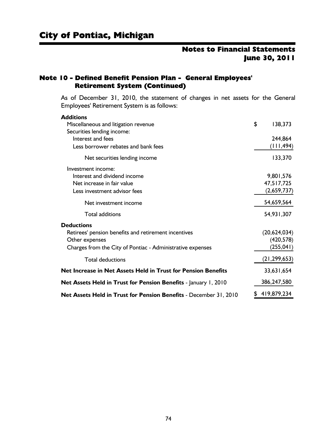#### Note 10 - Defined Benefit Pension Plan - General Employees' Retirement System (Continued)

As of December 31, 2010, the statement of changes in net assets for the General Employees' Retirement System is as follows:

| <b>Additions</b>                                                         |                |
|--------------------------------------------------------------------------|----------------|
| Miscellaneous and litigation revenue                                     | \$<br>138,373  |
| Securities lending income:                                               |                |
| Interest and fees                                                        | 244,864        |
| Less borrower rebates and bank fees                                      | (111, 494)     |
| Net securities lending income                                            | 133,370        |
| Investment income:                                                       |                |
| Interest and dividend income                                             | 9,801,576      |
| Net increase in fair value                                               | 47,517,725     |
| Less investment advisor fees                                             | (2,659,737)    |
| Net investment income                                                    | 54,659,564     |
| <b>Total additions</b>                                                   | 54,931,307     |
| <b>Deductions</b>                                                        |                |
| Retirees' pension benefits and retirement incentives                     | (20,624,034)   |
| Other expenses                                                           | (420, 578)     |
| Charges from the City of Pontiac - Administrative expenses               | (255, 041)     |
| <b>Total deductions</b>                                                  | (21, 299, 653) |
| Net Increase in Net Assets Held in Trust for Pension Benefits            | 33,631,654     |
| <b>Net Assets Held in Trust for Pension Benefits</b> - January 1, 2010   | 386,247,580    |
| <b>Net Assets Held in Trust for Pension Benefits</b> - December 31, 2010 | 419,879,234    |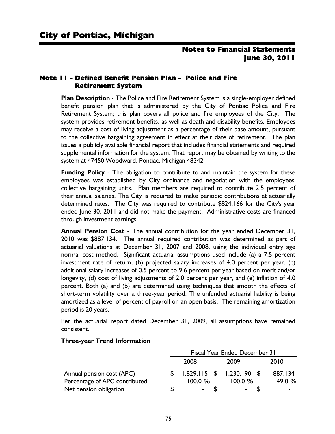#### Note 11 - Defined Benefit Pension Plan - Police and Fire Retirement System

**Plan Description** - The Police and Fire Retirement System is a single-employer defined benefit pension plan that is administered by the City of Pontiac Police and Fire Retirement System; this plan covers all police and fire employees of the City. The system provides retirement benefits, as well as death and disability benefits. Employees may receive a cost of living adjustment as a percentage of their base amount, pursuant to the collective bargaining agreement in effect at their date of retirement. The plan issues a publicly available financial report that includes financial statements and required supplemental information for the system. That report may be obtained by writing to the system at 47450 Woodward, Pontiac, Michigan 48342

**Funding Policy** - The obligation to contribute to and maintain the system for these employees was established by City ordinance and negotiation with the employees' collective bargaining units. Plan members are required to contribute 2.5 percent of their annual salaries. The City is required to make periodic contributions at actuarially determined rates. The City was required to contribute \$824,166 for the City's year ended June 30, 2011 and did not make the payment. Administrative costs are financed through investment earnings.

**Annual Pension Cost** - The annual contribution for the year ended December 31, 2010 was \$887,134. The annual required contribution was determined as part of actuarial valuations at December 31, 2007 and 2008, using the individual entry age normal cost method. Significant actuarial assumptions used include (a) a 7.5 percent investment rate of return, (b) projected salary increases of 4.0 percent per year, (c) additional salary increases of 0.5 percent to 9.6 percent per year based on merit and/or longevity, (d) cost of living adjustments of 2.0 percent per year, and (e) inflation of 4.0 percent. Both (a) and (b) are determined using techniques that smooth the effects of short-term volatility over a three-year period. The unfunded actuarial liability is being amortized as a level of percent of payroll on an open basis. The remaining amortization period is 20 years.

Per the actuarial report dated December 31, 2009, all assumptions have remained consistent.

|                               | <b>Fiscal Year Ended December 31</b> |  |                             |  |         |  |  |  |  |
|-------------------------------|--------------------------------------|--|-----------------------------|--|---------|--|--|--|--|
|                               | 2008                                 |  | 2009                        |  | 2010    |  |  |  |  |
| Annual pension cost (APC)     |                                      |  | $1,829,115$ \$ 1,230,190 \$ |  | 887,134 |  |  |  |  |
| Percentage of APC contributed | 100.0%                               |  | 100.0%                      |  | 49.0 %  |  |  |  |  |
| Net pension obligation        | $\,$                                 |  |                             |  |         |  |  |  |  |

#### **Three-year Trend Information**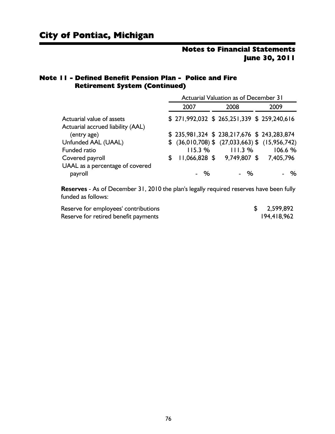#### Note 11 - Defined Benefit Pension Plan - Police and Fire Retirement System (Continued)

|                                   | <b>Actuarial Valuation as of December 31</b> |        |      |                                              |  |                                                    |  |  |
|-----------------------------------|----------------------------------------------|--------|------|----------------------------------------------|--|----------------------------------------------------|--|--|
|                                   |                                              | 2007   | 2009 |                                              |  |                                                    |  |  |
| Actuarial value of assets         |                                              |        |      | \$ 271,992,032 \$ 265,251,339 \$ 259,240,616 |  |                                                    |  |  |
| Actuarial accrued liability (AAL) |                                              |        |      |                                              |  |                                                    |  |  |
| (entry age)                       |                                              |        |      | \$ 235,981,324 \$ 238,217,676 \$ 243,283,874 |  |                                                    |  |  |
| Unfunded AAL (UAAL)               |                                              |        |      |                                              |  | $$$ (36,010,708) $$$ (27,033,663) $$$ (15,956,742) |  |  |
| <b>Funded ratio</b>               |                                              | 115.3% |      | 111.3%                                       |  | 106.6%                                             |  |  |
| Covered payroll                   | \$.                                          |        |      | 11,066,828 \$ 9,749,807 \$ 7,405,796         |  |                                                    |  |  |
| UAAL as a percentage of covered   |                                              | - %    |      | - %                                          |  | %                                                  |  |  |
| payroll                           |                                              |        |      |                                              |  |                                                    |  |  |

**Reserves** - As of December 31, 2010 the plan's legally required reserves have been fully funded as follows:

| Reserve for employees' contributions | 2,599,892   |
|--------------------------------------|-------------|
| Reserve for retired benefit payments | 194,418,962 |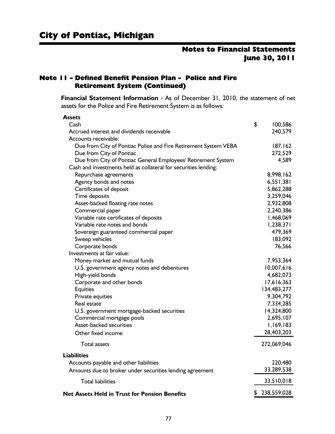#### Note 11 - Defined Benefit Pension Plan - Police and Fire Retirement System (Continued)

**Financial Statement Information** - As of December 31, 2010, the statement of net assets for the Police and Fire Retirement System is as follows:

| <b>Assets</b>                                                   |               |
|-----------------------------------------------------------------|---------------|
| Cash                                                            | \$<br>100,586 |
| Accrued interest and dividends receivable                       | 240,579       |
| Accounts receivable:                                            |               |
| Due from City of Pontiac Police and Fire Retirement System VEBA | 187, 162      |
| Due from City of Pontiac                                        | 272,529       |
| Due from City of Pontiac General Employees' Retirement System   | 4,589         |
| Cash and investments held as collateral for securities lending: |               |
| Repurchase agreements                                           | 8,998,162     |
| Agency bonds and notes                                          | 6,551,381     |
| Certificates of deposit                                         | 5,862,288     |
| Time deposits                                                   | 3,259,046     |
| Asset-backed floating rate notes                                | 2,932,808     |
| Commercial paper                                                | 2,240,386     |
| Variable rate certificates of deposits                          | 1,468,069     |
| Variable rate notes and bonds                                   | 1,238,371     |
| Sovereign guaranteed commercial paper                           | 479,369       |
| Sweep vehicles                                                  | 183,092       |
| Corporate bonds                                                 | 76,566        |
| Investments at fair value:                                      |               |
| Money market and mutual funds                                   | 7,953,364     |
| U.S. government agency notes and debentures                     | 10,007,616    |
| High-yield bonds                                                | 4,682,073     |
| Corporate and other bonds                                       | 17,616,363    |
| <b>Equities</b>                                                 | 134,483,277   |
| Private equities                                                | 9,304,792     |
| Real estate                                                     | 7,334,285     |
| U.S. government mortgage-backed securities                      | 14,324,800    |
| Commercial mortgage pools                                       | 2,695,107     |
| Asset-backed securities                                         | 1,169,183     |
| Other fixed income                                              | 28,403,203    |
| <b>Total assets</b>                                             | 272,069,046   |
| <b>Liabilities</b>                                              |               |
| Accounts payable and other liabilities                          | 220,480       |
| Amounts due to broker under securities lending agreement        | 33,289,538    |
| <b>Total liabilities</b>                                        | 33,510,018    |
| <b>Net Assets Held in Trust for Pension Benefits</b>            | \$238,559,028 |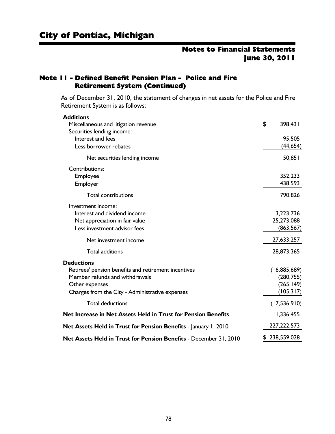#### Note 11 - Defined Benefit Pension Plan - Police and Fire Retirement System (Continued)

As of December 31, 2010, the statement of changes in net assets for the Police and Fire Retirement System is as follows:

| <b>Additions</b>                                                  |                |
|-------------------------------------------------------------------|----------------|
| Miscellaneous and litigation revenue                              | \$<br>398,431  |
| Securities lending income:                                        |                |
| Interest and fees                                                 | 95,505         |
| Less borrower rebates                                             | (44,654)       |
| Net securities lending income                                     | 50,851         |
| <b>Contributions:</b>                                             |                |
| Employee                                                          | 352,233        |
| Employer                                                          | 438,593        |
| <b>Total contributions</b>                                        | 790,826        |
| Investment income:                                                |                |
| Interest and dividend income                                      | 3,223,736      |
| Net appreciation in fair value                                    | 25,273,088     |
| Less investment advisor fees                                      | (863, 567)     |
| Net investment income                                             | 27,633,257     |
| <b>Total additions</b>                                            | 28,873,365     |
| <b>Deductions</b>                                                 |                |
| Retirees' pension benefits and retirement incentives              | (16,885,689)   |
| Member refunds and withdrawals                                    | (280, 755)     |
| Other expenses                                                    | (265, 149)     |
| Charges from the City - Administrative expenses                   | (105, 317)     |
| <b>Total deductions</b>                                           | (17, 536, 910) |
| Net Increase in Net Assets Held in Trust for Pension Benefits     | 11,336,455     |
| Net Assets Held in Trust for Pension Benefits - January 1, 2010   | 227,222,573    |
| Net Assets Held in Trust for Pension Benefits - December 31, 2010 | \$238,559,028  |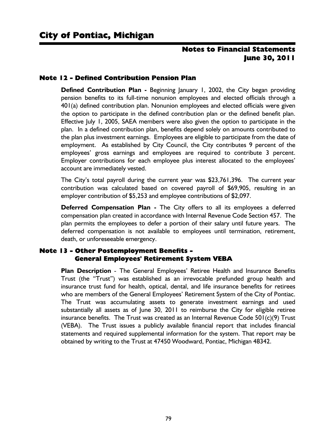#### Note 12 - Defined Contribution Pension Plan

**Defined Contribution Plan -** Beginning January 1, 2002, the City began providing pension benefits to its full-time nonunion employees and elected officials through a 401(a) defined contribution plan. Nonunion employees and elected officials were given the option to participate in the defined contribution plan or the defined benefit plan. Effective July 1, 2005, SAEA members were also given the option to participate in the plan. In a defined contribution plan, benefits depend solely on amounts contributed to the plan plus investment earnings. Employees are eligible to participate from the date of employment. As established by City Council, the City contributes 9 percent of the employees' gross earnings and employees are required to contribute 3 percent. Employer contributions for each employee plus interest allocated to the employees' account are immediately vested.

The City's total payroll during the current year was \$23,761,396. The current year contribution was calculated based on covered payroll of \$69,905, resulting in an employer contribution of \$5,253 and employee contributions of \$2,097.

**Deferred Compensation Plan -** The City offers to all its employees a deferred compensation plan created in accordance with Internal Revenue Code Section 457. The plan permits the employees to defer a portion of their salary until future years. The deferred compensation is not available to employees until termination, retirement, death, or unforeseeable emergency.

#### Note 13 - Other Postemployment Benefits - General Employees' Retirement System VEBA

**Plan Description** - The General Employees' Retiree Health and Insurance Benefits Trust (the "Trust") was established as an irrevocable prefunded group health and insurance trust fund for health, optical, dental, and life insurance benefits for retirees who are members of the General Employees' Retirement System of the City of Pontiac. The Trust was accumulating assets to generate investment earnings and used substantially all assets as of June 30, 2011 to reimburse the City for eligible retiree insurance benefits. The Trust was created as an Internal Revenue Code  $501(c)(9)$  Trust (VEBA). The Trust issues a publicly available financial report that includes financial statements and required supplemental information for the system. That report may be obtained by writing to the Trust at 47450 Woodward, Pontiac, Michigan 48342.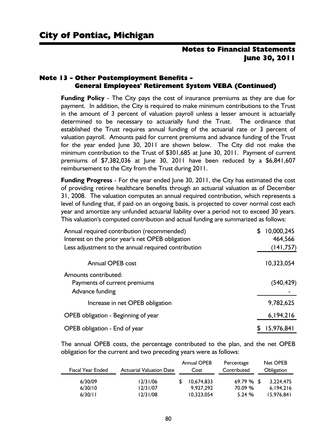#### Note 13 - Other Postemployment Benefits - General Employees' Retirement System VEBA (Continued)

**Funding Policy** - The City pays the cost of insurance premiums as they are due for payment. In addition, the City is required to make minimum contributions to the Trust in the amount of 3 percent of valuation payroll unless a lesser amount is actuarially determined to be necessary to actuarially fund the Trust. The ordinance that established the Trust requires annual funding of the actuarial rate or 3 percent of valuation payroll. Amounts paid for current premiums and advance funding of the Trust for the year ended June 30, 2011 are shown below. The City did not make the minimum contribution to the Trust of \$301,685 at June 30, 2011. Payment of current premiums of \$7,382,036 at June 30, 2011 have been reduced by a \$6,841,607 reimbursement to the City from the Trust during 2011.

**Funding Progress** - For the year ended June 30, 2011, the City has estimated the cost of providing retiree healthcare benefits through an actuarial valuation as of December 31, 2008. The valuation computes an annual required contribution, which represents a level of funding that, if paid on an ongoing basis, is projected to cover normal cost each year and amortize any unfunded actuarial liability over a period not to exceed 30 years. This valuation's computed contribution and actual funding are summarized as follows:

| Annual required contribution (recommended)<br>Interest on the prior year's net OPEB obligation | 10,000,245<br>S<br>464,566 |
|------------------------------------------------------------------------------------------------|----------------------------|
| Less adjustment to the annual required contribution                                            | (141,757)                  |
| Annual OPEB cost                                                                               | 10,323,054                 |
| Amounts contributed:<br>Payments of current premiums<br>Advance funding                        | (540, 429)                 |
| Increase in net OPEB obligation                                                                | 9,782,625                  |
| OPEB obligation - Beginning of year                                                            | 6,194,216                  |
| OPEB obligation - End of year                                                                  | 15,976,841                 |

The annual OPEB costs, the percentage contributed to the plan, and the net OPEB obligation for the current and two preceding years were as follows:

| <b>Fiscal Year Ended</b>      | <b>Actuarial Valuation Date</b>  | <b>Annual OPEB</b><br>Cost            | Percentage<br>Contributed       | Net OPEB<br>Obligation               |
|-------------------------------|----------------------------------|---------------------------------------|---------------------------------|--------------------------------------|
| 6/30/09<br>6/30/10<br>6/30/11 | 12/31/06<br>12/31/07<br>12/31/08 | 10,674,833<br>9.927.292<br>10.323.054 | $69.79%$ \$<br>70.09 %<br>5.24% | 3.224.475<br>6.194.216<br>15,976,841 |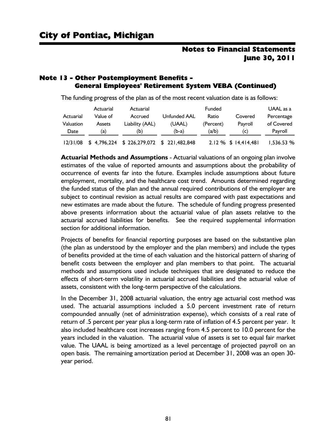#### Note 13 - Other Postemployment Benefits - General Employees' Retirement System VEBA (Continued)

| The funding progress of the plan as of the most recent valuation date is as follows: |  |  |
|--------------------------------------------------------------------------------------|--|--|
|--------------------------------------------------------------------------------------|--|--|

|           | Actuarial     | Actuarial                                  |              | Funded    |                        | UAAL as a  |
|-----------|---------------|--------------------------------------------|--------------|-----------|------------------------|------------|
| Actuarial | Value of      | Accrued                                    | Unfunded AAL | Ratio     | Covered                | Percentage |
| Valuation | <b>Assets</b> | Liability (AAL)                            | (UAAL)       | (Percent) | Payroll                | of Covered |
| Date      | (a)           | (b)                                        | $(b-a)$      | (a/b)     | (C)                    | Payroll    |
| 12/31/08  |               | $$4,796,224$ $$226,279,072$ $$221,482,848$ |              |           | $2.12\%$ \$ 14,414,481 | 1.536.53%  |

**Actuarial Methods and Assumptions** - Actuarial valuations of an ongoing plan involve estimates of the value of reported amounts and assumptions about the probability of occurrence of events far into the future. Examples include assumptions about future employment, mortality, and the healthcare cost trend. Amounts determined regarding the funded status of the plan and the annual required contributions of the employer are subject to continual revision as actual results are compared with past expectations and new estimates are made about the future. The schedule of funding progress presented above presents information about the actuarial value of plan assets relative to the actuarial accrued liabilities for benefits. See the required supplemental information section for additional information.

Projects of benefits for financial reporting purposes are based on the substantive plan (the plan as understood by the employer and the plan members) and include the types of benefits provided at the time of each valuation and the historical pattern of sharing of benefit costs between the employer and plan members to that point. The actuarial methods and assumptions used include techniques that are designated to reduce the effects of short-term volatility in actuarial accrued liabilities and the actuarial value of assets, consistent with the long-term perspective of the calculations.

In the December 31, 2008 actuarial valuation, the entry age actuarial cost method was used. The actuarial assumptions included a 5.0 percent investment rate of return compounded annually (net of administration expense), which consists of a real rate of return of .5 percent per year plus a long-term rate of inflation of 4.5 percent per year. It also included healthcare cost increases ranging from 4.5 percent to 10.0 percent for the years included in the valuation. The actuarial value of assets is set to equal fair market value. The UAAL is being amortized as a level percentage of projected payroll on an open basis. The remaining amortization period at December 31, 2008 was an open 30 year period.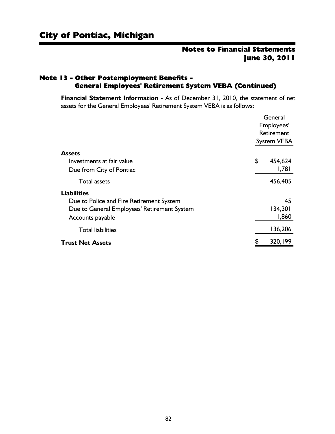#### Note 13 - Other Postemployment Benefits - General Employees' Retirement System VEBA (Continued)

**Financial Statement Information** - As of December 31, 2010, the statement of net assets for the General Employees' Retirement System VEBA is as follows:

|                                             | General    |             |
|---------------------------------------------|------------|-------------|
|                                             | Employees' |             |
|                                             | Retirement |             |
|                                             |            | System VEBA |
| <b>Assets</b>                               |            |             |
| Investments at fair value                   | \$         | 454,624     |
| Due from City of Pontiac                    |            | 1,781       |
| <b>Total assets</b>                         |            | 456,405     |
| <b>Liabilities</b>                          |            |             |
| Due to Police and Fire Retirement System    |            | 45          |
| Due to General Employees' Retirement System |            | 134,301     |
| Accounts payable                            |            | 1,860       |
| <b>Total liabilities</b>                    |            | 136,206     |
| <b>Trust Net Assets</b>                     | \$         | 320,199     |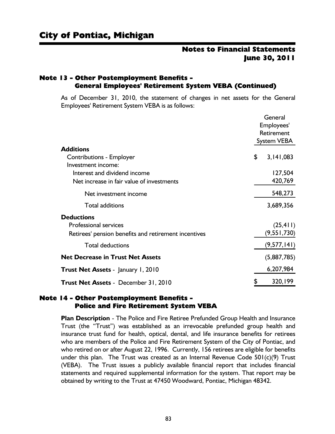#### Note 13 - Other Postemployment Benefits - General Employees' Retirement System VEBA (Continued)

As of December 31, 2010, the statement of changes in net assets for the General Employees' Retirement System VEBA is as follows:

|                                                      | General            |
|------------------------------------------------------|--------------------|
|                                                      | Employees'         |
|                                                      | Retirement         |
|                                                      | <b>System VEBA</b> |
| <b>Additions</b>                                     |                    |
| <b>Contributions - Employer</b>                      | \$<br>3,141,083    |
| Investment income:                                   |                    |
| Interest and dividend income                         | 127,504            |
| Net increase in fair value of investments            | 420,769            |
| Net investment income                                | 548,273            |
| <b>Total additions</b>                               | 3,689,356          |
| <b>Deductions</b>                                    |                    |
| Professional services                                | (25, 411)          |
| Retirees' pension benefits and retirement incentives | (9, 551, 730)      |
| <b>Total deductions</b>                              | (9,577,141)        |
| <b>Net Decrease in Trust Net Assets</b>              | (5,887,785)        |
| <b>Trust Net Assets</b> - January 1, 2010            | 6,207,984          |
| <b>Trust Net Assets - December 31, 2010</b>          | 320,199            |
|                                                      |                    |

#### Note 14 - Other Postemployment Benefits - Police and Fire Retirement System VEBA

**Plan Description** - The Police and Fire Retiree Prefunded Group Health and Insurance Trust (the "Trust") was established as an irrevocable prefunded group health and insurance trust fund for health, optical, dental, and life insurance benefits for retirees who are members of the Police and Fire Retirement System of the City of Pontiac, and who retired on or after August 22, 1996. Currently, 156 retirees are eligible for benefits under this plan. The Trust was created as an Internal Revenue Code  $501(c)(9)$  Trust (VEBA). The Trust issues a publicly available financial report that includes financial statements and required supplemental information for the system. That report may be obtained by writing to the Trust at 47450 Woodward, Pontiac, Michigan 48342.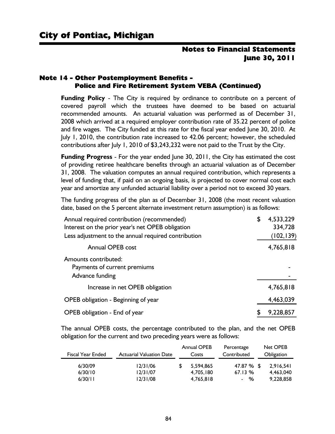#### Note 14 - Other Postemployment Benefits - Police and Fire Retirement System VEBA (Continued)

**Funding Policy** - The City is required by ordinance to contribute on a percent of covered payroll which the trustees have deemed to be based on actuarial recommended amounts. An actuarial valuation was performed as of December 31, 2008 which arrived at a required employer contribution rate of 35.22 percent of police and fire wages. The City funded at this rate for the fiscal year ended June 30, 2010. At July 1, 2010, the contribution rate increased to 42.06 percent; however, the scheduled contributions after July 1, 2010 of \$3,243,232 were not paid to the Trust by the City.

**Funding Progress** - For the year ended June 30, 2011, the City has estimated the cost of providing retiree healthcare benefits through an actuarial valuation as of December 31, 2008. The valuation computes an annual required contribution, which represents a level of funding that, if paid on an ongoing basis, is projected to cover normal cost each year and amortize any unfunded actuarial liability over a period not to exceed 30 years.

The funding progress of the plan as of December 31, 2008 (the most recent valuation date, based on the 5 percent alternate investment return assumption) is as follows:

| Annual required contribution (recommended)          | \$<br>4,533,229 |
|-----------------------------------------------------|-----------------|
| Interest on the prior year's net OPEB obligation    | 334,728         |
| Less adjustment to the annual required contribution | (102, 139)      |
| <b>Annual OPEB cost</b>                             | 4,765,818       |
| Amounts contributed:                                |                 |
| Payments of current premiums                        |                 |
| Advance funding                                     |                 |
| Increase in net OPEB obligation                     | 4,765,818       |
| OPEB obligation - Beginning of year                 | 4,463,039       |
| OPEB obligation - End of year                       | 9,228,857       |

The annual OPEB costs, the percentage contributed to the plan, and the net OPEB obligation for the current and two preceding years were as follows:

| Fiscal Year Ended  | <b>Actuarial Valuation Date</b> | <b>Annual OPEB</b><br>Costs | Percentage<br>Contributed | Net OPEB<br>Obligation |
|--------------------|---------------------------------|-----------------------------|---------------------------|------------------------|
| 6/30/09            | 12/31/06                        | 5.594.865                   | 47.87 % \$                | 2.916.541              |
| 6/30/10<br>6/30/11 | 12/31/07<br>12/31/08            | 4.705.180<br>4.765.818      | 67.13%<br>- %             | 4.463.040<br>9.228.858 |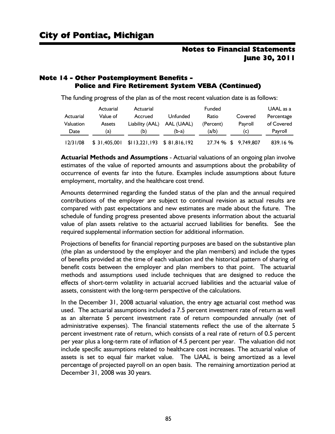#### Note 14 - Other Postemployment Benefits - Police and Fire Retirement System VEBA (Continued)

The funding progress of the plan as of the most recent valuation date is as follows:

|           | Actuarial     | Actuarial                    |            | Funded    |                      | UAAL as a  |
|-----------|---------------|------------------------------|------------|-----------|----------------------|------------|
| Actuarial | Value of      | Accrued                      | Unfunded   | Ratio     | Covered              | Percentage |
| Valuation | <b>Assets</b> | Liability (AAL)              | AAL (UAAL) | (Percent) | Payroll              | of Covered |
| Date      | (a)           | (b)                          | $(b-a)$    | (a/b)     | (C)                  | Payroll    |
| 12/31/08  | \$31,405,001  | $$113,221,193$ $$81,816,192$ |            |           | 27.74 % \$ 9,749,807 | 839.16%    |

**Actuarial Methods and Assumptions** - Actuarial valuations of an ongoing plan involve estimates of the value of reported amounts and assumptions about the probability of occurrence of events far into the future. Examples include assumptions about future employment, mortality, and the healthcare cost trend.

Amounts determined regarding the funded status of the plan and the annual required contributions of the employer are subject to continual revision as actual results are compared with past expectations and new estimates are made about the future. The schedule of funding progress presented above presents information about the actuarial value of plan assets relative to the actuarial accrued liabilities for benefits. See the required supplemental information section for additional information.

Projections of benefits for financial reporting purposes are based on the substantive plan (the plan as understood by the employer and the plan members) and include the types of benefits provided at the time of each valuation and the historical pattern of sharing of benefit costs between the employer and plan members to that point. The actuarial methods and assumptions used include techniques that are designed to reduce the effects of short-term volatility in actuarial accrued liabilities and the actuarial value of assets, consistent with the long-term perspective of the calculations.

In the December 31, 2008 actuarial valuation, the entry age actuarial cost method was used. The actuarial assumptions included a 7.5 percent investment rate of return as well as an alternate 5 percent investment rate of return compounded annually (net of administrative expenses). The financial statements reflect the use of the alternate 5 percent investment rate of return, which consists of a real rate of return of 0.5 percent per year plus a long-term rate of inflation of 4.5 percent per year. The valuation did not include specific assumptions related to healthcare cost increases. The actuarial value of assets is set to equal fair market value. The UAAL is being amortized as a level percentage of projected payroll on an open basis. The remaining amortization period at December 31, 2008 was 30 years.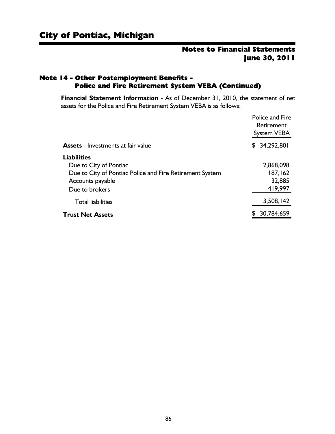#### Note 14 - Other Postemployment Benefits - Police and Fire Retirement System VEBA (Continued)

**Financial Statement Information** - As of December 31, 2010, the statement of net assets for the Police and Fire Retirement System VEBA is as follows:

|                                                          | <b>Police and Fire</b><br><b>Retirement</b><br>System VEBA |
|----------------------------------------------------------|------------------------------------------------------------|
| <b>Assets</b> - Investments at fair value                | \$34,292,801                                               |
| <b>Liabilities</b>                                       |                                                            |
| Due to City of Pontiac                                   | 2,868,098                                                  |
| Due to City of Pontiac Police and Fire Retirement System | 187,162                                                    |
| Accounts payable                                         | 32,885                                                     |
| Due to brokers                                           | 419,997                                                    |
| <b>Total liabilities</b>                                 | 3,508,142                                                  |
| <b>Trust Net Assets</b>                                  | 30,784,659                                                 |
|                                                          |                                                            |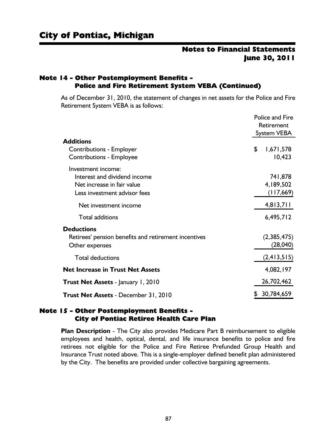#### Note 14 - Other Postemployment Benefits - Police and Fire Retirement System VEBA (Continued)

As of December 31, 2010, the statement of changes in net assets for the Police and Fire Retirement System VEBA is as follows:

|                                                                                                                  | <b>Police and Fire</b><br>Retirement<br><b>System VEBA</b> |
|------------------------------------------------------------------------------------------------------------------|------------------------------------------------------------|
| <b>Additions</b>                                                                                                 |                                                            |
| <b>Contributions - Employer</b><br><b>Contributions - Employee</b>                                               | \$<br>1,671,578<br>10,423                                  |
| Investment income:<br>Interest and dividend income<br>Net increase in fair value<br>Less investment advisor fees | 741,878<br>4,189,502<br>(117, 669)                         |
| Net investment income                                                                                            | 4,813,711                                                  |
| <b>Total additions</b>                                                                                           | 6,495,712                                                  |
| <b>Deductions</b><br>Retirees' pension benefits and retirement incentives<br>Other expenses                      | (2,385,475)<br>(28,040)                                    |
| <b>Total deductions</b>                                                                                          | (2,413,515)                                                |
| <b>Net Increase in Trust Net Assets</b>                                                                          | 4,082,197                                                  |
| <b>Trust Net Assets</b> - January 1, 2010                                                                        | 26,702,462                                                 |
| <b>Trust Net Assets - December 31, 2010</b>                                                                      | 30,784,659                                                 |

#### Note 15 - Other Postemployment Benefits - City of Pontiac Retiree Health Care Plan

**Plan Description** - The City also provides Medicare Part B reimbursement to eligible employees and health, optical, dental, and life insurance benefits to police and fire retirees not eligible for the Police and Fire Retiree Prefunded Group Health and Insurance Trust noted above. This is a single-employer defined benefit plan administered by the City. The benefits are provided under collective bargaining agreements.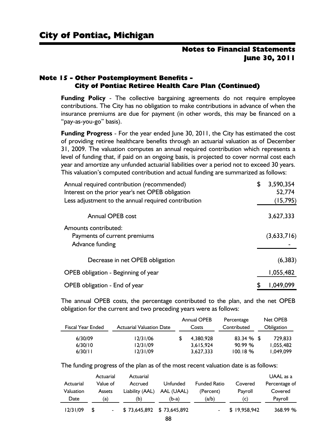#### Note 15 - Other Postemployment Benefits - City of Pontiac Retiree Health Care Plan (Continued)

**Funding Policy** - The collective bargaining agreements do not require employee contributions. The City has no obligation to make contributions in advance of when the insurance premiums are due for payment (in other words, this may be financed on a "pay-as-you-go" basis).

**Funding Progress** - For the year ended June 30, 2011, the City has estimated the cost of providing retiree healthcare benefits through an actuarial valuation as of December 31, 2009. The valuation computes an annual required contribution which represents a level of funding that, if paid on an ongoing basis, is projected to cover normal cost each year and amortize any unfunded actuarial liabilities over a period not to exceed 30 years. This valuation's computed contribution and actual funding are summarized as follows:

| Annual required contribution (recommended)                              | \$<br>3,590,354 |
|-------------------------------------------------------------------------|-----------------|
| Interest on the prior year's net OPEB obligation                        | 52,774          |
| Less adjustment to the annual required contribution                     | (15, 795)       |
| <b>Annual OPEB cost</b>                                                 | 3,627,333       |
| Amounts contributed:<br>Payments of current premiums<br>Advance funding | (3,633,716)     |
| Decrease in net OPEB obligation                                         | (6, 383)        |
| OPEB obligation - Beginning of year                                     | 1,055,482       |
| OPEB obligation - End of year                                           | 1,049,099       |

The annual OPEB costs, the percentage contributed to the plan, and the net OPEB obligation for the current and two preceding years were as follows:

| Fiscal Year Ended             | <b>Actuarial Valuation Date</b>  | <b>Annual OPEB</b><br>Costs         | Percentage<br>Contributed          | Net OPEB<br>Obligation            |
|-------------------------------|----------------------------------|-------------------------------------|------------------------------------|-----------------------------------|
| 6/30/09<br>6/30/10<br>6/30/11 | 12/31/06<br>12/31/09<br>12/31/09 | 4,380,928<br>3,615,924<br>3.627.333 | $83.34 \%$ \$<br>90.99%<br>100.18% | 729.833<br>1.055.482<br>1.049.099 |

The funding progress of the plan as of the most recent valuation date is as follows:

|           | Actuarial     | Actuarial                 |            |                     |              | UAAL as a     |
|-----------|---------------|---------------------------|------------|---------------------|--------------|---------------|
| Actuarial | Value of      | Accrued                   | Unfunded   | <b>Funded Ratio</b> | Covered      | Percentage of |
| Valuation | <b>Assets</b> | Liability (AAL)           | AAL (UAAL) | (Percent)           | Payroll      | Covered       |
| Date      | (a)           | (b)                       | (b-a)      | (a/b)               | (C)          | Payroll       |
| 12/31/09  | -\$           | \$73,645,892 \$73,645,892 |            |                     | \$19,958,942 | 368.99 %      |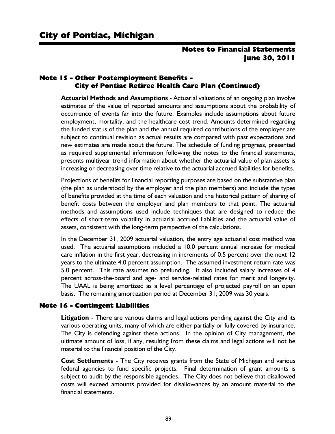#### Note 15 - Other Postemployment Benefits - City of Pontiac Retiree Health Care Plan (Continued)

**Actuarial Methods and Assumptions** - Actuarial valuations of an ongoing plan involve estimates of the value of reported amounts and assumptions about the probability of occurrence of events far into the future. Examples include assumptions about future employment, mortality, and the healthcare cost trend. Amounts determined regarding the funded status of the plan and the annual required contributions of the employer are subject to continual revision as actual results are compared with past expectations and new estimates are made about the future. The schedule of funding progress, presented as required supplemental information following the notes to the financial statements, presents multiyear trend information about whether the actuarial value of plan assets is increasing or decreasing over time relative to the actuarial accrued liabilities for benefits.

Projections of benefits for financial reporting purposes are based on the substantive plan (the plan as understood by the employer and the plan members) and include the types of benefits provided at the time of each valuation and the historical pattern of sharing of benefit costs between the employer and plan members to that point. The actuarial methods and assumptions used include techniques that are designed to reduce the effects of short-term volatility in actuarial accrued liabilities and the actuarial value of assets, consistent with the long-term perspective of the calculations.

In the December 31, 2009 actuarial valuation, the entry age actuarial cost method was used. The actuarial assumptions included a 10.0 percent annual increase for medical care inflation in the first year, decreasing in increments of 0.5 percent over the next 12 years to the ultimate 4.0 percent assumption. The assumed investment return rate was 5.0 percent. This rate assumes no prefunding. It also included salary increases of 4 percent across-the-board and age- and service-related rates for merit and longevity. The UAAL is being amortized as a level percentage of projected payroll on an open basis. The remaining amortization period at December 31, 2009 was 30 years.

#### Note 16 - Contingent Liabilities

**Litigation** - There are various claims and legal actions pending against the City and its various operating units, many of which are either partially or fully covered by insurance. The City is defending against these actions. In the opinion of City management, the ultimate amount of loss, if any, resulting from these claims and legal actions will not be material to the financial position of the City.

**Cost Settlements** - The City receives grants from the State of Michigan and various federal agencies to fund specific projects. Final determination of grant amounts is subject to audit by the responsible agencies. The City does not believe that disallowed costs will exceed amounts provided for disallowances by an amount material to the financial statements.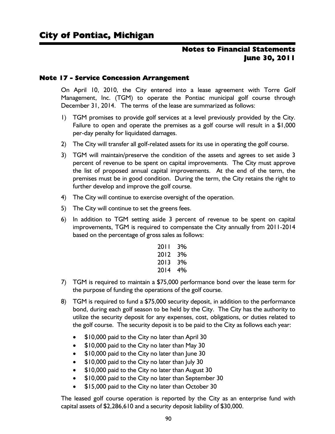#### Note 17 - Service Concession Arrangement

On April 10, 2010, the City entered into a lease agreement with Torre Golf Management, Inc. (TGM) to operate the Pontiac municipal golf course through December 31, 2014. The terms of the lease are summarized as follows:

- 1) TGM promises to provide golf services at a level previously provided by the City. Failure to open and operate the premises as a golf course will result in a \$1,000 per-day penalty for liquidated damages.
- 2) The City will transfer all golf-related assets for its use in operating the golf course.
- 3) TGM will maintain/preserve the condition of the assets and agrees to set aside 3 percent of revenue to be spent on capital improvements. The City must approve the list of proposed annual capital improvements. At the end of the term, the premises must be in good condition. During the term, the City retains the right to further develop and improve the golf course.
- 4) The City will continue to exercise oversight of the operation.
- 5) The City will continue to set the greens fees.
- 6) In addition to TGM setting aside 3 percent of revenue to be spent on capital improvements, TGM is required to compensate the City annually from 2011-2014 based on the percentage of gross sales as follows:

| 3% |
|----|
| 3% |
| 3% |
| 4% |
|    |

- 7) TGM is required to maintain a \$75,000 performance bond over the lease term for the purpose of funding the operations of the golf course.
- 8) TGM is required to fund a \$75,000 security deposit, in addition to the performance bond, during each golf season to be held by the City. The City has the authority to utilize the security deposit for any expenses, cost, obligations, or duties related to the golf course. The security deposit is to be paid to the City as follows each year:
	- \$10,000 paid to the City no later than April 30
	- \$10,000 paid to the City no later than May 30
	- \$10,000 paid to the City no later than June 30
	- \$10,000 paid to the City no later than July 30
	- \$10,000 paid to the City no later than August 30
	- \$10,000 paid to the City no later than September 30
	- \$15,000 paid to the City no later than October 30

The leased golf course operation is reported by the City as an enterprise fund with capital assets of \$2,286,610 and a security deposit liability of \$30,000.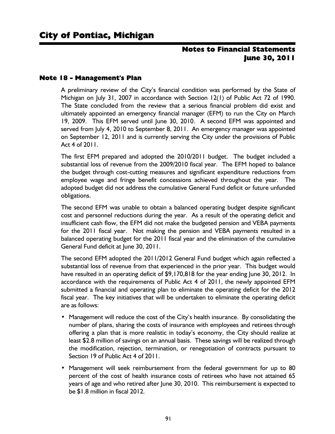#### Note 18 - Management's Plan

A preliminary review of the City's financial condition was performed by the State of Michigan on July 31, 2007 in accordance with Section 12(1) of Public Act 72 of 1990. The State concluded from the review that a serious financial problem did exist and ultimately appointed an emergency financial manager (EFM) to run the City on March 19, 2009. This EFM served until June 30, 2010. A second EFM was appointed and served from July 4, 2010 to September 8, 2011. An emergency manager was appointed on September 12, 2011 and is currently serving the City under the provisions of Public Act 4 of 2011.

The first EFM prepared and adopted the 2010/2011 budget. The budget included a substantial loss of revenue from the 2009/2010 fiscal year. The EFM hoped to balance the budget through cost-cutting measures and significant expenditure reductions from employee wage and fringe benefit concessions achieved throughout the year. The adopted budget did not address the cumulative General Fund deficit or future unfunded obligations.

The second EFM was unable to obtain a balanced operating budget despite significant cost and personnel reductions during the year. As a result of the operating deficit and insufficient cash flow, the EFM did not make the budgeted pension and VEBA payments for the 2011 fiscal year. Not making the pension and VEBA payments resulted in a balanced operating budget for the 2011 fiscal year and the elimination of the cumulative General Fund deficit at June 30, 2011.

The second EFM adopted the 2011/2012 General Fund budget which again reflected a substantial loss of revenue from that experienced in the prior year. This budget would have resulted in an operating deficit of \$9,170,818 for the year ending June 30, 2012. In accordance with the requirements of Public Act 4 of 2011, the newly appointed EFM submitted a financial and operating plan to eliminate the operating deficit for the 2012 fiscal year. The key initiatives that will be undertaken to eliminate the operating deficit are as follows:

- Management will reduce the cost of the City's health insurance. By consolidating the number of plans, sharing the costs of insurance with employees and retirees through offering a plan that is more realistic in today's economy, the City should realize at least \$2.8 million of savings on an annual basis. These savings will be realized through the modification, rejection, termination, or renegotiation of contracts pursuant to Section 19 of Public Act 4 of 2011.
- Management will seek reimbursement from the federal government for up to 80 percent of the cost of health insurance costs of retirees who have not attained 65 years of age and who retired after June 30, 2010. This reimbursement is expected to be \$1.8 million in fiscal 2012.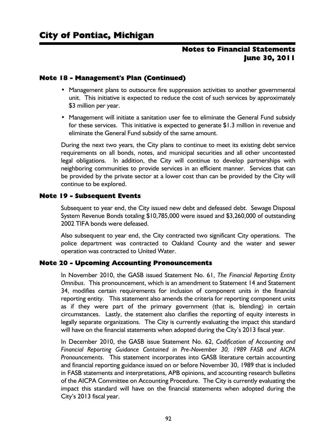#### Note 18 - Management's Plan (Continued)

- Management plans to outsource fire suppression activities to another governmental unit. This initiative is expected to reduce the cost of such services by approximately \$3 million per year.
- Management will initiate a sanitation user fee to eliminate the General Fund subsidy for these services. This initiative is expected to generate \$1.3 million in revenue and eliminate the General Fund subsidy of the same amount.

During the next two years, the City plans to continue to meet its existing debt service requirements on all bonds, notes, and municipal securities and all other uncontested legal obligations. In addition, the City will continue to develop partnerships with neighboring communities to provide services in an efficient manner. Services that can be provided by the private sector at a lower cost than can be provided by the City will continue to be explored.

#### Note 19 - Subsequent Events

Subsequent to year end, the City issued new debt and defeased debt. Sewage Disposal System Revenue Bonds totaling \$10,785,000 were issued and \$3,260,000 of outstanding 2002 TIFA bonds were defeased.

Also subsequent to year end, the City contracted two significant City operations. The police department was contracted to Oakland County and the water and sewer operation was contracted to United Water.

#### Note 20 - Upcoming Accounting Pronouncements

In November 2010, the GASB issued Statement No. 61, *The Financial Reporting Entity Omnibus*. This pronouncement, which is an amendment to Statement 14 and Statement 34, modifies certain requirements for inclusion of component units in the financial reporting entity. This statement also amends the criteria for reporting component units as if they were part of the primary government (that is, blending) in certain circumstances. Lastly, the statement also clarifies the reporting of equity interests in legally separate organizations. The City is currently evaluating the impact this standard will have on the financial statements when adopted during the City's 2013 fiscal year.

In December 2010, the GASB issue Statement No. 62, *Codification of Accounting and Financial Reporting Guidance Contained in Pre-November 30, 1989 FASB and AICPA Pronouncements*. This statement incorporates into GASB literature certain accounting and financial reporting guidance issued on or before November 30, 1989 that is included in FASB statements and interpretations, APB opinions, and accounting research bulletins of the AICPA Committee on Accounting Procedure. The City is currently evaluating the impact this standard will have on the financial statements when adopted during the City's 2013 fiscal year.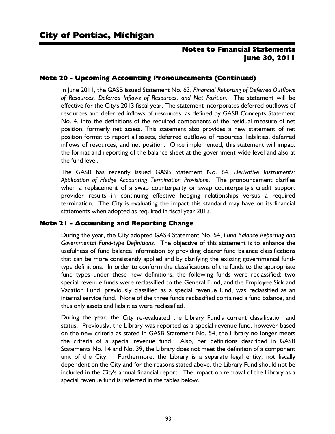#### Note 20 - Upcoming Accounting Pronouncements (Continued)

In June 2011, the GASB issued Statement No. 63, *Financial Reporting of Deferred Outflows of Resources, Deferred Inflows of Resources, and Net Position*. The statement will be effective for the City's 2013 fiscal year. The statement incorporates deferred outflows of resources and deferred inflows of resources, as defined by GASB Concepts Statement No. 4, into the definitions of the required components of the residual measure of net position, formerly net assets. This statement also provides a new statement of net position format to report all assets, deferred outflows of resources, liabilities, deferred inflows of resources, and net position. Once implemented, this statement will impact the format and reporting of the balance sheet at the government-wide level and also at the fund level.

The GASB has recently issued GASB Statement No. 64, *Derivative Instruments: Application of Hedge Accounting Termination Provisions*. The pronouncement clarifies when a replacement of a swap counterparty or swap counterparty's credit support provider results in continuing effective hedging relationships versus a required termination. The City is evaluating the impact this standard may have on its financial statements when adopted as required in fiscal year 2013.

#### Note 21 - Accounting and Reporting Change

During the year, the City adopted GASB Statement No. 54, *Fund Balance Reporting and Governmental Fund-type Definitions*. The objective of this statement is to enhance the usefulness of fund balance information by providing clearer fund balance classifications that can be more consistently applied and by clarifying the existing governmental fundtype definitions. In order to conform the classifications of the funds to the appropriate fund types under these new definitions, the following funds were reclassified: two special revenue funds were reclassified to the General Fund, and the Employee Sick and Vacation Fund, previously classified as a special revenue fund, was reclassified as an internal service fund. None of the three funds reclassified contained a fund balance, and thus only assets and liabilities were reclassified.

During the year, the City re-evaluated the Library Fund's current classification and status. Previously, the Library was reported as a special revenue fund, however based on the new criteria as stated in GASB Statement No. 54, the Library no longer meets the criteria of a special revenue fund. Also, per definitions described in GASB Statements No. 14 and No. 39, the Library does not meet the definition of a component unit of the City. Furthermore, the Library is a separate legal entity, not fiscally dependent on the City and for the reasons stated above, the Library Fund should not be included in the City's annual financial report. The impact on removal of the Library as a special revenue fund is reflected in the tables below.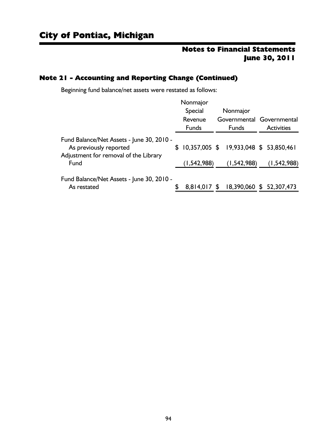## Note 21 - Accounting and Reporting Change (Continued)

Beginning fund balance/net assets were restated as follows:

|                                                                 |   | Nonmajor            |  |                                           |  |                   |
|-----------------------------------------------------------------|---|---------------------|--|-------------------------------------------|--|-------------------|
|                                                                 |   | Special<br>Nonmajor |  |                                           |  |                   |
|                                                                 |   | Revenue             |  | Governmental Governmental                 |  |                   |
|                                                                 |   | <b>Funds</b>        |  | <b>Funds</b>                              |  | <b>Activities</b> |
| Fund Balance/Net Assets - June 30, 2010 -                       |   |                     |  |                                           |  |                   |
| As previously reported<br>Adjustment for removal of the Library |   |                     |  | $$10,357,005$ \$ 19,933,048 \$ 53,850,461 |  |                   |
| Fund                                                            |   | (1, 542, 988)       |  | (1, 542, 988)                             |  | (1, 542, 988)     |
| Fund Balance/Net Assets - June 30, 2010 -                       |   |                     |  |                                           |  |                   |
| As restated                                                     | S |                     |  | 8,814,017 \$ 18,390,060 \$ 52,307,473     |  |                   |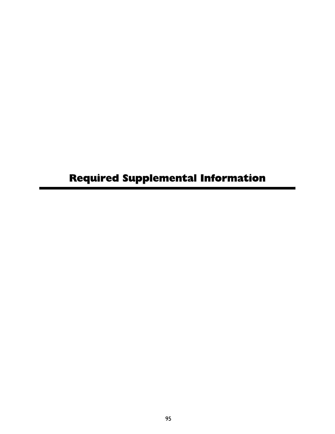# Required Supplemental Information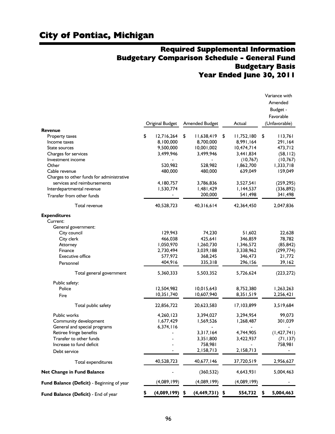## Required Supplemental Information Budgetary Comparison Schedule - General Fund Budgetary Basis Year Ended June 30, 2011

|                                            | Original Budget  | Amended Budget    | Actual           | Variance with<br>Amended<br>Budget -<br>Favorable<br>(Unfavorable) |
|--------------------------------------------|------------------|-------------------|------------------|--------------------------------------------------------------------|
| <b>Revenue</b>                             |                  |                   |                  |                                                                    |
| Property taxes                             | \$<br>12,716,264 | \$<br>11,638,419  | \$<br>11,752,180 | \$<br>113,761                                                      |
| Income taxes                               | 8,100,000        | 8,700,000         | 8,991,164        | 291,164                                                            |
| State sources                              | 9,500,000        | 10,001,002        | 10,474,714       | 473,712                                                            |
| Charges for services                       | 3,499,946        | 3,499,946         | 3,441,834        | (58, 112)                                                          |
| Investment income                          |                  |                   | (10, 767)        | (10, 767)                                                          |
| Other                                      | 520,982          | 528,982           | 1,862,700        | 1,333,718                                                          |
| Cable revenue                              | 480,000          | 480,000           | 639,049          | 159,049                                                            |
| Charges to other funds for administrative  |                  |                   |                  |                                                                    |
| services and reimbursements                | 4,180,757        | 3,786,836         | 3,527,541        | (259, 295)                                                         |
| Interdepartmental revenue                  | 1,530,774        | 1,481,429         | 1,144,537        | (336, 892)                                                         |
| Transfer from other funds                  |                  | 200,000           | 541,498          | 341,498                                                            |
| Total revenue                              | 40,528,723       | 40,316,614        | 42,364,450       | 2,047,836                                                          |
| <b>Expenditures</b>                        |                  |                   |                  |                                                                    |
| Current:                                   |                  |                   |                  |                                                                    |
| General government:                        |                  |                   |                  |                                                                    |
| City council                               | 129,943          | 74,230            | 51,602           | 22,628                                                             |
| City clerk                                 | 466,038          | 425,641           | 346,859          | 78,782                                                             |
| Attorney                                   | 1,050,970        | 1,260,730         | 1,346,572        | (85, 842)                                                          |
| Finance                                    | 2,730,494        | 3,039,188         | 3,338,962        | (299, 774)                                                         |
| <b>Executive office</b>                    | 577,972          | 368,245           | 346,473          | 21,772                                                             |
| Personnel                                  | 404,916          | 335,318           | 296,156          | 39,162                                                             |
| Total general government                   | 5,360,333        | 5,503,352         | 5,726,624        | (223, 272)                                                         |
| Public safety:                             |                  |                   |                  |                                                                    |
| Police                                     | 12,504,982       | 10,015,643        | 8,752,380        | 1,263,263                                                          |
| Fire                                       | 10,351,740       | 10,607,940        | 8,351,519        | 2,256,421                                                          |
|                                            |                  |                   |                  |                                                                    |
| Total public safety                        | 22,856,722       | 20,623,583        | 17,103,899       | 3,519,684                                                          |
| Public works                               | 4,260,123        | 3,394,027         | 3,294,954        | 99,073                                                             |
| Community development                      | 1,677,429        | 1,569,526         | 1,268,487        | 301,039                                                            |
| General and special programs               | 6,374,116        |                   |                  |                                                                    |
| Retiree fringe benefits                    |                  | 3,317,164         | 4,744,905        | (1, 427, 741)                                                      |
| Transfer to other funds                    |                  | 3,351,800         | 3,422,937        | (71, 137)                                                          |
| Increase to fund deficit                   |                  | 758,981           |                  | 758,981                                                            |
| Debt service                               |                  | 2,158,713         | 2,158,713        |                                                                    |
| Total expenditures                         | 40,528,723       | 40,677,146        | 37,720,519       | 2,956,627                                                          |
| Net Change in Fund Balance                 |                  | (360, 532)        | 4,643,931        | 5,004,463                                                          |
| Fund Balance (Deficit) - Beginning of year | (4,089,199)      | (4,089,199)       | (4,089,199)      |                                                                    |
| Fund Balance (Deficit) - End of year       | (4,089,199)      | \$<br>(4,449,731) | \$<br>554,732    | 5,004,463                                                          |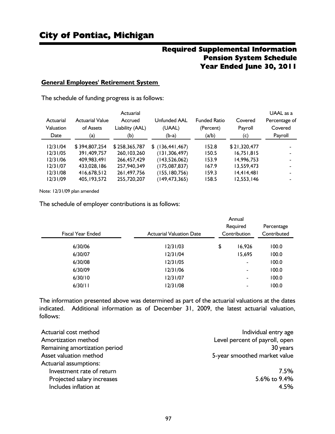## Required Supplemental Information Pension System Schedule Year Ended June 30, 2011

#### **General Employees' Retirement System**

The schedule of funding progress is as follows:

| UAAL as a     |              |                     |                   | Actuarial       |                        |           |
|---------------|--------------|---------------------|-------------------|-----------------|------------------------|-----------|
| Percentage of | Covered      | <b>Funded Ratio</b> | Unfunded AAL      | Accrued         | <b>Actuarial Value</b> | Actuarial |
| Covered       | Payroll      | (Percent)           | (UAAL)            | Liability (AAL) | of Assets              | Valuation |
| Payroll       | (c)          | (a/b)               | $(b-a)$           | (b)             | (a)                    | Date      |
|               | \$21,320,477 | 152.8               | $$$ (136,441,467) | \$258,365,787   | \$394,807,254          | 12/31/04  |
|               | 16.751.815   | 150.5               | (131, 306, 497)   | 260.103.260     | 391.409.757            | 12/31/05  |
|               | 14.996.753   | 153.9               | (143, 526, 062)   | 266.457.429     | 409,983,491            | 12/31/06  |
|               | 13.559.473   | 167.9               | (175,087,837)     | 257,940,349     | 433.028.186            | 12/31/07  |
|               | 14.414.481   | 159.3               | (155,180,756)     | 261,497,756     | 416.678.512            | 12/31/08  |
|               | 12,553,146   | 158.5               | (149, 473, 365)   | 255,720,207     | 405, 193, 572          | 12/31/09  |
|               |              |                     |                   |                 |                        |           |

Note: 12/31/09 plan amended

The schedule of employer contributions is as follows:

| Fiscal Year Ended | <b>Actuarial Valuation Date</b> | Annual<br>Required<br>Contribution | Percentage<br>Contributed |  |
|-------------------|---------------------------------|------------------------------------|---------------------------|--|
| 6/30/06           | 12/31/03                        | \$<br>16,926                       | 100.0                     |  |
| 6/30/07           | 12/31/04                        | 15,695                             | 100.0                     |  |
| 6/30/08           | 12/31/05                        | $\overline{\phantom{0}}$           | 100.0                     |  |
| 6/30/09           | 12/31/06                        | $\overline{\phantom{0}}$           | 100.0                     |  |
| 6/30/10           | 12/31/07                        | $\overline{\phantom{a}}$           | 100.0                     |  |
| 6/30/11           | 12/31/08                        | -                                  | 100.0                     |  |
|                   |                                 |                                    |                           |  |

The information presented above was determined as part of the actuarial valuations at the dates indicated. Additional information as of December 31, 2009, the latest actuarial valuation, follows:

| Actuarial cost method         | Individual entry age           |
|-------------------------------|--------------------------------|
| Amortization method           | Level percent of payroll, open |
| Remaining amortization period | 30 years                       |
| Asset valuation method        | 5-year smoothed market value   |
| Actuarial assumptions:        |                                |
| Investment rate of return     | 7.5%                           |
| Projected salary increases    | 5.6% to 9.4%                   |
| Includes inflation at         | 4.5%                           |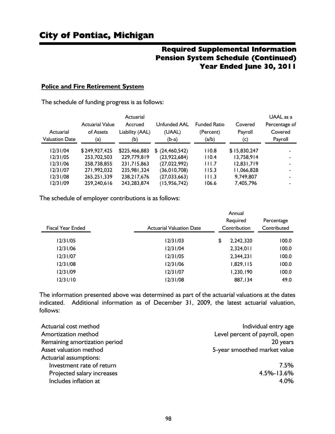## Required Supplemental Information Pension System Schedule (Continued) Year Ended June 30, 2011

#### **Police and Fire Retirement System**

The schedule of funding progress is as follows:

|                       |                        | Actuarial       |                   |                     |              | UAAL as a     |
|-----------------------|------------------------|-----------------|-------------------|---------------------|--------------|---------------|
|                       | <b>Actuarial Value</b> | Accrued         | Unfunded AAL      | <b>Funded Ratio</b> | Covered      | Percentage of |
| Actuarial             | of Assets              | Liability (AAL) | (UAAL)            | (Percent)           | Payroll      | Covered       |
| <b>Valuation Date</b> | (a)                    | (b)             | $(b-a)$           | (a/b)               | (c)          | Payroll       |
| 12/31/04              | \$249,927,425          | \$225,466,883   | \$ (24, 460, 542) | 110.8               | \$15,830,247 |               |
| 12/31/05              | 253,702,503            | 229,779,819     | (23,922,684)      | 110.4               | 13,758,914   |               |
| 12/31/06              | 258,738,855            | 231,715,863     | (27,022,992)      | 111.7               | 12,831,719   |               |
| 12/31/07              | 271,992,032            | 235,981,324     | (36, 010, 708)    | 115.3               | 11,066,828   |               |
| 12/31/08              | 265, 251, 339          | 238.217.676     | (27, 033, 663)    | 111.3               | 9,749,807    |               |
| 12/31/09              | 259,240,616            | 243, 283, 874   | (15, 956, 742)    | 106.6               | 7,405,796    |               |

The schedule of employer contributions is as follows:

|                          |                                 | Annual          |             |  |
|--------------------------|---------------------------------|-----------------|-------------|--|
|                          |                                 | Required        | Percentage  |  |
| <b>Fiscal Year Ended</b> | <b>Actuarial Valuation Date</b> | Contribution    | Contributed |  |
| 12/31/05                 | 12/31/03                        | \$<br>2.242.320 | 100.0       |  |
| 12/31/06                 | 12/31/04                        | 2,324,011       | 100.0       |  |
| 12/31/07                 | 12/31/05                        | 2,344,231       | 100.0       |  |
| 12/31/08                 | 12/31/06                        | 1,829,115       | 100.0       |  |
| 12/31/09                 | 12/31/07                        | 1,230,190       | 100.0       |  |
| 12/31/10                 | 12/31/08                        | 887,134         | 49.0        |  |

The information presented above was determined as part of the actuarial valuations at the dates indicated. Additional information as of December 31, 2009, the latest actuarial valuation, follows:

| Actuarial cost method         | Individual entry age           |
|-------------------------------|--------------------------------|
| Amortization method           | Level percent of payroll, open |
| Remaining amortization period | 20 years                       |
| Asset valuation method        | 5-year smoothed market value   |
| Actuarial assumptions:        |                                |
| Investment rate of return     | 7.5%                           |
| Projected salary increases    | 4.5%-13.6%                     |
| Includes inflation at         | 4.0%                           |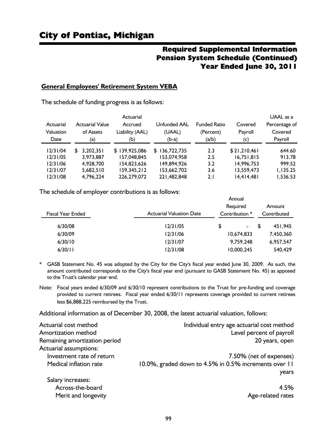## Required Supplemental Information Pension System Schedule (Continued) Year Ended June 30, 2011

#### **General Employees' Retirement System VEBA**

The schedule of funding progress is as follows:

|           |                        | Actuarial       |                   |                     |              | UAAL as a     |
|-----------|------------------------|-----------------|-------------------|---------------------|--------------|---------------|
| Actuarial | <b>Actuarial Value</b> | Accrued         | Unfunded AAL      | <b>Funded Ratio</b> | Covered      | Percentage of |
| Valuation | of Assets              | Liability (AAL) | (UAAL)            | (Percent)           | Payroll      | Covered       |
| Date      | (a)                    | (b)             | $(b-a)$           | (a/b)               | (c)          | Payroll       |
| 12/31/04  | 3,202,351<br>S.        | \$139,925,086   | 136,722,735<br>S. | 2.3                 | \$21,210,461 | 644.60        |
| 12/31/05  | 3,973,887              | 157,048,845     | 153,074,958       | 2.5                 | 16,751,815   | 913.78        |
| 12/31/06  | 4.928.700              | 154,823,626     | 149.894.926       | 3.2                 | 14.996.753   | 999.52        |
| 12/31/07  | 5.682.510              | 159,345,212     | 153,662,702       | 3.6                 | 13,559,473   | 1.135.25      |
| 12/31/08  | 4.796.224              | 226,279,072     | 221,482,848       | 2.1                 | 14,414,481   | 1.536.53      |

The schedule of employer contributions is as follows:

| <b>Fiscal Year Ended</b> | <b>Actuarial Valuation Date</b> | Annual<br>Required<br>Contribution * |    | Amount<br>Contributed |
|--------------------------|---------------------------------|--------------------------------------|----|-----------------------|
| 6/30/08                  | 12/31/05                        | \$<br>۰.                             | £. | 451.945               |
| 6/30/09                  | 12/31/06                        | 10.674.833                           |    | 7,450,360             |
| 6/30/10                  | 12/31/07                        | 9.759.248                            |    | 6,957,547             |
| 6/30/11                  | 12/31/08                        | 10,000,245                           |    | 540,429               |

\* GASB Statement No. 45 was adopted by the City for the City's fiscal year ended June 30, 2009. As such, the amount contributed corresponds to the City's fiscal year end (pursuant to GASB Statement No. 45) as apposed to the Trust's calendar year end.

Note: Fiscal years ended 6/30/09 and 6/30/10 represent contributions to the Trust for pre-funding and coverage provided to current retirees. Fiscal year ended 6/30/11 represents coverage provided to current retirees less \$6,888,225 reimbursed by the Trust.

Additional information as of December 30, 2008, the latest actuarial valuation, follows:

| Actuarial cost method         | Individual entry age actuarial cost method            |
|-------------------------------|-------------------------------------------------------|
| Amortization method           | Level percent of payroll                              |
| Remaining amortization period | 20 years, open                                        |
| Actuarial assumptions:        |                                                       |
| Investment rate of return     | 7.50% (net of expenses)                               |
| Medical inflation rate        | 10.0%, graded down to 4.5% in 0.5% increments over 11 |
|                               | years                                                 |
| Salary increases:             |                                                       |
| Across-the-board              | 4.5%                                                  |
| Merit and longevity           | Age-related rates                                     |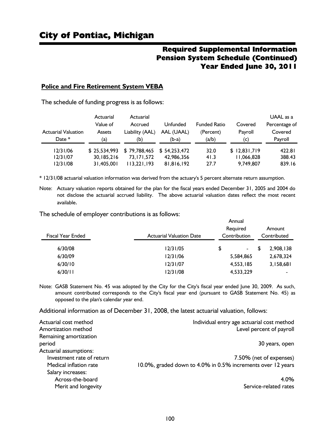## Required Supplemental Information Pension System Schedule (Continued) Year Ended June 30, 2011

#### **Police and Fire Retirement System VEBA**

The schedule of funding progress is as follows:

| <b>Actuarial Valuation</b><br>Date $*$ | Actuarial<br>Value of<br><b>Assets</b><br>(a) | Actuarial<br>Accrued<br>Liability (AAL)<br>(b) | Unfunded<br>AAL (UAAL)<br>(b-a) | <b>Funded Ratio</b><br>(Percent)<br>(a/b) | Covered<br>Payroll<br>(c) | UAAL as a<br>Percentage of<br>Covered<br>Payroll |  |
|----------------------------------------|-----------------------------------------------|------------------------------------------------|---------------------------------|-------------------------------------------|---------------------------|--------------------------------------------------|--|
| 12/31/06                               | \$25,534,993                                  | \$79,788,465                                   | \$54,253,472                    | 32.0                                      | \$12,831,719              | 422.81                                           |  |
| 12/31/07                               | 30.185.216                                    | 73.171.572                                     | 42,986,356                      | 41.3                                      | 11,066,828                | 388.43                                           |  |
| 12/31/08                               | 31.405.001                                    | 113,221,193                                    | 81,816,192                      | 27.7                                      | 9,749,807                 | 839.16                                           |  |

\* 12/31/08 actuarial valuation information was derived from the actuary's 5 percent alternate return assumption.

Note: Actuary valuation reports obtained for the plan for the fiscal years ended December 31, 2005 and 2004 do not disclose the actuarial accrued liability. The above actuarial valuation dates reflect the most recent available.

The schedule of employer contributions is as follows:

| Fiscal Year Ended | <b>Actuarial Valuation Date</b> | Annual<br>Required<br>Contribution | Amount<br>Contributed |                          |  |
|-------------------|---------------------------------|------------------------------------|-----------------------|--------------------------|--|
| 6/30/08           | 12/31/05                        | \$<br>$\blacksquare$               | \$                    | 2.908.138                |  |
| 6/30/09           | 12/31/06                        | 5.584.865                          |                       | 2,678,324                |  |
| 6/30/10           | 12/31/07                        | 4,553,185                          |                       | 3,158,681                |  |
| 6/30/11           | 12/31/08                        | 4,533,229                          |                       | $\overline{\phantom{a}}$ |  |

Note: GASB Statement No. 45 was adopted by the City for the City's fiscal year ended June 30, 2009. As such, amount contributed corresponds to the City's fiscal year end (pursuant to GASB Statement No. 45) as opposed to the plan's calendar year end.

Additional information as of December 31, 2008, the latest actuarial valuation, follows:

| Actuarial cost method     | Individual entry age actuarial cost method                  |
|---------------------------|-------------------------------------------------------------|
| Amortization method       | Level percent of payroll                                    |
| Remaining amortization    |                                                             |
| period                    | 30 years, open                                              |
| Actuarial assumptions:    |                                                             |
| Investment rate of return | 7.50% (net of expenses)                                     |
| Medical inflation rate    | 10.0%, graded down to 4.0% in 0.5% increments over 12 years |
| Salary increases:         |                                                             |
| Across-the-board          | 4.0%                                                        |
| Merit and longevity       | Service-related rates                                       |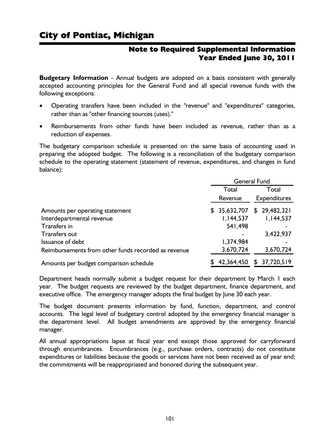## Note to Required Supplemental Information Year Ended June 30, 2011

**Budgetary Information** - Annual budgets are adopted on a basis consistent with generally accepted accounting principles for the General Fund and all special revenue funds with the following exceptions:

- Operating transfers have been included in the "revenue" and "expenditures" categories, rather than as "other financing sources (uses)."
- Reimbursements from other funds have been included as revenue, rather than as a reduction of expenses.

The budgetary comparison schedule is presented on the same basis of accounting used in preparing the adopted budget. The following is a reconciliation of the budgetary comparison schedule to the operating statement (statement of revenue, expenditures, and changes in fund balance):

|                                                     | <b>General Fund</b>            |                  |  |  |
|-----------------------------------------------------|--------------------------------|------------------|--|--|
|                                                     | Total                          | Total            |  |  |
|                                                     | <b>Expenditures</b><br>Revenue |                  |  |  |
| Amounts per operating statement                     | 35,632,707<br>\$               | \$29,482,321     |  |  |
| Interdepartmental revenue                           | 1,144,537                      | I, 144, 537      |  |  |
| Transfers in                                        | 541,498                        |                  |  |  |
| Transfers out                                       |                                | 3,422,937        |  |  |
| Issuance of debt                                    | 1,374,984                      |                  |  |  |
| Reimbursements from other funds recorded as revenue | 3,670,724                      | 3,670,724        |  |  |
| Amounts per budget comparison schedule              | 42,364,450                     | 37,720,519<br>\$ |  |  |

Department heads normally submit a budget request for their department by March 1 each year. The budget requests are reviewed by the budget department, finance department, and executive office. The emergency manager adopts the final budget by June 30 each year.

The budget document presents information by fund, function, department, and control accounts. The legal level of budgetary control adopted by the emergency financial manager is the department level. All budget amendments are approved by the emergency financial manager.

All annual appropriations lapse at fiscal year end except those approved for carryforward through encumbrances. Encumbrances (e.g., purchase orders, contracts) do not constitute expenditures or liabilities because the goods or services have not been received as of year end; the commitments will be reappropriated and honored during the subsequent year.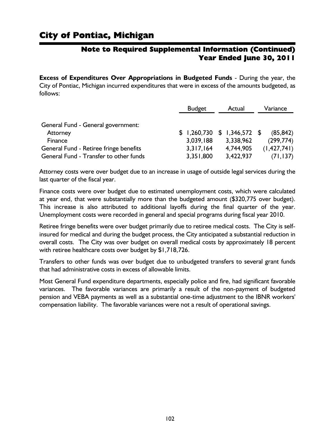## Note to Required Supplemental Information (Continued) Year Ended June 30, 2011

**Excess of Expenditures Over Appropriations in Budgeted Funds** - During the year, the City of Pontiac, Michigan incurred expenditures that were in excess of the amounts budgeted, as follows:

|                                        | <b>Budget</b> | Actual                      | Variance      |  |
|----------------------------------------|---------------|-----------------------------|---------------|--|
| General Fund - General government:     |               |                             |               |  |
| Attorney                               |               | $$1,260,730 \$1,346,572 \$$ | (85, 842)     |  |
| Finance                                | 3,039,188     | 3,338,962                   | (299, 774)    |  |
| General Fund - Retiree fringe benefits | 3,317,164     | 4,744,905                   | (1, 427, 741) |  |
| General Fund - Transfer to other funds | 3,351,800     | 3,422,937                   | (71, 137)     |  |

Attorney costs were over budget due to an increase in usage of outside legal services during the last quarter of the fiscal year.

Finance costs were over budget due to estimated unemployment costs, which were calculated at year end, that were substantially more than the budgeted amount (\$320,775 over budget). This increase is also attributed to additional layoffs during the final quarter of the year. Unemployment costs were recorded in general and special programs during fiscal year 2010.

Retiree fringe benefits were over budget primarily due to retiree medical costs. The City is selfinsured for medical and during the budget process, the City anticipated a substantial reduction in overall costs. The City was over budget on overall medical costs by approximately 18 percent with retiree healthcare costs over budget by \$1,718,726.

Transfers to other funds was over budget due to unbudgeted transfers to several grant funds that had administrative costs in excess of allowable limits.

Most General Fund expenditure departments, especially police and fire, had significant favorable variances. The favorable variances are primarily a result of the non-payment of budgeted pension and VEBA payments as well as a substantial one-time adjustment to the IBNR workers' compensation liability. The favorable variances were not a result of operational savings.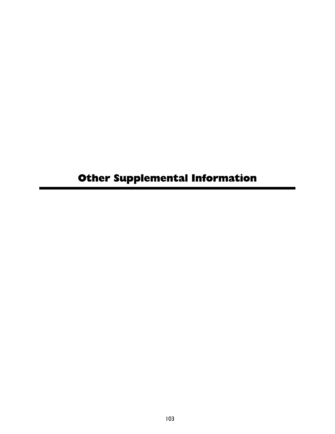# Other Supplemental Information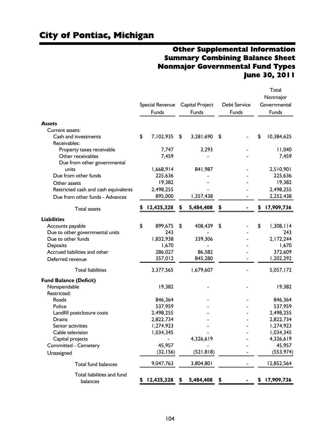## City of Pontiac, Michigan

## Other Supplemental Information Summary Combining Balance Sheet Nonmajor Governmental Fund Types June 30, 2011

|                                      |                  |    |                 |                     | Total<br>Nonmajor |
|--------------------------------------|------------------|----|-----------------|---------------------|-------------------|
|                                      | Special Revenue  |    | Capital Project | <b>Debt Service</b> | Governmental      |
|                                      | Funds            |    | Funds           | Funds               | Funds             |
| <b>Assets</b>                        |                  |    |                 |                     |                   |
| Current assets:                      |                  |    |                 |                     |                   |
| Cash and investments                 | \$<br>7,102,935  | \$ | 3,281,690       | \$                  | \$<br>10,384,625  |
| Receivables:                         |                  |    |                 |                     |                   |
| Property taxes receivable            | 7,747            |    | 3,293           |                     | 11,040            |
| Other receivables                    | 7,459            |    |                 |                     | 7,459             |
| Due from other governmental          |                  |    |                 |                     |                   |
| units                                | 1,668,914        |    | 841,987         |                     | 2,510,901         |
| Due from other funds                 | 225,636          |    |                 |                     | 225,636           |
| Other assets                         | 19,382           |    |                 |                     | 19,382            |
| Restricted cash and cash equivalents | 2,498,255        |    |                 |                     | 2,498,255         |
| Due from other funds - Advances      | 895,000          |    | 1,357,438       |                     | 2,252,438         |
|                                      |                  |    |                 |                     |                   |
| <b>Total assets</b>                  | 12,425,328       | 5  | 5,484,408       |                     | 17,909,736        |
| <b>Liabilities</b>                   |                  |    |                 |                     |                   |
| Accounts payable                     | \$<br>899,675    | \$ | 408,439         | \$                  | \$<br>1,308,114   |
| Due to other governmental units      | 243              |    |                 |                     | 243               |
| Due to other funds                   | 1,832,938        |    | 339,306         |                     | 2,172,244         |
| Deposits                             | 1,670            |    |                 |                     | 1,670             |
| Accrued liabilities and other        | 286,027          |    | 86,582          |                     | 372,609           |
| Deferred revenue                     | 357,012          |    | 845,280         |                     | 1,202,292         |
| <b>Total liabilities</b>             | 3,377,565        |    | 1,679,607       |                     | 5,057,172         |
| <b>Fund Balance (Deficit)</b>        |                  |    |                 |                     |                   |
| Nonspendable                         | 19,382           |    |                 |                     | 19,382            |
| Restricted:                          |                  |    |                 |                     |                   |
| Roads                                | 846,364          |    |                 |                     | 846,364           |
| Police                               | 537,959          |    |                 |                     | 537,959           |
| Landfill postclosure costs           | 2,498,255        |    |                 |                     | 2,498,255         |
| <b>Drains</b>                        | 2,822,734        |    |                 |                     | 2,822,734         |
| Senior activities                    | 1,274,923        |    |                 |                     | 1,274,923         |
| Cable television                     | 1,034,345        |    |                 |                     | 1,034,345         |
| Capital projects                     |                  |    | 4,326,619       |                     | 4,326,619         |
| <b>Committed - Cemetery</b>          | 45,957           |    |                 |                     | 45,957            |
| Unassigned                           | (32, 156)        |    | (521, 818)      |                     | (553, 974)        |
| Total fund balances                  | 9,047,763        |    | 3,804,801       |                     | 12,852,564        |
|                                      |                  |    |                 |                     |                   |
| Total liabilities and fund           |                  |    |                 |                     |                   |
| balances                             | \$<br>12,425,328 | \$ | 5,484,408       | \$                  | \$<br>17,909,736  |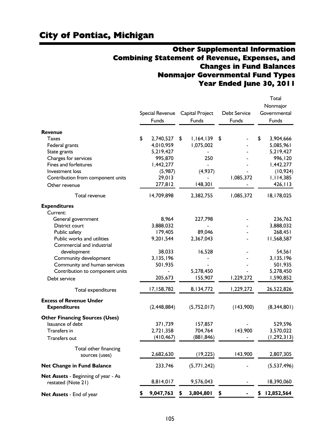## Other Supplemental Information Combining Statement of Revenue, Expenses, and Changes in Fund Balances Nonmajor Governmental Fund Types Year Ended June 30, 2011

|                                                                                                                                 | Special Revenue<br>Funds                                                     | Capital Project<br>Funds                       | Debt Service<br>Funds | Total<br>Nonmajor<br>Governmental<br>Funds                                     |
|---------------------------------------------------------------------------------------------------------------------------------|------------------------------------------------------------------------------|------------------------------------------------|-----------------------|--------------------------------------------------------------------------------|
| Revenue                                                                                                                         |                                                                              |                                                |                       |                                                                                |
| <b>Taxes</b><br>Federal grants<br>State grants<br>Charges for services<br>Fines and forfeitures<br>Investment loss              | \$<br>2,740,527<br>4,010,959<br>5,219,427<br>995,870<br>1,442,277<br>(5,987) | \$<br>1,164,139<br>1,075,002<br>250<br>(4,937) | \$                    | \$<br>3,904,666<br>5,085,961<br>5,219,427<br>996,120<br>1,442,277<br>(10, 924) |
| Contribution from component units<br>Other revenue                                                                              | 29,013<br>277,812                                                            | 148,301                                        | 1,085,372             | 1,114,385<br>426, 113                                                          |
| Total revenue                                                                                                                   | 14,709,898                                                                   | 2,382,755                                      | 1,085,372             | 18,178,025                                                                     |
| <b>Expenditures</b><br>Current:                                                                                                 |                                                                              |                                                |                       |                                                                                |
| General government<br>District court<br>Public safety                                                                           | 8,964<br>3,888,032<br>179,405                                                | 227,798<br>89,046                              |                       | 236,762<br>3,888,032<br>268,451                                                |
| Public works and utilities<br>Commercial and industrial<br>development<br>Community development<br>Community and human services | 9,201,544<br>38,033<br>3,135,196<br>501,935                                  | 2,367,043<br>16,528                            |                       | 11,568,587<br>54,561<br>3,135,196<br>501,935                                   |
| Contribution to component units<br>Debt service                                                                                 | 205,673                                                                      | 5,278,450<br>155,907                           | 1,229,272             | 5,278,450<br>1,590,852                                                         |
| Total expenditures                                                                                                              | 17,158,782                                                                   | 8,134,772                                      | 1,229,272             | 26,522,826                                                                     |
| <b>Excess of Revenue Under</b><br><b>Expenditures</b>                                                                           | (2, 448, 884)                                                                | (5,752,017)                                    | (143,900)             | (8,344,801)                                                                    |
| <b>Other Financing Sources (Uses)</b><br>Issuance of debt<br>Transfers in<br><b>Transfers out</b>                               | 371,739<br>2,721,358<br>(410, 467)                                           | 157,857<br>704,764<br>(881,846)                | 143,900               | 529,596<br>3,570,022<br>(1, 292, 313)                                          |
| Total other financing<br>sources (uses)                                                                                         | 2,682,630                                                                    | (19, 225)                                      | 143,900               | 2,807,305                                                                      |
| <b>Net Change in Fund Balance</b>                                                                                               | 233,746                                                                      | (5, 771, 242)                                  |                       | (5,537,496)                                                                    |
| <b>Net Assets</b> - Beginning of year - As<br>restated (Note 21)                                                                | 8,814,017                                                                    | 9,576,043                                      |                       | 18,390,060                                                                     |
| Net Assets - End of year                                                                                                        | 9,047,763                                                                    | 3,804,801                                      | \$                    | \$<br>12,852,564                                                               |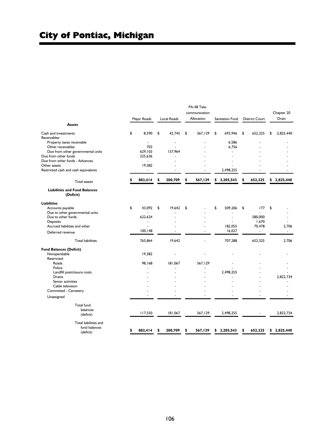| <b>Assets</b>                                     |    | Major Roads              |    | <b>Local Roads</b> | PA-48 Tele-<br>communication<br>Allocation | Sanitation Fund |    | <b>District Court</b> | \$<br>\$<br>\$ | Chapter 20<br>Drain |
|---------------------------------------------------|----|--------------------------|----|--------------------|--------------------------------------------|-----------------|----|-----------------------|----------------|---------------------|
| Cash and investments                              | \$ | 8,590                    | \$ | 42,745             | \$<br>567,129                              | \$<br>693,946   | \$ | 652,325               |                | 2,825,440           |
| Receivables:                                      |    |                          |    |                    |                                            |                 |    |                       |                |                     |
| Property taxes receivable                         |    |                          |    | L,                 |                                            | 6,586           |    |                       |                |                     |
| Other receivables                                 |    | 703                      |    |                    |                                            | 6,756           |    |                       |                |                     |
| Due from other governmental units                 |    | 629,103                  |    | 157,964            |                                            |                 |    |                       |                |                     |
| Due from other funds                              |    | 225,636                  |    |                    |                                            |                 |    |                       |                |                     |
| Due from other funds - Advances                   |    | ÷.                       |    |                    |                                            |                 |    |                       |                |                     |
| Other assets                                      |    | 19,382                   |    |                    |                                            |                 |    |                       |                |                     |
| Restricted cash and cash equivalents              |    | $\overline{\phantom{a}}$ |    |                    |                                            | 2,498,255       |    |                       |                |                     |
| <b>Total assets</b>                               | s  | 883,414                  | ፍ  | 200,709            | \$<br>567,129                              | \$<br>3,205,543 | S  | 652,325               |                | 2,825,440           |
| <b>Liabilities and Fund Balances</b><br>(Deficit) |    |                          |    |                    |                                            |                 |    |                       |                |                     |
| <b>Liabilities</b>                                |    |                          |    |                    |                                            |                 |    |                       |                |                     |
| Accounts payable                                  | \$ | 43,092                   | \$ | 19,642             | \$                                         | \$<br>509,206   | \$ | 177                   |                |                     |
| Due to other governmental units                   |    |                          |    |                    |                                            |                 |    |                       |                |                     |
| Due to other funds                                |    | 622.624                  |    |                    |                                            |                 |    | 580,000               |                |                     |
| Deposits                                          |    |                          |    |                    |                                            |                 |    | 1,670                 |                |                     |
| Accrued liabilities and other                     |    |                          |    |                    |                                            | 182,055         |    | 70,478                |                | 2,706               |
| Deferred revenue                                  |    | 100.148                  |    |                    | ä,                                         | 16.027          |    | $\blacksquare$        |                | ÷                   |
| <b>Total liabilities</b>                          |    | 765,864                  |    | 19,642             |                                            | 707,288         |    | 652,325               |                | 2,706               |
| <b>Fund Balances (Deficit)</b>                    |    |                          |    |                    |                                            |                 |    |                       |                |                     |
| Nonspendable                                      |    | 19,382                   |    |                    |                                            |                 |    |                       |                |                     |
| Restricted:                                       |    |                          |    |                    |                                            |                 |    |                       |                |                     |
| Roads                                             |    | 98,168                   |    | 181,067            | 567,129                                    |                 |    |                       |                |                     |
| Police                                            |    |                          |    |                    |                                            |                 |    |                       |                |                     |
| Landfill postclosure costs                        |    |                          |    |                    |                                            | 2,498,255       |    |                       |                |                     |
| Drains                                            |    |                          |    |                    |                                            |                 |    |                       |                | 2,822,734           |
| Senior activities                                 |    |                          |    |                    |                                            |                 |    |                       |                |                     |
| Cable television                                  |    |                          |    |                    |                                            |                 |    |                       |                |                     |
| Committed - Cemetery                              |    |                          |    |                    |                                            |                 |    |                       |                |                     |
| Unassigned                                        |    |                          |    |                    |                                            |                 |    |                       |                |                     |
| <b>Total fund</b>                                 |    |                          |    |                    |                                            |                 |    |                       |                |                     |
| balances                                          |    |                          |    |                    |                                            |                 |    |                       |                |                     |
| (deficit)                                         |    | 117,550                  |    | 181,067            | 567,129                                    | 2,498,255       |    |                       |                | 2,822,734           |
| Total liabilities and                             |    |                          |    |                    |                                            |                 |    |                       |                |                     |
| fund balances                                     |    |                          |    |                    |                                            |                 |    |                       |                |                     |
| (deficit)                                         | \$ | 883,414                  | \$ | 200,709            | \$<br>567,129                              | \$<br>3,205,543 | \$ | 652,325               |                | \$2,825,440         |

٠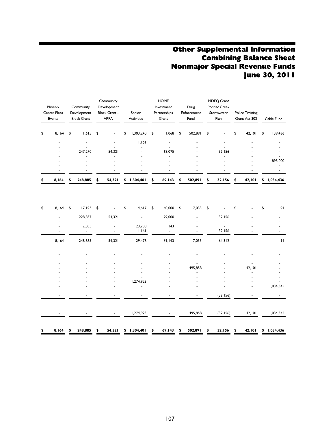## Other Supplemental Information Combining Balance Sheet Nonmajor Special Revenue Funds June 30, 2011

| Phoenix<br>Center Plaza<br>Events | Community<br>Development<br><b>Block Grant</b> | Community<br>Development<br><b>Block Grant -</b><br><b>ARRA</b> | Senior<br><b>Activities</b> |    | <b>HOME</b><br>Investment<br>Partnerships<br>Grant | Drug<br>Enforcement<br>Fund | MDEQ Grant<br><b>Pontiac Creek</b><br>Stormwater<br>Plan | Police Training<br>Grant Act 302 | Cable Fund      |
|-----------------------------------|------------------------------------------------|-----------------------------------------------------------------|-----------------------------|----|----------------------------------------------------|-----------------------------|----------------------------------------------------------|----------------------------------|-----------------|
| \$<br>8,164                       | \$<br>1,615                                    | \$<br>$\overline{\phantom{a}}$                                  | \$<br>1,303,240             | \$ | 860,1                                              | \$<br>502,891               | \$                                                       | \$<br>42,101                     | \$<br>139,436   |
|                                   |                                                | $\overline{\phantom{0}}$                                        | 1.161                       |    |                                                    |                             |                                                          | $\overline{\phantom{0}}$         |                 |
|                                   |                                                |                                                                 |                             |    |                                                    |                             |                                                          |                                  |                 |
|                                   | 247.270                                        | 54.321                                                          |                             |    | 68,075                                             |                             | 32.156                                                   | ٠                                |                 |
|                                   |                                                | $\overline{\phantom{0}}$                                        |                             |    |                                                    |                             |                                                          | ٠                                |                 |
|                                   | $\overline{\phantom{0}}$                       | $\overline{\phantom{0}}$                                        |                             |    | $\overline{\phantom{a}}$                           |                             | $\overline{a}$                                           | ٠                                | 895,000         |
|                                   | $\overline{\phantom{0}}$                       | $\overline{\phantom{0}}$                                        |                             |    | $\overline{\phantom{a}}$                           |                             |                                                          | $\overline{\phantom{a}}$         |                 |
|                                   |                                                |                                                                 |                             |    |                                                    |                             |                                                          | -                                |                 |
| \$<br>8,164                       | \$<br>248,885                                  | \$<br>54,321                                                    | \$<br>1,304,401             | S  | 69,143                                             | \$<br>502,891               | \$<br>32,156                                             | 42,101                           | \$<br>1,034,436 |

| \$<br>8,164 | \$<br>17,193             | \$           | \$<br>4,617     | \$<br>40,000 | \$<br>7,033   | \$           | \$           | \$<br>91    |
|-------------|--------------------------|--------------|-----------------|--------------|---------------|--------------|--------------|-------------|
|             | $\sim$<br>228,837        | 54,321       |                 | 29,000       |               | 32,156       |              |             |
|             | $\overline{\phantom{a}}$ |              |                 | $\sim$       |               |              |              |             |
|             | 2,855<br>$\sim$          |              | 23,700<br>1,161 | 43<br>$\sim$ |               | 32,156       |              |             |
|             |                          |              |                 |              |               |              |              |             |
| 8,164       | 248,885                  | 54,321       | 29,478          | 69,143       | 7,033         | 64,312       |              | 91          |
|             |                          |              |                 |              |               |              |              |             |
|             |                          |              |                 |              |               |              |              |             |
|             |                          |              |                 |              |               |              |              |             |
|             |                          |              |                 |              | 495,858       |              | 42,101       |             |
|             |                          |              |                 |              |               |              |              |             |
|             |                          |              |                 |              |               |              |              |             |
|             |                          |              | 1,274,923       |              |               |              |              |             |
|             |                          |              |                 |              |               |              |              | 1,034,345   |
|             |                          |              |                 |              |               | (32, 156)    |              |             |
|             |                          |              |                 |              |               |              |              |             |
|             |                          |              | 1,274,923       |              | 495,858       | (32, 156)    | 42,101       | 1,034,345   |
|             |                          |              |                 |              |               |              |              |             |
| \$<br>8,164 | \$<br>248,885            | \$<br>54,321 | \$1,304,401     | \$<br>69,143 | \$<br>502,891 | \$<br>32,156 | \$<br>42,101 | \$1,034,436 |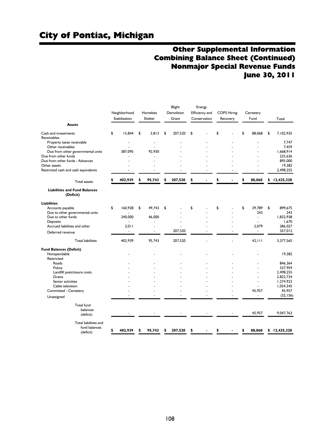## Other Supplemental Information Combining Balance Sheet (Continued) Nonmajor Special Revenue Funds June 30, 2011

|                                                         | Neighborhood<br>Stabilization | Homeless<br>Shelter | Blight<br>Demolition<br>Grant | Energy<br>Efficiency and<br>Conservation | <b>COPS Hiring</b><br>Recovery | Cemetery<br>Fund         | Total                  |
|---------------------------------------------------------|-------------------------------|---------------------|-------------------------------|------------------------------------------|--------------------------------|--------------------------|------------------------|
| <b>Assets</b>                                           |                               |                     |                               |                                          |                                |                          |                        |
| Cash and investments<br>Receivables:                    | \$<br>15.844                  | \$<br>2.813         | \$<br>207,520                 | \$                                       | \$                             | \$<br>88.068             | \$<br>7,102,935        |
| Property taxes receivable<br>Other receivables          |                               | $\blacksquare$      |                               |                                          |                                |                          | 7.747<br>7,459         |
| Due from other governmental units                       | 387.095                       | 92.930              |                               |                                          |                                |                          | 1,668,914              |
| Due from other funds<br>Due from other funds - Advances |                               |                     |                               |                                          |                                |                          | 225,636<br>895,000     |
| Other assets                                            |                               |                     |                               |                                          |                                |                          | 19,382<br>2,498,255    |
| Restricted cash and cash equivalents                    |                               |                     |                               |                                          |                                |                          |                        |
| <b>Total assets</b>                                     | \$<br>402,939                 | \$<br>95,743        | \$<br>207,520                 | \$                                       | \$                             | \$<br>88,068             | \$<br>12,425,328       |
| <b>Liabilities and Fund Balances</b><br>(Deficit)       |                               |                     |                               |                                          |                                |                          |                        |
| <b>Liabilities</b>                                      |                               |                     |                               |                                          |                                |                          |                        |
| Accounts payable                                        | \$<br>160,928                 | \$<br>49,743        | \$                            | \$                                       | \$                             | \$<br>39,789             | \$<br>899,675          |
| Due to other governmental units                         |                               |                     |                               |                                          |                                | 243                      | 243<br>1.832.938       |
| Due to other funds<br>Deposits                          | 240,000<br>٠                  | 46,000              |                               |                                          |                                | $\blacksquare$           | 1.670                  |
| Accrued liabilities and other                           | 2,011                         |                     |                               |                                          |                                | 2,079                    | 286,027                |
| Deferred revenue                                        | ۰                             |                     | 207,520                       |                                          |                                | $\overline{\phantom{a}}$ | 357,012                |
| <b>Total liabilities</b>                                | 402,939                       | 95,743              | 207,520                       |                                          |                                | 42, 111                  | 3,377,565              |
| <b>Fund Balances (Deficit)</b>                          |                               |                     |                               |                                          |                                |                          |                        |
| Nonspendable<br>Restricted:                             |                               |                     |                               |                                          |                                |                          | 19.382                 |
| Roads                                                   |                               |                     |                               |                                          |                                |                          | 846.364                |
| Police                                                  |                               |                     |                               |                                          |                                |                          | 537,959                |
| Landfill postclosure costs<br>Drains                    |                               |                     |                               |                                          |                                |                          | 2.498.255<br>2,822,734 |
| Senior activities                                       |                               |                     |                               |                                          |                                |                          | 1,274,923              |
| Cable television                                        |                               |                     |                               |                                          |                                |                          | 1,034,345              |
| Committed - Cemetery                                    |                               |                     |                               |                                          |                                | 45.957                   | 45,957                 |
| Unassigned                                              |                               |                     |                               |                                          |                                | ٠                        | (32, 156)              |
| <b>Total fund</b><br>balances                           |                               |                     |                               |                                          |                                |                          |                        |
| (deficit)                                               |                               |                     |                               |                                          |                                | 45,957                   | 9,047,763              |
| Total liabilities and<br>fund balances<br>(deficit)     | \$<br>402,939                 | \$<br>95,743        | \$<br>207,520                 | \$                                       | \$                             | \$<br>88,068             | \$<br>12,425,328       |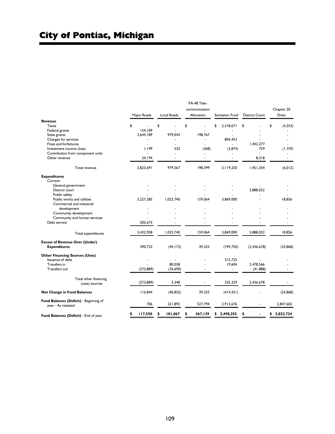|                                        | Major Roads  | <b>Local Roads</b> | PA-48 Tele-<br>communication<br>Allocation | Sanitation Fund | <b>District Court</b> | Chapter 20<br>Drain |
|----------------------------------------|--------------|--------------------|--------------------------------------------|-----------------|-----------------------|---------------------|
| Revenue                                |              |                    |                                            |                 |                       |                     |
| <b>Taxes</b>                           | \$           | \$                 | \$                                         | \$<br>2,318,671 | \$                    | \$<br>(4, 253)      |
| Federal grants                         | 154.109      |                    |                                            |                 |                       |                     |
| State grants                           | 3,644,189    | 979,034            | 198,767                                    |                 |                       |                     |
| Charges for services                   |              |                    |                                            | 804,453         |                       |                     |
| Fines and forfeitures                  |              |                    |                                            |                 | 1,442,277             |                     |
| Investment income (loss)               | 1,199        | 533                | (368)                                      | (3,874)         | 759                   | (1,759)             |
| Contribution from component units      |              |                    |                                            |                 |                       |                     |
| Other revenue                          | 24,194       |                    | ä,                                         |                 | 8,318                 | ÷.                  |
| Total revenue                          | 3,823,691    | 979,567            | 198,399                                    | 3,119,250       | 1,451,354             | (6, 012)            |
| <b>Expenditures</b>                    |              |                    |                                            |                 |                       |                     |
| Current:                               |              |                    |                                            |                 |                       |                     |
| General government                     |              |                    |                                            |                 |                       |                     |
| District court                         |              |                    |                                            |                 | 3.888.032             |                     |
| Public safety                          |              |                    |                                            |                 |                       |                     |
| Public works and utilities             | 3,227,285    | 1,023,740          | 159.064                                    | 3,869,000       |                       | 18.856              |
| Commercial and industrial              |              |                    |                                            |                 |                       |                     |
| development                            |              |                    |                                            |                 |                       |                     |
| Community development                  |              |                    |                                            |                 |                       |                     |
| Community and human services           |              |                    |                                            |                 |                       |                     |
| Debt service                           | 205.673      |                    |                                            |                 |                       |                     |
| Total expenditures                     | 3,432,958    | 1,023,740          | 159,064                                    | 3,869,000       | 3,888,032             | 18,856              |
| <b>Excess of Revenue Over (Under)</b>  |              |                    |                                            |                 |                       |                     |
| <b>Expenditures</b>                    | 390,733      | (44, 173)          | 39,335                                     | (749, 750)      | (2, 436, 678)         | (24, 868)           |
| <b>Other Financing Sources (Uses)</b>  |              |                    |                                            |                 |                       |                     |
| Issuance of debt                       |              |                    |                                            | 315,725         |                       |                     |
| Transfers in                           |              | 80.038             |                                            | 19,604          | 2,478,566             |                     |
| Transfers out                          | (273, 889)   | (76, 690)          |                                            | ÷               | (41, 888)             |                     |
| Total other financing                  |              |                    |                                            |                 |                       |                     |
| (uses) sources                         | (273, 889)   | 3,348              |                                            | 335,329         | 2,436,678             |                     |
| <b>Net Change in Fund Balances</b>     | 116,844      | (40, 825)          | 39,335                                     | (414, 421)      |                       | (24, 868)           |
| Fund Balances (Deficit) - Beginning of | 706          | 221,892            | 527,794                                    | 2,912,676       |                       | 2,847,602           |
| year - As restated                     |              |                    |                                            |                 |                       |                     |
| Fund Balances (Deficit) - End of year  | 117,550<br>S | 181,067<br>S       | 567,129<br>\$                              | 2,498,255<br>s  | S                     | 2,822,734<br>\$     |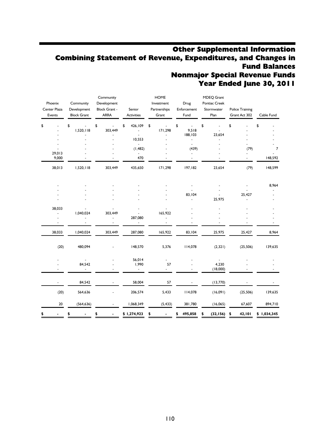## Other Supplemental Information Combining Statement of Revenue, Expenditures, and Changes in Fund Balances Nonmajor Special Revenue Funds Year Ended June 30, 2011

| Phoenix<br>Center Plaza<br>Events | Community<br>Development<br><b>Block Grant</b> | Community<br>Development<br><b>Block Grant -</b><br><b>ARRA</b> | Senior<br>Activities            | <b>HOME</b><br>Investment<br>Partnerships<br>Grant | Drug<br>Enforcement<br>Fund       | MDEQ Grant<br>Pontiac Creek<br>Stormwater<br>Plan | <b>Police Training</b><br>Grant Act 302 | Cable Fund     |
|-----------------------------------|------------------------------------------------|-----------------------------------------------------------------|---------------------------------|----------------------------------------------------|-----------------------------------|---------------------------------------------------|-----------------------------------------|----------------|
| \$                                | \$<br>1,520,118                                | \$<br>303,449                                                   | 426,109<br>\$<br>$\overline{a}$ | \$<br>171,298                                      | \$<br>9,518                       | \$                                                | \$                                      | \$             |
|                                   |                                                |                                                                 | 10,553                          | L.                                                 | 188,103                           | 23,654                                            |                                         |                |
|                                   |                                                |                                                                 |                                 |                                                    | $\omega$                          |                                                   |                                         |                |
| 29,013                            |                                                |                                                                 | (1, 482)                        |                                                    | (439)<br>$\overline{\phantom{a}}$ |                                                   | (79)                                    | $\overline{7}$ |
| 9,000                             |                                                |                                                                 | 470                             |                                                    | $\blacksquare$                    |                                                   | ÷,                                      | 148,592        |
| 38,013                            | 1,520,118                                      | 303,449                                                         | 435,650                         | 171,298                                            | 197,182                           | 23,654                                            | (79)                                    | 148,599        |
|                                   |                                                |                                                                 |                                 |                                                    | ÷,                                |                                                   |                                         | 8,964          |
|                                   |                                                |                                                                 |                                 |                                                    | 83,104                            |                                                   | 25,427                                  |                |
|                                   |                                                |                                                                 |                                 |                                                    |                                   | 25,975                                            |                                         |                |
| 38,033                            |                                                |                                                                 |                                 |                                                    |                                   |                                                   |                                         |                |
| ÷,                                | 1,040,024                                      | 303,449                                                         |                                 | 165,922                                            |                                   |                                                   |                                         |                |
|                                   |                                                |                                                                 | 287,080                         | ÷,<br>$\overline{\phantom{a}}$                     |                                   |                                                   |                                         |                |
| 38,033                            | 1,040,024                                      | 303,449                                                         | 287,080                         | 165,922                                            | 83,104                            | 25,975                                            | 25,427                                  | 8,964          |
| (20)                              | 480,094                                        |                                                                 | 148,570                         | 5,376                                              | 114,078                           | (2, 321)                                          | (25, 506)                               | 139,635        |
|                                   |                                                |                                                                 | 56,014                          |                                                    |                                   |                                                   |                                         |                |
|                                   | 84,542<br>$\overline{\phantom{a}}$             | ٠                                                               | 1,990<br>۰.                     | 57<br>$\sim$                                       |                                   | 4,230<br>(18,000)                                 |                                         |                |
|                                   | 84,542                                         |                                                                 | 58,004                          | 57                                                 |                                   | (13,770)                                          |                                         |                |
| (20)                              | 564,636                                        |                                                                 | 206,574                         | 5,433                                              | 114,078                           | (16,091)                                          | (25, 506)                               | 139,635        |
| 20                                | (564, 636)                                     |                                                                 | 1,068,349                       | (5, 433)                                           | 381,780                           | (16,065)                                          | 67,607                                  | 894,710        |
| \$                                | \$                                             | \$<br>$\blacksquare$                                            | \$1,274,923                     | \$                                                 | 495,858                           | (32, 156)                                         | 42,101<br>\$                            | \$1,034,345    |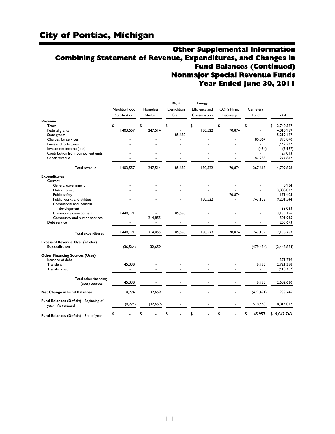## Other Supplemental Information Combining Statement of Revenue, Expenditures, and Changes in Fund Balances (Continued) Nonmajor Special Revenue Funds Year Ended June 30, 2011

|                                                                                                                   | Neighborhood<br>Stabilization | Homeless<br>Shelter | Blight<br>Demolition<br>Grant | Energy<br>Efficiency and<br>Conservation | <b>COPS Hiring</b><br>Recovery | Cemetery<br>Fund | Total                                      |
|-------------------------------------------------------------------------------------------------------------------|-------------------------------|---------------------|-------------------------------|------------------------------------------|--------------------------------|------------------|--------------------------------------------|
| Revenue<br><b>Taxes</b><br>Federal grants<br>State grants                                                         | \$<br>1.403.557               | \$<br>247.514       | \$<br>185,680                 | \$<br>130,522                            | \$<br>70.874                   | \$<br>÷.         | \$<br>2.740.527<br>4.010.959<br>5,219,427  |
| Charges for services<br>Fines and forfeitures<br>Investment income (loss)<br>Contribution from component units    |                               |                     |                               |                                          |                                | 180,864<br>(484) | 995,870<br>1,442,277<br>(5,987)<br>29,013  |
| Other revenue                                                                                                     |                               |                     |                               |                                          |                                | 87,238           | 277,812                                    |
| Total revenue                                                                                                     | 1,403,557                     | 247,514             | 185,680                       | 130,522                                  | 70,874                         | 267,618          | 14,709,898                                 |
| <b>Expenditures</b><br>Current:                                                                                   |                               |                     |                               |                                          |                                |                  |                                            |
| General government<br>District court<br>Public safety<br>Public works and utilities                               |                               |                     |                               | 130,522                                  | 70.874                         | 747,102          | 8.964<br>3.888.032<br>179,405<br>9,201,544 |
| Commercial and industrial<br>development<br>Community development<br>Community and human services<br>Debt service | 1,440,121                     | 214,855             | 185.680                       |                                          |                                |                  | 38,033<br>3,135,196<br>501,935<br>205,673  |
| Total expenditures                                                                                                | 1,440,121                     | 214,855             | 185,680                       | 130,522                                  | 70,874                         | 747,102          | 17,158,782                                 |
| <b>Excess of Revenue Over (Under)</b><br><b>Expenditures</b>                                                      | (36, 564)                     | 32,659              |                               |                                          |                                | (479, 484)       | (2, 448, 884)                              |
| <b>Other Financing Sources (Uses)</b><br>Issuance of debt<br>Transfers in<br>Transfers out                        | 45,338                        |                     |                               |                                          |                                | 6,993<br>÷.      | 371,739<br>2,721,358<br>(410, 467)         |
| Total other financing<br>(uses) sources                                                                           | 45,338                        |                     |                               |                                          |                                | 6,993            | 2,682,630                                  |
| <b>Net Change in Fund Balances</b>                                                                                | 8,774                         | 32,659              |                               |                                          |                                | (472, 491)       | 233,746                                    |
| Fund Balances (Deficit) - Beginning of<br>year - As restated                                                      | (8,774)                       | (32, 659)           |                               |                                          |                                | 518,448          | 8,814,017                                  |
| Fund Balances (Deficit) - End of year                                                                             |                               | \$                  | \$                            | \$                                       | \$                             | \$<br>45,957     | \$9,047,763                                |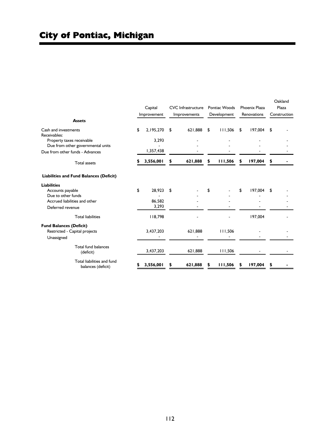| <b>Assets</b>                                                                                                     |    | Capital<br>Improvement    | <b>CVC</b> Infrastructure<br>Improvements |     | Pontiac Woods<br>Development |    | Phoenix Plaza<br>Renovations | Oakland<br>Plaza<br>Construction |
|-------------------------------------------------------------------------------------------------------------------|----|---------------------------|-------------------------------------------|-----|------------------------------|----|------------------------------|----------------------------------|
| Cash and investments<br>Receivables:                                                                              | \$ | 2,195,270                 | \$<br>621,888                             | -\$ | 111,506                      | \$ | 197,004                      | \$                               |
| Property taxes receivable<br>Due from other governmental units                                                    |    | 3,293                     |                                           |     |                              |    |                              |                                  |
| Due from other funds - Advances                                                                                   |    | 1,357,438                 |                                           |     |                              |    |                              |                                  |
| <b>Total assets</b>                                                                                               |    | 3,556,001                 | \$<br>621,888                             | \$  | 111,506                      | \$ | 197,004                      | \$                               |
| <b>Liabilities and Fund Balances (Deficit)</b>                                                                    |    |                           |                                           |     |                              |    |                              |                                  |
| <b>Liabilities</b><br>Accounts payable<br>Due to other funds<br>Accrued liabilities and other<br>Deferred revenue | \$ | 28,923<br>86,582<br>3,293 | \$                                        | \$  |                              | \$ | 197,004                      | \$                               |
| <b>Total liabilities</b>                                                                                          |    | 118,798                   |                                           |     |                              |    | 197,004                      |                                  |
| <b>Fund Balances (Deficit)</b><br>Restricted - Capital projects<br>Unassigned                                     |    | 3,437,203                 | 621,888                                   |     | 111,506                      |    |                              |                                  |
| Total fund balances<br>(deficit)                                                                                  |    | 3,437,203                 | 621,888                                   |     | 111,506                      |    |                              |                                  |
| Total liabilities and fund<br>balances (deficit)                                                                  | 5  | 3,556,001                 | \$<br>621,888                             | s   | 111,506                      | s  | 197,004                      | \$                               |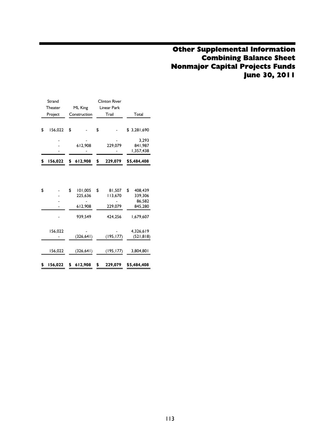## Other Supplemental Information Combining Balance Sheet Nonmajor Capital Projects Funds June 30, 2011

|    | Strand<br>Theater  | ML King                                        | <b>Clinton River</b><br>Linear Park           |                                                            |
|----|--------------------|------------------------------------------------|-----------------------------------------------|------------------------------------------------------------|
|    | Project            | Construction                                   | Trail                                         | Total                                                      |
|    |                    |                                                |                                               |                                                            |
| \$ | 156,022            | \$                                             | \$                                            | \$3,281,690                                                |
|    |                    | 612,908                                        | 229,079                                       | 3.293<br>841,987<br>1,357,438                              |
| S  | 156,022            | \$<br>612,908                                  | \$<br>229,079                                 | \$5,484,408                                                |
| \$ |                    | \$<br>101.005<br>225,636<br>612,908<br>939,549 | \$<br>81.507<br>113,670<br>229,079<br>424,256 | \$<br>408.439<br>339,306<br>86,582<br>845,280<br>1,679,607 |
|    | 156,022<br>156,022 | (326, 641)<br>(326, 641)                       | (195, 177)<br>(195, 177)                      | 4,326,619<br>(521, 818)<br>3,804,801                       |
| \$ | 156,022            | \$<br>612,908                                  | \$<br>229,079                                 | \$5,484,408                                                |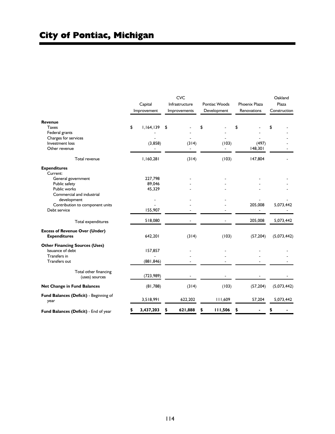|                                                              | Capital<br>Improvement | <b>CVC</b><br>Infrastructure<br>Improvements | Pontiac Woods<br>Development | <b>Phoenix Plaza</b><br>Renovations | Oakland<br>Plaza<br>Construction |
|--------------------------------------------------------------|------------------------|----------------------------------------------|------------------------------|-------------------------------------|----------------------------------|
| Revenue                                                      |                        |                                              |                              |                                     |                                  |
| <b>Taxes</b>                                                 | \$<br>1,164,139        | \$                                           | \$                           | \$                                  | \$                               |
| Federal grants                                               |                        |                                              |                              |                                     |                                  |
| Charges for services                                         |                        |                                              |                              |                                     |                                  |
| Investment loss                                              | (3,858)                | (314)                                        | (103)                        | (497)                               |                                  |
| Other revenue                                                |                        |                                              |                              | 148,301                             |                                  |
| Total revenue                                                | 1,160,281              | (314)                                        | (103)                        | 147,804                             |                                  |
| <b>Expenditures</b>                                          |                        |                                              |                              |                                     |                                  |
| Current:                                                     |                        |                                              |                              |                                     |                                  |
| General government                                           | 227,798                |                                              |                              |                                     |                                  |
| Public safety                                                | 89,046                 |                                              |                              |                                     |                                  |
| Public works                                                 | 45,329                 |                                              |                              |                                     |                                  |
| Commercial and industrial                                    |                        |                                              |                              |                                     |                                  |
| development                                                  |                        |                                              |                              |                                     |                                  |
| Contribution to component units                              |                        |                                              |                              | 205,008                             | 5,073,442                        |
| Debt service                                                 | 155,907                |                                              |                              |                                     |                                  |
| Total expenditures                                           | 518,080                |                                              |                              | 205,008                             | 5,073,442                        |
| <b>Excess of Revenue Over (Under)</b><br><b>Expenditures</b> | 642,201                | (314)                                        | (103)                        | (57, 204)                           | (5,073,442)                      |
| <b>Other Financing Sources (Uses)</b>                        |                        |                                              |                              |                                     |                                  |
| Issuance of debt                                             | 157,857                |                                              |                              |                                     |                                  |
| Transfers in                                                 |                        |                                              |                              |                                     |                                  |
| <b>Transfers out</b>                                         | (881, 846)             |                                              |                              |                                     |                                  |
| Total other financing<br>(uses) sources                      | (723, 989)             |                                              |                              |                                     |                                  |
| <b>Net Change in Fund Balances</b>                           | (81,788)               | (314)                                        | (103)                        | (57, 204)                           | (5,073,442)                      |
| Fund Balances (Deficit) - Beginning of<br>year               | 3,518,991              | 622,202                                      | 111,609                      | 57,204                              | 5,073,442                        |
| Fund Balances (Deficit) - End of year                        | \$<br>3,437,203        | 621,888<br>\$                                | \$<br>111,506                | \$                                  |                                  |

i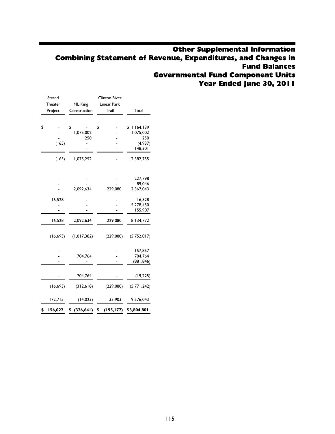## Other Supplemental Information Combining Statement of Revenue, Expenditures, and Changes in Fund Balances Governmental Fund Component Units Year Ended June 30, 2011

| Strand        |                             | <b>Clinton River</b> |                                                            |
|---------------|-----------------------------|----------------------|------------------------------------------------------------|
| Theater       | ML King                     | Linear Park          |                                                            |
| Project       | Construction                | Trail                | Total                                                      |
| \$<br>(165)   | \$<br>1,075,002<br>250<br>- | \$                   | 1,164,139<br>\$<br>1,075,002<br>250<br>(4, 937)<br>148,301 |
| (165)         | 1,075,252                   |                      | 2,382,755                                                  |
|               | 2,092,634                   | 229,080              | 227,798<br>89,046<br>2,367,043                             |
| 16,528        |                             |                      | 16,528<br>5,278,450<br>155,907                             |
| 16,528        | 2,092,634                   | 229,080              | 8,134,772                                                  |
| (16, 693)     | (1, 017, 382)               | (229,080)            | (5,752,017)                                                |
|               | 704.764                     |                      | 157,857<br>704,764<br>(881, 846)                           |
|               | 704,764                     |                      | (19, 225)                                                  |
| (16, 693)     | (312, 618)                  | (229,080)            | (5, 771, 242)                                              |
| 172,715       | (14, 023)                   | 33,903               | 9,576,043                                                  |
| \$<br>156,022 | \$ (326, 641)               | \$<br>(195, 177)     | \$3,804,801                                                |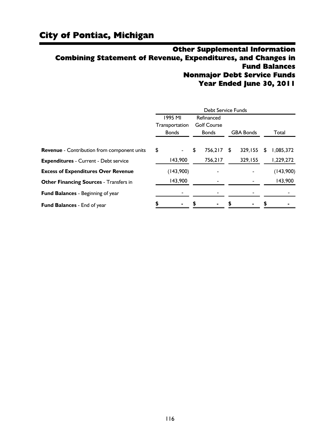## Other Supplemental Information Combining Statement of Revenue, Expenditures, and Changes in Fund Balances Nonmajor Debt Service Funds Year Ended June 30, 2011

|                                                    |                                | Debt Service Funds |   |                  |    |           |
|----------------------------------------------------|--------------------------------|--------------------|---|------------------|----|-----------|
|                                                    | 1995 MI                        | Refinanced         |   |                  |    |           |
|                                                    | Transportation                 | <b>Golf Course</b> |   |                  |    |           |
|                                                    | <b>Bonds</b>                   | <b>Bonds</b>       |   | <b>GBA Bonds</b> |    | Total     |
| <b>Revenue</b> - Contribution from component units | \$<br>$\overline{\phantom{a}}$ | \$<br>756,217      | S | 329.155          | S. | 1,085,372 |
| <b>Expenditures - Current - Debt service</b>       | 143,900                        | 756,217            |   | 329,155          |    | 1,229,272 |
| <b>Excess of Expenditures Over Revenue</b>         | (143,900)                      |                    |   |                  |    | (143,900) |
| <b>Other Financing Sources - Transfers in</b>      | 143,900                        |                    |   |                  |    | 143,900   |
| Fund Balances - Beginning of year                  |                                |                    |   |                  |    |           |
| Fund Balances - End of year                        |                                |                    |   |                  |    |           |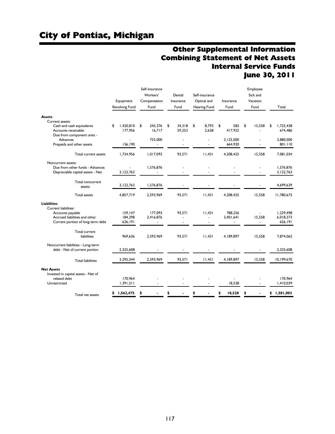## Other Supplemental Information Combining Statement of Net Assets Internal Service Funds June 30, 2011

|                                                                                                                |                               | Self-insurance<br>Workers' | Dental                                   | Self-insurance                             |                                                  | Employee<br>Sick and               |                                   |
|----------------------------------------------------------------------------------------------------------------|-------------------------------|----------------------------|------------------------------------------|--------------------------------------------|--------------------------------------------------|------------------------------------|-----------------------------------|
|                                                                                                                | Equipment<br>Revolving Fund   | Compensation<br>Fund       | Insurance<br>Fund                        | Optical and<br>Hearing Fund                | Insurance<br>Fund                                | Vacation<br>Fund                   | Total                             |
| <b>Assets</b>                                                                                                  |                               |                            |                                          |                                            |                                                  |                                    |                                   |
| Current assets:<br>Cash and cash equivalents                                                                   | 1.420.810<br>\$               | 245.376<br>\$              | \$<br>34,318                             | 8,793<br>\$                                | \$<br>583                                        | \$<br>15,558                       | 1.725.438<br>\$                   |
| Accounts receivable<br>Due from component units -                                                              | 177,956                       | 16.717                     | 59,253                                   | 2.638                                      | 417.922                                          |                                    | 674,486                           |
| Advances                                                                                                       |                               | 755,000                    |                                          | $\ddot{\phantom{1}}$                       | 3,125,000                                        |                                    | 3,880,000                         |
| Prepaids and other assets                                                                                      | 136.190                       |                            |                                          |                                            | 664.920                                          |                                    | 801,110                           |
| Total current assets                                                                                           | 1,734,956                     | 1,017,093                  | 93,571                                   | 11,431                                     | 4,208,425                                        | 15,558                             | 7,081,034                         |
| Noncurrent assets:                                                                                             |                               |                            |                                          |                                            |                                                  |                                    |                                   |
| Due from other funds - Advances                                                                                | ÷.<br>3,122,763               | 1,576,876                  | ٠                                        |                                            |                                                  |                                    | 1,576,876<br>3,122,763            |
| Depreciable capital assets - Net                                                                               |                               |                            |                                          |                                            |                                                  |                                    |                                   |
| Total noncurrent<br>assets                                                                                     | 3,122,763                     | 1,576,876                  |                                          |                                            |                                                  |                                    | 4,699,639                         |
| <b>Total assets</b>                                                                                            | 4,857,719                     | 2,593,969                  | 93,571                                   | 11,431                                     | 4,208,425                                        | 15,558                             | 11,780,673                        |
| <b>Liabilities</b>                                                                                             |                               |                            |                                          |                                            |                                                  |                                    |                                   |
| Current liabilities:<br>Accounts payable<br>Accrued liabilities and other<br>Current portion of long-term debt | 159,147<br>184,298<br>626,191 | 177.093<br>2,416,876<br>٠  | 93.571<br>ä,<br>$\overline{\phantom{a}}$ | 11.431<br>$\blacksquare$<br>$\blacksquare$ | 788.256<br>3.401.641<br>$\overline{\phantom{a}}$ | 15,558<br>$\overline{\phantom{a}}$ | 1.229.498<br>6.018.373<br>626,191 |
| Total current<br>liabilities                                                                                   | 969,636                       | 2,593,969                  | 93,571                                   | 11,431                                     | 4,189,897                                        | 15,558                             | 7,874,062                         |
| Noncurrent liabilities - Long-term<br>debt - Net of current portion                                            | 2,325,608                     |                            |                                          |                                            |                                                  |                                    | 2,325,608                         |
| <b>Total liabilities</b>                                                                                       | 3,295,244                     | 2,593,969                  | 93.571                                   | 1,43                                       | 4,189,897                                        | 15,558                             | 10,199,670                        |
| <b>Net Assets</b>                                                                                              |                               |                            |                                          |                                            |                                                  |                                    |                                   |
| Invested in capital assets - Net of<br>related debt<br>Unrestricted                                            | 170,964<br>1,391,511          |                            |                                          |                                            | 18,528                                           |                                    | 170,964<br>1,410,039              |
| Total net assets                                                                                               | 1,562,475<br>\$               | \$                         | \$                                       | \$                                         | 18,528<br>\$                                     | \$                                 | 1,581,003<br>\$                   |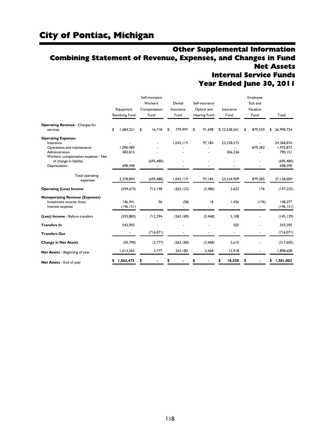## Other Supplemental Information Combining Statement of Revenue, Expenses, and Changes in Fund Net Assets Internal Service Funds

Year Ended June 30, 2011

|                                        | Equipment       |    | Self-insurance<br>Workers'<br>Compensation | Dental<br>Insurance | Self-insurance<br>Optical and | Insurance                | Employee<br>Sick and<br>Vacation |            |
|----------------------------------------|-----------------|----|--------------------------------------------|---------------------|-------------------------------|--------------------------|----------------------------------|------------|
|                                        | Revolving Fund  |    | Fund                                       | Fund                | Hearing Fund                  | Fund                     | Fund                             | Total      |
| <b>Operating Revenue - Charges for</b> |                 |    |                                            |                     |                               |                          |                                  |            |
| services                               | \$<br>1.684.221 | \$ | 16.718                                     | \$<br>779,997       | \$<br>91.698                  | \$23.538.561             | \$<br>879,559                    | 26,990,754 |
| <b>Operating Expenses</b><br>Insurance |                 |    |                                            | 1,043,119           | 97,184                        | 23,228,573               |                                  | 24,368,876 |
| Operations and maintenance             | 1.096.489       |    |                                            |                     |                               |                          | 879.383                          | 1.975.872  |
| Administration                         | 483,815         |    |                                            |                     |                               | 306,336                  |                                  | 790,151    |
| Workers' compensation expense - Net    |                 |    |                                            |                     |                               |                          |                                  |            |
| of change in liability                 |                 |    | (695, 480)                                 |                     |                               |                          |                                  | (695, 480) |
| Depreciation                           | 698,590         |    |                                            |                     |                               |                          |                                  | 698,590    |
|                                        |                 |    |                                            |                     |                               |                          |                                  |            |
| Total operating                        | 2,278,894       |    | (695, 480)                                 | 1,043,119           | 97,184                        | 23,534,909               | 879,383                          | 27,138,009 |
| expenses                               |                 |    |                                            |                     |                               |                          |                                  |            |
| <b>Operating (Loss) Income</b>         | (594, 673)      |    | 712,198                                    | (263, 122)          | (5, 486)                      | 3,652                    | 176                              | (147, 255) |
| <b>Nonoperating Revenue (Expenses)</b> |                 |    |                                            |                     |                               |                          |                                  |            |
| Investment income (loss)               | 146,941         |    | 96                                         | (58)                | 18                            | 1,456                    | (176)                            | 148,277    |
| Interest expense                       | (146, 151)      |    |                                            |                     |                               | $\overline{\phantom{a}}$ |                                  | (146, 151) |
| (Loss) Income - Before transfers       | (593, 883)      |    | 712,294                                    | (263, 180)          | (5, 468)                      | 5,108                    |                                  | (145, 129) |
| <b>Transfers In</b>                    | 543,093         |    |                                            |                     |                               | 502                      |                                  | 543,595    |
| <b>Transfers Out</b>                   |                 |    | (716, 071)                                 |                     |                               |                          |                                  | (716, 071) |
| <b>Change in Net Assets</b>            | (50, 790)       |    | (3,777)                                    | (263, 180)          | (5, 468)                      | 5,610                    |                                  | (317,605)  |
| Net Assets - Beginning of year         | 1,613,265       |    | 3,777                                      | 263.180             | 5,468                         | 12,918                   |                                  | 1,898,608  |
| Net Assets - End of year               | 1,562,475<br>\$ | s  |                                            |                     |                               | 18,528                   |                                  | 1,581,003  |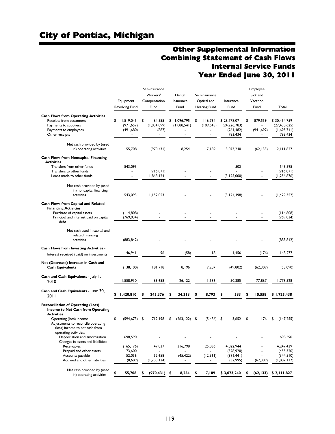## Other Supplemental Information Combining Statement of Cash Flows Internal Service Funds Year Ended June 30, 2011

|                                                                                                                                            | Equipment<br>Revolving Fund                      | Self-insurance<br>Workers'<br>Compensation<br>Fund     | Dental<br>Insurance<br>Fund    |      | Self-insurance<br>Optical and<br>Hearing Fund                       | Insurance<br>Fund                                       |      | Employee<br>Sick and<br>Vacation<br>Fund | Total                                                    |
|--------------------------------------------------------------------------------------------------------------------------------------------|--------------------------------------------------|--------------------------------------------------------|--------------------------------|------|---------------------------------------------------------------------|---------------------------------------------------------|------|------------------------------------------|----------------------------------------------------------|
| <b>Cash Flows from Operating Activities</b><br>Receipts from customers<br>Payments to suppliers<br>Payments to employees<br>Other receipts | \$<br>1.519.045<br>(971, 657)<br>(491, 680)<br>۰ | \$<br>64,555<br>(1,034,099)<br>(887)<br>$\blacksquare$ | \$<br>1,096,795<br>(1,088,541) | \$   | 116,734<br>(109, 545)<br>$\blacksquare$<br>$\overline{\phantom{a}}$ | \$26,778,071<br>(24, 226, 783)<br>(261, 482)<br>783,434 | \$   | 879,559<br>(941, 692)                    | \$30,454,759<br>(27, 430, 625)<br>(1,695,741)<br>783,434 |
| Net cash provided by (used<br>in) operating activities                                                                                     | 55,708                                           | (970, 431)                                             | 8,254                          |      | 7,189                                                               | 3,073,240                                               |      | (62, 133)                                | 2, 111, 827                                              |
| <b>Cash Flows from Noncapital Financing</b><br><b>Activities</b>                                                                           |                                                  |                                                        |                                |      |                                                                     |                                                         |      |                                          |                                                          |
| Transfers from other funds                                                                                                                 | 543,093                                          |                                                        |                                |      |                                                                     | 502                                                     |      |                                          | 543,595                                                  |
| Transfers to other funds                                                                                                                   |                                                  | (716, 071)                                             |                                |      |                                                                     |                                                         |      |                                          | (716, 071)                                               |
| Loans made to other funds                                                                                                                  | $\sim$                                           | 1,868,124                                              |                                |      |                                                                     | (3, 125, 000)                                           |      | $\overline{\phantom{a}}$                 | (1, 256, 876)                                            |
| Net cash provided by (used<br>in) noncapital financing<br>activities                                                                       | 543,093                                          | 1,152,053                                              |                                |      |                                                                     | (3, 124, 498)                                           |      |                                          | (1, 429, 352)                                            |
| Cash Flows from Capital and Related<br><b>Financing Activities</b>                                                                         |                                                  |                                                        |                                |      |                                                                     |                                                         |      |                                          |                                                          |
| Purchase of capital assets                                                                                                                 | (114,808)                                        |                                                        |                                |      |                                                                     |                                                         |      |                                          | (114,808)                                                |
| Principal and interest paid on capital<br>debt                                                                                             | (769, 034)                                       |                                                        |                                |      |                                                                     |                                                         |      |                                          | (769, 034)                                               |
| Net cash used in capital and<br>related financing<br>activities                                                                            | (883, 842)                                       |                                                        |                                |      |                                                                     |                                                         |      |                                          | (883, 842)                                               |
| <b>Cash Flows from Investing Activities -</b>                                                                                              |                                                  |                                                        |                                |      |                                                                     |                                                         |      |                                          |                                                          |
| Interest received (paid) on investments                                                                                                    | 146,941                                          | 96                                                     | (58)                           |      | 18                                                                  | 1,456                                                   |      | (176)                                    | 148,277                                                  |
| Net (Decrease) Increase in Cash and<br><b>Cash Equivalents</b>                                                                             | (138, 100)                                       | 181,718                                                | 8,196                          |      | 7,207                                                               | (49, 802)                                               |      | (62, 309)                                | (53,090)                                                 |
| Cash and Cash Equivalents - July 1,<br>2010                                                                                                | 1,558,910                                        | 63,658                                                 | 26,122                         |      | 1,586                                                               | 50,385                                                  |      | 77,867                                   | 1,778,528                                                |
| Cash and Cash Equivalents - June 30,                                                                                                       |                                                  |                                                        |                                |      |                                                                     |                                                         |      |                                          |                                                          |
| 2011                                                                                                                                       | \$<br>1,420,810                                  | 245,376                                                | 34,318                         |      | 8,793                                                               | 583                                                     | \$   | 15,558                                   | \$1,725,438                                              |
| <b>Reconciliation of Operating (Loss)</b><br>Income to Net Cash from Operating<br><b>Activities</b>                                        |                                                  |                                                        |                                |      |                                                                     |                                                         |      |                                          |                                                          |
| Operating (loss) income<br>Adjustments to reconcile operating<br>(loss) income to net cash from<br>operating activities:                   | \$<br>$(594, 673)$ \$                            | 712,198                                                | \$<br>(263, 122)               | - \$ | (5, 486)                                                            | \$<br>3,652                                             | - \$ | 176                                      | \$<br>(147, 255)                                         |
| Depreciation and amortization<br>Changes in assets and liabilities:                                                                        | 698,590                                          |                                                        |                                |      |                                                                     |                                                         |      |                                          | 698,590                                                  |
| Receivables                                                                                                                                | (165, 176)                                       | 47,837                                                 | 316,798                        |      | 25,036                                                              | 4,022,944                                               |      |                                          | 4,247,439                                                |
| Prepaid and other assets                                                                                                                   | 73,600                                           | ä,                                                     |                                |      | ÷.                                                                  | (528, 920)                                              |      |                                          | (455, 320)                                               |
| Accounts payable<br>Accrued and other liabilities                                                                                          | 52,056<br>(8,689)                                | 52,658<br>(1,783,124)                                  | (45, 422)<br>٠                 |      | (12, 361)<br>٠                                                      | (391, 441)<br>(32, 995)                                 |      | (62, 309)                                | (344, 510)<br>(1,887,117)                                |
| Net cash provided by (used<br>in) operating activities                                                                                     | \$<br>55,708                                     | \$<br>$(970, 431)$ \$                                  | 8,254                          | \$   | 7,189                                                               | \$3,073,240                                             | \$   |                                          | $(62, 133)$ \$ 2, 111,827                                |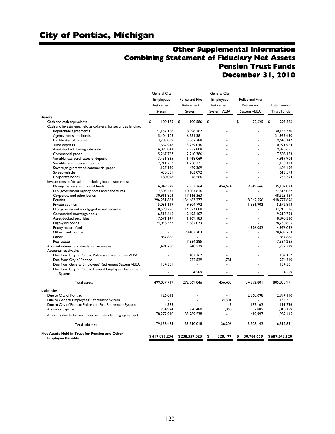## Other Supplemental Information Combining Statement of Fiduciary Net Assets Pension Trust Funds December 31, 2010

| <b>General City</b> |                                                                                                                                                                                                                                                                                                 | <b>General City</b>                                                                                                                                                                                                                                                                           |                                                                                                                              |                                                                                                                                                                                                   |
|---------------------|-------------------------------------------------------------------------------------------------------------------------------------------------------------------------------------------------------------------------------------------------------------------------------------------------|-----------------------------------------------------------------------------------------------------------------------------------------------------------------------------------------------------------------------------------------------------------------------------------------------|------------------------------------------------------------------------------------------------------------------------------|---------------------------------------------------------------------------------------------------------------------------------------------------------------------------------------------------|
|                     |                                                                                                                                                                                                                                                                                                 |                                                                                                                                                                                                                                                                                               |                                                                                                                              |                                                                                                                                                                                                   |
|                     |                                                                                                                                                                                                                                                                                                 |                                                                                                                                                                                                                                                                                               |                                                                                                                              | <b>Total Pension</b>                                                                                                                                                                              |
|                     |                                                                                                                                                                                                                                                                                                 |                                                                                                                                                                                                                                                                                               |                                                                                                                              |                                                                                                                                                                                                   |
|                     |                                                                                                                                                                                                                                                                                                 |                                                                                                                                                                                                                                                                                               |                                                                                                                              | <b>Trust Funds</b>                                                                                                                                                                                |
|                     |                                                                                                                                                                                                                                                                                                 |                                                                                                                                                                                                                                                                                               |                                                                                                                              |                                                                                                                                                                                                   |
|                     |                                                                                                                                                                                                                                                                                                 |                                                                                                                                                                                                                                                                                               |                                                                                                                              | \$<br>293,386                                                                                                                                                                                     |
|                     |                                                                                                                                                                                                                                                                                                 |                                                                                                                                                                                                                                                                                               |                                                                                                                              |                                                                                                                                                                                                   |
|                     |                                                                                                                                                                                                                                                                                                 |                                                                                                                                                                                                                                                                                               |                                                                                                                              | 30,155,330                                                                                                                                                                                        |
| 15,404,109          | 6,551,381                                                                                                                                                                                                                                                                                       |                                                                                                                                                                                                                                                                                               |                                                                                                                              | 21,955,490                                                                                                                                                                                        |
| 13,783,859          | 5,862,288                                                                                                                                                                                                                                                                                       |                                                                                                                                                                                                                                                                                               |                                                                                                                              | 19,646,147                                                                                                                                                                                        |
| 7,662,918           | 3,259,046                                                                                                                                                                                                                                                                                       |                                                                                                                                                                                                                                                                                               |                                                                                                                              | 10,921,964                                                                                                                                                                                        |
| 6,895,843           | 2,932,808                                                                                                                                                                                                                                                                                       |                                                                                                                                                                                                                                                                                               |                                                                                                                              | 9,828,651                                                                                                                                                                                         |
| 5,267,767           | 2,240,386                                                                                                                                                                                                                                                                                       |                                                                                                                                                                                                                                                                                               |                                                                                                                              | 7,508,153                                                                                                                                                                                         |
| 3,451,835           | 1,468,069                                                                                                                                                                                                                                                                                       |                                                                                                                                                                                                                                                                                               |                                                                                                                              | 4,919,904                                                                                                                                                                                         |
| 2,911,752           | 1,238,371                                                                                                                                                                                                                                                                                       |                                                                                                                                                                                                                                                                                               |                                                                                                                              | 4,150,123                                                                                                                                                                                         |
| 1,127,130           | 479,369                                                                                                                                                                                                                                                                                         |                                                                                                                                                                                                                                                                                               |                                                                                                                              | 1,606,499                                                                                                                                                                                         |
| 430,501             | 183,092                                                                                                                                                                                                                                                                                         |                                                                                                                                                                                                                                                                                               |                                                                                                                              | 613,593                                                                                                                                                                                           |
|                     | 76,566                                                                                                                                                                                                                                                                                          |                                                                                                                                                                                                                                                                                               |                                                                                                                              | 256,594                                                                                                                                                                                           |
|                     |                                                                                                                                                                                                                                                                                                 |                                                                                                                                                                                                                                                                                               |                                                                                                                              |                                                                                                                                                                                                   |
|                     |                                                                                                                                                                                                                                                                                                 |                                                                                                                                                                                                                                                                                               |                                                                                                                              | 35,107,033                                                                                                                                                                                        |
|                     |                                                                                                                                                                                                                                                                                                 | $\equiv$                                                                                                                                                                                                                                                                                      | $\blacksquare$                                                                                                               | 22,313,087                                                                                                                                                                                        |
|                     |                                                                                                                                                                                                                                                                                                 | ä,                                                                                                                                                                                                                                                                                            |                                                                                                                              | 48,528,167                                                                                                                                                                                        |
|                     |                                                                                                                                                                                                                                                                                                 |                                                                                                                                                                                                                                                                                               |                                                                                                                              | 448,777,696                                                                                                                                                                                       |
|                     |                                                                                                                                                                                                                                                                                                 |                                                                                                                                                                                                                                                                                               |                                                                                                                              | 15,672,813                                                                                                                                                                                        |
|                     |                                                                                                                                                                                                                                                                                                 |                                                                                                                                                                                                                                                                                               |                                                                                                                              | 32,915,526                                                                                                                                                                                        |
|                     |                                                                                                                                                                                                                                                                                                 |                                                                                                                                                                                                                                                                                               |                                                                                                                              | 9.210.753                                                                                                                                                                                         |
|                     |                                                                                                                                                                                                                                                                                                 |                                                                                                                                                                                                                                                                                               |                                                                                                                              | 8,840,330                                                                                                                                                                                         |
|                     |                                                                                                                                                                                                                                                                                                 |                                                                                                                                                                                                                                                                                               |                                                                                                                              | 28,730,605                                                                                                                                                                                        |
|                     |                                                                                                                                                                                                                                                                                                 |                                                                                                                                                                                                                                                                                               |                                                                                                                              | 4,976,052                                                                                                                                                                                         |
|                     |                                                                                                                                                                                                                                                                                                 |                                                                                                                                                                                                                                                                                               |                                                                                                                              |                                                                                                                                                                                                   |
|                     |                                                                                                                                                                                                                                                                                                 |                                                                                                                                                                                                                                                                                               |                                                                                                                              | 28,403,203                                                                                                                                                                                        |
|                     |                                                                                                                                                                                                                                                                                                 |                                                                                                                                                                                                                                                                                               |                                                                                                                              | 857,886                                                                                                                                                                                           |
|                     |                                                                                                                                                                                                                                                                                                 |                                                                                                                                                                                                                                                                                               |                                                                                                                              | 7,334,285                                                                                                                                                                                         |
|                     |                                                                                                                                                                                                                                                                                                 |                                                                                                                                                                                                                                                                                               |                                                                                                                              | 1,732,339                                                                                                                                                                                         |
|                     |                                                                                                                                                                                                                                                                                                 |                                                                                                                                                                                                                                                                                               |                                                                                                                              |                                                                                                                                                                                                   |
|                     |                                                                                                                                                                                                                                                                                                 |                                                                                                                                                                                                                                                                                               |                                                                                                                              | 187.162                                                                                                                                                                                           |
|                     |                                                                                                                                                                                                                                                                                                 |                                                                                                                                                                                                                                                                                               |                                                                                                                              | 274,310                                                                                                                                                                                           |
|                     |                                                                                                                                                                                                                                                                                                 |                                                                                                                                                                                                                                                                                               |                                                                                                                              | 134,301                                                                                                                                                                                           |
|                     |                                                                                                                                                                                                                                                                                                 |                                                                                                                                                                                                                                                                                               |                                                                                                                              | 4,589                                                                                                                                                                                             |
|                     |                                                                                                                                                                                                                                                                                                 |                                                                                                                                                                                                                                                                                               |                                                                                                                              |                                                                                                                                                                                                   |
| 499,037,719         | 272.069.046                                                                                                                                                                                                                                                                                     | 456,405                                                                                                                                                                                                                                                                                       | 34,292,801                                                                                                                   | 805,855,971                                                                                                                                                                                       |
|                     |                                                                                                                                                                                                                                                                                                 |                                                                                                                                                                                                                                                                                               |                                                                                                                              |                                                                                                                                                                                                   |
|                     |                                                                                                                                                                                                                                                                                                 |                                                                                                                                                                                                                                                                                               |                                                                                                                              | 2.994.110                                                                                                                                                                                         |
|                     |                                                                                                                                                                                                                                                                                                 |                                                                                                                                                                                                                                                                                               |                                                                                                                              |                                                                                                                                                                                                   |
|                     |                                                                                                                                                                                                                                                                                                 |                                                                                                                                                                                                                                                                                               |                                                                                                                              | 134,301                                                                                                                                                                                           |
|                     |                                                                                                                                                                                                                                                                                                 |                                                                                                                                                                                                                                                                                               |                                                                                                                              | 191,796                                                                                                                                                                                           |
|                     |                                                                                                                                                                                                                                                                                                 |                                                                                                                                                                                                                                                                                               |                                                                                                                              | 1,010,199                                                                                                                                                                                         |
|                     |                                                                                                                                                                                                                                                                                                 |                                                                                                                                                                                                                                                                                               |                                                                                                                              | 111,982,445                                                                                                                                                                                       |
| 79,158,485          | 33,510,018                                                                                                                                                                                                                                                                                      | 136,206                                                                                                                                                                                                                                                                                       | 3,508,142                                                                                                                    | 116,312,851                                                                                                                                                                                       |
| \$419,879,234       | \$238,559,028                                                                                                                                                                                                                                                                                   | \$<br>320.199                                                                                                                                                                                                                                                                                 | 30,784,659<br>\$                                                                                                             | \$689,543,120                                                                                                                                                                                     |
|                     | Employees'<br>Retirement<br>System<br>\$<br>100,175<br>21,157,168<br>180,028<br>16,849,379<br>12,305,471<br>30,911,804<br>296, 251, 863<br>5,036,119<br>18,590,726<br>6,515,646<br>7,671,147<br>24,048,532<br>857,886<br>1,491,760<br>134,301<br>٠<br>126,012<br>4,589<br>754,974<br>78,272,910 | Police and Fire<br>Retirement<br>System<br>\$<br>100,586<br>8,998,162<br>7,953,364<br>10,007,616<br>17,616,363<br>134,483,277<br>9,304,792<br>14,324,800<br>2,695,107<br>1,169,183<br>4,682,073<br>28,403,203<br>7,334,285<br>240,579<br>187.162<br>272,529<br>4,589<br>220,480<br>33,289,538 | Employees'<br>Retirement<br>System VEBA<br>\$<br>454,624<br>٠<br>÷.<br>٠<br>٠<br>ä,<br>1,781<br>ä,<br>134,301<br>45<br>1,860 | Police and Fire<br>Retirement<br>System VEBA<br>\$<br>92,625<br>9,849,666<br>18.042.556<br>1,331,902<br>٠<br>$\ddot{\phantom{1}}$<br>4.976.052<br>ä,<br>2.868.098<br>187,162<br>32,885<br>419,997 |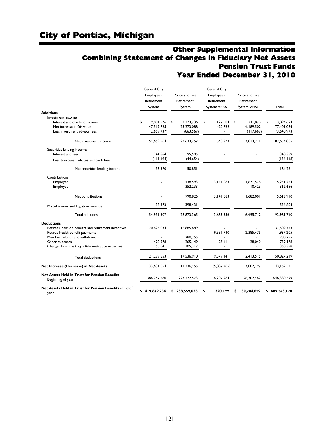## Other Supplemental Information Combining Statement of Changes in Fiduciary Net Assets Pension Trust Funds Year Ended December 31, 2010

|                                                                      | <b>General City</b><br>Employees'<br>Retirement<br>System | Police and Fire<br>Retirement<br>System | <b>Gerenal City</b><br>Employees'<br>Retirement<br>System VEBA | Police and Fire<br>Retirement<br>System VEBA | Total            |
|----------------------------------------------------------------------|-----------------------------------------------------------|-----------------------------------------|----------------------------------------------------------------|----------------------------------------------|------------------|
| <b>Additions</b>                                                     |                                                           |                                         |                                                                |                                              |                  |
| Investment income:                                                   |                                                           |                                         |                                                                |                                              |                  |
| Interest and dividend income                                         | \$<br>9,801,576                                           | \$<br>3,223,736                         | \$<br>127,504                                                  | \$<br>741,878                                | \$<br>13,894,694 |
| Net increase in fair value                                           | 47.517.725                                                | 25,273,088                              | 420,769                                                        | 4.189.502                                    | 77,401,084       |
| Less investment advisor fees                                         | (2,659,737)                                               | (863, 567)                              | ÷,                                                             | (117,669)                                    | (3,640,973)      |
| Net investment income                                                | 54,659,564                                                | 27,633,257                              | 548.273                                                        | 4,813,711                                    | 87,654,805       |
| Securities lending income:                                           |                                                           |                                         |                                                                |                                              |                  |
| Interest and fees                                                    | 244.864                                                   | 95.505                                  |                                                                |                                              | 340.369          |
| Less borrower rebates and bank fees                                  | (111, 494)                                                | (44, 654)                               |                                                                |                                              | (156, 148)       |
| Net securities lending income                                        | 133,370                                                   | 50.851                                  |                                                                |                                              | 184,221          |
| Contributions:                                                       |                                                           |                                         |                                                                |                                              |                  |
| Employer                                                             |                                                           | 438.593                                 | 3.141.083                                                      | 1.671.578                                    | 5.251.254        |
| Employee                                                             |                                                           | 352,233                                 |                                                                | 10,423                                       | 362,656          |
| Net contributions                                                    |                                                           | 790.826                                 | 3.141.083                                                      | 1,682,001                                    | 5.613.910        |
| Miscellaneous and litigation revenue                                 | 138.373                                                   | 398.431                                 |                                                                |                                              | 536.804          |
| <b>Total additions</b>                                               | 54,931,307                                                | 28,873,365                              | 3.689.356                                                      | 6,495,712                                    | 93,989,740       |
| <b>Deductions</b>                                                    |                                                           |                                         |                                                                |                                              |                  |
| Retirees' pension benefits and retirement incentives                 | 20,624,034                                                | 16,885,689                              |                                                                |                                              | 37.509.723       |
| Retiree health benefit payments                                      |                                                           |                                         | 9.551.730                                                      | 2.385.475                                    | 11.937.205       |
| Member refunds and withdrawals                                       |                                                           | 280,755                                 |                                                                |                                              | 280,755          |
| Other expenses                                                       | 420,578                                                   | 265,149                                 | 25.411                                                         | 28,040                                       | 739,178          |
| Charges from the City - Administrative expenses                      | 255,041                                                   | 105,317                                 |                                                                |                                              | 360,358          |
| <b>Total deductions</b>                                              | 21,299,653                                                | 17,536,910                              | 9,577,141                                                      | 2,413,515                                    | 50,827,219       |
| Net Increase (Decrease) in Net Assets                                | 33,631,654                                                | 11,336,455                              | (5,887,785)                                                    | 4,082,197                                    | 43,162,521       |
| Net Assets Held in Trust for Pension Benefits -<br>Beginning of year | 386.247.580                                               | 227.222.573                             | 6.207.984                                                      | 26,702,462                                   | 646.380.599      |
| Net Assets Held in Trust for Pension Benefits - End of<br>year       | \$<br>419,879,234                                         | 238,559,028<br>S                        | 320,199<br>\$                                                  | 30,784,659                                   | 689,543,120<br>S |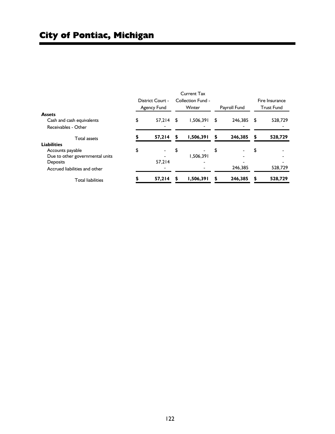|                                 |             |                          |    | <b>Current Tax</b> |    |              |                   |                |  |
|---------------------------------|-------------|--------------------------|----|--------------------|----|--------------|-------------------|----------------|--|
|                                 |             | District Court -         |    | Collection Fund -  |    |              |                   | Fire Insurance |  |
|                                 | Agency Fund |                          |    | Winter             |    | Payroll Fund | <b>Trust Fund</b> |                |  |
| <b>Assets</b>                   |             |                          |    |                    |    |              |                   |                |  |
| Cash and cash equivalents       | \$          | $57.214$ \$              |    | 1.506.391          | S  | 246.385      | \$                | 528,729        |  |
| Receivables - Other             |             |                          |    |                    |    |              |                   |                |  |
| <b>Total assets</b>             |             | 57,214                   | \$ | 1,506,391          | \$ | 246,385      | \$                | 528,729        |  |
| <b>Liabilities</b>              |             |                          |    |                    |    |              |                   |                |  |
| Accounts payable                | \$          | $\overline{\phantom{a}}$ | \$ |                    | \$ |              | \$                |                |  |
| Due to other governmental units |             |                          |    | 1.506.391          |    |              |                   |                |  |
| Deposits                        |             | 57.214                   |    |                    |    |              |                   |                |  |
| Accrued liabilities and other   |             |                          |    |                    |    | 246,385      |                   | 528,729        |  |
| <b>Total liabilities</b>        |             | 57,214                   | S  | 1,506,391          | \$ | 246,385      | S                 | 528,729        |  |

i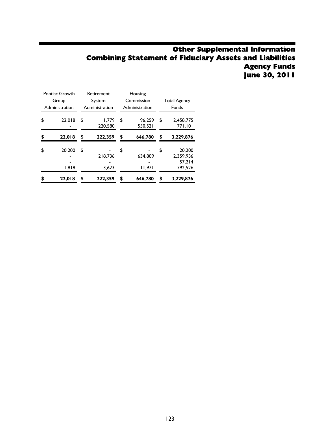## Other Supplemental Information Combining Statement of Fiduciary Assets and Liabilities Agency Funds June 30, 2011

| Pontiac Growth |                 | Retirement             | Housing                 |                     |                                          |  |
|----------------|-----------------|------------------------|-------------------------|---------------------|------------------------------------------|--|
| Group          |                 | System                 | Commission              | <b>Total Agency</b> |                                          |  |
| Administration |                 | Administration         | Administration          | <b>Funds</b>        |                                          |  |
| \$             | 22.018          | \$<br>1.779<br>220,580 | \$<br>96.259<br>550.521 | \$                  | 2.458.775<br>771.101                     |  |
| \$             | 22.018          | \$<br>222,359          | \$<br>646.780           | \$                  | 3.229.876                                |  |
| \$             | 20,200<br>1.818 | \$<br>218,736<br>3.623 | \$<br>634.809<br>11,971 | \$                  | 20,200<br>2.359.936<br>57.214<br>792.526 |  |
| \$             | 22,018          | \$<br>222,359          | \$<br>646.780           | \$                  | 3,229,876                                |  |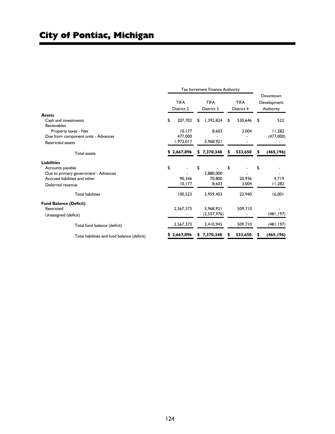|                                              |                           | Tax Increment Finance Authority |    |                           |                           |         |                                      |            |
|----------------------------------------------|---------------------------|---------------------------------|----|---------------------------|---------------------------|---------|--------------------------------------|------------|
|                                              | <b>TIFA</b><br>District 2 |                                 |    | <b>TIFA</b><br>District 3 | <b>TIFA</b><br>District 4 |         | Downtown<br>Development<br>Authority |            |
| <b>Assets</b>                                |                           |                                 |    |                           |                           |         |                                      |            |
| Cash and investments                         | \$                        | 207.702                         | \$ | 1,392,824                 | \$                        | 530.646 | \$                                   | 522        |
| Receivables                                  |                           |                                 |    |                           |                           |         |                                      |            |
| Property taxes - Net                         |                           | 10, 177                         |    | 8,603                     |                           | 3,004   |                                      | 11,282     |
| Due from component units - Advances          |                           | 477,000                         |    |                           |                           |         |                                      | (477,000)  |
| <b>Restricted assets</b>                     |                           | 1,973,017                       |    | 5.968.921                 |                           |         |                                      |            |
| Total assets                                 |                           | \$2,667,896                     |    | \$7,370,348               |                           | 533,650 |                                      | (465, 196) |
| <b>Liabilities</b>                           |                           |                                 |    |                           |                           |         |                                      |            |
| Accounts payable                             | \$                        |                                 | \$ |                           | \$                        |         | \$                                   |            |
| Due to primary government - Advances         |                           |                                 |    | 3.880.000                 |                           |         |                                      |            |
| Accrued liabilities and other                |                           | 90.346                          |    | 70,800                    |                           | 20.936  |                                      | 4,719      |
| Deferred revenue                             |                           | 10, 177                         |    | 8.603                     |                           | 3.004   |                                      | 11,282     |
| <b>Total liabilities</b>                     |                           | 100,523                         |    | 3,959,403                 |                           | 23,940  |                                      | 16,001     |
| <b>Fund Balance (Deficit)</b>                |                           |                                 |    |                           |                           |         |                                      |            |
| Restricted                                   |                           | 2,567,373                       |    | 5.968.921                 |                           | 509,710 |                                      |            |
| Unassigned (deficit)                         |                           |                                 |    | (2,557,976)               |                           |         |                                      | (481, 197) |
| Total fund balance (deficit)                 |                           | 2,567,373                       |    | 3,410,945                 |                           | 509.710 |                                      | (481,197)  |
| Total liabilities and fund balance (deficit) |                           | \$2,667,896                     | S  | 7,370,348                 | S                         | 533,650 |                                      | (465, 196) |
|                                              |                           |                                 |    |                           |                           |         |                                      |            |

٠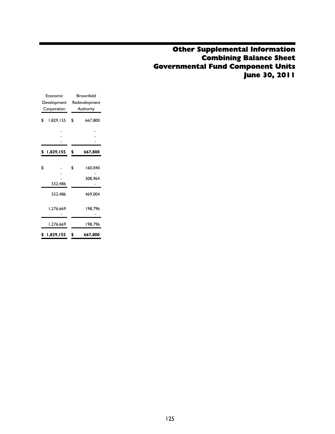## Other Supplemental Information Combining Balance Sheet Governmental Fund Component Units June 30, 2011

| Economic        | <b>Brownfield</b> |
|-----------------|-------------------|
| Development     | Redevelopment     |
| Corporation     | Authority         |
| \$<br>1,829,155 | \$<br>667,800     |
|                 |                   |
| \$<br>1,829,155 | \$<br>667,800     |
|                 |                   |
| \$              | \$<br>160.040     |
| 552,486         | 308,964           |
| 552.486         | 469,004           |
| 1,276,669       | 198,796           |
| 1,276,669       | 198,796           |
| \$<br>1,829,155 | \$<br>667,800     |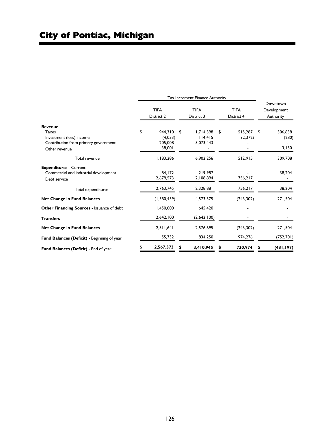|                                             | Tax Increment Finance Authority |                           |    |                           |                                      |
|---------------------------------------------|---------------------------------|---------------------------|----|---------------------------|--------------------------------------|
|                                             | <b>TIFA</b><br>District 2       | <b>TIFA</b><br>District 3 |    | <b>TIFA</b><br>District 4 | Downtown<br>Development<br>Authority |
| Revenue                                     |                                 |                           |    |                           |                                      |
| Taxes                                       | \$<br>944.310                   | \$<br>1,714,398           | \$ | 515.287                   | \$<br>306,838                        |
| Investment (loss) income                    | (4,033)                         | 114,415                   |    | (2,372)                   | (280)                                |
| Contribution from primary government        | 205,008                         | 5,073,443                 |    |                           |                                      |
| Other revenue                               | 38,001                          |                           |    |                           | 3,150                                |
| Total revenue                               | 1,183,286                       | 6,902,256                 |    | 512,915                   | 309,708                              |
| <b>Expenditures - Current</b>               |                                 |                           |    |                           |                                      |
| Commercial and industrial development       | 84,172                          | 219,987                   |    |                           | 38,204                               |
| Debt service                                | 2,679,573                       | 2,108,894                 |    | 756,217                   |                                      |
| Total expenditures                          | 2,763,745                       | 2,328,881                 |    | 756,217                   | 38,204                               |
| <b>Net Change in Fund Balances</b>          | (1,580,459)                     | 4,573,375                 |    | (243, 302)                | 271,504                              |
| Other Financing Sources - Issuance of debt  | 1,450,000                       | 645,420                   |    |                           |                                      |
| <b>Transfers</b>                            | 2,642,100                       | (2,642,100)               |    |                           |                                      |
| <b>Net Change in Fund Balances</b>          | 2,511,641                       | 2,576,695                 |    | (243, 302)                | 271,504                              |
| Fund Balances (Deficit) - Beginning of year | 55,732                          | 834,250                   |    | 974,276                   | (752, 701)                           |
| Fund Balances (Deficit) - End of year       | 2,567,373                       | 3,410,945                 |    | 730,974                   | (481, 197)                           |

٠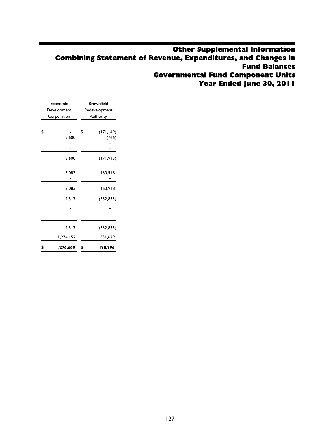## Other Supplemental Information Combining Statement of Revenue, Expenditures, and Changes in Fund Balances Governmental Fund Component Units Year Ended June 30, 2011

| Economic        | <b>Brownfield</b> |
|-----------------|-------------------|
| Development     | Redevelopment     |
| Corporation     | Authority         |
|                 |                   |
| \$              | \$<br>(171, 149)  |
| 5,600           | (766)             |
|                 |                   |
|                 |                   |
| 5,600           | (171, 915)        |
| 3,083           | 160,918           |
| 3,083           | 160,918           |
| 2,517           | (332, 833)        |
|                 |                   |
|                 |                   |
| 2,517           | (332, 833)        |
| 1,274,152       | 531,629           |
| \$<br>1,276,669 | \$<br>198,796     |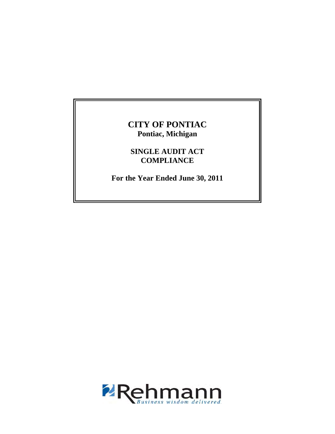## **CITY OF PONTIAC Pontiac, Michigan**

**SINGLE AUDIT ACT COMPLIANCE** 

**For the Year Ended June 30, 2011** 

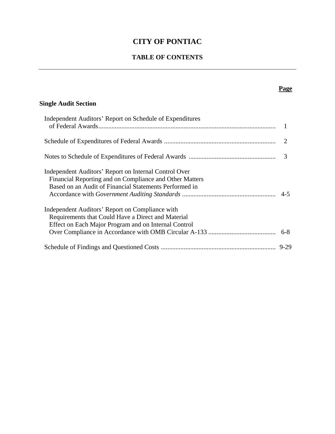## **CITY OF PONTIAC**

## **TABLE OF CONTENTS**

## **Single Audit Section**

| Independent Auditors' Report on Schedule of Expenditures                                                                                                                   |   |
|----------------------------------------------------------------------------------------------------------------------------------------------------------------------------|---|
|                                                                                                                                                                            |   |
|                                                                                                                                                                            | 3 |
| Independent Auditors' Report on Internal Control Over<br>Financial Reporting and on Compliance and Other Matters<br>Based on an Audit of Financial Statements Performed in |   |
| Independent Auditors' Report on Compliance with<br>Requirements that Could Have a Direct and Material<br>Effect on Each Major Program and on Internal Control              |   |
|                                                                                                                                                                            |   |

## **Page**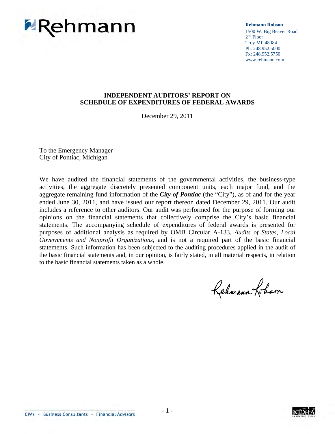

**Rehmann Robson** 1500 W. Big Beaver Road  $2<sup>nd</sup>$  Floor Troy MI 48084 Ph: 248.952.5000 Fx: 248.952.5750 www.rehmann.com

#### **INDEPENDENT AUDITORS' REPORT ON SCHEDULE OF EXPENDITURES OF FEDERAL AWARDS**

December 29, 2011

To the Emergency Manager City of Pontiac, Michigan

We have audited the financial statements of the governmental activities, the business-type activities, the aggregate discretely presented component units, each major fund, and the aggregate remaining fund information of the *City of Pontiac* (the "City"), as of and for the year ended June 30, 2011, and have issued our report thereon dated December 29, 2011. Our audit includes a reference to other auditors. Our audit was performed for the purpose of forming our opinions on the financial statements that collectively comprise the City's basic financial statements. The accompanying schedule of expenditures of federal awards is presented for purposes of additional analysis as required by OMB Circular A-133, *Audits of States, Local Governments and Nonprofit Organizations,* and is not a required part of the basic financial statements. Such information has been subjected to the auditing procedures applied in the audit of the basic financial statements and, in our opinion, is fairly stated, in all material respects, in relation to the basic financial statements taken as a whole.

Rehmann Loham



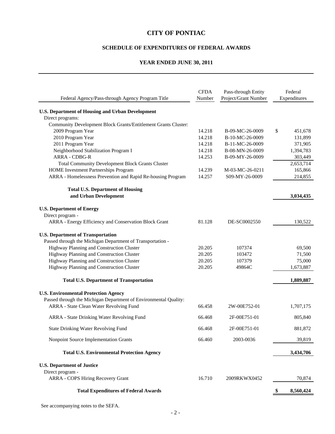#### **CITY OF PONTIAC**

#### **SCHEDULE OF EXPENDITURES OF FEDERAL AWARDS**

#### **YEAR ENDED JUNE 30, 2011**

| Federal Agency/Pass-through Agency Program Title                                                    | <b>CFDA</b><br>Number | Pass-through Entity<br>Project/Grant Number | Federal<br>Expenditures |
|-----------------------------------------------------------------------------------------------------|-----------------------|---------------------------------------------|-------------------------|
| <b>U.S. Department of Housing and Urban Development</b>                                             |                       |                                             |                         |
| Direct programs:                                                                                    |                       |                                             |                         |
| Community Development Block Grants/Entitlement Grants Cluster:                                      |                       |                                             |                         |
| 2009 Program Year                                                                                   | 14.218                | B-09-MC-26-0009                             | \$<br>451,678           |
| 2010 Program Year                                                                                   | 14.218                | B-10-MC-26-0009                             | 131,899                 |
| 2011 Program Year                                                                                   | 14.218                | B-11-MC-26-0009                             | 371,905                 |
| Neighborhood Stabilization Program I                                                                | 14.218                | B-08-MN-26-0009                             | 1,394,783               |
| <b>ARRA - CDBG-R</b>                                                                                | 14.253                | B-09-MY-26-0009                             | 303,449                 |
| <b>Total Community Development Block Grants Cluster</b>                                             |                       |                                             | 2,653,714               |
| HOME Investment Partnerships Program<br>ARRA - Homelessness Prevention and Rapid Re-housing Program | 14.239<br>14.257      | M-03-MC-26-0211<br>S09-MY-26-0009           | 165,866<br>214,855      |
|                                                                                                     |                       |                                             |                         |
| <b>Total U.S. Department of Housing</b>                                                             |                       |                                             |                         |
| and Urban Development                                                                               |                       |                                             | 3,034,435               |
| <b>U.S. Department of Energy</b>                                                                    |                       |                                             |                         |
| Direct program -                                                                                    |                       |                                             |                         |
| ARRA - Energy Efficiency and Conservation Block Grant                                               | 81.128                | DE-SC0002550                                | 130,522                 |
| <b>U.S. Department of Transportation</b>                                                            |                       |                                             |                         |
| Passed through the Michigan Department of Transportation -                                          |                       |                                             |                         |
| Highway Planning and Construction Cluster                                                           | 20.205                | 107374                                      | 69,500                  |
| Highway Planning and Construction Cluster                                                           | 20.205                | 103472                                      | 71,500                  |
| Highway Planning and Construction Cluster                                                           | 20.205                | 107379                                      | 75,000                  |
| Highway Planning and Construction Cluster                                                           | 20.205                | 49864C                                      | 1,673,887               |
| <b>Total U.S. Department of Transportation</b>                                                      |                       |                                             | 1,889,887               |
| <b>U.S. Environmental Protection Agency</b>                                                         |                       |                                             |                         |
| Passed through the Michigan Department of Environmental Quality:                                    |                       |                                             |                         |
| ARRA - State Clean Water Revolving Fund                                                             | 66.458                | 2W-00E752-01                                | 1,707,175               |
| ARRA - State Drinking Water Revolving Fund                                                          | 66.468                | 2F-00E751-01                                | 805,840                 |
| <b>State Drinking Water Revolving Fund</b>                                                          | 66.468                | 2F-00E751-01                                | 881,872                 |
| Nonpoint Source Implementation Grants                                                               | 66.460                | 2003-0036                                   | 39,819                  |
| <b>Total U.S. Environmental Protection Agency</b>                                                   |                       |                                             | 3,434,706               |
|                                                                                                     |                       |                                             |                         |
| <b>U.S. Department of Justice</b><br>Direct program -                                               |                       |                                             |                         |
| ARRA - COPS Hiring Recovery Grant                                                                   | 16.710                | 2009RKWX0452                                | 70,874                  |
|                                                                                                     |                       |                                             |                         |
| <b>Total Expenditures of Federal Awards</b>                                                         |                       |                                             | 8,560,424               |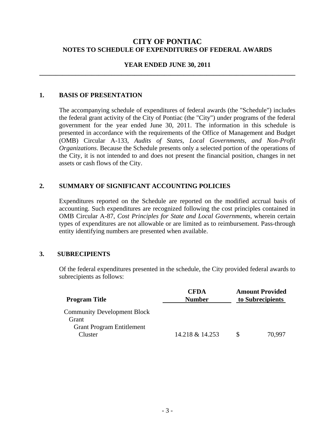#### **CITY OF PONTIAC NOTES TO SCHEDULE OF EXPENDITURES OF FEDERAL AWARDS**

#### **YEAR ENDED JUNE 30, 2011 \_\_\_\_\_\_\_\_\_\_\_\_\_\_\_\_\_\_\_\_\_\_\_\_\_\_\_\_\_\_\_\_\_\_\_\_\_\_\_\_\_\_\_\_\_\_\_\_\_\_\_\_\_\_\_\_\_\_\_\_\_\_\_\_\_\_\_\_\_\_\_\_\_\_\_\_\_\_**

#### **1. BASIS OF PRESENTATION**

 The accompanying schedule of expenditures of federal awards (the "Schedule") includes the federal grant activity of the City of Pontiac (the "City") under programs of the federal government for the year ended June 30, 2011. The information in this schedule is presented in accordance with the requirements of the Office of Management and Budget (OMB) Circular A-133, *Audits of States, Local Governments, and Non-Profit Organizations*. Because the Schedule presents only a selected portion of the operations of the City, it is not intended to and does not present the financial position, changes in net assets or cash flows of the City.

#### **2. SUMMARY OF SIGNIFICANT ACCOUNTING POLICIES**

Expenditures reported on the Schedule are reported on the modified accrual basis of accounting. Such expenditures are recognized following the cost principles contained in OMB Circular A-87, *Cost Principles for State and Local Governments*, wherein certain types of expenditures are not allowable or are limited as to reimbursement. Pass-through entity identifying numbers are presented when available.

#### **3. SUBRECIPIENTS**

Of the federal expenditures presented in the schedule, the City provided federal awards to subrecipients as follows:

| <b>Program Title</b>                        | <b>CFDA</b><br><b>Number</b> |          | <b>Amount Provided</b><br>to Subrecipients |
|---------------------------------------------|------------------------------|----------|--------------------------------------------|
| <b>Community Development Block</b><br>Grant |                              |          |                                            |
| <b>Grant Program Entitlement</b><br>Cluster | 14.218 & 14.253              | <b>S</b> | 70.997                                     |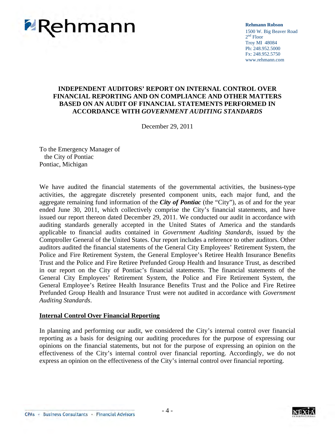

**Rehmann Robson** 1500 W. Big Beaver Road  $2<sup>nd</sup>$  Floor Troy MI 48084 Ph: 248.952.5000 Fx: 248.952.5750 www.rehmann.com

#### **INDEPENDENT AUDITORS' REPORT ON INTERNAL CONTROL OVER FINANCIAL REPORTING AND ON COMPLIANCE AND OTHER MATTERS BASED ON AN AUDIT OF FINANCIAL STATEMENTS PERFORMED IN ACCORDANCE WITH** *GOVERNMENT AUDITING STANDARDS*

December 29, 2011

To the Emergency Manager of the City of Pontiac Pontiac, Michigan

We have audited the financial statements of the governmental activities, the business-type activities, the aggregate discretely presented component units, each major fund, and the aggregate remaining fund information of the *City of Pontiac* (the "City"), as of and for the year ended June 30, 2011, which collectively comprise the City's financial statements, and have issued our report thereon dated December 29, 2011. We conducted our audit in accordance with auditing standards generally accepted in the United States of America and the standards applicable to financial audits contained in *Government Auditing Standards*, issued by the Comptroller General of the United States. Our report includes a reference to other auditors. Other auditors audited the financial statements of the General City Employees' Retirement System, the Police and Fire Retirement System, the General Employee's Retiree Health Insurance Benefits Trust and the Police and Fire Retiree Prefunded Group Health and Insurance Trust, as described in our report on the City of Pontiac's financial statements. The financial statements of the General City Employees' Retirement System, the Police and Fire Retirement System, the General Employee's Retiree Health Insurance Benefits Trust and the Police and Fire Retiree Prefunded Group Health and Insurance Trust were not audited in accordance with *Government Auditing Standards*.

#### **Internal Control Over Financial Reporting**

In planning and performing our audit, we considered the City's internal control over financial reporting as a basis for designing our auditing procedures for the purpose of expressing our opinions on the financial statements, but not for the purpose of expressing an opinion on the effectiveness of the City's internal control over financial reporting. Accordingly, we do not express an opinion on the effectiveness of the City's internal control over financial reporting.

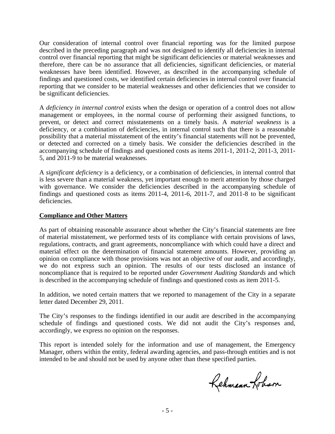Our consideration of internal control over financial reporting was for the limited purpose described in the preceding paragraph and was not designed to identify all deficiencies in internal control over financial reporting that might be significant deficiencies or material weaknesses and therefore, there can be no assurance that all deficiencies, significant deficiencies, or material weaknesses have been identified. However, as described in the accompanying schedule of findings and questioned costs, we identified certain deficiencies in internal control over financial reporting that we consider to be material weaknesses and other deficiencies that we consider to be significant deficiencies.

A *deficiency in internal control* exists when the design or operation of a control does not allow management or employees, in the normal course of performing their assigned functions, to prevent, or detect and correct misstatements on a timely basis. A *material weakness* is a deficiency, or a combination of deficiencies, in internal control such that there is a reasonable possibility that a material misstatement of the entity's financial statements will not be prevented, or detected and corrected on a timely basis. We consider the deficiencies described in the accompanying schedule of findings and questioned costs as items 2011-1, 2011-2, 2011-3, 2011- 5, and 2011-9 to be material weaknesses.

A *significant deficiency* is a deficiency, or a combination of deficiencies, in internal control that is less severe than a material weakness, yet important enough to merit attention by those charged with governance. We consider the deficiencies described in the accompanying schedule of findings and questioned costs as items 2011-4, 2011-6, 2011-7, and 2011-8 to be significant deficiencies.

#### **Compliance and Other Matters**

As part of obtaining reasonable assurance about whether the City's financial statements are free of material misstatement, we performed tests of its compliance with certain provisions of laws, regulations, contracts, and grant agreements, noncompliance with which could have a direct and material effect on the determination of financial statement amounts. However, providing an opinion on compliance with those provisions was not an objective of our audit, and accordingly, we do not express such an opinion. The results of our tests disclosed an instance of noncompliance that is required to be reported under *Government Auditing Standards* and which is described in the accompanying schedule of findings and questioned costs as item 2011-5.

In addition, we noted certain matters that we reported to management of the City in a separate letter dated December 29, 2011.

The City's responses to the findings identified in our audit are described in the accompanying schedule of findings and questioned costs. We did not audit the City's responses and, accordingly, we express no opinion on the responses.

This report is intended solely for the information and use of management, the Emergency Manager, others within the entity, federal awarding agencies, and pass-through entities and is not intended to be and should not be used by anyone other than these specified parties.

Rehmann Loham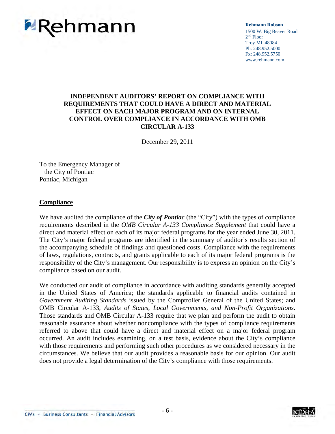

**Rehmann Robson** 1500 W. Big Beaver Road 2<sup>nd</sup> Floor Troy MI 48084 Ph: 248.952.5000 Fx: 248.952.5750 www.rehmann.com

#### **INDEPENDENT AUDITORS' REPORT ON COMPLIANCE WITH REQUIREMENTS THAT COULD HAVE A DIRECT AND MATERIAL EFFECT ON EACH MAJOR PROGRAM AND ON INTERNAL CONTROL OVER COMPLIANCE IN ACCORDANCE WITH OMB CIRCULAR A-133**

December 29, 2011

To the Emergency Manager of the City of Pontiac Pontiac, Michigan

#### **Compliance**

We have audited the compliance of the *City of Pontiac* (the "City") with the types of compliance requirements described in the *OMB Circular A-133 Compliance Supplement* that could have a direct and material effect on each of its major federal programs for the year ended June 30, 2011. The City's major federal programs are identified in the summary of auditor's results section of the accompanying schedule of findings and questioned costs. Compliance with the requirements of laws, regulations, contracts, and grants applicable to each of its major federal programs is the responsibility of the City's management. Our responsibility is to express an opinion on the City's compliance based on our audit.

We conducted our audit of compliance in accordance with auditing standards generally accepted in the United States of America; the standards applicable to financial audits contained in *Government Auditing Standards* issued by the Comptroller General of the United States; and OMB Circular A-133, *Audits of States, Local Governments, and Non-Profit Organizations*. Those standards and OMB Circular A-133 require that we plan and perform the audit to obtain reasonable assurance about whether noncompliance with the types of compliance requirements referred to above that could have a direct and material effect on a major federal program occurred. An audit includes examining, on a test basis, evidence about the City's compliance with those requirements and performing such other procedures as we considered necessary in the circumstances. We believe that our audit provides a reasonable basis for our opinion. Our audit does not provide a legal determination of the City's compliance with those requirements.



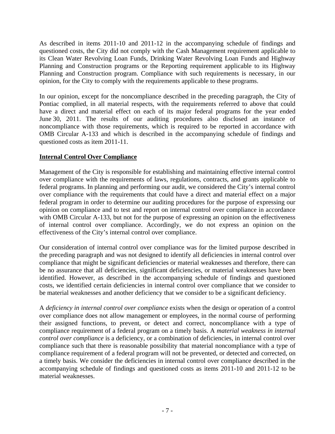As described in items 2011-10 and 2011-12 in the accompanying schedule of findings and questioned costs, the City did not comply with the Cash Management requirement applicable to its Clean Water Revolving Loan Funds, Drinking Water Revolving Loan Funds and Highway Planning and Construction programs or the Reporting requirement applicable to its Highway Planning and Construction program. Compliance with such requirements is necessary, in our opinion, for the City to comply with the requirements applicable to these programs.

In our opinion, except for the noncompliance described in the preceding paragraph, the City of Pontiac complied, in all material respects, with the requirements referred to above that could have a direct and material effect on each of its major federal programs for the year ended June 30, 2011. The results of our auditing procedures also disclosed an instance of noncompliance with those requirements, which is required to be reported in accordance with OMB Circular A-133 and which is described in the accompanying schedule of findings and questioned costs as item 2011-11.

#### **Internal Control Over Compliance**

Management of the City is responsible for establishing and maintaining effective internal control over compliance with the requirements of laws, regulations, contracts, and grants applicable to federal programs. In planning and performing our audit, we considered the City's internal control over compliance with the requirements that could have a direct and material effect on a major federal program in order to determine our auditing procedures for the purpose of expressing our opinion on compliance and to test and report on internal control over compliance in accordance with OMB Circular A-133, but not for the purpose of expressing an opinion on the effectiveness of internal control over compliance. Accordingly, we do not express an opinion on the effectiveness of the City's internal control over compliance.

Our consideration of internal control over compliance was for the limited purpose described in the preceding paragraph and was not designed to identify all deficiencies in internal control over compliance that might be significant deficiencies or material weaknesses and therefore, there can be no assurance that all deficiencies, significant deficiencies, or material weaknesses have been identified. However, as described in the accompanying schedule of findings and questioned costs, we identified certain deficiencies in internal control over compliance that we consider to be material weaknesses and another deficiency that we consider to be a significant deficiency.

A *deficiency in internal control over compliance* exists when the design or operation of a control over compliance does not allow management or employees, in the normal course of performing their assigned functions, to prevent, or detect and correct, noncompliance with a type of compliance requirement of a federal program on a timely basis. A *material weakness in internal control over compliance* is a deficiency, or a combination of deficiencies, in internal control over compliance such that there is reasonable possibility that material noncompliance with a type of compliance requirement of a federal program will not be prevented, or detected and corrected, on a timely basis. We consider the deficiencies in internal control over compliance described in the accompanying schedule of findings and questioned costs as items 2011-10 and 2011-12 to be material weaknesses.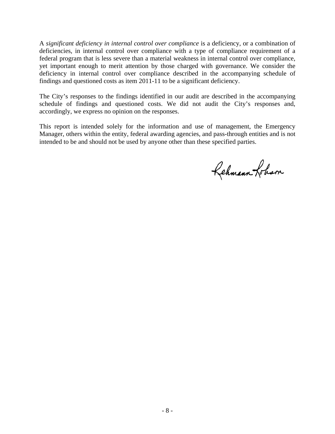A *significant deficiency in internal control over compliance* is a deficiency, or a combination of deficiencies, in internal control over compliance with a type of compliance requirement of a federal program that is less severe than a material weakness in internal control over compliance, yet important enough to merit attention by those charged with governance. We consider the deficiency in internal control over compliance described in the accompanying schedule of findings and questioned costs as item 2011-11 to be a significant deficiency.

The City's responses to the findings identified in our audit are described in the accompanying schedule of findings and questioned costs. We did not audit the City's responses and, accordingly, we express no opinion on the responses.

This report is intended solely for the information and use of management, the Emergency Manager, others within the entity, federal awarding agencies, and pass-through entities and is not intended to be and should not be used by anyone other than these specified parties.

Rehmann-fotism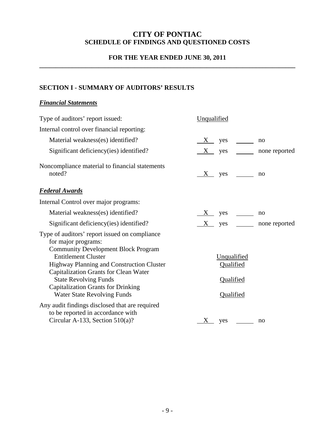## **CITY OF PONTIAC SCHEDULE OF FINDINGS AND QUESTIONED COSTS**

#### **FOR THE YEAR ENDED JUNE 30, 2011 \_\_\_\_\_\_\_\_\_\_\_\_\_\_\_\_\_\_\_\_\_\_\_\_\_\_\_\_\_\_\_\_\_\_\_\_\_\_\_\_\_\_\_\_\_\_\_\_\_\_\_\_\_\_\_\_\_\_\_\_\_\_\_\_\_\_\_\_\_\_\_\_\_\_\_\_\_\_**

## **SECTION I - SUMMARY OF AUDITORS' RESULTS**

#### *Financial Statements*

| Type of auditors' report issued:                                                                                                                                                                                                                                                                                                                                 | Unqualified                                              |  |
|------------------------------------------------------------------------------------------------------------------------------------------------------------------------------------------------------------------------------------------------------------------------------------------------------------------------------------------------------------------|----------------------------------------------------------|--|
| Internal control over financial reporting:                                                                                                                                                                                                                                                                                                                       |                                                          |  |
| Material weakness(es) identified?                                                                                                                                                                                                                                                                                                                                | no                                                       |  |
| Significant deficiency (ies) identified?                                                                                                                                                                                                                                                                                                                         | $yes \t -$<br>$X_{-}$<br>none reported                   |  |
| Noncompliance material to financial statements<br>noted?                                                                                                                                                                                                                                                                                                         | no                                                       |  |
| <b>Federal Awards</b>                                                                                                                                                                                                                                                                                                                                            |                                                          |  |
| Internal Control over major programs:                                                                                                                                                                                                                                                                                                                            |                                                          |  |
| Material weakness(es) identified?                                                                                                                                                                                                                                                                                                                                | no                                                       |  |
| Significant deficiency (ies) identified?                                                                                                                                                                                                                                                                                                                         | $yes \t -$<br>$\boldsymbol{\mathrm{X}}$<br>none reported |  |
| Type of auditors' report issued on compliance<br>for major programs:<br><b>Community Development Block Program</b><br><b>Entitlement Cluster</b><br>Highway Planning and Construction Cluster<br><b>Capitalization Grants for Clean Water</b><br><b>State Revolving Funds</b><br><b>Capitalization Grants for Drinking</b><br><b>Water State Revolving Funds</b> | Unqualified<br>Qualified<br>Qualified<br>Qualified       |  |
| Any audit findings disclosed that are required<br>to be reported in accordance with<br>Circular A-133, Section $510(a)$ ?                                                                                                                                                                                                                                        | $X$ yes<br>no                                            |  |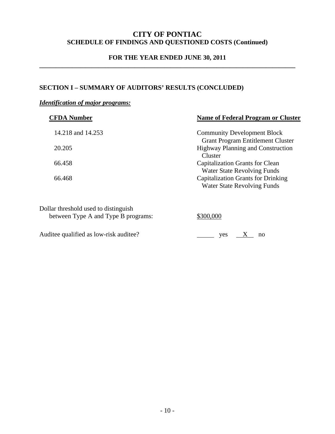## **CITY OF PONTIAC SCHEDULE OF FINDINGS AND QUESTIONED COSTS (Continued)**

#### **FOR THE YEAR ENDED JUNE 30, 2011 \_\_\_\_\_\_\_\_\_\_\_\_\_\_\_\_\_\_\_\_\_\_\_\_\_\_\_\_\_\_\_\_\_\_\_\_\_\_\_\_\_\_\_\_\_\_\_\_\_\_\_\_\_\_\_\_\_\_\_\_\_\_\_\_\_\_\_\_\_\_\_\_\_\_\_\_\_\_**

#### **SECTION I – SUMMARY OF AUDITORS' RESULTS (CONCLUDED)**

#### *Identification of major programs:*

| <b>CFDA Number</b> | <b>Name of Federal Program or Cluster</b>                                            |
|--------------------|--------------------------------------------------------------------------------------|
| 14.218 and 14.253  | <b>Community Development Block</b>                                                   |
| 20.205             | <b>Grant Program Entitlement Cluster</b><br><b>Highway Planning and Construction</b> |
|                    | Cluster                                                                              |
| 66.458             | <b>Capitalization Grants for Clean</b>                                               |
|                    | <b>Water State Revolving Funds</b>                                                   |
| 66.468             | <b>Capitalization Grants for Drinking</b>                                            |
|                    | <b>Water State Revolving Funds</b>                                                   |
|                    |                                                                                      |

| Dollar threshold used to distinguish |           |
|--------------------------------------|-----------|
| between Type A and Type B programs:  | \$300,000 |
|                                      |           |

Auditee qualified as low-risk auditee?  $\frac{\ }{y \text{e} \cdot y}$  yes  $\frac{X}{X}$  no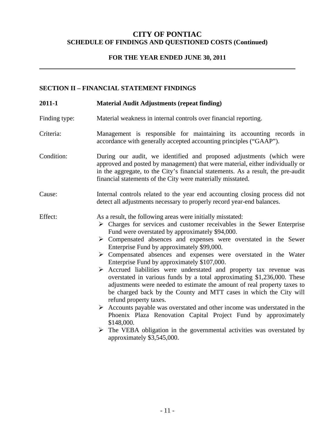#### **CITY OF PONTIAC SCHEDULE OF FINDINGS AND QUESTIONED COSTS (Continued)**

#### **FOR THE YEAR ENDED JUNE 30, 2011**

#### **SECTION II – FINANCIAL STATEMENT FINDINGS**

| 2011-1        | <b>Material Audit Adjustments (repeat finding)</b>                                                                                                                                                                                                                                                                                                                                                                                                                                                                                                                                                                                                                                                                                                                                                                                                                                                                                                                                                                                                                                           |
|---------------|----------------------------------------------------------------------------------------------------------------------------------------------------------------------------------------------------------------------------------------------------------------------------------------------------------------------------------------------------------------------------------------------------------------------------------------------------------------------------------------------------------------------------------------------------------------------------------------------------------------------------------------------------------------------------------------------------------------------------------------------------------------------------------------------------------------------------------------------------------------------------------------------------------------------------------------------------------------------------------------------------------------------------------------------------------------------------------------------|
| Finding type: | Material weakness in internal controls over financial reporting.                                                                                                                                                                                                                                                                                                                                                                                                                                                                                                                                                                                                                                                                                                                                                                                                                                                                                                                                                                                                                             |
| Criteria:     | Management is responsible for maintaining its accounting records in<br>accordance with generally accepted accounting principles ("GAAP").                                                                                                                                                                                                                                                                                                                                                                                                                                                                                                                                                                                                                                                                                                                                                                                                                                                                                                                                                    |
| Condition:    | During our audit, we identified and proposed adjustments (which were<br>approved and posted by management) that were material, either individually or<br>in the aggregate, to the City's financial statements. As a result, the pre-audit<br>financial statements of the City were materially misstated.                                                                                                                                                                                                                                                                                                                                                                                                                                                                                                                                                                                                                                                                                                                                                                                     |
| Cause:        | Internal controls related to the year end accounting closing process did not<br>detect all adjustments necessary to properly record year-end balances.                                                                                                                                                                                                                                                                                                                                                                                                                                                                                                                                                                                                                                                                                                                                                                                                                                                                                                                                       |
| Effect:       | As a result, the following areas were initially misstated:<br>$\triangleright$ Charges for services and customer receivables in the Sewer Enterprise<br>Fund were overstated by approximately \$94,000.<br>> Compensated absences and expenses were overstated in the Sewer<br>Enterprise Fund by approximately \$99,000.<br>$\triangleright$ Compensated absences and expenses were overstated in the Water<br>Enterprise Fund by approximately \$107,000.<br>> Accrued liabilities were understated and property tax revenue was<br>overstated in various funds by a total approximating \$1,236,000. These<br>adjustments were needed to estimate the amount of real property taxes to<br>be charged back by the County and MTT cases in which the City will<br>refund property taxes.<br>$\triangleright$ Accounts payable was overstated and other income was understated in the<br>Phoenix Plaza Renovation Capital Project Fund by approximately<br>\$148,000.<br>$\triangleright$ The VEBA obligation in the governmental activities was overstated by<br>approximately \$3,545,000. |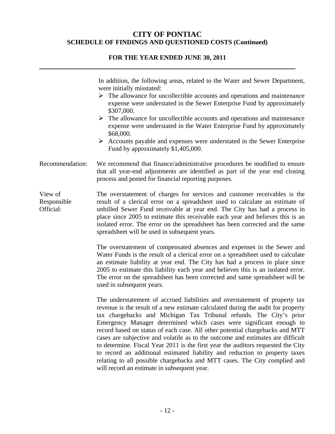## **CITY OF PONTIAC SCHEDULE OF FINDINGS AND QUESTIONED COSTS (Continued)**

## **FOR THE YEAR ENDED JUNE 30, 2011**

|                                     | In addition, the following areas, related to the Water and Sewer Department,<br>were initially misstated:<br>$\triangleright$ The allowance for uncollectible accounts and operations and maintenance<br>expense were understated in the Sewer Enterprise Fund by approximately<br>\$307,000.<br>$\triangleright$ The allowance for uncollectible accounts and operations and maintenance<br>expense were understated in the Water Enterprise Fund by approximately<br>\$68,000.<br>$\triangleright$ Accounts payable and expenses were understated in the Sewer Enterprise<br>Fund by approximately \$1,405,000.                                                                                                                                                               |
|-------------------------------------|---------------------------------------------------------------------------------------------------------------------------------------------------------------------------------------------------------------------------------------------------------------------------------------------------------------------------------------------------------------------------------------------------------------------------------------------------------------------------------------------------------------------------------------------------------------------------------------------------------------------------------------------------------------------------------------------------------------------------------------------------------------------------------|
| Recommendation:                     | We recommend that finance/administrative procedures be modified to ensure<br>that all year-end adjustments are identified as part of the year end closing<br>process and posted for financial reporting purposes.                                                                                                                                                                                                                                                                                                                                                                                                                                                                                                                                                               |
| View of<br>Responsible<br>Official: | The overstatement of charges for services and customer receivables is the<br>result of a clerical error on a spreadsheet used to calculate an estimate of<br>unbilled Sewer Fund receivable at year end. The City has had a process in<br>place since 2005 to estimate this receivable each year and believes this is an<br>isolated error. The error on the spreadsheet has been corrected and the same<br>spreadsheet will be used in subsequent years.                                                                                                                                                                                                                                                                                                                       |
|                                     | The overstatement of compensated absences and expenses in the Sewer and<br>Water Funds is the result of a clerical error on a spreadsheet used to calculate<br>an estimate liability at year end. The City has had a process in place since<br>2005 to estimate this liability each year and believes this is an isolated error.<br>The error on the spreadsheet has been corrected and same spreadsheet will be<br>used in subsequent years.                                                                                                                                                                                                                                                                                                                                   |
|                                     | The understatement of accrued liabilities and overstatement of property tax<br>revenue is the result of a new estimate calculated during the audit for property<br>tax chargebacks and Michigan Tax Tribunal refunds. The City's prior<br>Emergency Manager determined which cases were significant enough to<br>record based on status of each case. All other potential chargebacks and MTT<br>cases are subjective and volatile as to the outcome and estimates are difficult<br>to determine. Fiscal Year 2011 is the first year the auditors requested the City<br>to record an additional estimated liability and reduction to property taxes<br>relating to all possible chargebacks and MTT cases. The City complied and<br>will record an estimate in subsequent year. |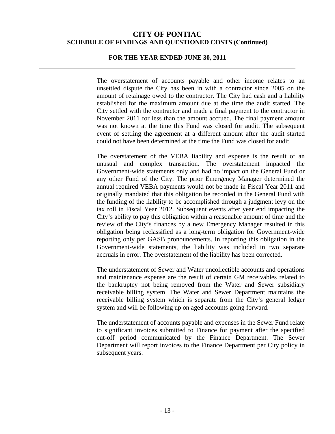#### **FOR THE YEAR ENDED JUNE 30, 2011**

The overstatement of accounts payable and other income relates to an unsettled dispute the City has been in with a contractor since 2005 on the amount of retainage owed to the contractor. The City had cash and a liability established for the maximum amount due at the time the audit started. The City settled with the contractor and made a final payment to the contractor in November 2011 for less than the amount accrued. The final payment amount was not known at the time this Fund was closed for audit. The subsequent event of settling the agreement at a different amount after the audit started could not have been determined at the time the Fund was closed for audit.

The overstatement of the VEBA liability and expense is the result of an unusual and complex transaction. The overstatement impacted the Government-wide statements only and had no impact on the General Fund or any other Fund of the City. The prior Emergency Manager determined the annual required VEBA payments would not be made in Fiscal Year 2011 and originally mandated that this obligation be recorded in the General Fund with the funding of the liability to be accomplished through a judgment levy on the tax roll in Fiscal Year 2012. Subsequent events after year end impacting the City's ability to pay this obligation within a reasonable amount of time and the review of the City's finances by a new Emergency Manager resulted in this obligation being reclassified as a long-term obligation for Government-wide reporting only per GASB pronouncements. In reporting this obligation in the Government-wide statements, the liability was included in two separate accruals in error. The overstatement of the liability has been corrected.

The understatement of Sewer and Water uncollectible accounts and operations and maintenance expense are the result of certain GM receivables related to the bankruptcy not being removed from the Water and Sewer subsidiary receivable billing system. The Water and Sewer Department maintains the receivable billing system which is separate from the City's general ledger system and will be following up on aged accounts going forward.

The understatement of accounts payable and expenses in the Sewer Fund relate to significant invoices submitted to Finance for payment after the specified cut-off period communicated by the Finance Department. The Sewer Department will report invoices to the Finance Department per City policy in subsequent years.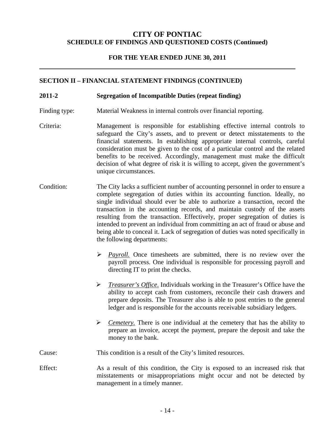#### **FOR THE YEAR ENDED JUNE 30, 2011**

#### **SECTION II – FINANCIAL STATEMENT FINDINGS (CONTINUED)**

#### **2011-2 Segregation of Incompatible Duties (repeat finding)**

- Finding type: Material Weakness in internal controls over financial reporting.
- Criteria: Management is responsible for establishing effective internal controls to safeguard the City's assets, and to prevent or detect misstatements to the financial statements. In establishing appropriate internal controls, careful consideration must be given to the cost of a particular control and the related benefits to be received. Accordingly, management must make the difficult decision of what degree of risk it is willing to accept, given the government's unique circumstances.
- Condition: The City lacks a sufficient number of accounting personnel in order to ensure a complete segregation of duties within its accounting function. Ideally, no single individual should ever be able to authorize a transaction, record the transaction in the accounting records, and maintain custody of the assets resulting from the transaction. Effectively, proper segregation of duties is intended to prevent an individual from committing an act of fraud or abuse and being able to conceal it. Lack of segregation of duties was noted specifically in the following departments:
	- *Payroll.* Once timesheets are submitted, there is no review over the payroll process. One individual is responsible for processing payroll and directing IT to print the checks.
	- *Treasurer's Office*. Individuals working in the Treasurer's Office have the ability to accept cash from customers, reconcile their cash drawers and prepare deposits. The Treasurer also is able to post entries to the general ledger and is responsible for the accounts receivable subsidiary ledgers.
	- $\triangleright$  *Cemetery.* There is one individual at the cemetery that has the ability to prepare an invoice, accept the payment, prepare the deposit and take the money to the bank.

#### Cause: This condition is a result of the City's limited resources.

Effect: As a result of this condition, the City is exposed to an increased risk that misstatements or misappropriations might occur and not be detected by management in a timely manner.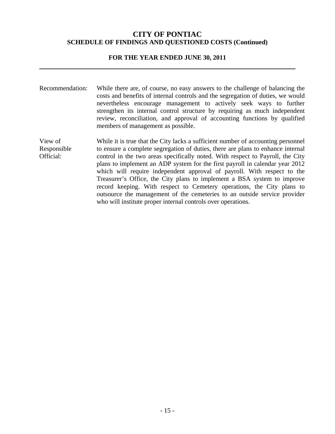#### **FOR THE YEAR ENDED JUNE 30, 2011**

Recommendation: While there are, of course, no easy answers to the challenge of balancing the costs and benefits of internal controls and the segregation of duties, we would nevertheless encourage management to actively seek ways to further strengthen its internal control structure by requiring as much independent review, reconciliation, and approval of accounting functions by qualified members of management as possible.

View of Responsible Official: While it is true that the City lacks a sufficient number of accounting personnel to ensure a complete segregation of duties, there are plans to enhance internal control in the two areas specifically noted. With respect to Payroll, the City plans to implement an ADP system for the first payroll in calendar year 2012 which will require independent approval of payroll. With respect to the Treasurer's Office, the City plans to implement a BSA system to improve record keeping. With respect to Cemetery operations, the City plans to outsource the management of the cemeteries to an outside service provider who will institute proper internal controls over operations.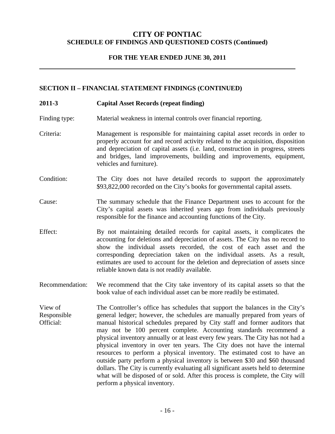#### **FOR THE YEAR ENDED JUNE 30, 2011**

#### **SECTION II – FINANCIAL STATEMENT FINDINGS (CONTINUED)**

#### **2011-3 Capital Asset Records (repeat finding)**

Finding type: Material weakness in internal controls over financial reporting.

- Criteria: Management is responsible for maintaining capital asset records in order to properly account for and record activity related to the acquisition, disposition and depreciation of capital assets (i.e. land, construction in progress, streets and bridges, land improvements, building and improvements, equipment, vehicles and furniture).
- Condition: The City does not have detailed records to support the approximately \$93,822,000 recorded on the City's books for governmental capital assets.
- Cause: The summary schedule that the Finance Department uses to account for the City's capital assets was inherited years ago from individuals previously responsible for the finance and accounting functions of the City.
- Effect: By not maintaining detailed records for capital assets, it complicates the accounting for deletions and depreciation of assets. The City has no record to show the individual assets recorded, the cost of each asset and the corresponding depreciation taken on the individual assets. As a result, estimates are used to account for the deletion and depreciation of assets since reliable known data is not readily available.
- Recommendation: We recommend that the City take inventory of its capital assets so that the book value of each individual asset can be more readily be estimated.

View of Responsible Official: The Controller's office has schedules that support the balances in the City's general ledger; however, the schedules are manually prepared from years of manual historical schedules prepared by City staff and former auditors that may not be 100 percent complete. Accounting standards recommend a physical inventory annually or at least every few years. The City has not had a physical inventory in over ten years. The City does not have the internal resources to perform a physical inventory. The estimated cost to have an outside party perform a physical inventory is between \$30 and \$60 thousand dollars. The City is currently evaluating all significant assets held to determine what will be disposed of or sold. After this process is complete, the City will perform a physical inventory.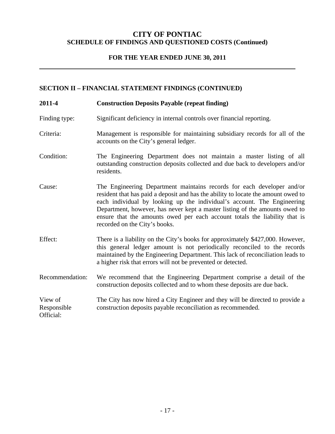### **FOR THE YEAR ENDED JUNE 30, 2011**

### **SECTION II – FINANCIAL STATEMENT FINDINGS (CONTINUED)**

| 2011-4                              | <b>Construction Deposits Payable (repeat finding)</b>                                                                                                                                                                                                                                                                                                                                                                                |
|-------------------------------------|--------------------------------------------------------------------------------------------------------------------------------------------------------------------------------------------------------------------------------------------------------------------------------------------------------------------------------------------------------------------------------------------------------------------------------------|
| Finding type:                       | Significant deficiency in internal controls over financial reporting.                                                                                                                                                                                                                                                                                                                                                                |
| Criteria:                           | Management is responsible for maintaining subsidiary records for all of the<br>accounts on the City's general ledger.                                                                                                                                                                                                                                                                                                                |
| Condition:                          | The Engineering Department does not maintain a master listing of all<br>outstanding construction deposits collected and due back to developers and/or<br>residents.                                                                                                                                                                                                                                                                  |
| Cause:                              | The Engineering Department maintains records for each developer and/or<br>resident that has paid a deposit and has the ability to locate the amount owed to<br>each individual by looking up the individual's account. The Engineering<br>Department, however, has never kept a master listing of the amounts owed to<br>ensure that the amounts owed per each account totals the liability that is<br>recorded on the City's books. |
| Effect:                             | There is a liability on the City's books for approximately \$427,000. However,<br>this general ledger amount is not periodically reconciled to the records<br>maintained by the Engineering Department. This lack of reconciliation leads to<br>a higher risk that errors will not be prevented or detected.                                                                                                                         |
| Recommendation:                     | We recommend that the Engineering Department comprise a detail of the<br>construction deposits collected and to whom these deposits are due back.                                                                                                                                                                                                                                                                                    |
| View of<br>Responsible<br>Official: | The City has now hired a City Engineer and they will be directed to provide a<br>construction deposits payable reconciliation as recommended.                                                                                                                                                                                                                                                                                        |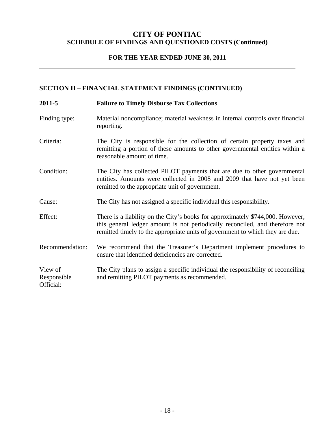### **FOR THE YEAR ENDED JUNE 30, 2011**

### **SECTION II – FINANCIAL STATEMENT FINDINGS (CONTINUED)**

| 2011-5                              | <b>Failure to Timely Disburse Tax Collections</b>                                                                                                                                                                                               |
|-------------------------------------|-------------------------------------------------------------------------------------------------------------------------------------------------------------------------------------------------------------------------------------------------|
| Finding type:                       | Material noncompliance; material weakness in internal controls over financial<br>reporting.                                                                                                                                                     |
| Criteria:                           | The City is responsible for the collection of certain property taxes and<br>remitting a portion of these amounts to other governmental entities within a<br>reasonable amount of time.                                                          |
| Condition:                          | The City has collected PILOT payments that are due to other governmental<br>entities. Amounts were collected in 2008 and 2009 that have not yet been<br>remitted to the appropriate unit of government.                                         |
| Cause:                              | The City has not assigned a specific individual this responsibility.                                                                                                                                                                            |
| Effect:                             | There is a liability on the City's books for approximately \$744,000. However,<br>this general ledger amount is not periodically reconciled, and therefore not<br>remitted timely to the appropriate units of government to which they are due. |
| Recommendation:                     | We recommend that the Treasurer's Department implement procedures to<br>ensure that identified deficiencies are corrected.                                                                                                                      |
| View of<br>Responsible<br>Official: | The City plans to assign a specific individual the responsibility of reconciling<br>and remitting PILOT payments as recommended.                                                                                                                |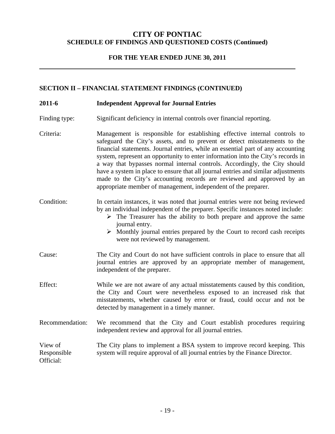### **FOR THE YEAR ENDED JUNE 30, 2011**

#### **SECTION II – FINANCIAL STATEMENT FINDINGS (CONTINUED)**

#### **2011-6 Independent Approval for Journal Entries**

- Finding type: Significant deficiency in internal controls over financial reporting.
- Criteria: Management is responsible for establishing effective internal controls to safeguard the City's assets, and to prevent or detect misstatements to the financial statements. Journal entries, while an essential part of any accounting system, represent an opportunity to enter information into the City's records in a way that bypasses normal internal controls. Accordingly, the City should have a system in place to ensure that all journal entries and similar adjustments made to the City's accounting records are reviewed and approved by an appropriate member of management, independent of the preparer.

#### Condition: In certain instances, it was noted that journal entries were not being reviewed by an individual independent of the preparer. Specific instances noted include:

- $\triangleright$  The Treasurer has the ability to both prepare and approve the same journal entry.
- $\triangleright$  Monthly journal entries prepared by the Court to record cash receipts were not reviewed by management.
- Cause: The City and Court do not have sufficient controls in place to ensure that all journal entries are approved by an appropriate member of management, independent of the preparer.
- Effect: While we are not aware of any actual misstatements caused by this condition, the City and Court were nevertheless exposed to an increased risk that misstatements, whether caused by error or fraud, could occur and not be detected by management in a timely manner.
- Recommendation: We recommend that the City and Court establish procedures requiring independent review and approval for all journal entries.

#### View of Responsible Official: The City plans to implement a BSA system to improve record keeping. This system will require approval of all journal entries by the Finance Director.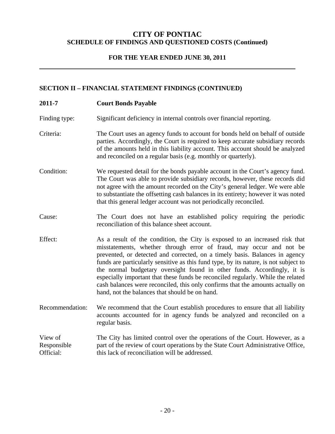### **FOR THE YEAR ENDED JUNE 30, 2011**

#### **SECTION II – FINANCIAL STATEMENT FINDINGS (CONTINUED)**

**2011-7 Court Bonds Payable**  Finding type: Significant deficiency in internal controls over financial reporting. Criteria: The Court uses an agency funds to account for bonds held on behalf of outside parties. Accordingly, the Court is required to keep accurate subsidiary records of the amounts held in this liability account. This account should be analyzed and reconciled on a regular basis (e.g. monthly or quarterly). Condition: We requested detail for the bonds payable account in the Court's agency fund. The Court was able to provide subsidiary records, however, these records did not agree with the amount recorded on the City's general ledger. We were able to substantiate the offsetting cash balances in its entirety; however it was noted that this general ledger account was not periodically reconciled. Cause: The Court does not have an established policy requiring the periodic reconciliation of this balance sheet account. Effect: As a result of the condition, the City is exposed to an increased risk that misstatements, whether through error of fraud, may occur and not be prevented, or detected and corrected, on a timely basis. Balances in agency funds are particularly sensitive as this fund type, by its nature, is not subject to the normal budgetary oversight found in other funds. Accordingly, it is especially important that these funds be reconciled regularly. While the related cash balances were reconciled, this only confirms that the amounts actually on hand, not the balances that should be on hand. Recommendation: We recommend that the Court establish procedures to ensure that all liability accounts accounted for in agency funds be analyzed and reconciled on a regular basis. View of Responsible Official: The City has limited control over the operations of the Court. However, as a part of the review of court operations by the State Court Administrative Office, this lack of reconciliation will be addressed.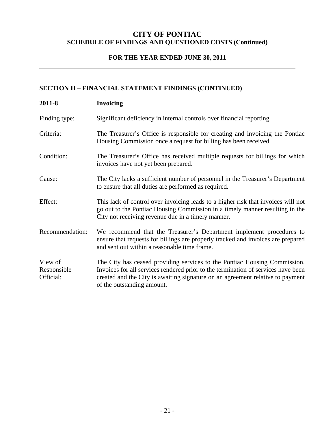### **FOR THE YEAR ENDED JUNE 30, 2011**

### **SECTION II – FINANCIAL STATEMENT FINDINGS (CONTINUED)**

| 2011-8                              | <b>Invoicing</b>                                                                                                                                                                                                                                                               |
|-------------------------------------|--------------------------------------------------------------------------------------------------------------------------------------------------------------------------------------------------------------------------------------------------------------------------------|
| Finding type:                       | Significant deficiency in internal controls over financial reporting.                                                                                                                                                                                                          |
| Criteria:                           | The Treasurer's Office is responsible for creating and invoicing the Pontiac<br>Housing Commission once a request for billing has been received.                                                                                                                               |
| Condition:                          | The Treasurer's Office has received multiple requests for billings for which<br>invoices have not yet been prepared.                                                                                                                                                           |
| Cause:                              | The City lacks a sufficient number of personnel in the Treasurer's Department<br>to ensure that all duties are performed as required.                                                                                                                                          |
| Effect:                             | This lack of control over invoicing leads to a higher risk that invoices will not<br>go out to the Pontiac Housing Commission in a timely manner resulting in the<br>City not receiving revenue due in a timely manner.                                                        |
| Recommendation:                     | We recommend that the Treasurer's Department implement procedures to<br>ensure that requests for billings are properly tracked and invoices are prepared<br>and sent out within a reasonable time frame.                                                                       |
| View of<br>Responsible<br>Official: | The City has ceased providing services to the Pontiac Housing Commission.<br>Invoices for all services rendered prior to the termination of services have been<br>created and the City is awaiting signature on an agreement relative to payment<br>of the outstanding amount. |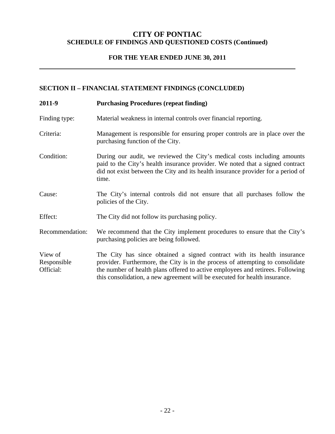### **FOR THE YEAR ENDED JUNE 30, 2011**

### **SECTION II – FINANCIAL STATEMENT FINDINGS (CONCLUDED)**

| 2011-9                              | <b>Purchasing Procedures (repeat finding)</b>                                                                                                                                                                                                                                                                             |
|-------------------------------------|---------------------------------------------------------------------------------------------------------------------------------------------------------------------------------------------------------------------------------------------------------------------------------------------------------------------------|
| Finding type:                       | Material weakness in internal controls over financial reporting.                                                                                                                                                                                                                                                          |
| Criteria:                           | Management is responsible for ensuring proper controls are in place over the<br>purchasing function of the City.                                                                                                                                                                                                          |
| Condition:                          | During our audit, we reviewed the City's medical costs including amounts<br>paid to the City's health insurance provider. We noted that a signed contract<br>did not exist between the City and its health insurance provider for a period of<br>time.                                                                    |
| Cause:                              | The City's internal controls did not ensure that all purchases follow the<br>policies of the City.                                                                                                                                                                                                                        |
| Effect:                             | The City did not follow its purchasing policy.                                                                                                                                                                                                                                                                            |
| Recommendation:                     | We recommend that the City implement procedures to ensure that the City's<br>purchasing policies are being followed.                                                                                                                                                                                                      |
| View of<br>Responsible<br>Official: | The City has since obtained a signed contract with its health insurance<br>provider. Furthermore, the City is in the process of attempting to consolidate<br>the number of health plans offered to active employees and retirees. Following<br>this consolidation, a new agreement will be executed for health insurance. |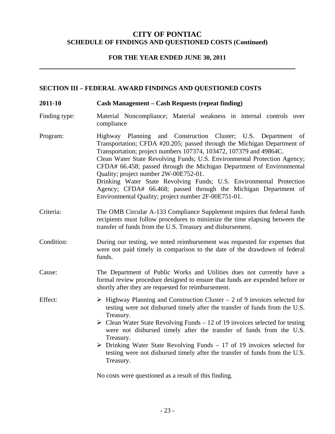#### **FOR THE YEAR ENDED JUNE 30, 2011**

#### **SECTION III – FEDERAL AWARD FINDINGS AND QUESTIONED COSTS**

- **2011-10 Cash Management Cash Requests (repeat finding)**
- Finding type: Material Noncompliance; Material weakness in internal controls over compliance
- Program: Highway Planning and Construction Cluster; U.S. Department of Transportation; CFDA #20.205; passed through the Michigan Department of Transportation; project numbers 107374, 103472, 107379 and 49864C. Clean Water State Revolving Funds; U.S. Environmental Protection Agency; CFDA# 66.458; passed through the Michigan Department of Environmental Quality; project number 2W-00E752-01. Drinking Water State Revolving Funds; U.S. Environmental Protection Agency; CFDA# 66.468; passed through the Michigan Department of Environmental Quality; project number 2F-00E751-01.
- Criteria: The OMB Circular A-133 Compliance Supplement requires that federal funds recipients must follow procedures to minimize the time elapsing between the transfer of funds from the U.S. Treasury and disbursement.
- Condition: During our testing, we noted reimbursement was requested for expenses that were not paid timely in comparison to the date of the drawdown of federal funds.
- Cause: The Department of Public Works and Utilities does not currently have a formal review procedure designed to ensure that funds are expended before or shortly after they are requested for reimbursement.

Effect:  $\triangleright$  Highway Planning and Construction Cluster – 2 of 9 invoices selected for testing were not disbursed timely after the transfer of funds from the U.S. Treasury.

- $\triangleright$  Clean Water State Revolving Funds 12 of 19 invoices selected for testing were not disbursed timely after the transfer of funds from the U.S. Treasury.
- $\triangleright$  Drinking Water State Revolving Funds 17 of 19 invoices selected for testing were not disbursed timely after the transfer of funds from the U.S. Treasury.

No costs were questioned as a result of this finding.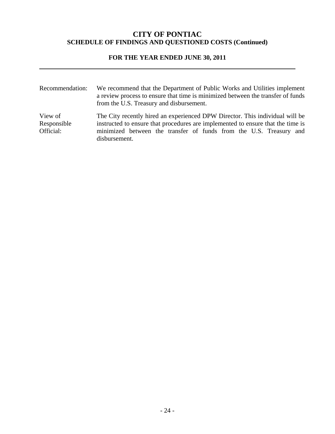### **FOR THE YEAR ENDED JUNE 30, 2011**

| Recommendation:                     | We recommend that the Department of Public Works and Utilities implement<br>a review process to ensure that time is minimized between the transfer of funds<br>from the U.S. Treasury and disbursement.                                                |
|-------------------------------------|--------------------------------------------------------------------------------------------------------------------------------------------------------------------------------------------------------------------------------------------------------|
| View of<br>Responsible<br>Official: | The City recently hired an experienced DPW Director. This individual will be<br>instructed to ensure that procedures are implemented to ensure that the time is<br>minimized between the transfer of funds from the U.S. Treasury and<br>disbursement. |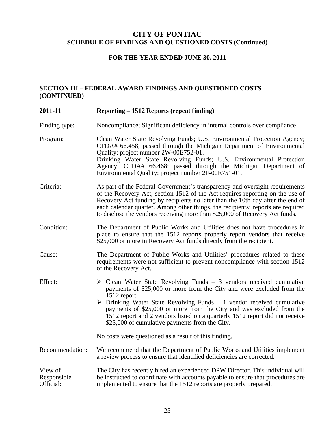### **FOR THE YEAR ENDED JUNE 30, 2011**

### **SECTION III – FEDERAL AWARD FINDINGS AND QUESTIONED COSTS (CONTINUED)**

| 2011-11                             | Reporting – 1512 Reports (repeat finding)                                                                                                                                                                                                                                                                                                                                                                                                                                    |
|-------------------------------------|------------------------------------------------------------------------------------------------------------------------------------------------------------------------------------------------------------------------------------------------------------------------------------------------------------------------------------------------------------------------------------------------------------------------------------------------------------------------------|
| Finding type:                       | Noncompliance; Significant deficiency in internal controls over compliance                                                                                                                                                                                                                                                                                                                                                                                                   |
| Program:                            | Clean Water State Revolving Funds; U.S. Environmental Protection Agency;<br>CFDA# 66.458; passed through the Michigan Department of Environmental<br>Quality; project number 2W-00E752-01.<br>Drinking Water State Revolving Funds; U.S. Environmental Protection<br>Agency; CFDA# 66.468; passed through the Michigan Department of<br>Environmental Quality; project number 2F-00E751-01.                                                                                  |
| Criteria:                           | As part of the Federal Government's transparency and oversight requirements<br>of the Recovery Act, section 1512 of the Act requires reporting on the use of<br>Recovery Act funding by recipients no later than the 10th day after the end of<br>each calendar quarter. Among other things, the recipients' reports are required<br>to disclose the vendors receiving more than \$25,000 of Recovery Act funds.                                                             |
| Condition:                          | The Department of Public Works and Utilities does not have procedures in<br>place to ensure that the 1512 reports properly report vendors that receive<br>\$25,000 or more in Recovery Act funds directly from the recipient.                                                                                                                                                                                                                                                |
| Cause:                              | The Department of Public Works and Utilities' procedures related to these<br>requirements were not sufficient to prevent noncompliance with section 1512<br>of the Recovery Act.                                                                                                                                                                                                                                                                                             |
| Effect:                             | $\triangleright$ Clean Water State Revolving Funds - 3 vendors received cumulative<br>payments of \$25,000 or more from the City and were excluded from the<br>1512 report.<br>$\triangleright$ Drinking Water State Revolving Funds - 1 vendor received cumulative<br>payments of \$25,000 or more from the City and was excluded from the<br>1512 report and 2 vendors listed on a quarterly 1512 report did not receive<br>\$25,000 of cumulative payments from the City. |
|                                     | No costs were questioned as a result of this finding.                                                                                                                                                                                                                                                                                                                                                                                                                        |
| Recommendation:                     | We recommend that the Department of Public Works and Utilities implement<br>a review process to ensure that identified deficiencies are corrected.                                                                                                                                                                                                                                                                                                                           |
| View of<br>Responsible<br>Official: | The City has recently hired an experienced DPW Director. This individual will<br>be instructed to coordinate with accounts payable to ensure that procedures are<br>implemented to ensure that the 1512 reports are properly prepared.                                                                                                                                                                                                                                       |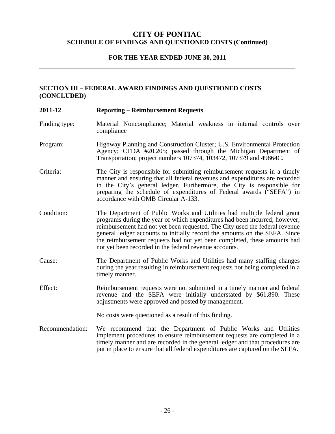#### **FOR THE YEAR ENDED JUNE 30, 2011**

### **SECTION III – FEDERAL AWARD FINDINGS AND QUESTIONED COSTS (CONCLUDED)**

| 2011-12         | <b>Reporting – Reimbursement Requests</b>                                                                                                                                                                                                                                                                                                                                                                                                                |
|-----------------|----------------------------------------------------------------------------------------------------------------------------------------------------------------------------------------------------------------------------------------------------------------------------------------------------------------------------------------------------------------------------------------------------------------------------------------------------------|
| Finding type:   | Material Noncompliance; Material weakness in internal controls over<br>compliance                                                                                                                                                                                                                                                                                                                                                                        |
| Program:        | Highway Planning and Construction Cluster; U.S. Environmental Protection<br>Agency; CFDA #20.205; passed through the Michigan Department of<br>Transportation; project numbers 107374, 103472, 107379 and 49864C.                                                                                                                                                                                                                                        |
| Criteria:       | The City is responsible for submitting reimbursement requests in a timely<br>manner and ensuring that all federal revenues and expenditures are recorded<br>in the City's general ledger. Furthermore, the City is responsible for<br>preparing the schedule of expenditures of Federal awards ("SEFA") in<br>accordance with OMB Circular A-133.                                                                                                        |
| Condition:      | The Department of Public Works and Utilities had multiple federal grant<br>programs during the year of which expenditures had been incurred; however,<br>reimbursement had not yet been requested. The City used the federal revenue<br>general ledger accounts to initially record the amounts on the SEFA. Since<br>the reimbursement requests had not yet been completed, these amounts had<br>not yet been recorded in the federal revenue accounts. |
| Cause:          | The Department of Public Works and Utilities had many staffing changes<br>during the year resulting in reimbursement requests not being completed in a<br>timely manner.                                                                                                                                                                                                                                                                                 |
| Effect:         | Reimbursement requests were not submitted in a timely manner and federal<br>revenue and the SEFA were initially understated by \$61,890. These<br>adjustments were approved and posted by management.                                                                                                                                                                                                                                                    |
|                 | No costs were questioned as a result of this finding.                                                                                                                                                                                                                                                                                                                                                                                                    |
| Recommendation: | We recommend that the Department of Public Works and Utilities<br>implement procedures to ensure reimbursement requests are completed in a<br>timely manner and are recorded in the general ledger and that procedures are<br>put in place to ensure that all federal expenditures are captured on the SEFA.                                                                                                                                             |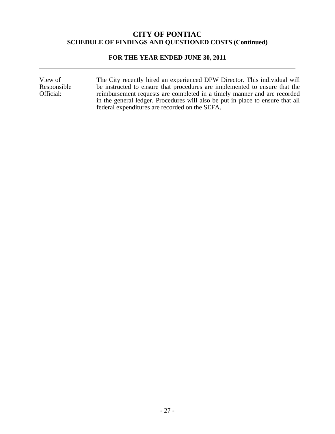#### **FOR THE YEAR ENDED JUNE 30, 2011**

View of Responsible Official: The City recently hired an experienced DPW Director. This individual will be instructed to ensure that procedures are implemented to ensure that the reimbursement requests are completed in a timely manner and are recorded in the general ledger. Procedures will also be put in place to ensure that all federal expenditures are recorded on the SEFA.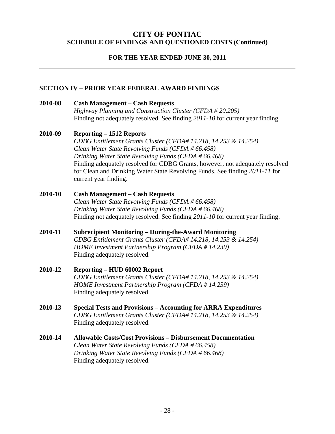### **FOR THE YEAR ENDED JUNE 30, 2011**

#### **SECTION IV – PRIOR YEAR FEDERAL AWARD FINDINGS**

**2010-08 Cash Management – Cash Requests**  *Highway Planning and Construction Cluster (CFDA # 20.205)*  Finding not adequately resolved. See finding *2011-10* for current year finding.

#### **2010-09 Reporting – 1512 Reports**

*CDBG Entitlement Grants Cluster (CFDA# 14.218, 14.253 & 14.254) Clean Water State Revolving Funds (CFDA # 66.458) Drinking Water State Revolving Funds (CFDA # 66.468)*  Finding adequately resolved for CDBG Grants, however, not adequately resolved for Clean and Drinking Water State Revolving Funds. See finding *2011-11* for current year finding.

### **2010-10 Cash Management – Cash Requests**  *Clean Water State Revolving Funds (CFDA # 66.458) Drinking Water State Revolving Funds (CFDA # 66.468)*  Finding not adequately resolved. See finding *2011-10* for current year finding.

**2010-11 Subrecipient Monitoring – During-the-Award Monitoring**  *CDBG Entitlement Grants Cluster (CFDA# 14.218, 14.253 & 14.254) HOME Investment Partnership Program (CFDA # 14.239)*  Finding adequately resolved.

### **2010-12 Reporting – HUD 60002 Report**  *CDBG Entitlement Grants Cluster (CFDA# 14.218, 14.253 & 14.254) HOME Investment Partnership Program (CFDA # 14.239)*  Finding adequately resolved.

**2010-13 Special Tests and Provisions – Accounting for ARRA Expenditures**  *CDBG Entitlement Grants Cluster (CFDA# 14.218, 14.253 & 14.254)*  Finding adequately resolved.

### **2010-14 Allowable Costs/Cost Provisions – Disbursement Documentation**  *Clean Water State Revolving Funds (CFDA # 66.458) Drinking Water State Revolving Funds (CFDA # 66.468)*  Finding adequately resolved.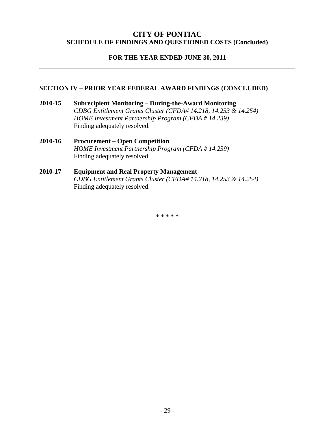### **FOR THE YEAR ENDED JUNE 30, 2011**

#### **SECTION IV – PRIOR YEAR FEDERAL AWARD FINDINGS (CONCLUDED)**

**2010-15 Subrecipient Monitoring – During-the-Award Monitoring**  *CDBG Entitlement Grants Cluster (CFDA# 14.218, 14.253 & 14.254) HOME Investment Partnership Program (CFDA # 14.239)*  Finding adequately resolved.

#### **2010-16 Procurement – Open Competition**   *HOME Investment Partnership Program (CFDA # 14.239)*  Finding adequately resolved.

#### **2010-17 Equipment and Real Property Management**  *CDBG Entitlement Grants Cluster (CFDA# 14.218, 14.253 & 14.254)*  Finding adequately resolved.

\* \* \* \* \*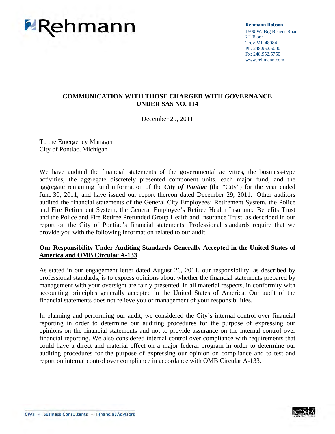

**Rehmann Robson** 1500 W. Big Beaver Road  $2<sup>nd</sup>$  Floor Troy MI 48084 Ph: 248.952.5000 Fx: 248.952.5750 www.rehmann.com

### **COMMUNICATION WITH THOSE CHARGED WITH GOVERNANCE UNDER SAS NO. 114**

December 29, 2011

To the Emergency Manager City of Pontiac, Michigan

We have audited the financial statements of the governmental activities, the business-type activities, the aggregate discretely presented component units, each major fund, and the aggregate remaining fund information of the *City of Pontiac* (the "City") for the year ended June 30, 2011, and have issued our report thereon dated December 29, 2011. Other auditors audited the financial statements of the General City Employees' Retirement System, the Police and Fire Retirement System, the General Employee's Retiree Health Insurance Benefits Trust and the Police and Fire Retiree Prefunded Group Health and Insurance Trust, as described in our report on the City of Pontiac's financial statements. Professional standards require that we provide you with the following information related to our audit.

#### **Our Responsibility Under Auditing Standards Generally Accepted in the United States of America and OMB Circular A-133**

As stated in our engagement letter dated August 26, 2011, our responsibility, as described by professional standards, is to express opinions about whether the financial statements prepared by management with your oversight are fairly presented, in all material respects, in conformity with accounting principles generally accepted in the United States of America. Our audit of the financial statements does not relieve you or management of your responsibilities.

In planning and performing our audit, we considered the City's internal control over financial reporting in order to determine our auditing procedures for the purpose of expressing our opinions on the financial statements and not to provide assurance on the internal control over financial reporting. We also considered internal control over compliance with requirements that could have a direct and material effect on a major federal program in order to determine our auditing procedures for the purpose of expressing our opinion on compliance and to test and report on internal control over compliance in accordance with OMB Circular A-133.

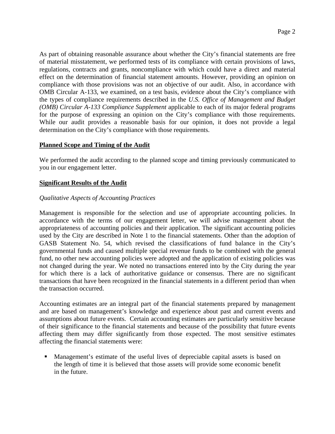As part of obtaining reasonable assurance about whether the City's financial statements are free of material misstatement, we performed tests of its compliance with certain provisions of laws, regulations, contracts and grants, noncompliance with which could have a direct and material effect on the determination of financial statement amounts. However, providing an opinion on compliance with those provisions was not an objective of our audit. Also, in accordance with OMB Circular A-133, we examined, on a test basis, evidence about the City's compliance with the types of compliance requirements described in the *U.S. Office of Management and Budget (OMB) Circular A-133 Compliance Supplement* applicable to each of its major federal programs for the purpose of expressing an opinion on the City's compliance with those requirements. While our audit provides a reasonable basis for our opinion, it does not provide a legal determination on the City's compliance with those requirements.

#### **Planned Scope and Timing of the Audit**

We performed the audit according to the planned scope and timing previously communicated to you in our engagement letter.

#### **Significant Results of the Audit**

#### *Qualitative Aspects of Accounting Practices*

Management is responsible for the selection and use of appropriate accounting policies. In accordance with the terms of our engagement letter, we will advise management about the appropriateness of accounting policies and their application. The significant accounting policies used by the City are described in Note 1 to the financial statements. Other than the adoption of GASB Statement No. 54, which revised the classifications of fund balance in the City's governmental funds and caused multiple special revenue funds to be combined with the general fund, no other new accounting policies were adopted and the application of existing policies was not changed during the year. We noted no transactions entered into by the City during the year for which there is a lack of authoritative guidance or consensus. There are no significant transactions that have been recognized in the financial statements in a different period than when the transaction occurred.

Accounting estimates are an integral part of the financial statements prepared by management and are based on management's knowledge and experience about past and current events and assumptions about future events. Certain accounting estimates are particularly sensitive because of their significance to the financial statements and because of the possibility that future events affecting them may differ significantly from those expected. The most sensitive estimates affecting the financial statements were:

 Management's estimate of the useful lives of depreciable capital assets is based on the length of time it is believed that those assets will provide some economic benefit in the future.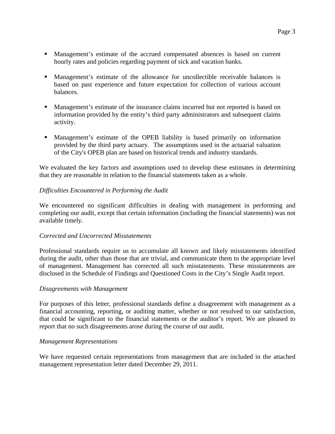- Management's estimate of the accrued compensated absences is based on current hourly rates and policies regarding payment of sick and vacation banks.
- Management's estimate of the allowance for uncollectible receivable balances is based on past experience and future expectation for collection of various account balances.
- Management's estimate of the insurance claims incurred but not reported is based on information provided by the entity's third party administrators and subsequent claims activity.
- Management's estimate of the OPEB liability is based primarily on information provided by the third party actuary. The assumptions used in the actuarial valuation of the City's OPEB plan are based on historical trends and industry standards.

We evaluated the key factors and assumptions used to develop these estimates in determining that they are reasonable in relation to the financial statements taken as a whole.

### *Difficulties Encountered in Performing the Audit*

We encountered no significant difficulties in dealing with management in performing and completing our audit, except that certain information (including the financial statements) was not available timely.

#### *Corrected and Uncorrected Misstatements*

Professional standards require us to accumulate all known and likely misstatements identified during the audit, other than those that are trivial, and communicate them to the appropriate level of management. Management has corrected all such misstatements. These misstatements are disclosed in the Schedule of Findings and Questioned Costs in the City's Single Audit report.

#### *Disagreements with Management*

For purposes of this letter, professional standards define a disagreement with management as a financial accounting, reporting, or auditing matter, whether or not resolved to our satisfaction, that could be significant to the financial statements or the auditor's report. We are pleased to report that no such disagreements arose during the course of our audit.

#### *Management Representations*

We have requested certain representations from management that are included in the attached management representation letter dated December 29, 2011.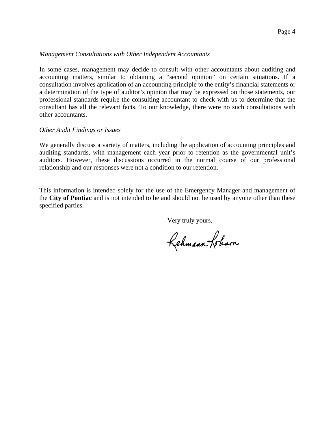#### *Management Consultations with Other Independent Accountants*

In some cases, management may decide to consult with other accountants about auditing and accounting matters, similar to obtaining a "second opinion" on certain situations. If a consultation involves application of an accounting principle to the entity's financial statements or a determination of the type of auditor's opinion that may be expressed on those statements, our professional standards require the consulting accountant to check with us to determine that the consultant has all the relevant facts. To our knowledge, there were no such consultations with other accountants.

#### *Other Audit Findings or Issues*

We generally discuss a variety of matters, including the application of accounting principles and auditing standards, with management each year prior to retention as the governmental unit's auditors. However, these discussions occurred in the normal course of our professional relationship and our responses were not a condition to our retention.

This information is intended solely for the use of the Emergency Manager and management of the **City of Pontiac** and is not intended to be and should not be used by anyone other than these specified parties.

Very truly yours,

Rehmann Lobson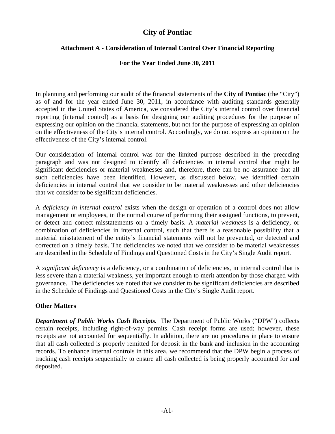## **City of Pontiac**

### **Attachment A - Consideration of Internal Control Over Financial Reporting**

### **For the Year Ended June 30, 2011**

In planning and performing our audit of the financial statements of the **City of Pontiac** (the "City") as of and for the year ended June 30, 2011, in accordance with auditing standards generally accepted in the United States of America, we considered the City's internal control over financial reporting (internal control) as a basis for designing our auditing procedures for the purpose of expressing our opinion on the financial statements, but not for the purpose of expressing an opinion on the effectiveness of the City's internal control. Accordingly, we do not express an opinion on the effectiveness of the City's internal control.

Our consideration of internal control was for the limited purpose described in the preceding paragraph and was not designed to identify all deficiencies in internal control that might be significant deficiencies or material weaknesses and, therefore, there can be no assurance that all such deficiencies have been identified. However, as discussed below, we identified certain deficiencies in internal control that we consider to be material weaknesses and other deficiencies that we consider to be significant deficiencies.

A *deficiency in internal control* exists when the design or operation of a control does not allow management or employees, in the normal course of performing their assigned functions, to prevent, or detect and correct misstatements on a timely basis. A *material weakness* is a deficiency, or combination of deficiencies in internal control, such that there is a reasonable possibility that a material misstatement of the entity's financial statements will not be prevented, or detected and corrected on a timely basis. The deficiencies we noted that we consider to be material weaknesses are described in the Schedule of Findings and Questioned Costs in the City's Single Audit report.

A *significant deficiency* is a deficiency, or a combination of deficiencies, in internal control that is less severe than a material weakness, yet important enough to merit attention by those charged with governance. The deficiencies we noted that we consider to be significant deficiencies are described in the Schedule of Findings and Questioned Costs in the City's Single Audit report.

### **Other Matters**

*Department of Public Works Cash Receipts.* The Department of Public Works ("DPW") collects certain receipts, including right-of-way permits. Cash receipt forms are used; however, these receipts are not accounted for sequentially. In addition, there are no procedures in place to ensure that all cash collected is properly remitted for deposit in the bank and inclusion in the accounting records. To enhance internal controls in this area, we recommend that the DPW begin a process of tracking cash receipts sequentially to ensure all cash collected is being properly accounted for and deposited.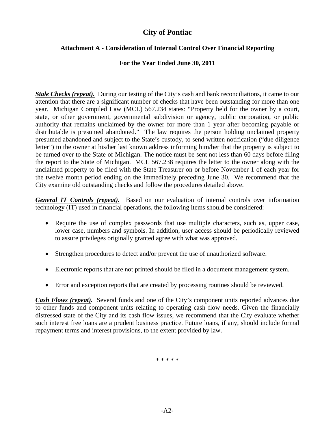### **City of Pontiac**

### **Attachment A - Consideration of Internal Control Over Financial Reporting**

### **For the Year Ended June 30, 2011**

*Stale Checks (repeat).* During our testing of the City's cash and bank reconciliations, it came to our attention that there are a significant number of checks that have been outstanding for more than one year. Michigan Compiled Law (MCL) 567.234 states: "Property held for the owner by a court, state, or other government, governmental subdivision or agency, public corporation, or public authority that remains unclaimed by the owner for more than 1 year after becoming payable or distributable is presumed abandoned." The law requires the person holding unclaimed property presumed abandoned and subject to the State's custody, to send written notification ("due diligence letter") to the owner at his/her last known address informing him/her that the property is subject to be turned over to the State of Michigan. The notice must be sent not less than 60 days before filing the report to the State of Michigan. MCL 567.238 requires the letter to the owner along with the unclaimed property to be filed with the State Treasurer on or before November 1 of each year for the twelve month period ending on the immediately preceding June 30. We recommend that the City examine old outstanding checks and follow the procedures detailed above.

*General IT Controls (repeat).* Based on our evaluation of internal controls over information technology (IT) used in financial operations, the following items should be considered:

- Require the use of complex passwords that use multiple characters, such as, upper case, lower case, numbers and symbols. In addition, user access should be periodically reviewed to assure privileges originally granted agree with what was approved.
- Strengthen procedures to detect and/or prevent the use of unauthorized software.
- Electronic reports that are not printed should be filed in a document management system.
- Error and exception reports that are created by processing routines should be reviewed.

*Cash Flows (repeat).* Several funds and one of the City's component units reported advances due to other funds and component units relating to operating cash flow needs. Given the financially distressed state of the City and its cash flow issues, we recommend that the City evaluate whether such interest free loans are a prudent business practice. Future loans, if any, should include formal repayment terms and interest provisions, to the extent provided by law.

\* \* \* \* \*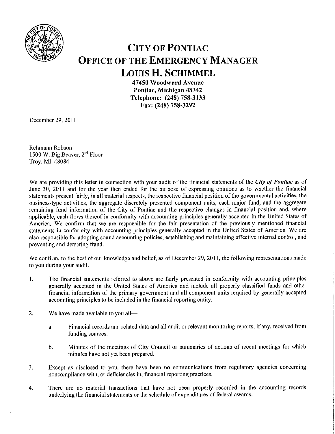

# **CITY OF PONTIAC OFFICE OF THE EMERGENCY MANAGER LOUIS H. SCHIMMEL**

47450 Woodward Avenue Pontiac, Michigan 48342 Telephone: (248) 758-3133 Fax: (248) 758-3292

December 29, 2011

Rehmann Robson 1500 W. Big Beaver, 2<sup>nd</sup> Floor Troy, MI 48084

We are providing this letter in connection with your audit of the financial statements of the City of Pontiac as of June 30, 2011 and for the year then ended for the purpose of expressing opinions as to whether the financial statements present fairly, in all material respects, the respective financial position of the governmental activities, the business-type activities, the aggregate discretely presented component units, each major fund, and the aggregate remaining fund information of the City of Pontiac and the respective changes in financial position and, where applicable, cash flows thereof in conformity with accounting principles generally accepted in the United States of America. We confirm that we are responsible for the fair presentation of the previously mentioned financial statements in conformity with accounting principles generally accepted in the United States of America. We are also responsible for adopting sound accounting policies, establishing and maintaining effective internal control, and preventing and detecting fraud.

We confirm, to the best of our knowledge and belief, as of December 29, 2011, the following representations made to you during your audit.

- $\mathbf{1}$ . The financial statements referred to above are fairly presented in conformity with accounting principles generally accepted in the United States of America and include all properly classified funds and other financial information of the primary government and all component units required by generally accepted accounting principles to be included in the financial reporting entity.
- 2. We have made available to you all-
	- Financial records and related data and all audit or relevant monitoring reports, if any, received from a. funding sources.
	- Minutes of the meetings of City Council or summaries of actions of recent meetings for which  $\mathbf b$ . minutes have not yet been prepared.
- Except as disclosed to you, there have been no communications from regulatory agencies concerning 3. noncompliance with, or deficiencies in, financial reporting practices.
- There are no material transactions that have not been properly recorded in the accounting records 4. underlying the financial statements or the schedule of expenditures of federal awards.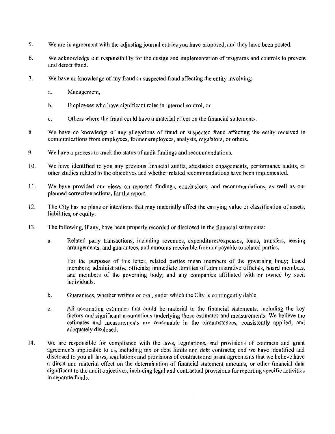- **5.** We are in agreement with the adjusting journal entries you have proposed, and they have been posted.
- 6. We acknowledge our responsibility for the design and implementation of programs and controls to prevent and detect fraud.
- 7. We have no knowledge of any fraud or suspected fraud affecting the entity involving:
	- a. Management,
	- $\mathbf b$ . Employees who have significant roles in internal control, or
	- Others where the fraud could have a material effect on the financial statements.  $\mathbf{c}$ .
- We have no knowledge of any allegations of fraud or suspected fraud affecting the entity received in 8. communications from employees, former employees, analysts, regulators, or others.
- 9. We have a process to track the status of audit findings and recommendations.
- 10. We have identified to you any previous financial audits, attestation engagements, performance audits, or other studies related to the objectives and whether related recommendations have been implemented.
- 11. We have provided our views on reported findings, conclusions, and recommendations, as well as our planned corrective actions, for the report.
- The City has no plans or intentions that may materially affect the carrying value or classification of assets,  $12.$ liabilities, or equity.
- 13. The following, if any, have been properly recorded or disclosed in the financial statements:
	- $\mathbf{a}$ . Related party transactions, including revenues, expenditures/expenses, loans, transfers, leasing arrangements, and guarantees, and amounts receivable from or payable to related parties.

For the purposes of this letter, related parties mean members of the governing body; board members; administrative officials; immediate families of administrative officials, board members, and members of the governing body; and any companies affiliated with or owned by such individuals.

- $<sub>b</sub>$ .</sub> Guarantees, whether written or oral, under which the City is contingently liable.
- All accounting estimates that could be material to the financial statements, including the key  $\mathbf{c}$ . factors and significant assumptions underlying those estimates and measurements. We believe the estimates and measurements are reasonable in the circumstances, consistently applied, and adequately disclosed.
- 14. We are responsible for compliance with the laws, regulations, and provisions of contracts and grant agreements applicable to us, including tax or debt limits and debt contraets; and we have identified and disclosed to you all laws, regulations and provisions of contracts and grant agreements that we believe have a direct and material effect on the determination of financial statement amounts, or other financial data significant to the audit objectives, including legal and contractual provisions for reporting specific activities in separate funds.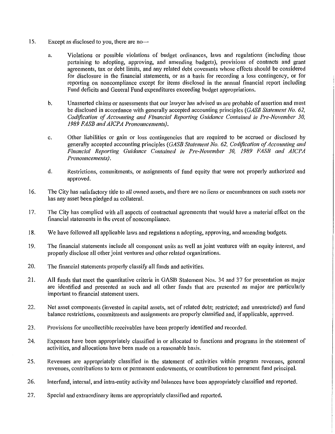- 15. Except as disclosed to you, there are no-
	- Violations or possible violations of budget ordinances, laws and regulations (including those a. pertaining to adopting, approving, and amending budgets), provisions of contracts and grant agreements, tax or debt limits, and any related debt covenants whose effects should be considered for disclosure in the financial statements, or as a basis for recording a loss contingency, or for reporting on noncompliance except for items disclosed in the annual financial report including Fund deficits and General Fund expenditures exceeding budget appropriations.
	- $\mathbf b$ . Unasserted claims or assessments that our lawyer has advised us are probable of assertion and must be disclosed in accordance with generally accepted accounting principles (GASB Statement No. 62, Codification of Accounting and Financial Reporting Guidance Contained in Pre-November 30, 1989 FASB and AICPA Pronouncements).
	- c. Other liabilities or gain or loss contingencies that are required to be accrued or disclosed by generally accepted accounting principles (GASB Statement No. 62, Codification of Accounting and Financial Reporting Guidance Contained in Pre-November 30, 1989 FASB and AICPA Pronouncements).
	- d. Restrictions, commitments, or assignments of fund equity that were not properly authorized and approved.
- 16. The City has satisfactory title to all owned assets, and there are no liens or encumbrances on such assets nor has any asset been pledged as collateral.
- 17. The City has complied with all aspects of contractual agreements that would have a material effect on the financial statements in the event of noncompliance.
- 18. We have followed all applicable laws and regulations n adopting, approving, and amending budgets.
- 19. The financial statements include all component units as well as joint ventures with an equity interest, and properly disclose all other joint ventures and other related organizations.
- $20.$ The financial statements properly classify all funds and activities.
- $21.$ All funds that meet the quantitative criteria in GASB Statement Nos. 34 and 37 for presentation as major are identified and presented as such and all other funds that are presented as major are particularly important to financial statement users.
- 22. Net asset components (invested in capital assets, net of related debt; restricted; and unrestricted) and fund balance restrictions, commitments and assignments are properly classified and, if applicable, approved.
- 23. Provisions for uncollectible receivables have been properly identified and recorded.
- 24. Expenses have been appropriately classified in or allocated to functions and programs in the statement of activities, and allocations have been made on a reasonable basis.
- 25. Revenues are appropriately classified in the statement of activities within program revenues, general revenues, contributions to term or permanent endowments, or contributions to permanent fund principal.
- 26. Interfund, internal, and intra-entity activity and balances have been appropriately classified and reported.
- $27.$ Special and extraordinary items are appropriately classified and reported.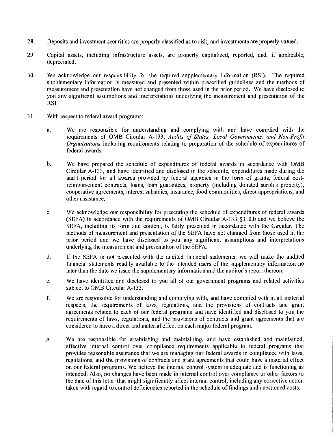- 28. Deposits and investment securities are properly classified as to risk, and investments are properly valued.
- 29. Capital assets, including infrastructure assets, are properly capitalized, reported, and, if applicable, depreciated.
- 30. We acknowledge our responsibility for the required supplementary information (RSI). The required supplementary information is measured and presented within prescribed guidelines and the methods of measurement and presentation have not changed from those used in the prior period. We have disclosed to you any significant assumptions and interpretations underlying the measurement and presentation of the RSI.
- $31.$ With respect to federal award programs:
	- We are responsible for understanding and complying with and have complied with the a. requirements of OMB Circular A-133, Audits of States, Local Governments, and Non-Profit *Organizations* including requirements relating to preparation of the schedule of expenditures of federal awards.
	- $\mathbf b$ . We have prepared the schedule of expenditures of federal awards in accordance with OMB Circular A-133, and have identified and disclosed in the schedule, expenditures made during the audit period for all awards provided by federal agencies in the form of grants, federal costreimbursement contracts, loans, loan guarantees, property (including donated surplus property), cooperative agreements, interest subsidies, insurance, food commodities, direct appropriations, and other assistance.
	- We acknowledge our responsibility for presenting the schedule of expenditures of federal awards  $\mathbf{c}$ . (SEFA) in accordance with the requirements of OMB Circular A-133 §310.b and we believe the SEFA, including its form and content, is fairly presented in accordance with the Circular. The methods of measurement and presentation of the SEFA have not changed from those used in the prior period and we have disclosed to you any significant assumptions and interpretations underlying the measurement and presentation of the SEFA.
	- d. If the SEFA is not presented with the audited financial statements, we will make the audited financial statements readily available to the intended users of the supplementary information no later than the date we issue the supplementary information and the auditor's report thereon.
	- We have identified and disclosed to you all of our government programs and related activities e. subject to OMB Circular A-133.
	- f. We are responsible for understanding and complying with, and have complied with in all material respects, the requirements of laws, regulations, and the provisions of contracts and grant agreements related to each of our federal programs and have identified and disclosed to you the requirements of laws, regulations, and the provisions of contracts and grant agreements that are considered to have a direct and material effect on each major federal program.
	- We are responsible for establishing and maintaining, and have established and maintained, g. effective internal control over compliance requirements applicable to federal programs that provides reasonable assurance that we are managing our federal awards in compliance with laws, regulations, and the provisions of contracts and grant agreements that could have a material effect on our federal programs. We believe the internal control system is adequate and is functioning as intended. Also, no changes have been made in internal control over compliance or other factors to the date of this letter that might significantly affect internal control, including any corrective action taken with regard to control deficiencies reported in the schedule of findings and questioned costs.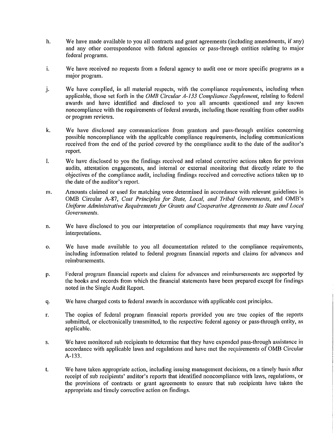- h. We have made available to you all contracts and grant agreements (including amendments, if any) and any other correspondence with federal agencies or pass-through entities relating to major federal programs.
- i. We have received no requests from a federal agency to audit one or more specific programs as a major program.
- j. We have complied, in all material respects, with the compliance requirements, including when applicable, those set forth in the OMB Circular A-133 Compliance Supplement, relating to federal awards and have identified and disclosed to you all amounts questioned and any known noncompliance with the requirements of federal awards, including those resulting from other audits or program reviews.
- k. We have disclosed any communications from grantors and pass-through entities concerning possible noncompliance with the applicable compliance requirements, including communications received from the end of the period covered by the compliance audit to the date of the auditor's report.
- $\mathbf{I}$ . We have disclosed to you the findings received and related corrective actions taken for previous audits, attestation engagements, and internal or external monitoring that directly relate to the objectives of the compliance audit, including findings received and corrective actions taken up to the date of the auditor's report.
- Amounts claimed or used for matching were determined in accordance with relevant guidelines in m. OMB Circular A-87, Cost Principles for State, Local, and Tribal Governments, and OMB's Uniform Administrative Requirements for Grants and Cooperative Agreements to State and Local Governments.
- n. We have disclosed to you our interpretation of compliance requirements that may have varying interpretations.
- $\mathbf{o}$ . We have made available to you all documentation related to the compliance requirements, including information related to federal program financial reports and claims for advances and reimbursements.
- Federal program financial reports and claims for advances and reimbursements are supported by p. the books and records from which the financial statements have been prepared except for findings noted in the Single Audit Report.
- We have charged costs to federal awards in accordance with applicable cost principles. q.
- The copies of federal program financial reports provided you are true copies of the reports r. submitted, or electronically transmitted, to the respective federal agency or pass-through entity, as applicable.
- We have monitored sub recipients to determine that they have expended pass-through assistance in S. accordance with applicable laws and regulations and have met the requirements of OMB Circular A-133.
- We have taken appropriate action, including issuing management decisions, on a timely basis after  $t_{\cdot}$ receipt of sub recipients' auditor's reports that identified noncompliance with laws, regulations, or the provisions of contracts or grant agreements to ensure that sub recipients have taken the appropriate and timely corrective action on findings.